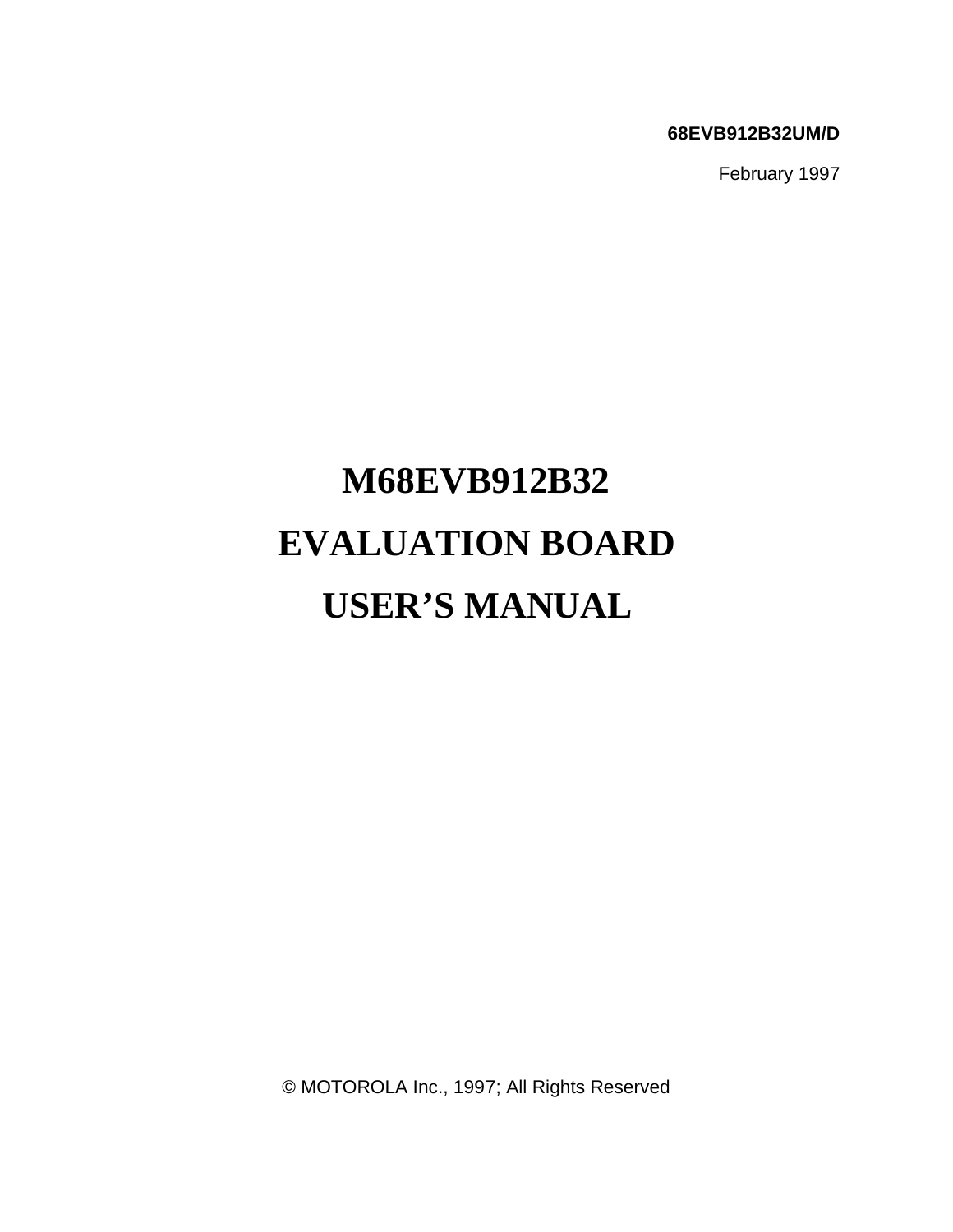**68EVB912B32UM/D**

February 1997

# **M68EVB912B32 EVALUATION BOARD USER'S MANUAL**

© MOTOROLA Inc., 1997; All Rights Reserved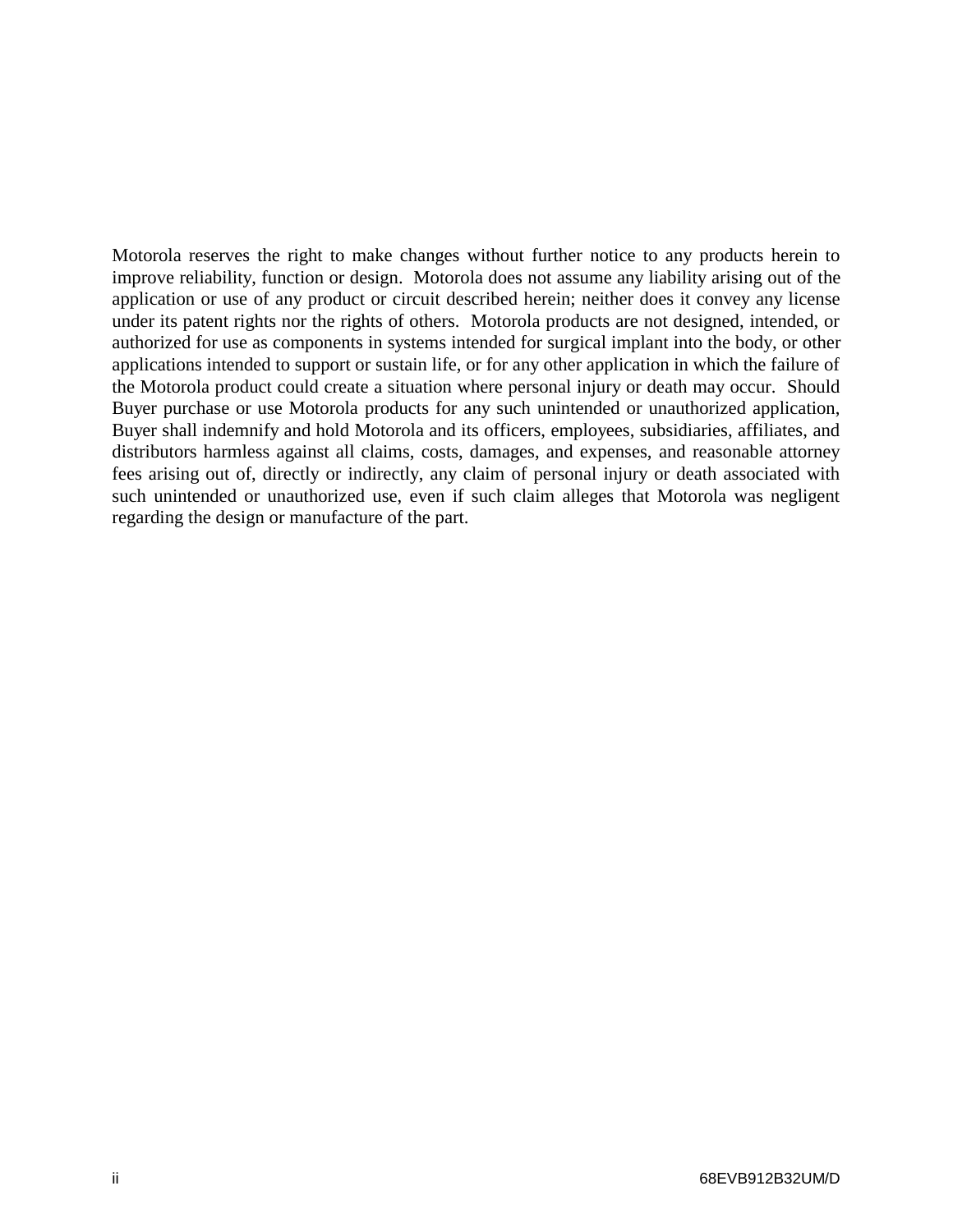Motorola reserves the right to make changes without further notice to any products herein to improve reliability, function or design. Motorola does not assume any liability arising out of the application or use of any product or circuit described herein; neither does it convey any license under its patent rights nor the rights of others. Motorola products are not designed, intended, or authorized for use as components in systems intended for surgical implant into the body, or other applications intended to support or sustain life, or for any other application in which the failure of the Motorola product could create a situation where personal injury or death may occur. Should Buyer purchase or use Motorola products for any such unintended or unauthorized application, Buyer shall indemnify and hold Motorola and its officers, employees, subsidiaries, affiliates, and distributors harmless against all claims, costs, damages, and expenses, and reasonable attorney fees arising out of, directly or indirectly, any claim of personal injury or death associated with such unintended or unauthorized use, even if such claim alleges that Motorola was negligent regarding the design or manufacture of the part.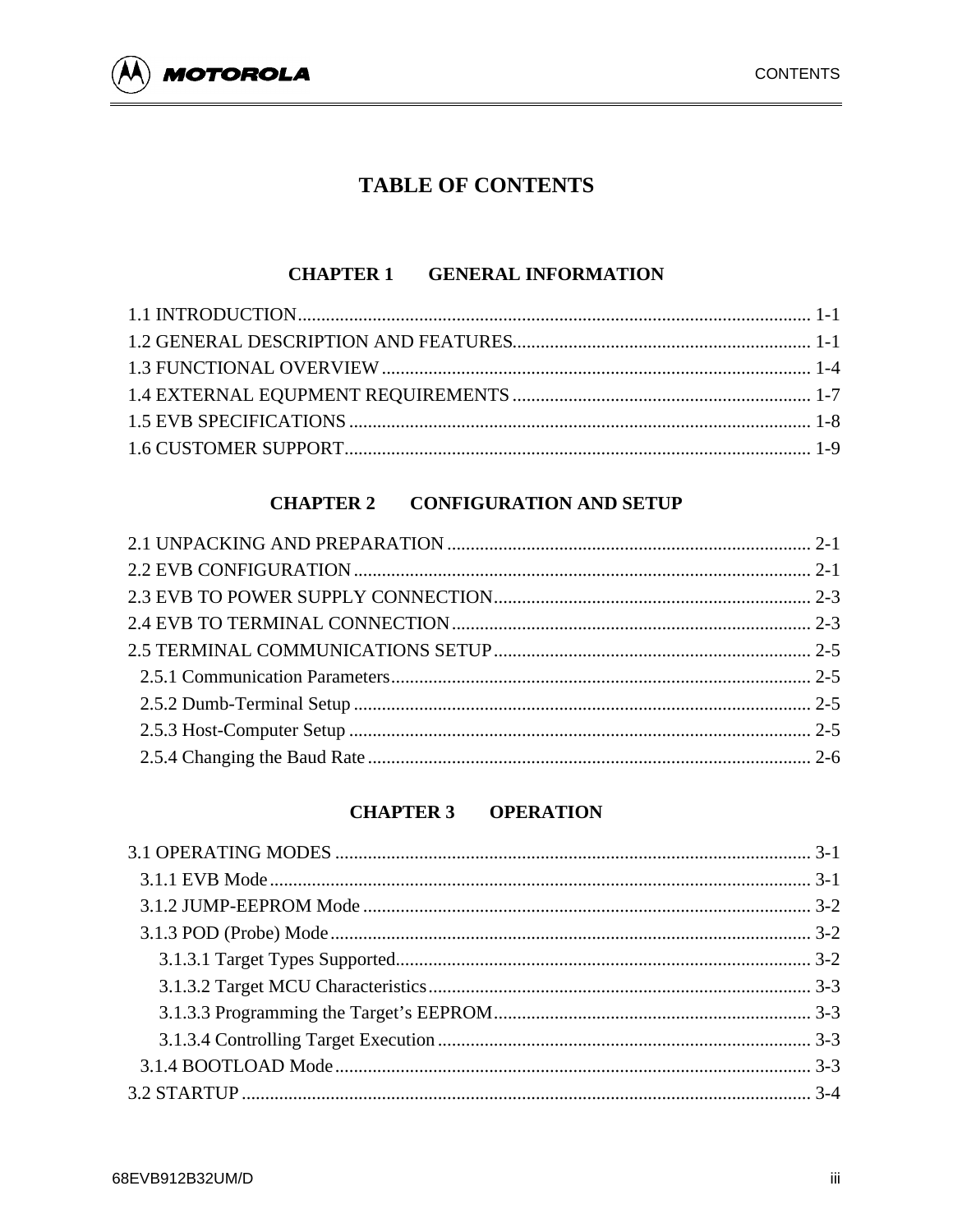

### **TABLE OF CONTENTS**

#### **CHAPTER 1 GENERAL INFORMATION**

#### **CHAPTER 2 CONFIGURATION AND SETUP**

#### **CHAPTER 3 OPERATION**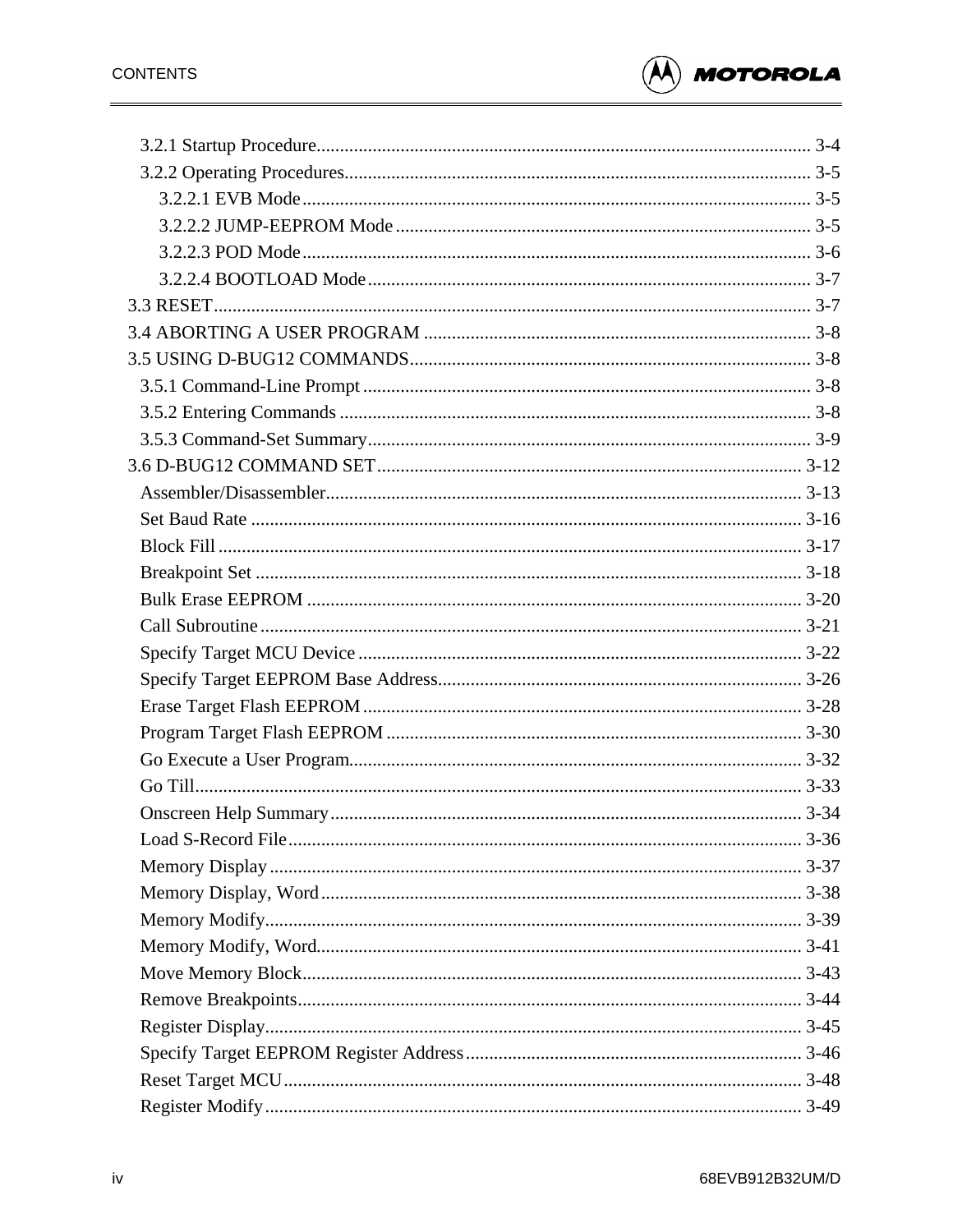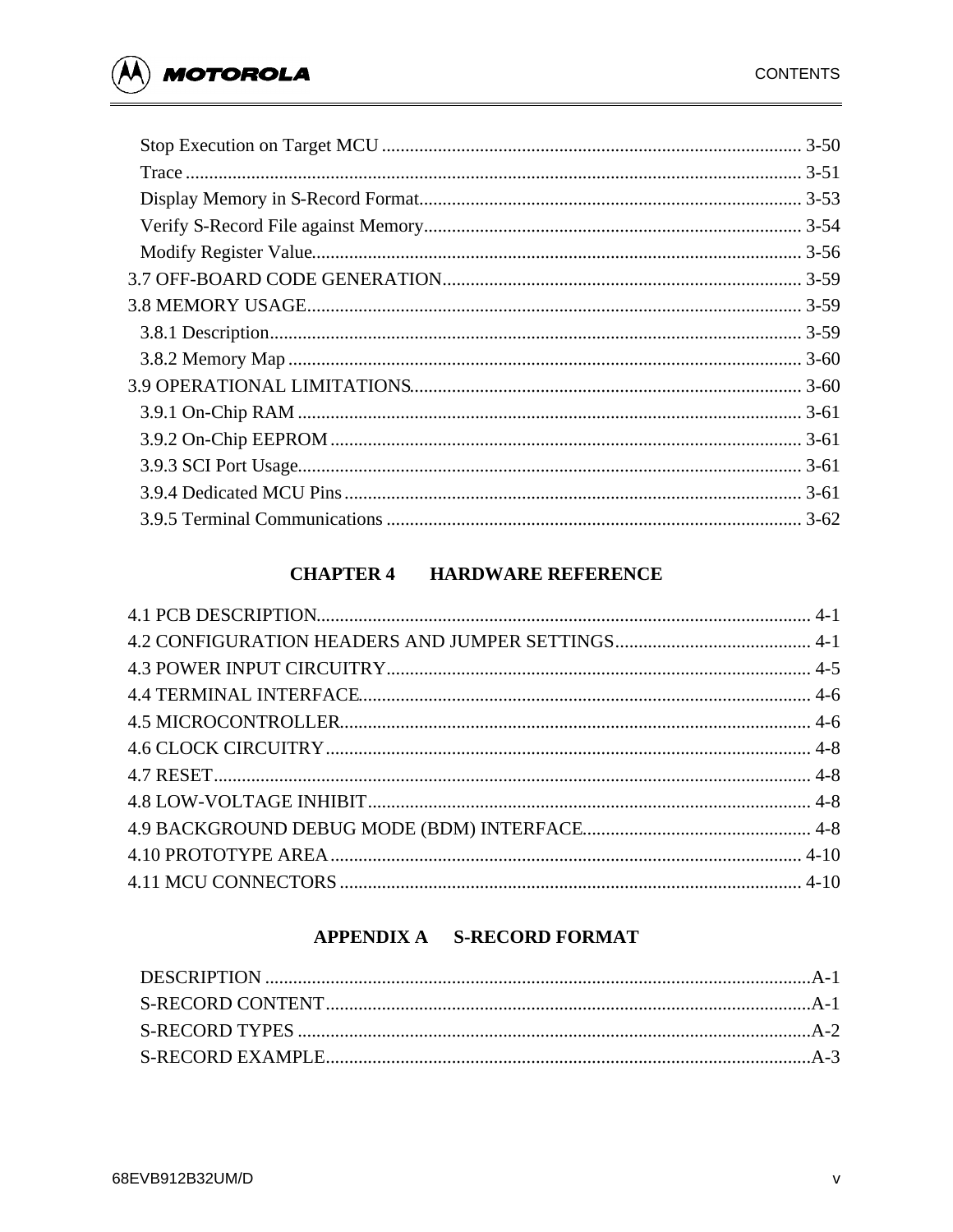

### **CHAPTER 4 HARDWARE REFERENCE**

### APPENDIX A S-RECORD FORMAT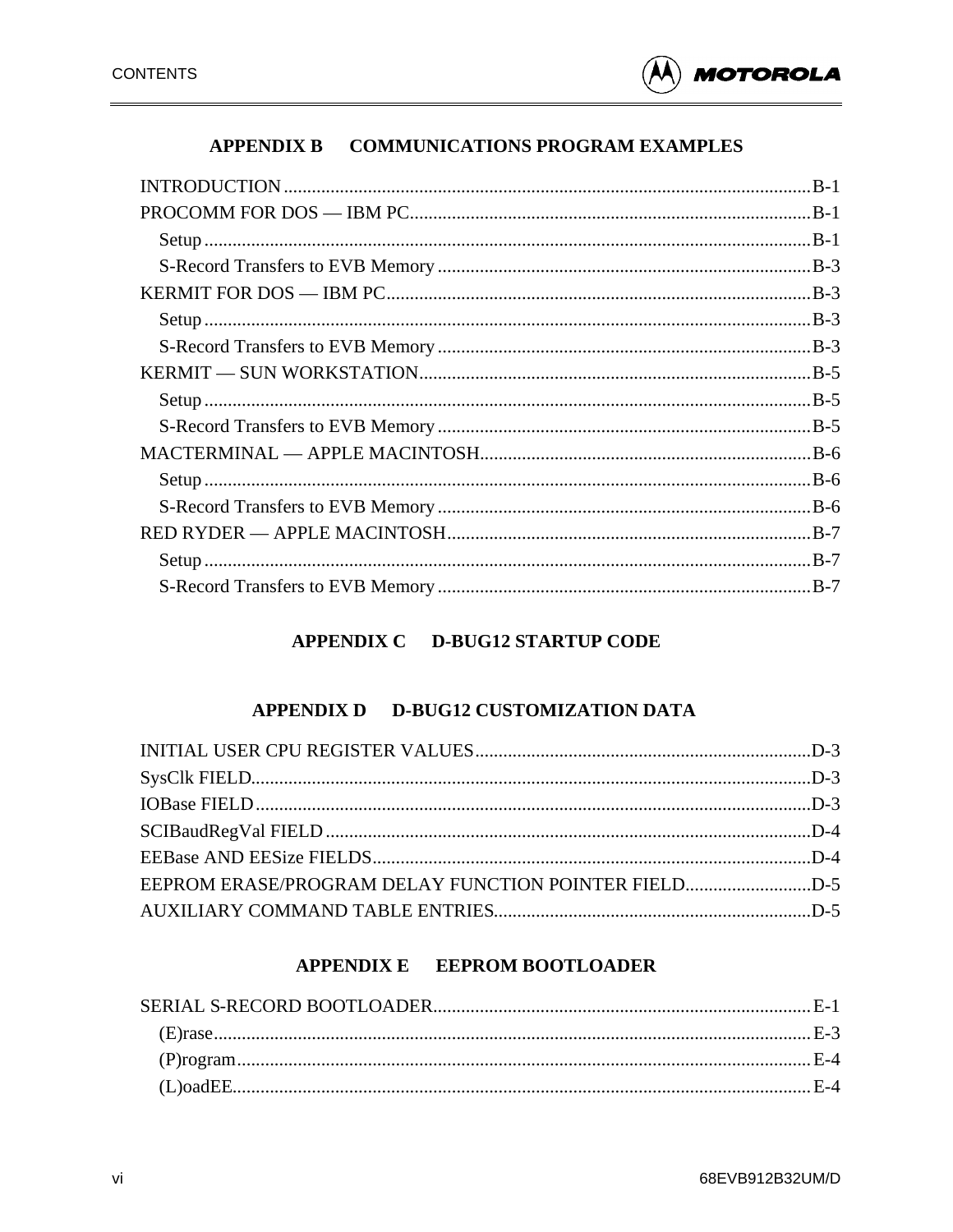#### APPENDIX B COMMUNICATIONS PROGRAM EXAMPLES

### APPENDIX C D-BUG12 STARTUP CODE

#### APPENDIX D D-BUG12 CUSTOMIZATION DATA

| EEPROM ERASE/PROGRAM DELAY FUNCTION POINTER FIELDD-5 |  |
|------------------------------------------------------|--|
|                                                      |  |

#### APPENDIX E EEPROM BOOTLOADER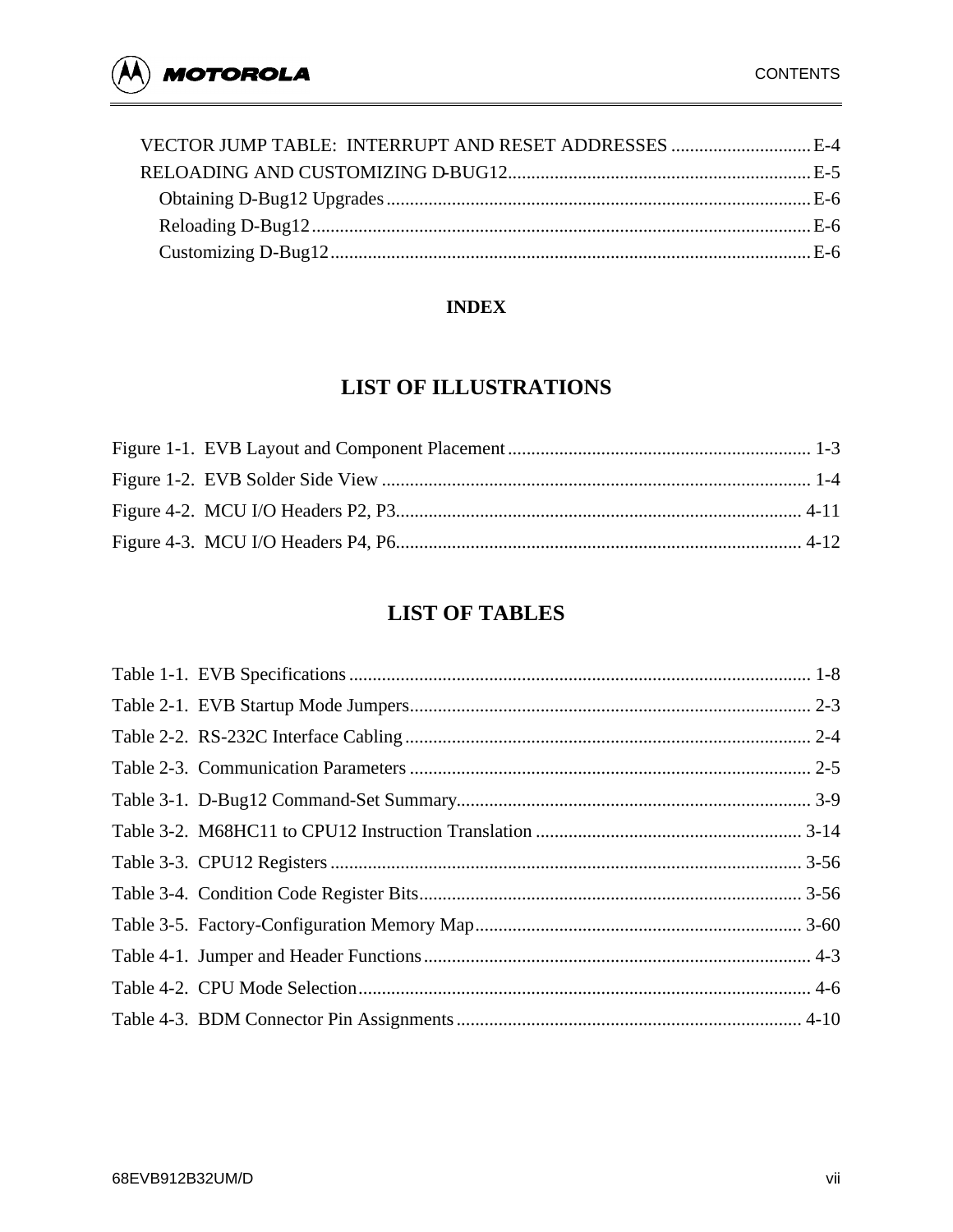#### **INDEX**

### **LIST OF ILLUSTRATIONS**

### **LIST OF TABLES**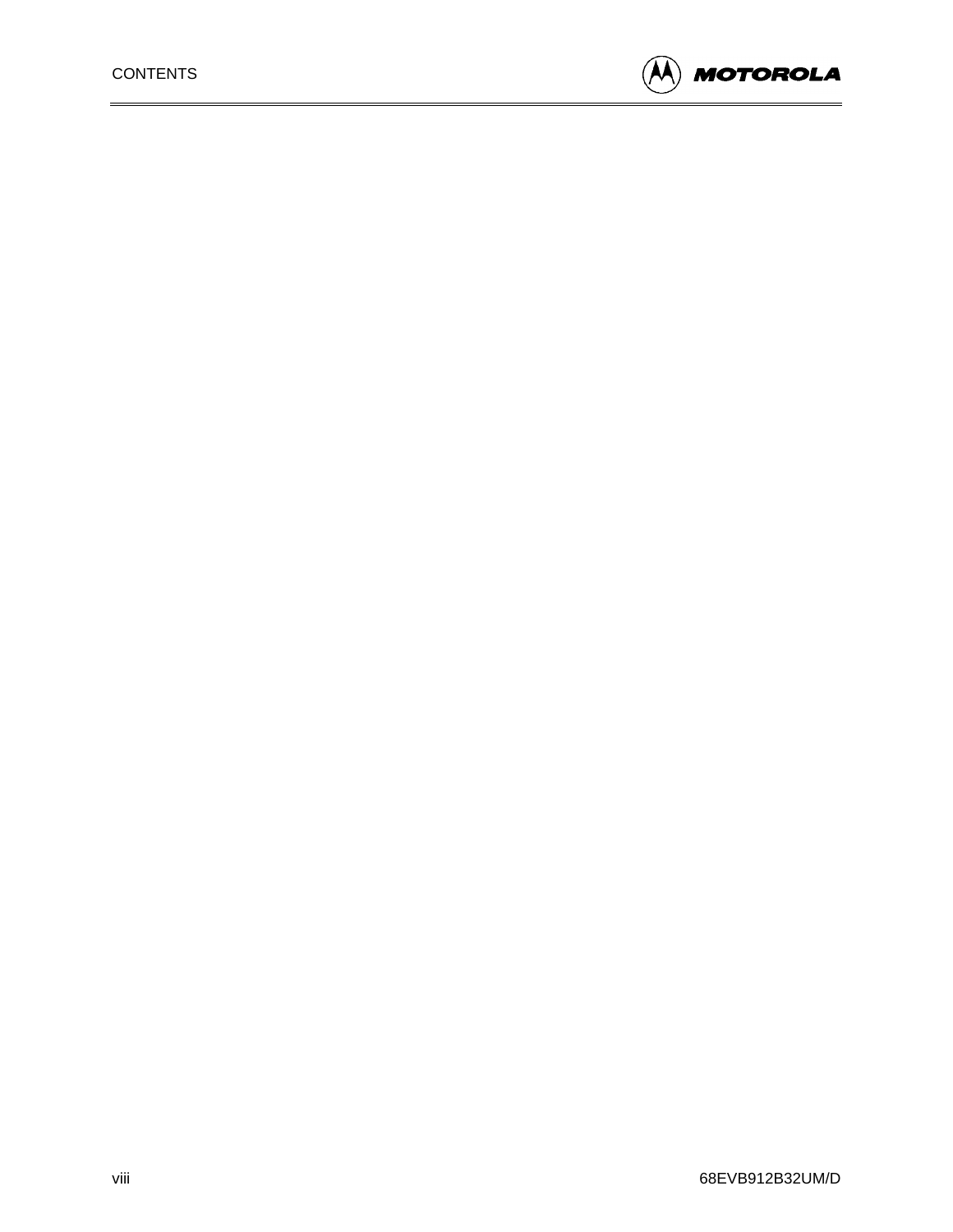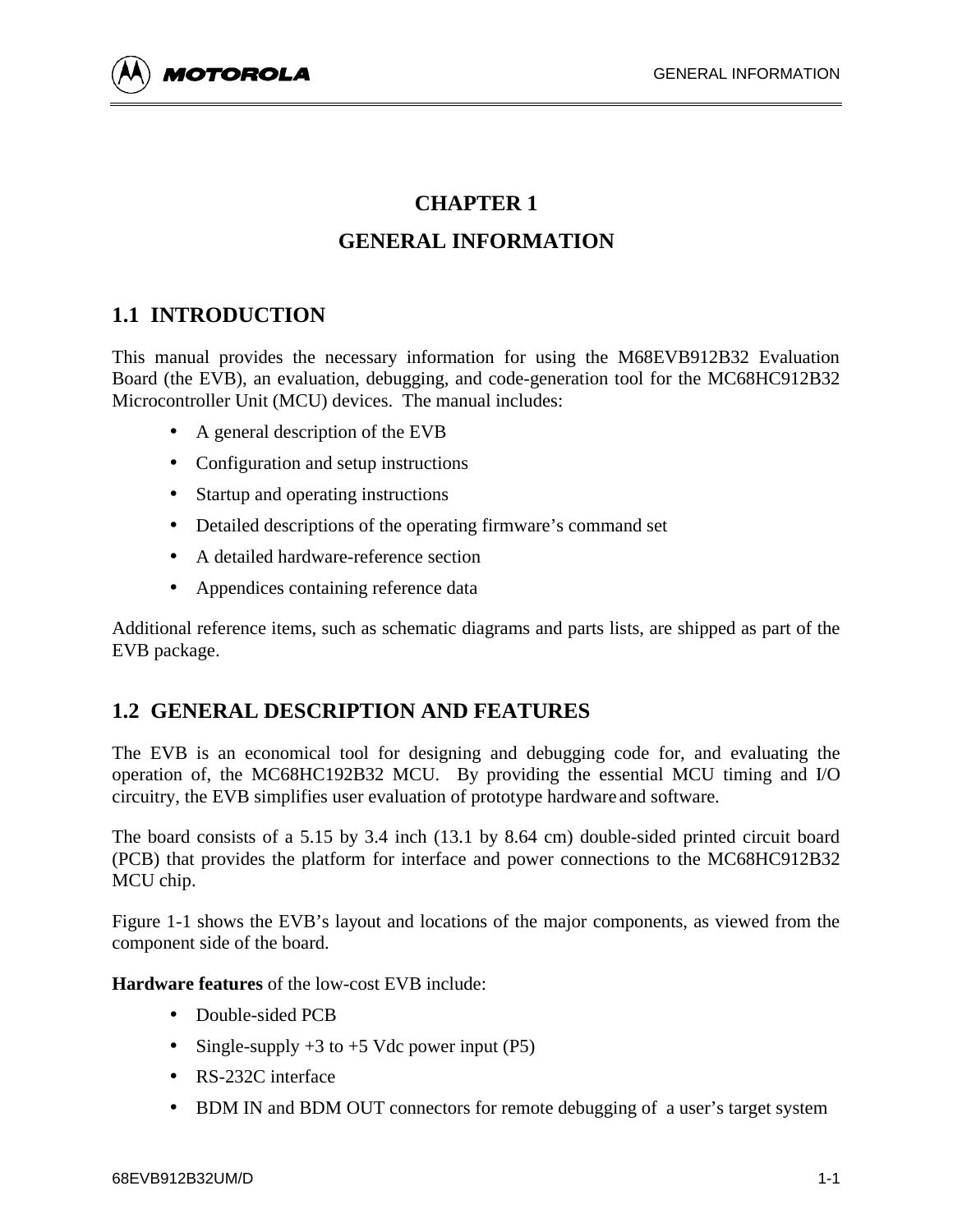

### **CHAPTER 1**

### **GENERAL INFORMATION**

### **1.1 INTRODUCTION**

This manual provides the necessary information for using the M68EVB912B32 Evaluation Board (the EVB), an evaluation, debugging, and code-generation tool for the MC68HC912B32 Microcontroller Unit (MCU) devices. The manual includes:

- A general description of the EVB
- Configuration and setup instructions
- Startup and operating instructions
- Detailed descriptions of the operating firmware's command set
- A detailed hardware-reference section
- Appendices containing reference data

Additional reference items, such as schematic diagrams and parts lists, are shipped as part of the EVB package.

### **1.2 GENERAL DESCRIPTION AND FEATURES**

The EVB is an economical tool for designing and debugging code for, and evaluating the operation of, the MC68HC192B32 MCU. By providing the essential MCU timing and I/O circuitry, the EVB simplifies user evaluation of prototype hardware and software.

The board consists of a 5.15 by 3.4 inch (13.1 by 8.64 cm) double-sided printed circuit board (PCB) that provides the platform for interface and power connections to the MC68HC912B32 MCU chip.

Figure 1-1 shows the EVB's layout and locations of the major components, as viewed from the component side of the board.

**Hardware features** of the low-cost EVB include:

- Double-sided PCB
- Single-supply  $+3$  to  $+5$  Vdc power input (P5)
- RS-232C interface
- BDM IN and BDM OUT connectors for remote debugging of a user's target system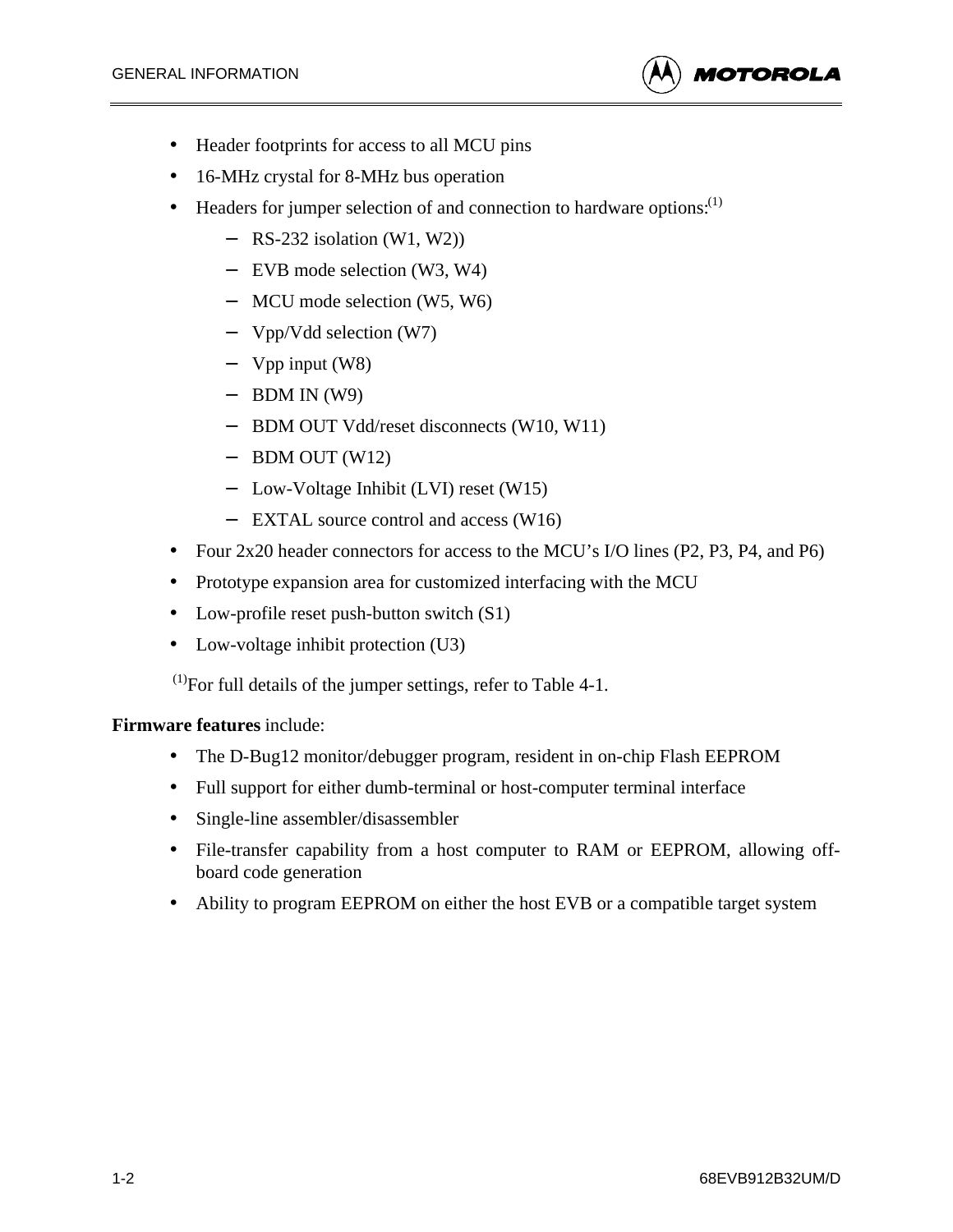- Header footprints for access to all MCU pins
- 16-MHz crystal for 8-MHz bus operation
- Headers for jumper selection of and connection to hardware options: $\binom{1}{1}$ 
	- − RS-232 isolation (W1, W2))
	- − EVB mode selection (W3, W4)
	- − MCU mode selection (W5, W6)
	- − Vpp/Vdd selection (W7)
	- − Vpp input (W8)
	- − BDM IN (W9)
	- − BDM OUT Vdd/reset disconnects (W10, W11)
	- − BDM OUT (W12)
	- − Low-Voltage Inhibit (LVI) reset (W15)
	- − EXTAL source control and access (W16)
- Four 2x20 header connectors for access to the MCU's I/O lines (P2, P3, P4, and P6)
- Prototype expansion area for customized interfacing with the MCU
- Low-profile reset push-button switch  $(S1)$
- Low-voltage inhibit protection (U3)

 $<sup>(1)</sup>$  For full details of the jumper settings, refer to Table 4-1.</sup>

#### **Firmware features** include:

- The D-Bug12 monitor/debugger program, resident in on-chip Flash EEPROM
- Full support for either dumb-terminal or host-computer terminal interface
- Single-line assembler/disassembler
- File-transfer capability from a host computer to RAM or EEPROM, allowing offboard code generation
- Ability to program EEPROM on either the host EVB or a compatible target system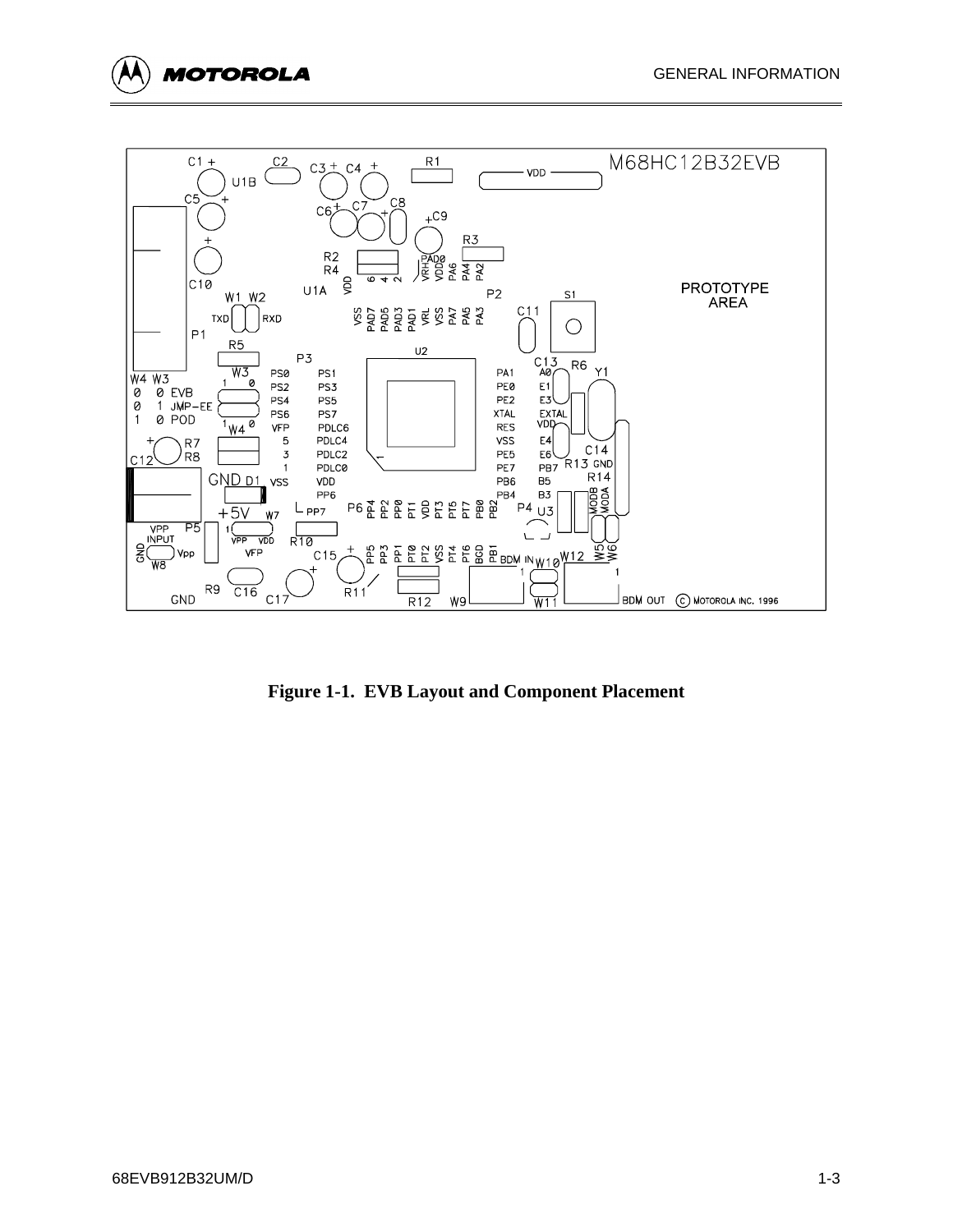



**Figure 1-1. EVB Layout and Component Placement**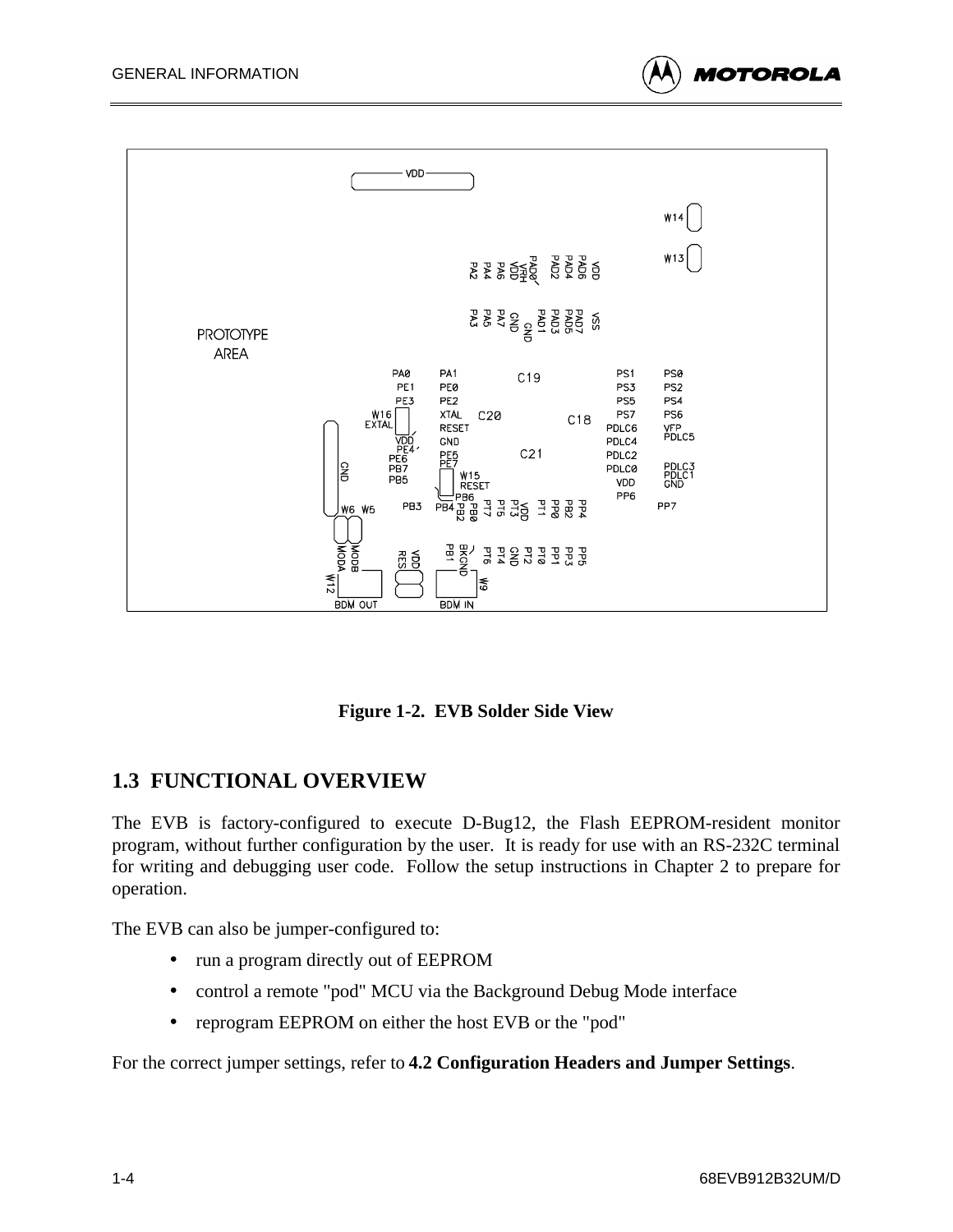



**Figure 1-2. EVB Solder Side View**

### **1.3 FUNCTIONAL OVERVIEW**

The EVB is factory-configured to execute D-Bug12, the Flash EEPROM-resident monitor program, without further configuration by the user. It is ready for use with an RS-232C terminal for writing and debugging user code. Follow the setup instructions in Chapter 2 to prepare for operation.

The EVB can also be jumper-configured to:

- run a program directly out of EEPROM
- control a remote "pod" MCU via the Background Debug Mode interface
- reprogram EEPROM on either the host EVB or the "pod"

For the correct jumper settings, refer to **4.2 Configuration Headers and Jumper Settings**.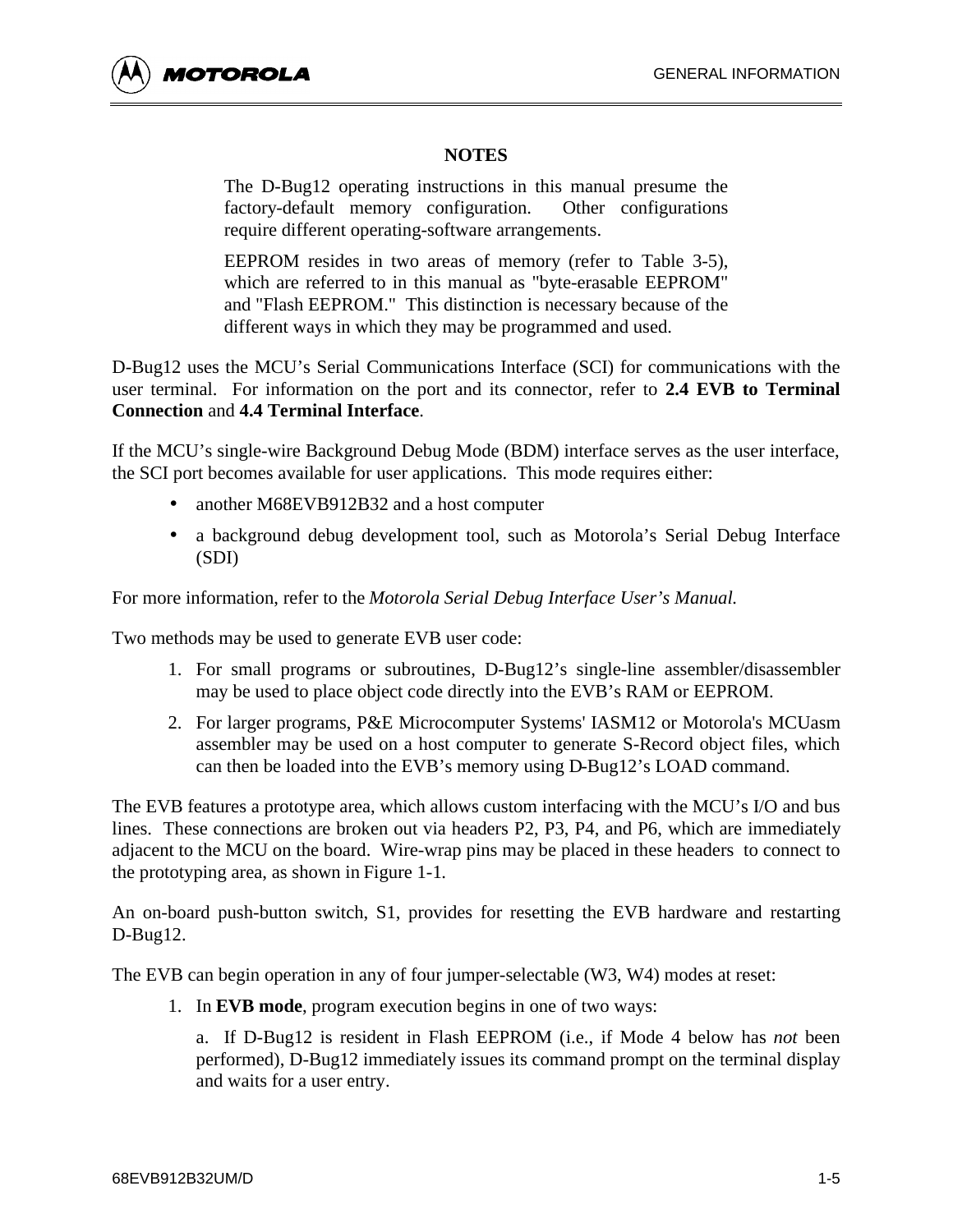

#### **NOTES**

The D-Bug12 operating instructions in this manual presume the factory-default memory configuration. Other configurations require different operating-software arrangements.

EEPROM resides in two areas of memory (refer to Table 3-5), which are referred to in this manual as "byte-erasable EEPROM" and "Flash EEPROM." This distinction is necessary because of the different ways in which they may be programmed and used.

D-Bug12 uses the MCU's Serial Communications Interface (SCI) for communications with the user terminal. For information on the port and its connector, refer to **2.4 EVB to Terminal Connection** and **4.4 Terminal Interface**.

If the MCU's single-wire Background Debug Mode (BDM) interface serves as the user interface, the SCI port becomes available for user applications. This mode requires either:

- another M68EVB912B32 and a host computer
- a background debug development tool, such as Motorola's Serial Debug Interface (SDI)

For more information, refer to the *Motorola Serial Debug Interface User's Manual.*

Two methods may be used to generate EVB user code:

- 1. For small programs or subroutines, D-Bug12's single-line assembler/disassembler may be used to place object code directly into the EVB's RAM or EEPROM.
- 2. For larger programs, P&E Microcomputer Systems' IASM12 or Motorola's MCUasm assembler may be used on a host computer to generate S-Record object files, which can then be loaded into the EVB's memory using D-Bug12's LOAD command.

The EVB features a prototype area, which allows custom interfacing with the MCU's I/O and bus lines. These connections are broken out via headers P2, P3, P4, and P6, which are immediately adjacent to the MCU on the board. Wire-wrap pins may be placed in these headers to connect to the prototyping area, as shown in Figure 1-1.

An on-board push-button switch, S1, provides for resetting the EVB hardware and restarting D-Bug12.

The EVB can begin operation in any of four jumper-selectable (W3, W4) modes at reset:

1. In **EVB mode**, program execution begins in one of two ways:

 a. If D-Bug12 is resident in Flash EEPROM (i.e., if Mode 4 below has *not* been performed), D-Bug12 immediately issues its command prompt on the terminal display and waits for a user entry.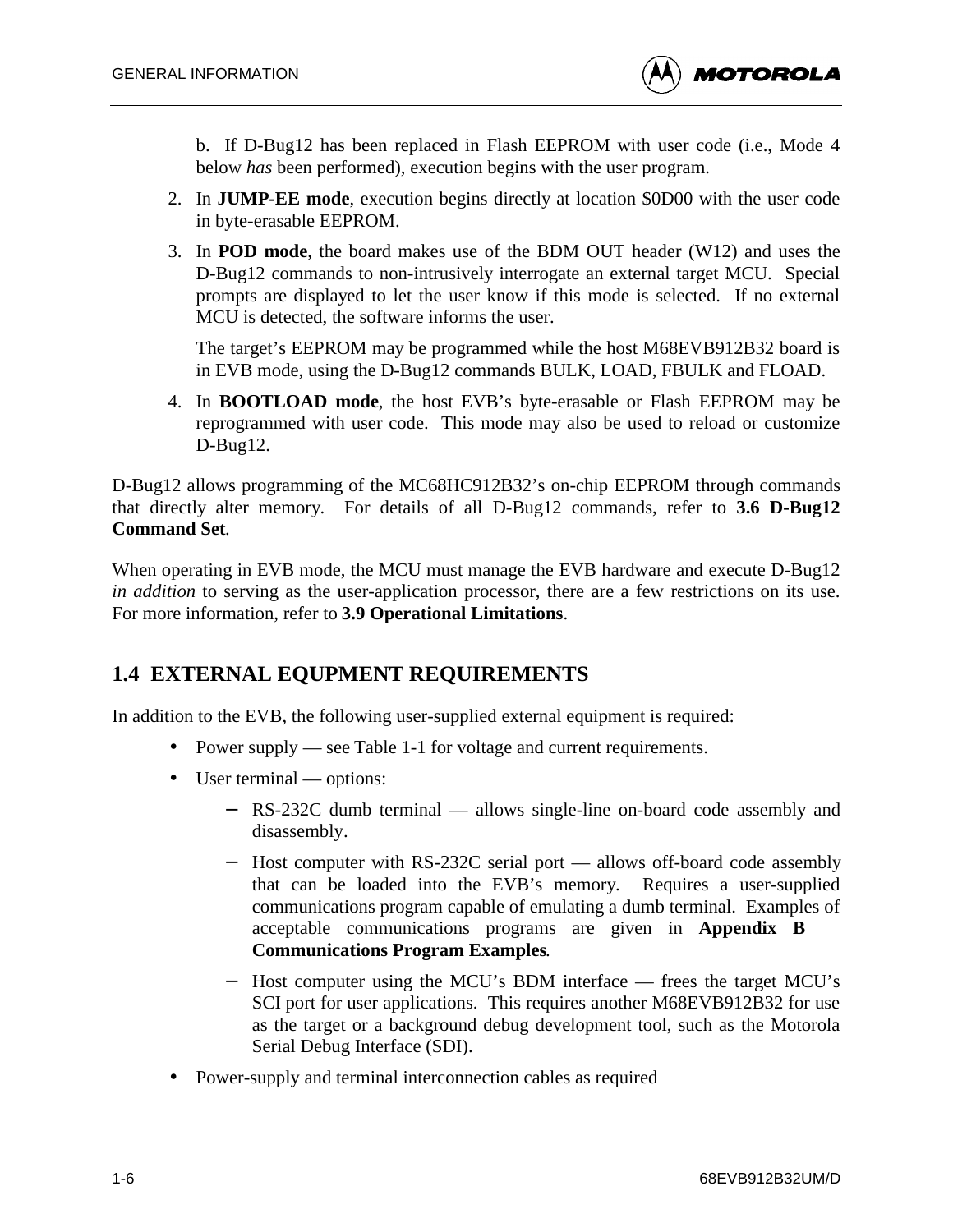b. If D-Bug12 has been replaced in Flash EEPROM with user code (i.e., Mode 4 below *has* been performed), execution begins with the user program.

- 2. In **JUMP-EE mode**, execution begins directly at location \$0D00 with the user code in byte-erasable EEPROM.
- 3. In **POD mode**, the board makes use of the BDM OUT header (W12) and uses the D-Bug12 commands to non-intrusively interrogate an external target MCU. Special prompts are displayed to let the user know if this mode is selected. If no external MCU is detected, the software informs the user.

The target's EEPROM may be programmed while the host M68EVB912B32 board is in EVB mode, using the D-Bug12 commands BULK, LOAD, FBULK and FLOAD.

4. In **BOOTLOAD mode**, the host EVB's byte-erasable or Flash EEPROM may be reprogrammed with user code. This mode may also be used to reload or customize D-Bug12.

D-Bug12 allows programming of the MC68HC912B32's on-chip EEPROM through commands that directly alter memory. For details of all D-Bug12 commands, refer to **3.6 D-Bug12 Command Set**.

When operating in EVB mode, the MCU must manage the EVB hardware and execute D-Bug12 *in addition* to serving as the user-application processor, there are a few restrictions on its use. For more information, refer to **3.9 Operational Limitations**.

### **1.4 EXTERNAL EQUPMENT REQUIREMENTS**

In addition to the EVB, the following user-supplied external equipment is required:

- Power supply see Table 1-1 for voltage and current requirements.
- User terminal options:
	- − RS-232C dumb terminal allows single-line on-board code assembly and disassembly.
	- − Host computer with RS-232C serial port allows off-board code assembly that can be loaded into the EVB's memory. Requires a user-supplied communications program capable of emulating a dumb terminal. Examples of acceptable communications programs are given in **Appendix B Communications Program Examples**.
	- Host computer using the MCU's BDM interface frees the target MCU's SCI port for user applications. This requires another M68EVB912B32 for use as the target or a background debug development tool, such as the Motorola Serial Debug Interface (SDI).
- Power-supply and terminal interconnection cables as required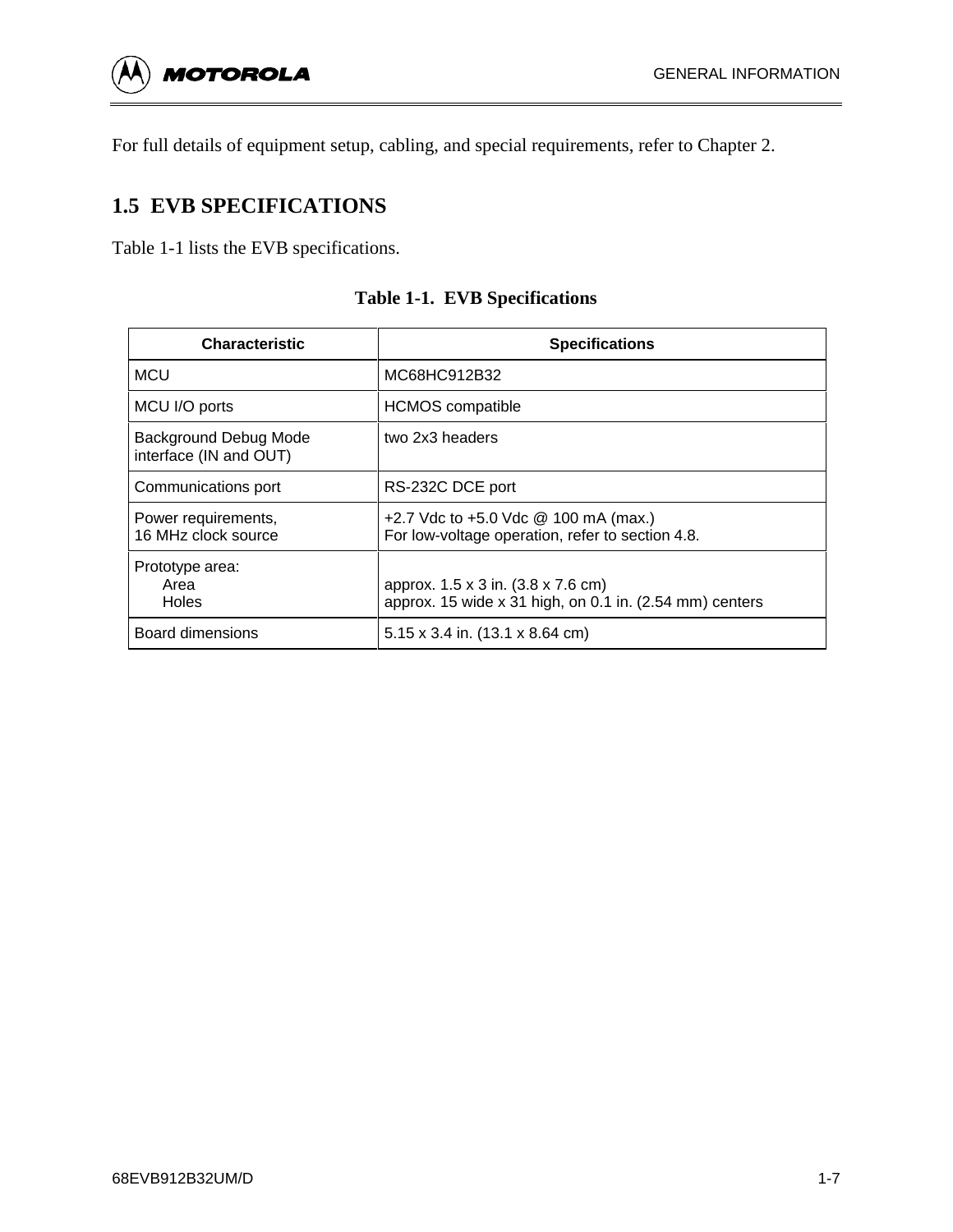

For full details of equipment setup, cabling, and special requirements, refer to Chapter 2.

### **1.5 EVB SPECIFICATIONS**

Table 1-1 lists the EVB specifications.

| <b>Characteristic</b>                           | <b>Specifications</b>                                                                         |
|-------------------------------------------------|-----------------------------------------------------------------------------------------------|
| <b>MCU</b>                                      | MC68HC912B32                                                                                  |
| MCU I/O ports                                   | <b>HCMOS</b> compatible                                                                       |
| Background Debug Mode<br>interface (IN and OUT) | two 2x3 headers                                                                               |
| Communications port                             | RS-232C DCE port                                                                              |
| Power requirements,<br>16 MHz clock source      | +2.7 Vdc to +5.0 Vdc @ 100 mA (max.)<br>For low-voltage operation, refer to section 4.8.      |
| Prototype area:<br>Area<br>Holes                | approx. 1.5 x 3 in. (3.8 x 7.6 cm)<br>approx. 15 wide x 31 high, on 0.1 in. (2.54 mm) centers |
| Board dimensions                                | 5.15 x 3.4 in. (13.1 x 8.64 cm)                                                               |

#### **Table 1-1. EVB Specifications**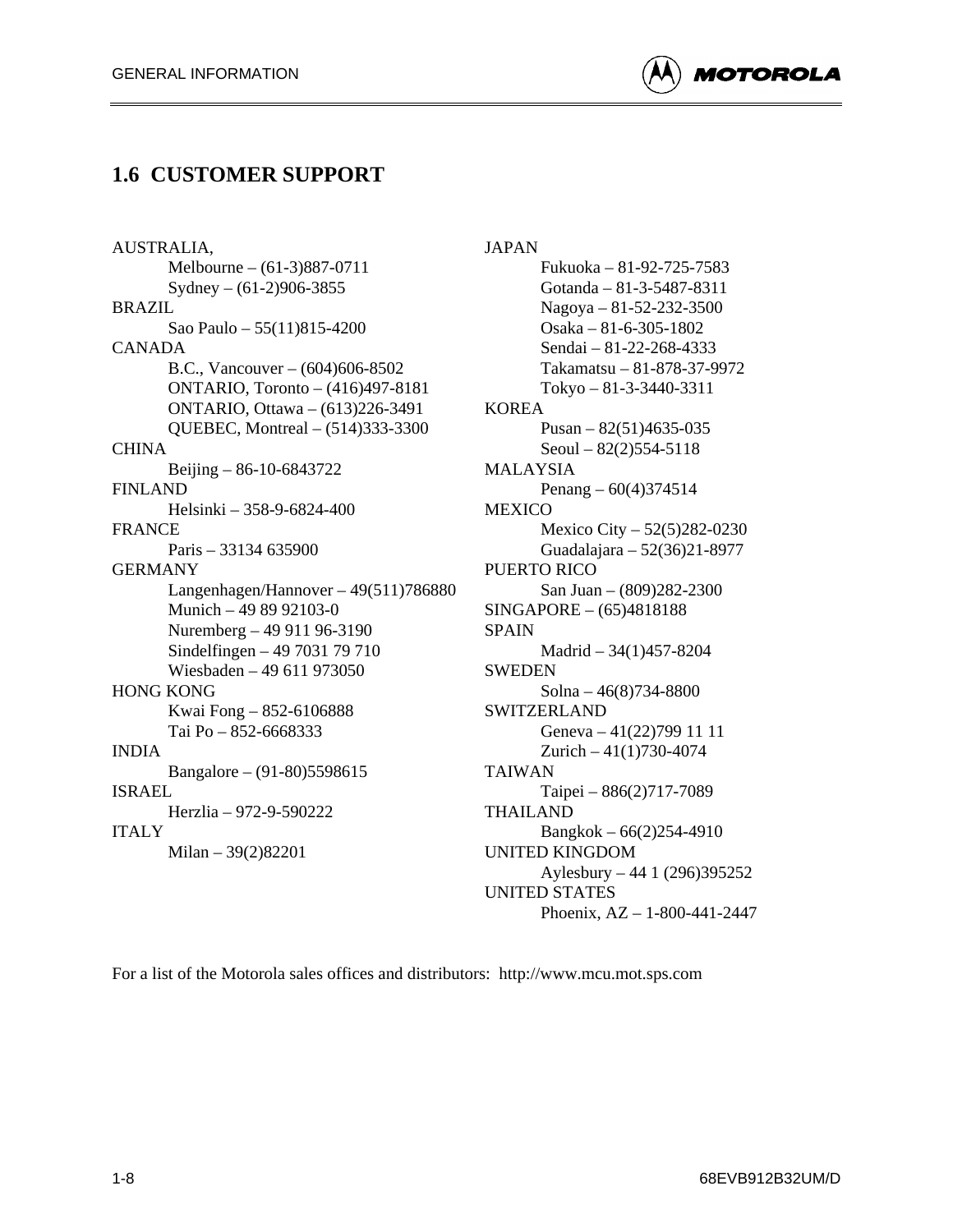### **1.6 CUSTOMER SUPPORT**

AUSTRALIA, JAPAN Melbourne – (61-3)887-0711 Fukuoka – 81-92-725-7583 Sydney – (61-2)906-3855 Gotanda – 81-3-5487-8311 BRAZIL Nagoya – 81-52-232-3500 Sao Paulo – 55(11)815-4200 Osaka – 81-6-305-1802 CANADA Sendai – 81-22-268-4333 B.C., Vancouver – (604)606-8502 Takamatsu – 81-878-37-9972 ONTARIO, Toronto – (416)497-8181 Tokyo – 81-3-3440-3311 ONTARIO, Ottawa – (613)226-3491 KOREA QUEBEC, Montreal – (514)333-3300 Pusan – 82(51)4635-035 CHINA Seoul – 82(2)554-5118 Beijing – 86-10-6843722 MALAYSIA FINLAND Penang – 60(4)374514 Helsinki – 358-9-6824-400 MEXICO FRANCE Mexico City – 52(5)282-0230 Paris – 33134 635900 Guadalajara – 52(36)21-8977 GERMANY PUERTO RICO Langenhagen/Hannover – 49(511)786880 San Juan – (809)282-2300 Munich – 49 89 92103-0 SINGAPORE – (65)4818188 Nuremberg – 49 911 96-3190 SPAIN Sindelfingen – 49 7031 79 710 Madrid – 34(1)457-8204 Wiesbaden – 49 611 973050 SWEDEN HONG KONG Solna – 46(8)734-8800 Kwai Fong – 852-6106888 SWITZERLAND Tai Po – 852-6668333 Geneva – 41(22)799 11 11 INDIA Zurich – 41(1)730-4074 Bangalore – (91-80)5598615 TAIWAN ISRAEL Taipei – 886(2)717-7089 Herzlia – 972-9-590222 THAILAND ITALY Bangkok – 66(2)254-4910 Milan – 39(2)82201 UNITED KINGDOM

Aylesbury – 44 1 (296)395252 UNITED STATES Phoenix, AZ – 1-800-441-2447

For a list of the Motorola sales offices and distributors: http://www.mcu.mot.sps.com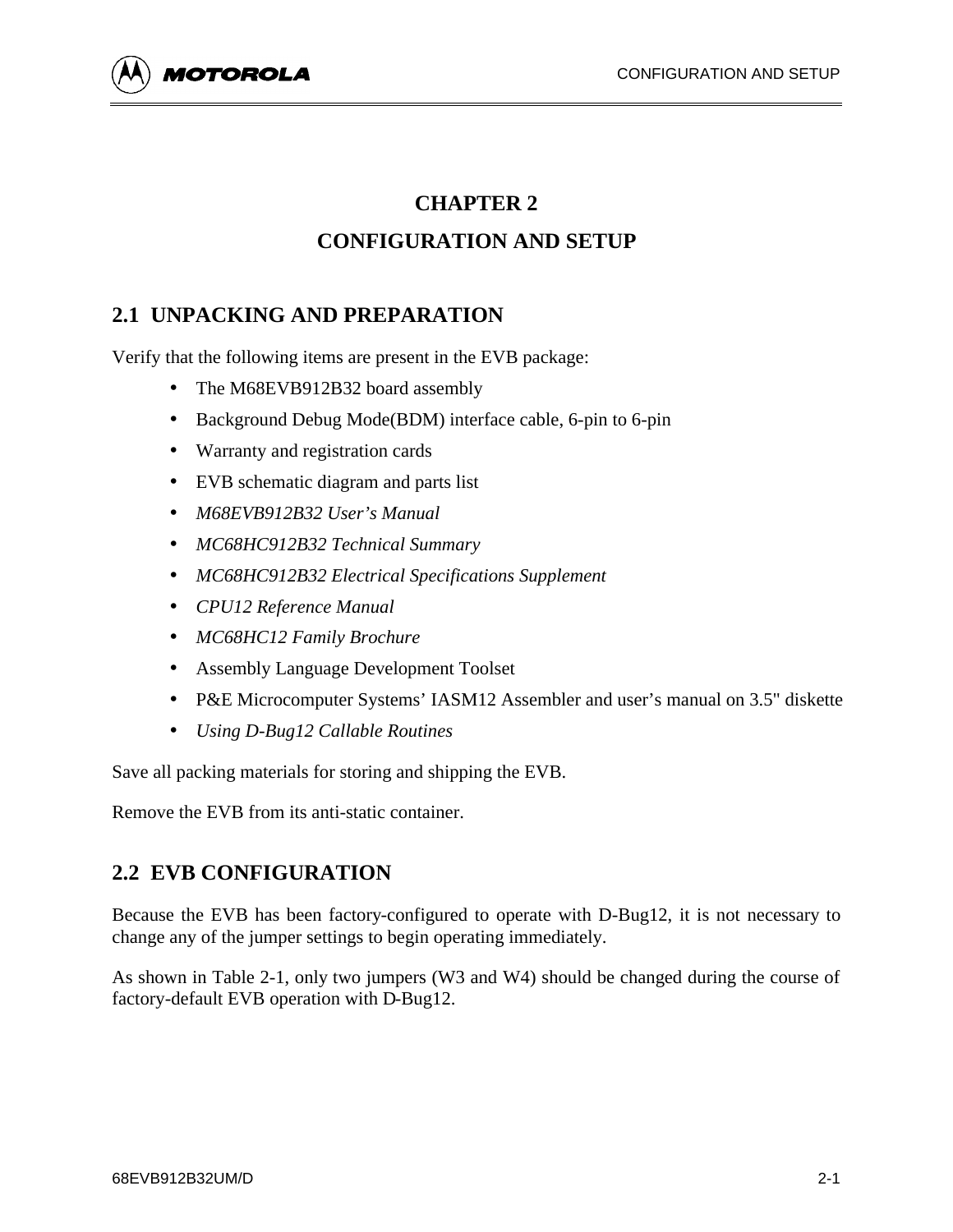

## **CHAPTER 2 CONFIGURATION AND SETUP**

### **2.1 UNPACKING AND PREPARATION**

Verify that the following items are present in the EVB package:

- The M68EVB912B32 board assembly
- Background Debug Mode(BDM) interface cable, 6-pin to 6-pin
- Warranty and registration cards
- EVB schematic diagram and parts list
- *M68EVB912B32 User's Manual*
- *MC68HC912B32 Technical Summary*
- *MC68HC912B32 Electrical Specifications Supplement*
- *CPU12 Reference Manual*
- *MC68HC12 Family Brochure*
- Assembly Language Development Toolset
- P&E Microcomputer Systems' IASM12 Assembler and user's manual on 3.5" diskette
- *Using D-Bug12 Callable Routines*

Save all packing materials for storing and shipping the EVB.

Remove the EVB from its anti-static container.

### **2.2 EVB CONFIGURATION**

Because the EVB has been factory-configured to operate with D-Bug12, it is not necessary to change any of the jumper settings to begin operating immediately.

As shown in Table 2-1, only two jumpers (W3 and W4) should be changed during the course of factory-default EVB operation with D-Bug12.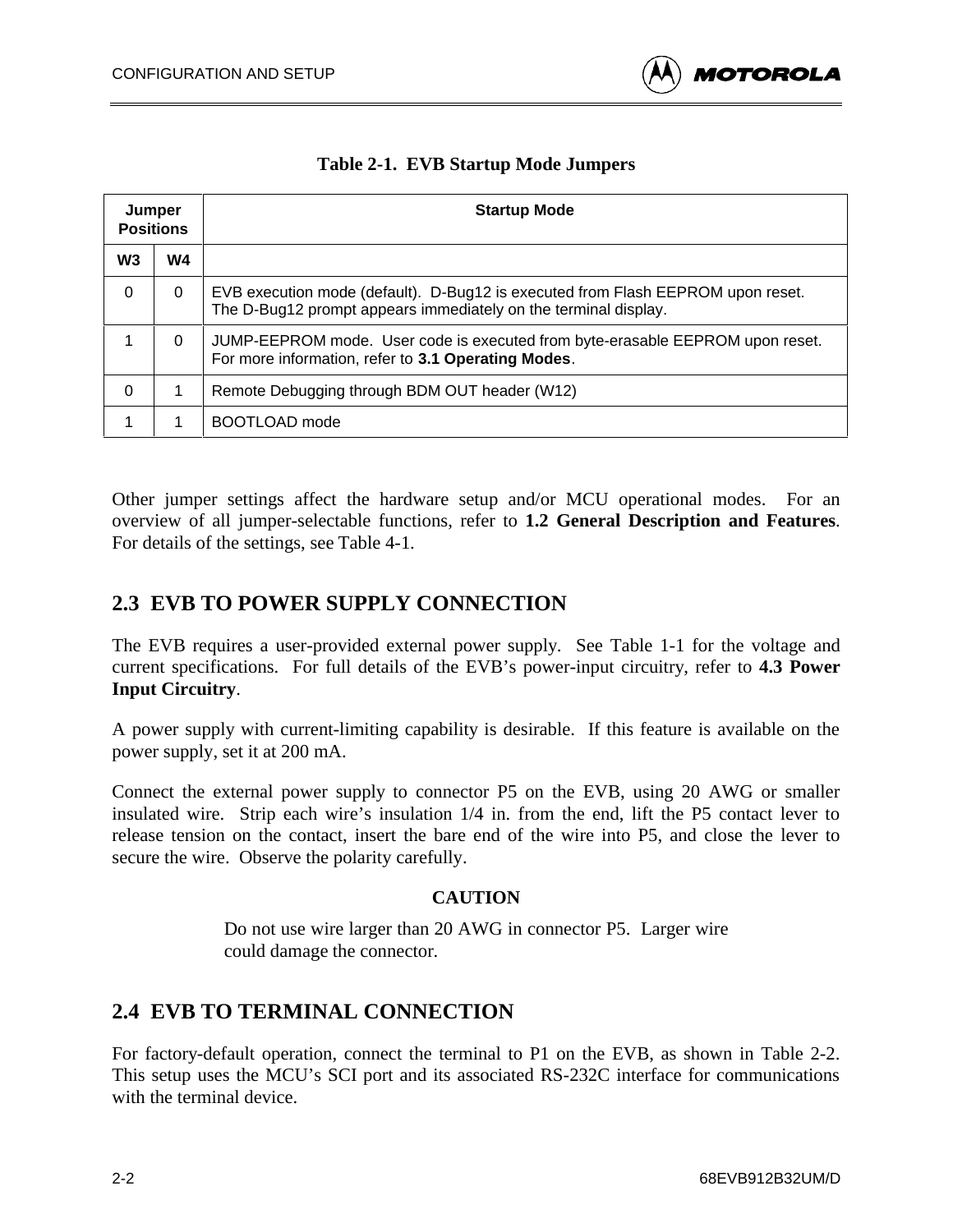

| Jumper<br><b>Positions</b> |    | <b>Startup Mode</b>                                                                                                                                |  |  |
|----------------------------|----|----------------------------------------------------------------------------------------------------------------------------------------------------|--|--|
| W <sub>3</sub>             | W4 |                                                                                                                                                    |  |  |
| 0                          | 0  | EVB execution mode (default). D-Bug12 is executed from Flash EEPROM upon reset.<br>The D-Bug12 prompt appears immediately on the terminal display. |  |  |
|                            | 0  | JUMP-EEPROM mode. User code is executed from byte-erasable EEPROM upon reset.<br>For more information, refer to 3.1 Operating Modes.               |  |  |
| 0                          | 1  | Remote Debugging through BDM OUT header (W12)                                                                                                      |  |  |
|                            |    | BOOTLOAD mode                                                                                                                                      |  |  |

Other jumper settings affect the hardware setup and/or MCU operational modes. For an overview of all jumper-selectable functions, refer to **1.2 General Description and Features**. For details of the settings, see Table 4-1.

### **2.3 EVB TO POWER SUPPLY CONNECTION**

The EVB requires a user-provided external power supply. See Table 1-1 for the voltage and current specifications. For full details of the EVB's power-input circuitry, refer to **4.3 Power Input Circuitry**.

A power supply with current-limiting capability is desirable. If this feature is available on the power supply, set it at 200 mA.

Connect the external power supply to connector P5 on the EVB, using 20 AWG or smaller insulated wire. Strip each wire's insulation 1/4 in. from the end, lift the P5 contact lever to release tension on the contact, insert the bare end of the wire into P5, and close the lever to secure the wire. Observe the polarity carefully.

#### **CAUTION**

Do not use wire larger than 20 AWG in connector P5. Larger wire could damage the connector.

### **2.4 EVB TO TERMINAL CONNECTION**

For factory-default operation, connect the terminal to P1 on the EVB, as shown in Table 2-2. This setup uses the MCU's SCI port and its associated RS-232C interface for communications with the terminal device.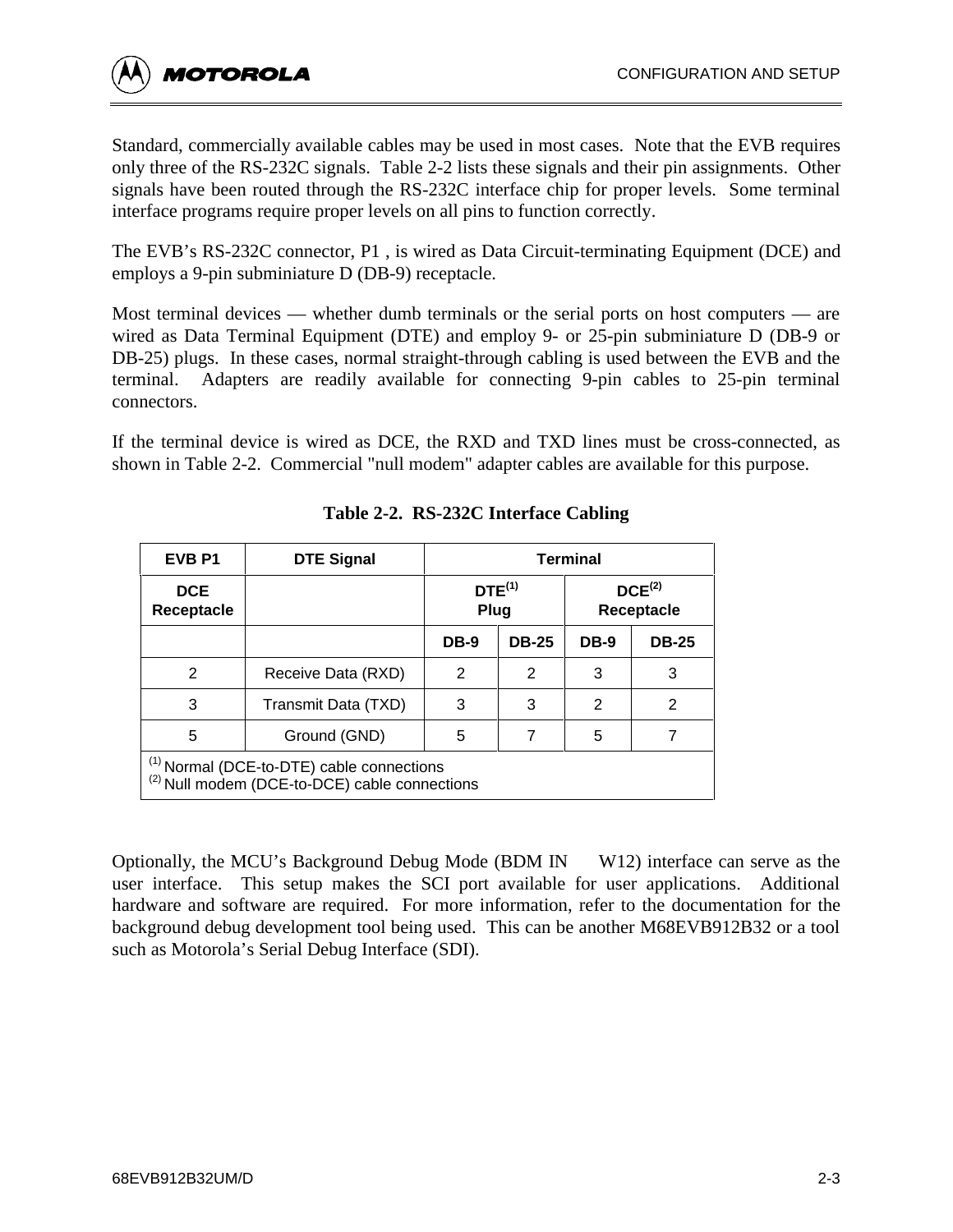

Standard, commercially available cables may be used in most cases. Note that the EVB requires only three of the RS-232C signals. Table 2-2 lists these signals and their pin assignments. Other signals have been routed through the RS-232C interface chip for proper levels. Some terminal interface programs require proper levels on all pins to function correctly.

The EVB's RS-232C connector, P1 , is wired as Data Circuit-terminating Equipment (DCE) and employs a 9-pin subminiature D (DB-9) receptacle.

Most terminal devices — whether dumb terminals or the serial ports on host computers — are wired as Data Terminal Equipment (DTE) and employ 9- or 25-pin subminiature D (DB-9 or DB-25) plugs. In these cases, normal straight-through cabling is used between the EVB and the terminal. Adapters are readily available for connecting 9-pin cables to 25-pin terminal connectors.

If the terminal device is wired as DCE, the RXD and TXD lines must be cross-connected, as shown in Table 2-2. Commercial "null modem" adapter cables are available for this purpose.

| <b>EVB P1</b>                                                                                              | <b>DTE Signal</b>   | <b>Terminal</b>     |              |                                  |              |
|------------------------------------------------------------------------------------------------------------|---------------------|---------------------|--------------|----------------------------------|--------------|
| <b>DCE</b><br>Receptacle                                                                                   |                     | $DTE^{(1)}$<br>Plug |              | DCE <sup>(2)</sup><br>Receptacle |              |
|                                                                                                            |                     | <b>DB-9</b>         | <b>DB-25</b> | <b>DB-9</b>                      | <b>DB-25</b> |
| 2                                                                                                          | Receive Data (RXD)  | 2                   | 2            | 3                                | 3            |
| 3                                                                                                          | Transmit Data (TXD) | 3                   | 3            | 2                                | 2            |
| 5                                                                                                          | Ground (GND)        | 5                   | 7            | 5                                |              |
| $^{(1)}$ Normal (DCE-to-DTE) cable connections<br><sup>(2)</sup> Null modem (DCE-to-DCE) cable connections |                     |                     |              |                                  |              |

**Table 2-2. RS-232C Interface Cabling**

Optionally, the MCU's Background Debug Mode (BDM  $IN - W12$ ) interface can serve as the user interface. This setup makes the SCI port available for user applications. Additional hardware and software are required. For more information, refer to the documentation for the background debug development tool being used. This can be another M68EVB912B32 or a tool such as Motorola's Serial Debug Interface (SDI).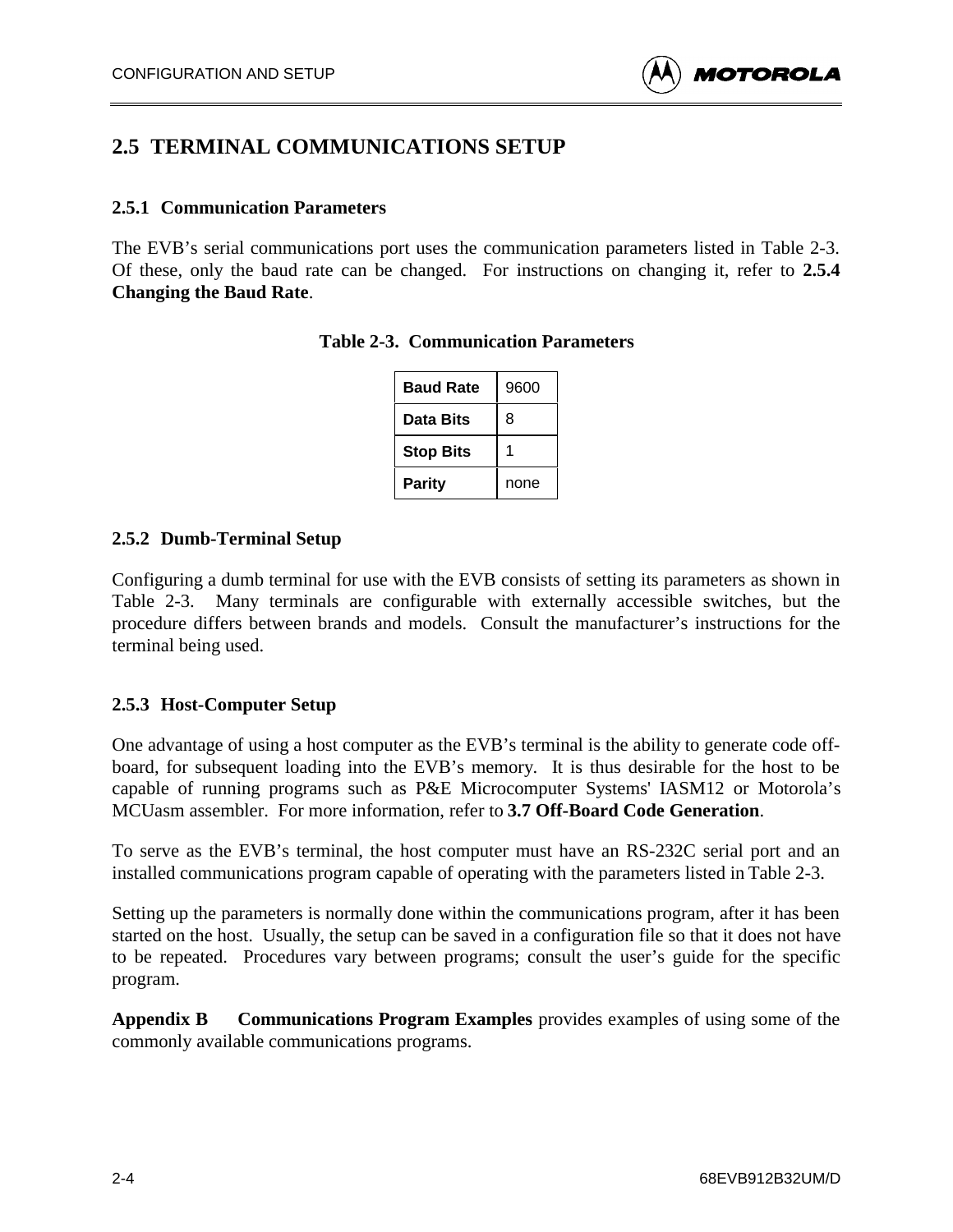### **2.5 TERMINAL COMMUNICATIONS SETUP**

#### **2.5.1 Communication Parameters**

The EVB's serial communications port uses the communication parameters listed in Table 2-3. Of these, only the baud rate can be changed. For instructions on changing it, refer to **2.5.4 Changing the Baud Rate**.

| <b>Baud Rate</b> | 9600 |
|------------------|------|
| Data Bits        | 8    |
| <b>Stop Bits</b> |      |
| <b>Parity</b>    | none |

#### **2.5.2 Dumb-Terminal Setup**

Configuring a dumb terminal for use with the EVB consists of setting its parameters as shown in Table 2-3. Many terminals are configurable with externally accessible switches, but the procedure differs between brands and models. Consult the manufacturer's instructions for the terminal being used.

#### **2.5.3 Host-Computer Setup**

One advantage of using a host computer as the EVB's terminal is the ability to generate code offboard, for subsequent loading into the EVB's memory. It is thus desirable for the host to be capable of running programs such as P&E Microcomputer Systems' IASM12 or Motorola's MCUasm assembler. For more information, refer to **3.7 Off-Board Code Generation**.

To serve as the EVB's terminal, the host computer must have an RS-232C serial port and an installed communications program capable of operating with the parameters listed in Table 2-3.

Setting up the parameters is normally done within the communications program, after it has been started on the host. Usually, the setup can be saved in a configuration file so that it does not have to be repeated. Procedures vary between programs; consult the user's guide for the specific program.

**Appendix B Communications Program Examples** provides examples of using some of the commonly available communications programs.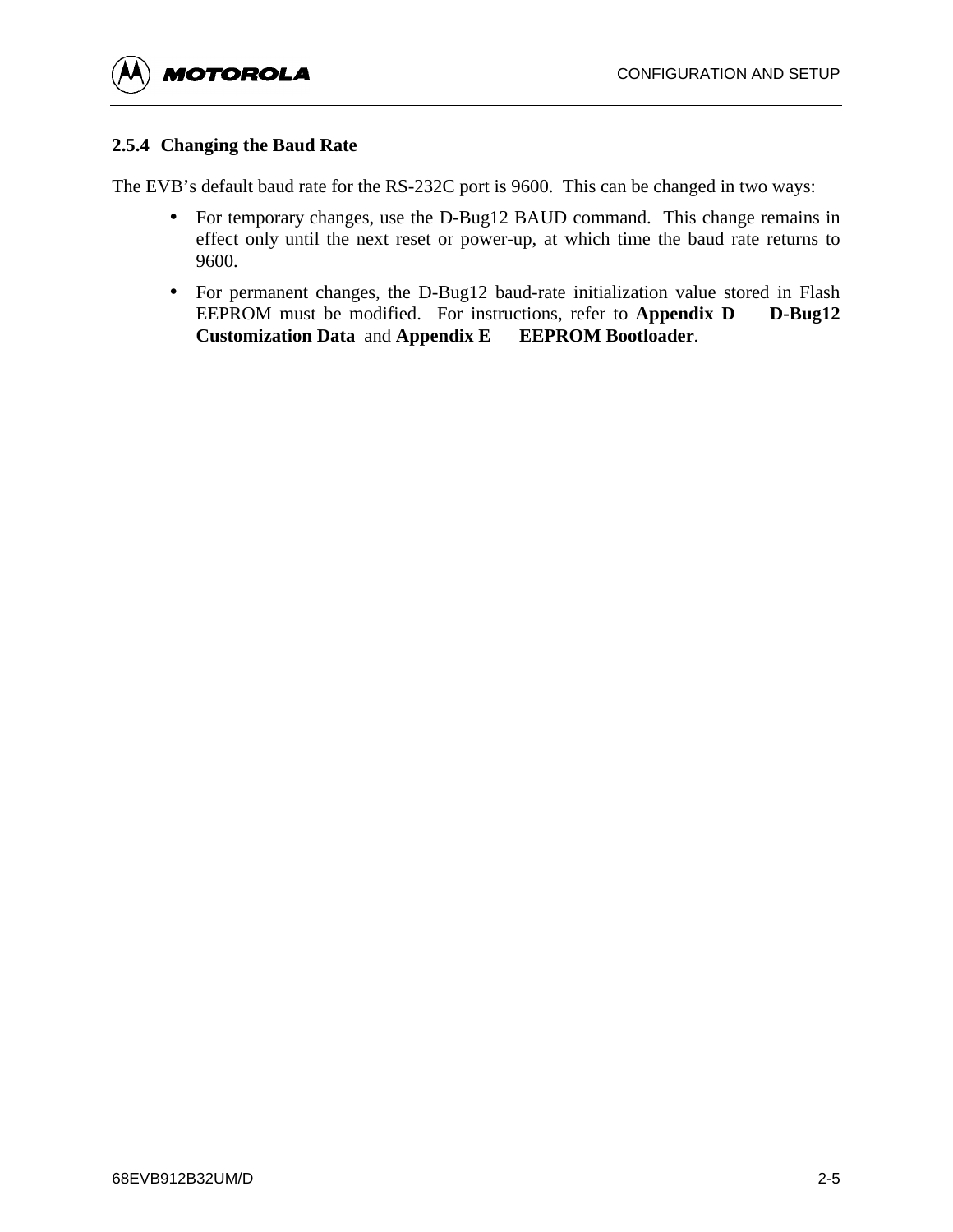

#### **2.5.4 Changing the Baud Rate**

The EVB's default baud rate for the RS-232C port is 9600. This can be changed in two ways:

- For temporary changes, use the D-Bug12 BAUD command. This change remains in effect only until the next reset or power-up, at which time the baud rate returns to 9600.
- For permanent changes, the D-Bug12 baud-rate initialization value stored in Flash EEPROM must be modified. For instructions, refer to **Appendix**  $D - D$ **-Bug12 Customization Data** and **Appendix E EEPROM Bootloader**.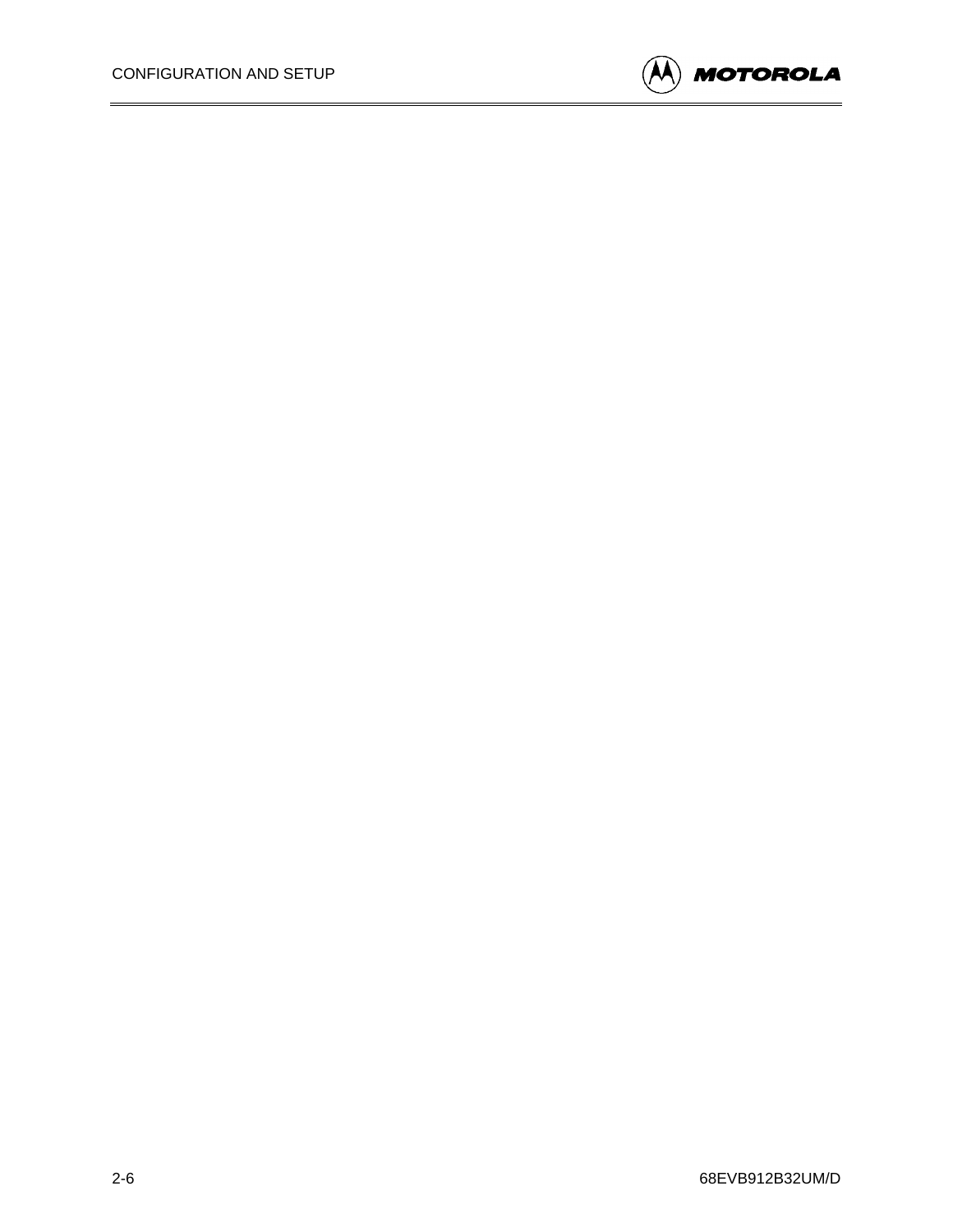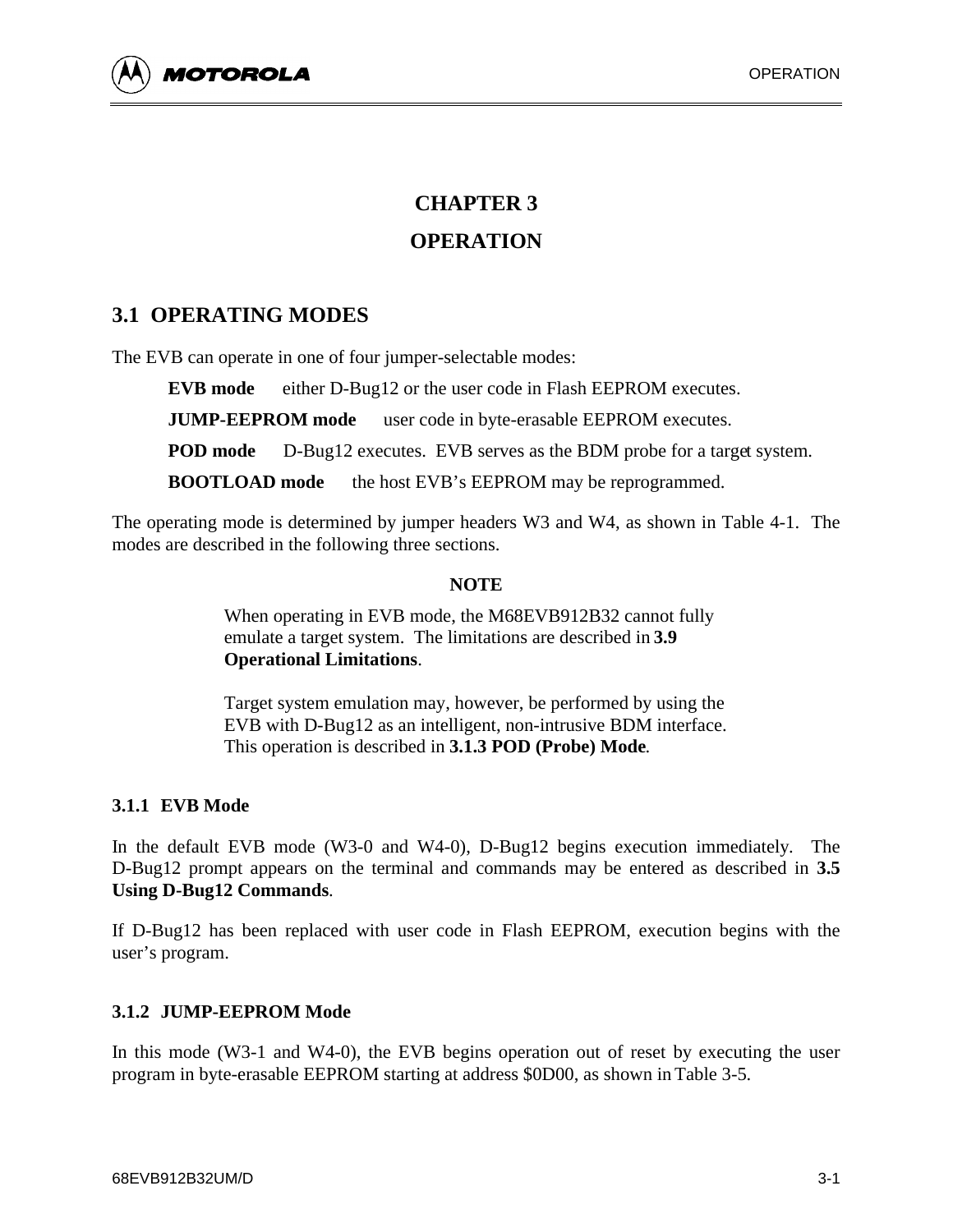

### **CHAPTER 3**

### **OPERATION**

### **3.1 OPERATING MODES**

The EVB can operate in one of four jumper-selectable modes:

**EVB mode** — either D-Bug12 or the user code in Flash EEPROM executes.

**JUMP-EEPROM mode** — user code in byte-erasable EEPROM executes.

**POD mode** — D-Bug12 executes. EVB serves as the BDM probe for a target system.

**BOOTLOAD mode** — the host EVB's EEPROM may be reprogrammed.

The operating mode is determined by jumper headers W3 and W4, as shown in Table 4-1. The modes are described in the following three sections.

#### **NOTE**

When operating in EVB mode, the M68EVB912B32 cannot fully emulate a target system. The limitations are described in **3.9 Operational Limitations**.

Target system emulation may, however, be performed by using the EVB with D-Bug12 as an intelligent, non-intrusive BDM interface. This operation is described in **3.1.3 POD (Probe) Mode**.

#### **3.1.1 EVB Mode**

In the default EVB mode (W3-0 and W4-0), D-Bug12 begins execution immediately. The D-Bug12 prompt appears on the terminal and commands may be entered as described in **3.5 Using D-Bug12 Commands**.

If D-Bug12 has been replaced with user code in Flash EEPROM, execution begins with the user's program.

#### **3.1.2 JUMP-EEPROM Mode**

In this mode (W3-1 and W4-0), the EVB begins operation out of reset by executing the user program in byte-erasable EEPROM starting at address \$0D00, as shown in Table 3-5.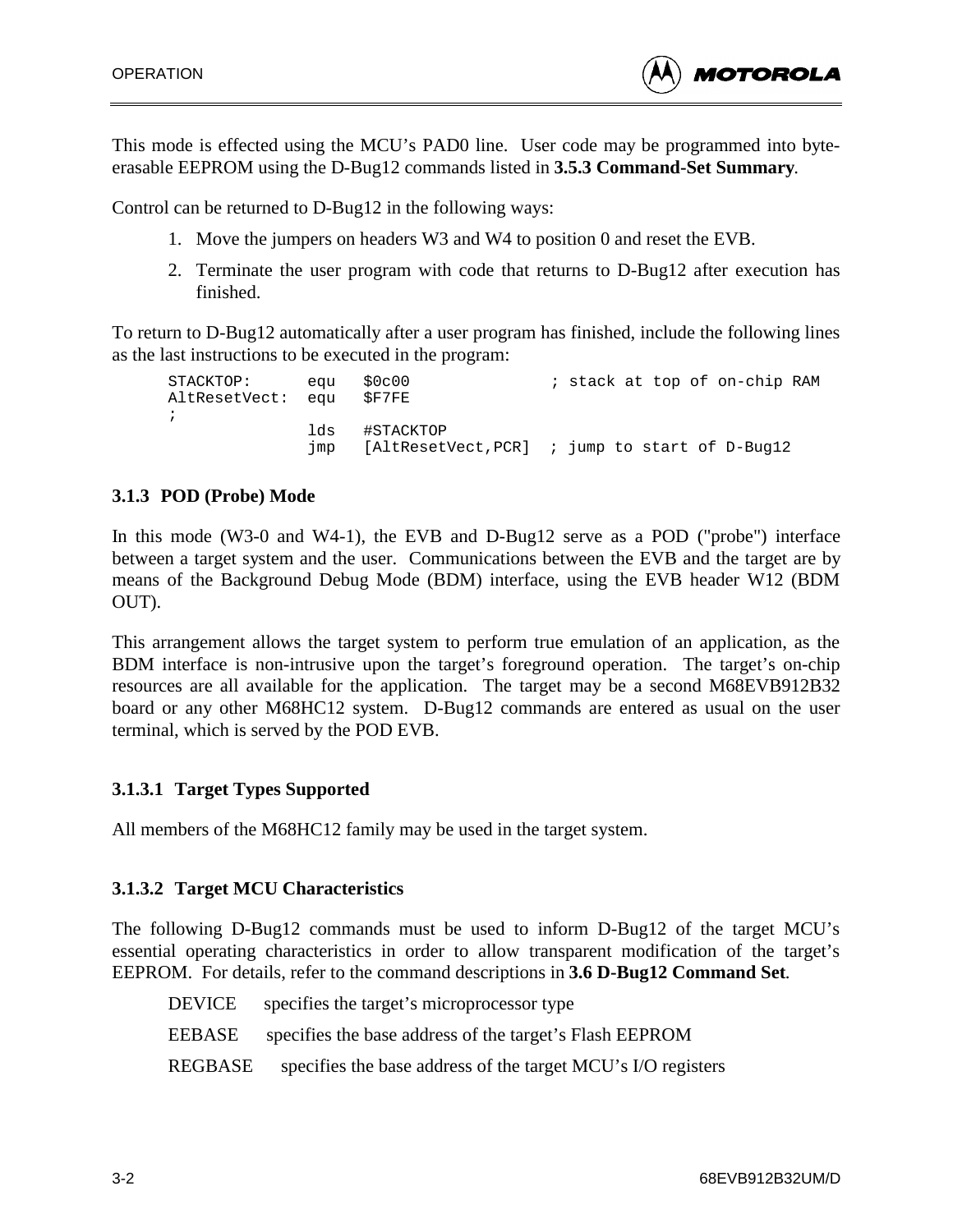This mode is effected using the MCU's PAD0 line. User code may be programmed into byteerasable EEPROM using the D-Bug12 commands listed in **3.5.3 Command-Set Summary**.

Control can be returned to D-Bug12 in the following ways:

- 1. Move the jumpers on headers W3 and W4 to position 0 and reset the EVB.
- 2. Terminate the user program with code that returns to D-Bug12 after execution has finished.

To return to D-Bug12 automatically after a user program has finished, include the following lines as the last instructions to be executed in the program:

STACKTOP: equ \$0c00 ; stack at top of on-chip RAM AltResetVect: equ \$F7FE ; lds #STACKTOP jmp [AltResetVect,PCR] ; jump to start of D-Bug12

#### **3.1.3 POD (Probe) Mode**

In this mode (W3-0 and W4-1), the EVB and D-Bug12 serve as a POD ("probe") interface between a target system and the user. Communications between the EVB and the target are by means of the Background Debug Mode (BDM) interface, using the EVB header W12 (BDM OUT).

This arrangement allows the target system to perform true emulation of an application, as the BDM interface is non-intrusive upon the target's foreground operation. The target's on-chip resources are all available for the application. The target may be a second M68EVB912B32 board or any other M68HC12 system. D-Bug12 commands are entered as usual on the user terminal, which is served by the POD EVB.

#### **3.1.3.1 Target Types Supported**

All members of the M68HC12 family may be used in the target system.

#### **3.1.3.2 Target MCU Characteristics**

The following D-Bug12 commands must be used to inform D-Bug12 of the target MCU's essential operating characteristics in order to allow transparent modification of the target's EEPROM. For details, refer to the command descriptions in **3.6 D-Bug12 Command Set**.

DEVICE — specifies the target's microprocessor type

EEBASE — specifies the base address of the target's Flash EEPROM

REGBASE — specifies the base address of the target MCU's I/O registers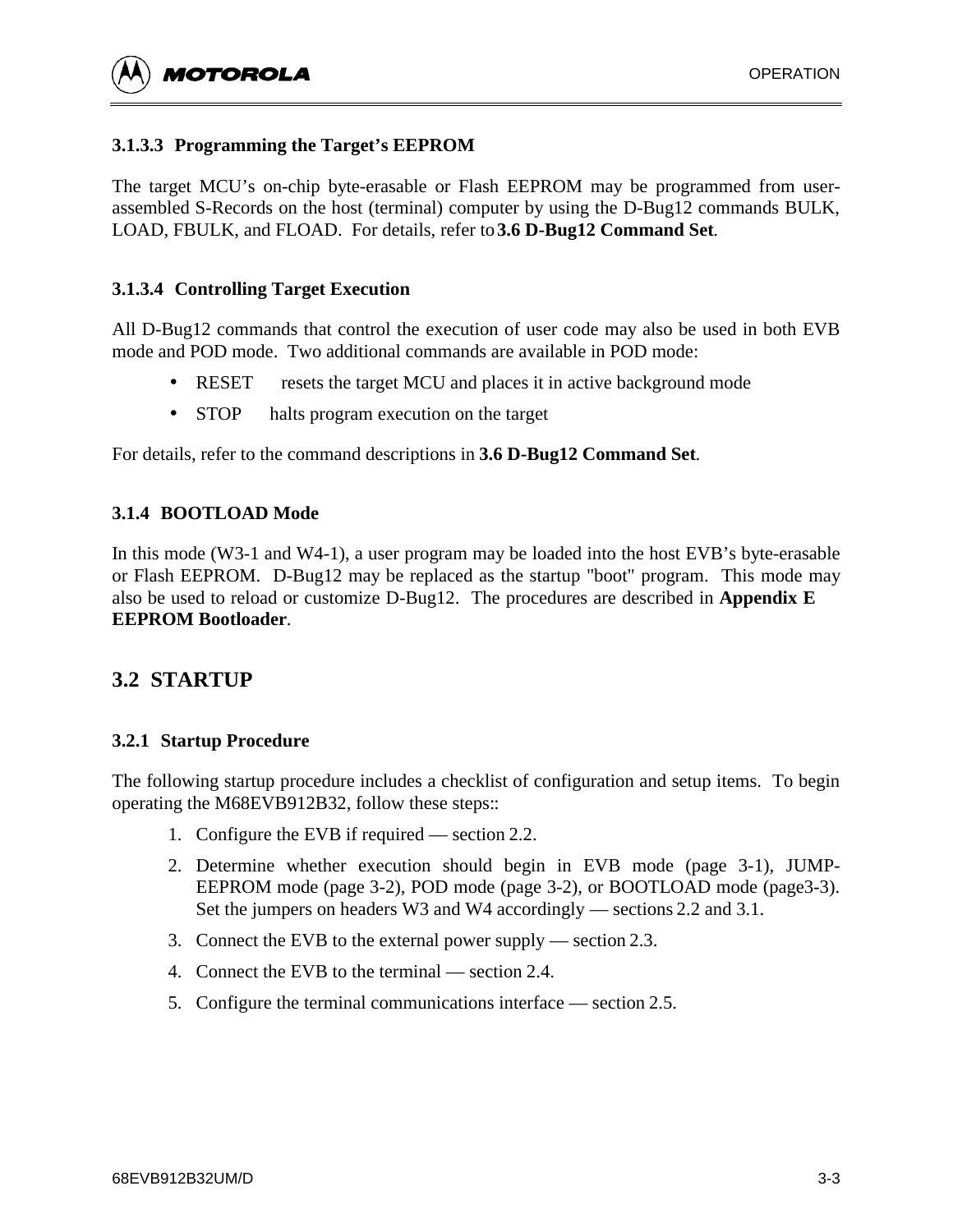#### **3.1.3.3 Programming the Target's EEPROM**

The target MCU's on-chip byte-erasable or Flash EEPROM may be programmed from userassembled S-Records on the host (terminal) computer by using the D-Bug12 commands BULK, LOAD, FBULK, and FLOAD. For details, refer to **3.6 D-Bug12 Command Set**.

#### **3.1.3.4 Controlling Target Execution**

All D-Bug12 commands that control the execution of user code may also be used in both EVB mode and POD mode. Two additional commands are available in POD mode:

- RESET resets the target MCU and places it in active background mode
- STOP halts program execution on the target

For details, refer to the command descriptions in **3.6 D-Bug12 Command Set**.

#### **3.1.4 BOOTLOAD Mode**

In this mode (W3-1 and W4-1), a user program may be loaded into the host EVB's byte-erasable or Flash EEPROM. D-Bug12 may be replaced as the startup "boot" program. This mode may also be used to reload or customize D-Bug12. The procedures are described in **Appendix E EEPROM Bootloader**.

#### **3.2 STARTUP**

#### **3.2.1 Startup Procedure**

The following startup procedure includes a checklist of configuration and setup items. To begin operating the M68EVB912B32, follow these steps::

- 1. Configure the EVB if required section 2.2.
- 2. Determine whether execution should begin in EVB mode (page 3-1), JUMP-EEPROM mode (page 3-2), POD mode (page 3-2), or BOOTLOAD mode (page3-3). Set the jumpers on headers W3 and W4 accordingly — sections 2.2 and 3.1.
- 3. Connect the EVB to the external power supply section 2.3.
- 4. Connect the EVB to the terminal section 2.4.
- 5. Configure the terminal communications interface section 2.5.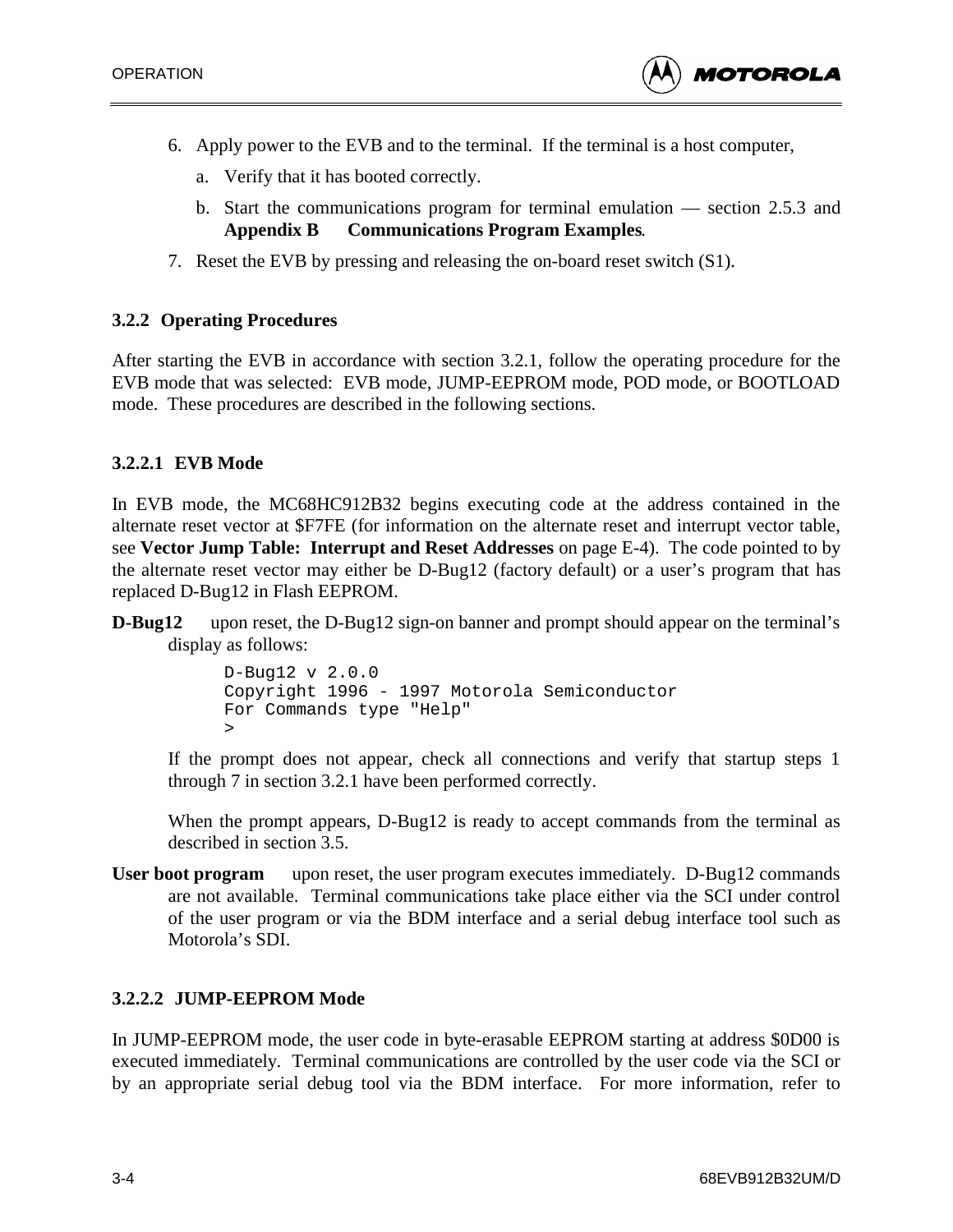- 6. Apply power to the EVB and to the terminal. If the terminal is a host computer,
	- a. Verify that it has booted correctly.
	- b. Start the communications program for terminal emulation section 2.5.3 and **Appendix B Communications Program Examples**.
- 7. Reset the EVB by pressing and releasing the on-board reset switch (S1).

#### **3.2.2 Operating Procedures**

After starting the EVB in accordance with section 3.2.1, follow the operating procedure for the EVB mode that was selected: EVB mode, JUMP-EEPROM mode, POD mode, or BOOTLOAD mode. These procedures are described in the following sections.

#### **3.2.2.1 EVB Mode**

In EVB mode, the MC68HC912B32 begins executing code at the address contained in the alternate reset vector at \$F7FE (for information on the alternate reset and interrupt vector table, see **Vector Jump Table: Interrupt and Reset Addresses** on page E-4). The code pointed to by the alternate reset vector may either be D-Bug12 (factory default) or a user's program that has replaced D-Bug12 in Flash EEPROM.

**D-Bug12** — upon reset, the D-Bug12 sign-on banner and prompt should appear on the terminal's display as follows:

```
D-Bug12 v 2.0.0
Copyright 1996 - 1997 Motorola Semiconductor
For Commands type "Help"
>
```
If the prompt does not appear, check all connections and verify that startup steps 1 through 7 in section 3.2.1 have been performed correctly.

When the prompt appears, D-Bug12 is ready to accept commands from the terminal as described in section 3.5.

**User boot program** — upon reset, the user program executes immediately. D-Bug12 commands are not available. Terminal communications take place either via the SCI under control of the user program or via the BDM interface and a serial debug interface tool such as Motorola's SDI.

#### **3.2.2.2 JUMP-EEPROM Mode**

In JUMP-EEPROM mode, the user code in byte-erasable EEPROM starting at address \$0D00 is executed immediately. Terminal communications are controlled by the user code via the SCI or by an appropriate serial debug tool via the BDM interface. For more information, refer to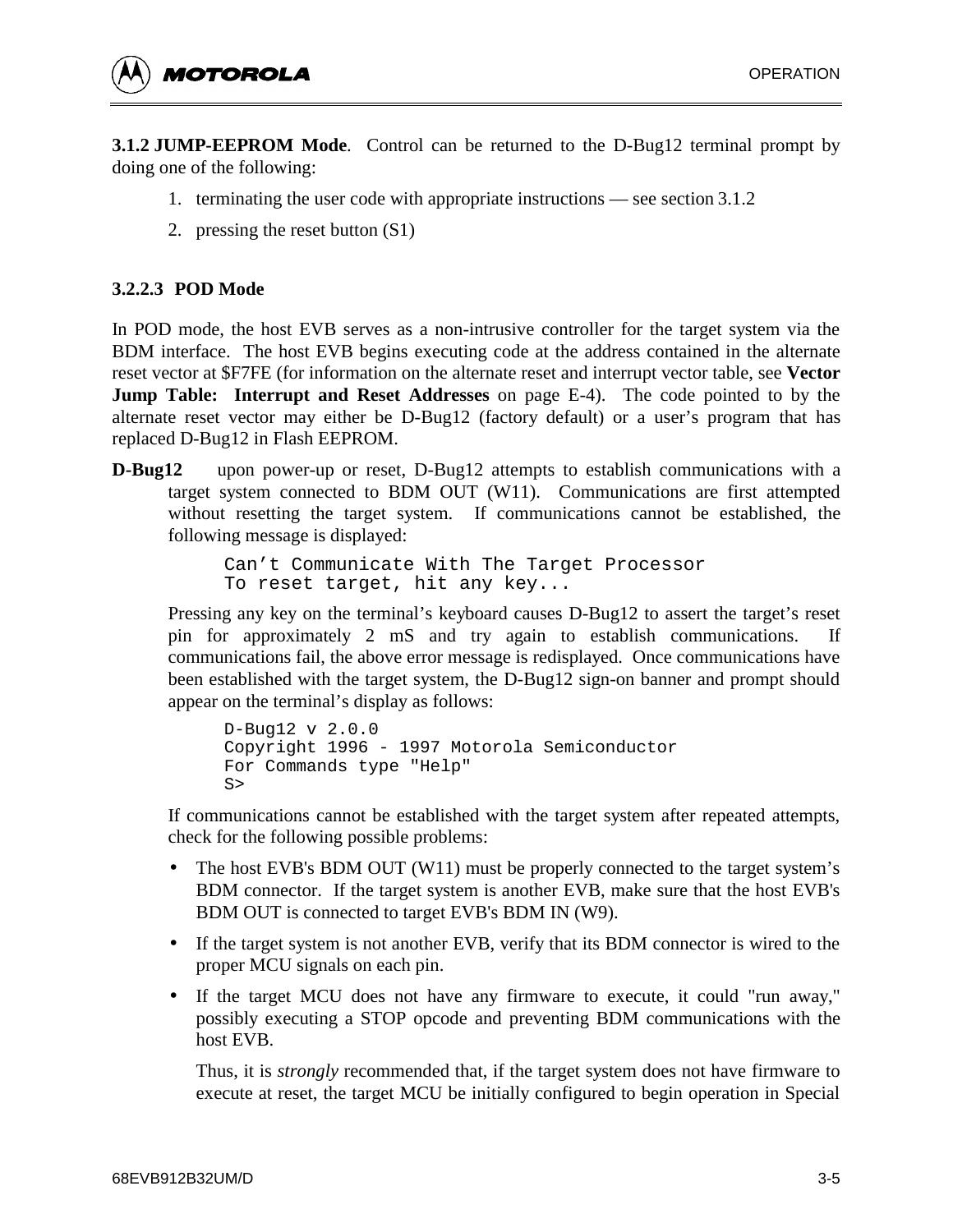**3.1.2 JUMP-EEPROM Mode**. Control can be returned to the D-Bug12 terminal prompt by doing one of the following:

- 1. terminating the user code with appropriate instructions see section 3.1.2
- 2. pressing the reset button (S1)

#### **3.2.2.3 POD Mode**

In POD mode, the host EVB serves as a non-intrusive controller for the target system via the BDM interface. The host EVB begins executing code at the address contained in the alternate reset vector at \$F7FE (for information on the alternate reset and interrupt vector table, see **Vector Jump Table: Interrupt and Reset Addresses** on page E-4). The code pointed to by the alternate reset vector may either be D-Bug12 (factory default) or a user's program that has replaced D-Bug12 in Flash EEPROM.

**D-Bug12** — upon power-up or reset, D-Bug12 attempts to establish communications with a target system connected to BDM OUT (W11). Communications are first attempted without resetting the target system. If communications cannot be established, the following message is displayed:

> Can't Communicate With The Target Processor To reset target, hit any key...

Pressing any key on the terminal's keyboard causes D-Bug12 to assert the target's reset pin for approximately 2 mS and try again to establish communications. If communications fail, the above error message is redisplayed. Once communications have been established with the target system, the D-Bug12 sign-on banner and prompt should appear on the terminal's display as follows:

```
D-Bug12 v 2.0.0
Copyright 1996 - 1997 Motorola Semiconductor
For Commands type "Help"
S>
```
If communications cannot be established with the target system after repeated attempts, check for the following possible problems:

- The host EVB's BDM OUT (W11) must be properly connected to the target system's BDM connector. If the target system is another EVB, make sure that the host EVB's BDM OUT is connected to target EVB's BDM IN (W9).
- If the target system is not another EVB, verify that its BDM connector is wired to the proper MCU signals on each pin.
- If the target MCU does not have any firmware to execute, it could "run away," possibly executing a STOP opcode and preventing BDM communications with the host EVB.

Thus, it is *strongly* recommended that, if the target system does not have firmware to execute at reset, the target MCU be initially configured to begin operation in Special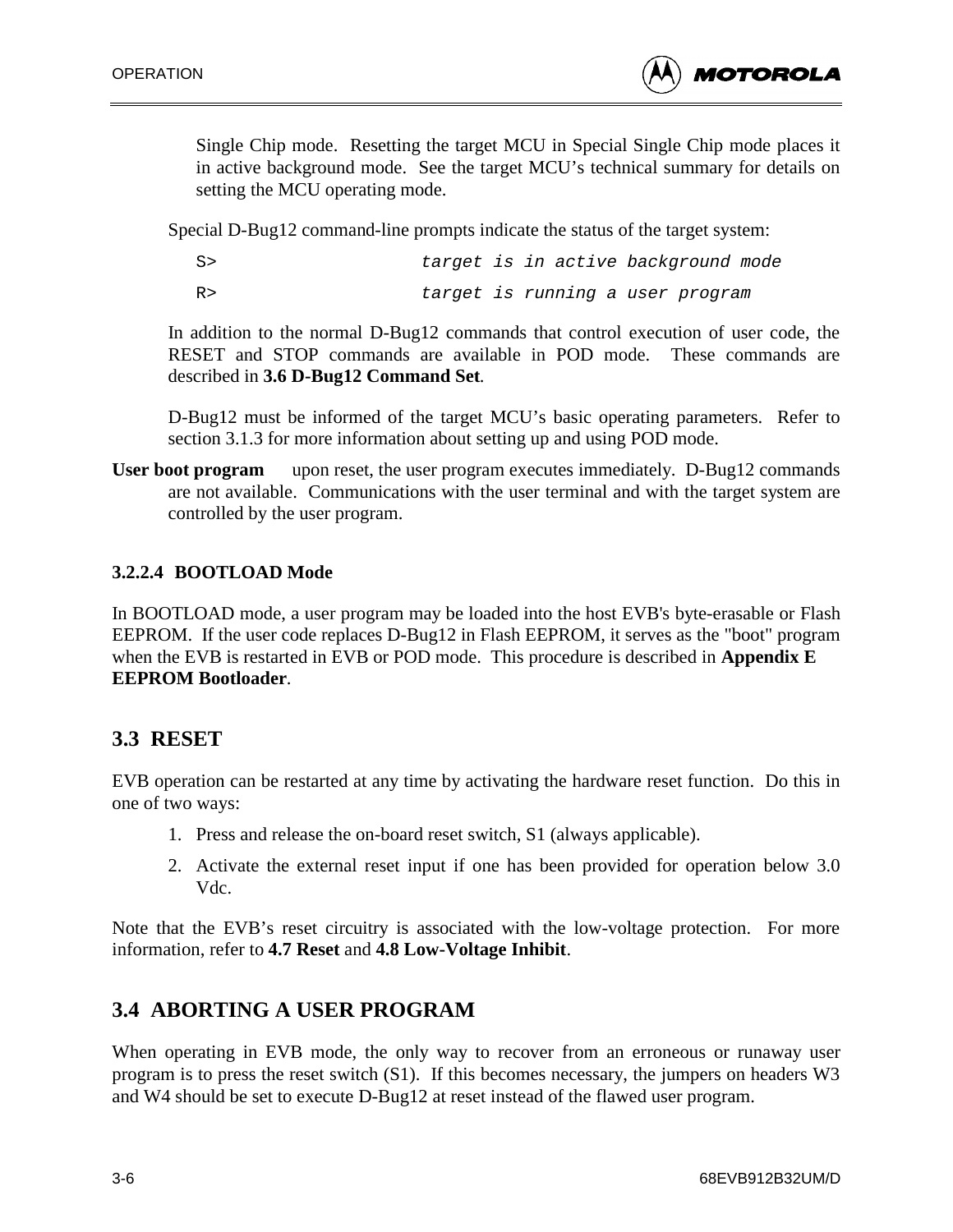Single Chip mode. Resetting the target MCU in Special Single Chip mode places it in active background mode. See the target MCU's technical summary for details on setting the MCU operating mode.

Special D-Bug12 command-line prompts indicate the status of the target system:

```
S> target is in active background mode
R> target is running a user program
```
In addition to the normal D-Bug12 commands that control execution of user code, the RESET and STOP commands are available in POD mode. These commands are described in **3.6 D-Bug12 Command Set**.

D-Bug12 must be informed of the target MCU's basic operating parameters. Refer to section 3.1.3 for more information about setting up and using POD mode.

User boot program — upon reset, the user program executes immediately. D-Bug12 commands are not available. Communications with the user terminal and with the target system are controlled by the user program.

#### **3.2.2.4 BOOTLOAD Mode**

In BOOTLOAD mode, a user program may be loaded into the host EVB's byte-erasable or Flash EEPROM. If the user code replaces D-Bug12 in Flash EEPROM, it serves as the "boot" program when the EVB is restarted in EVB or POD mode. This procedure is described in **Appendix E EEPROM Bootloader**.

### **3.3 RESET**

EVB operation can be restarted at any time by activating the hardware reset function. Do this in one of two ways:

- 1. Press and release the on-board reset switch, S1 (always applicable).
- 2. Activate the external reset input if one has been provided for operation below 3.0 Vdc.

Note that the EVB's reset circuitry is associated with the low-voltage protection. For more information, refer to **4.7 Reset** and **4.8 Low-Voltage Inhibit**.

### **3.4 ABORTING A USER PROGRAM**

When operating in EVB mode, the only way to recover from an erroneous or runaway user program is to press the reset switch (S1). If this becomes necessary, the jumpers on headers W3 and W4 should be set to execute D-Bug12 at reset instead of the flawed user program.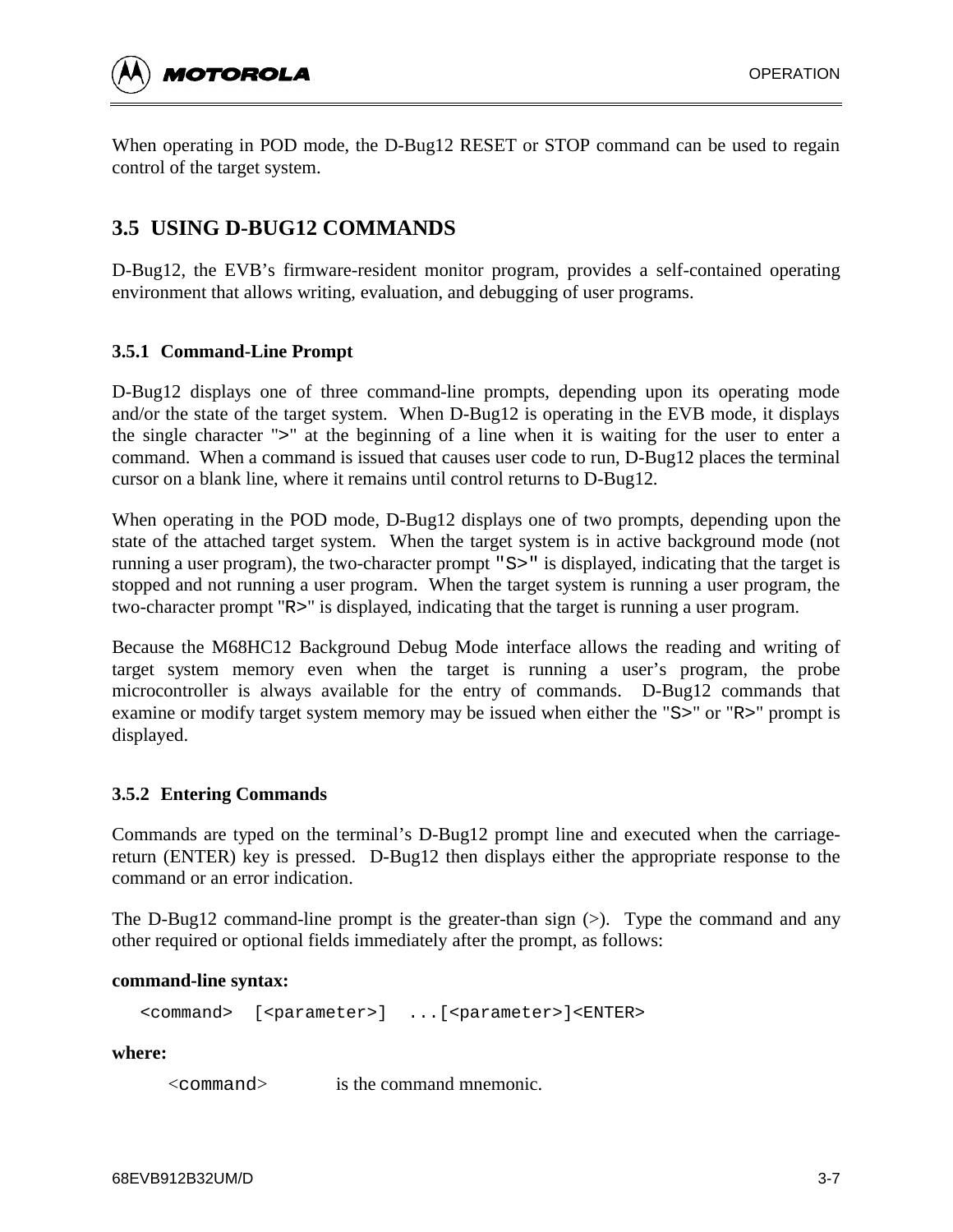When operating in POD mode, the D-Bug12 RESET or STOP command can be used to regain control of the target system.

### **3.5 USING D-BUG12 COMMANDS**

D-Bug12, the EVB's firmware-resident monitor program, provides a self-contained operating environment that allows writing, evaluation, and debugging of user programs.

#### **3.5.1 Command-Line Prompt**

D-Bug12 displays one of three command-line prompts, depending upon its operating mode and/or the state of the target system. When D-Bug12 is operating in the EVB mode, it displays the single character ">" at the beginning of a line when it is waiting for the user to enter a command. When a command is issued that causes user code to run, D-Bug12 places the terminal cursor on a blank line, where it remains until control returns to D-Bug12.

When operating in the POD mode, D-Bug12 displays one of two prompts, depending upon the state of the attached target system. When the target system is in active background mode (not running a user program), the two-character prompt "S>" is displayed, indicating that the target is stopped and not running a user program. When the target system is running a user program, the two-character prompt "R>" is displayed, indicating that the target is running a user program.

Because the M68HC12 Background Debug Mode interface allows the reading and writing of target system memory even when the target is running a user's program, the probe microcontroller is always available for the entry of commands. D-Bug12 commands that examine or modify target system memory may be issued when either the "S>" or "R>" prompt is displayed.

#### **3.5.2 Entering Commands**

Commands are typed on the terminal's D-Bug12 prompt line and executed when the carriagereturn (ENTER) key is pressed. D-Bug12 then displays either the appropriate response to the command or an error indication.

The D-Bug12 command-line prompt is the greater-than sign (>). Type the command and any other required or optional fields immediately after the prompt, as follows:

#### **command-line syntax:**

<command> [<parameter>] ...[<parameter>]<ENTER>

**where:**

```
<command> is the command mnemonic.
```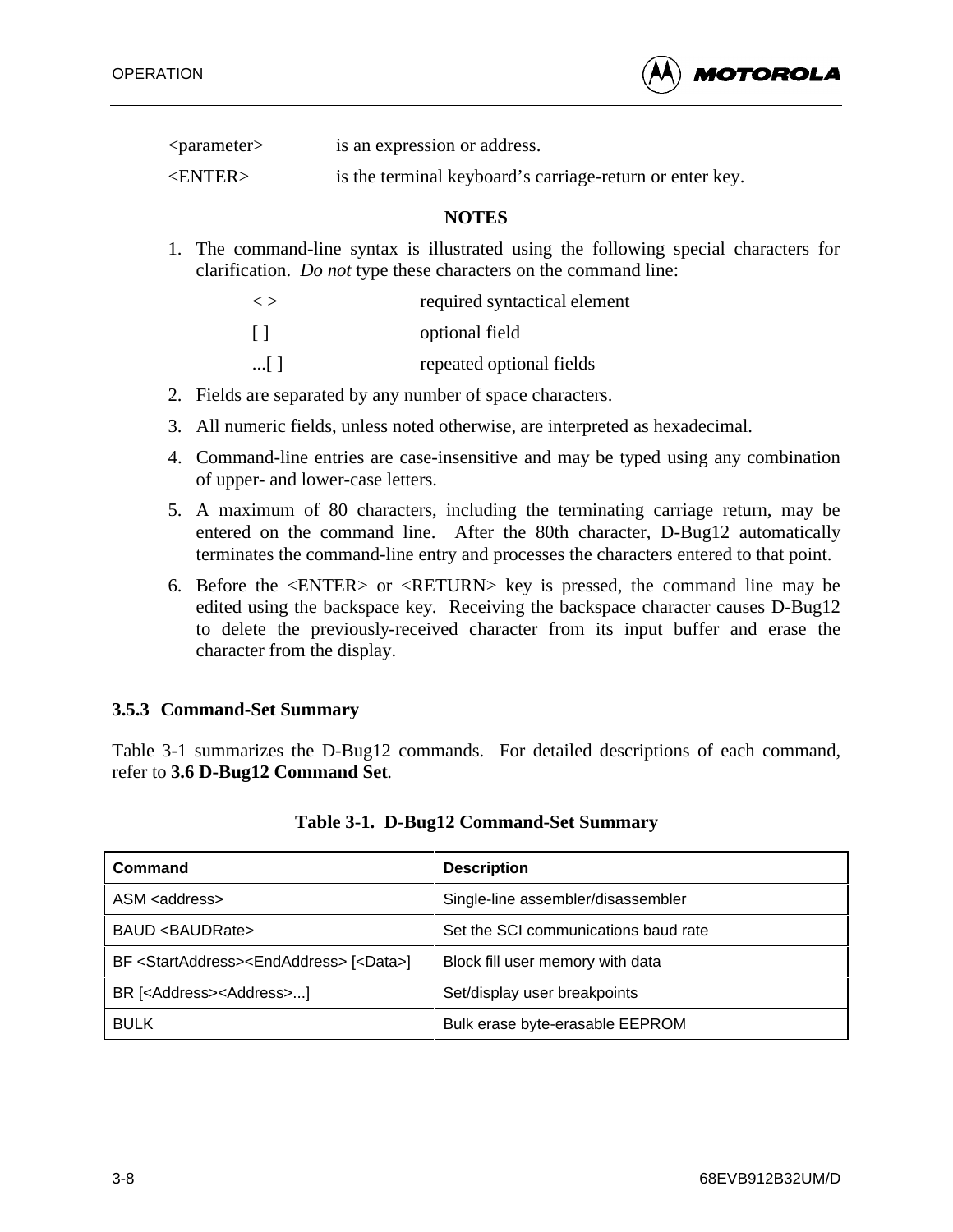<parameter> is an expression or address.

<ENTER> is the terminal keyboard's carriage-return or enter key.

#### **NOTES**

1. The command-line syntax is illustrated using the following special characters for clarification. *Do not* type these characters on the command line:

| $\langle \rangle$ | required syntactical element |
|-------------------|------------------------------|
| $\perp$           | optional field               |
| $\Box$            | repeated optional fields     |

- 2. Fields are separated by any number of space characters.
- 3. All numeric fields, unless noted otherwise, are interpreted as hexadecimal.
- 4. Command-line entries are case-insensitive and may be typed using any combination of upper- and lower-case letters.
- 5. A maximum of 80 characters, including the terminating carriage return, may be entered on the command line. After the 80th character, D-Bug12 automatically terminates the command-line entry and processes the characters entered to that point.
- 6. Before the <ENTER> or <RETURN> key is pressed, the command line may be edited using the backspace key. Receiving the backspace character causes D-Bug12 to delete the previously-received character from its input buffer and erase the character from the display.

#### **3.5.3 Command-Set Summary**

Table 3-1 summarizes the D-Bug12 commands. For detailed descriptions of each command, refer to **3.6 D-Bug12 Command Set**.

| Command                                                                   | <b>Description</b>                   |
|---------------------------------------------------------------------------|--------------------------------------|
| ASM <address></address>                                                   | Single-line assembler/disassembler   |
| BAUD <baudrate></baudrate>                                                | Set the SCI communications baud rate |
| BF <startaddress><endaddress> [<data>]</data></endaddress></startaddress> | Block fill user memory with data     |
| BR [ <address><address>]</address></address>                              | Set/display user breakpoints         |
| <b>BULK</b>                                                               | Bulk erase byte-erasable EEPROM      |

#### **Table 3-1. D-Bug12 Command-Set Summary**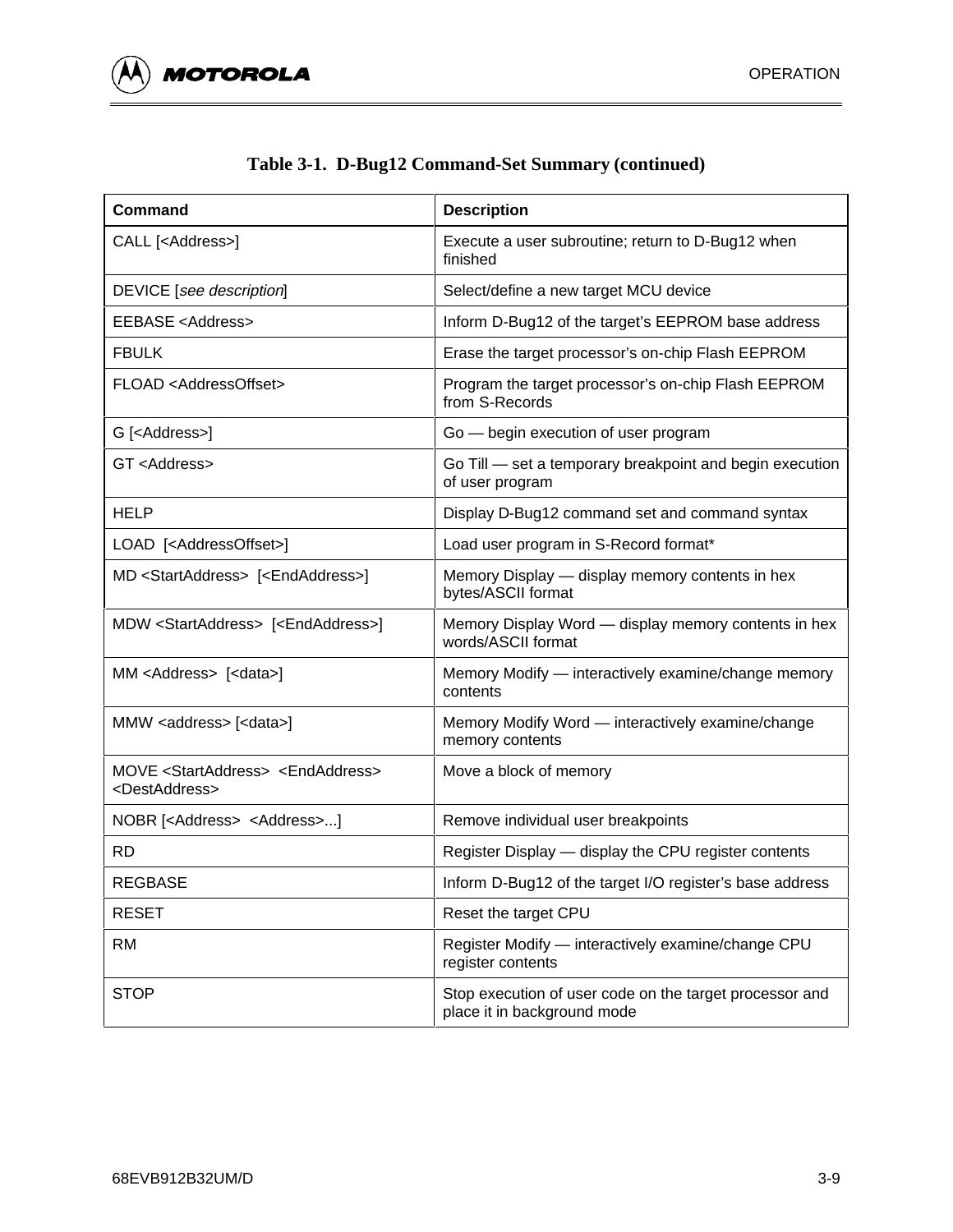

| <b>Command</b>                                                                               | <b>Description</b>                                                                     |  |  |
|----------------------------------------------------------------------------------------------|----------------------------------------------------------------------------------------|--|--|
| CALL [ <address>]</address>                                                                  | Execute a user subroutine; return to D-Bug12 when<br>finished                          |  |  |
| DEVICE [see description]                                                                     | Select/define a new target MCU device                                                  |  |  |
| EEBASE <address></address>                                                                   | Inform D-Bug12 of the target's EEPROM base address                                     |  |  |
| <b>FBULK</b>                                                                                 | Erase the target processor's on-chip Flash EEPROM                                      |  |  |
| FLOAD <addressoffset></addressoffset>                                                        | Program the target processor's on-chip Flash EEPROM<br>from S-Records                  |  |  |
| G [ <address>]</address>                                                                     | Go - begin execution of user program                                                   |  |  |
| GT <address></address>                                                                       | Go Till — set a temporary breakpoint and begin execution<br>of user program            |  |  |
| <b>HELP</b>                                                                                  | Display D-Bug12 command set and command syntax                                         |  |  |
| LOAD [ <addressoffset>]</addressoffset>                                                      | Load user program in S-Record format*                                                  |  |  |
| MD <startaddress> [<endaddress>]</endaddress></startaddress>                                 | Memory Display - display memory contents in hex<br>bytes/ASCII format                  |  |  |
| MDW <startaddress> [<endaddress>]</endaddress></startaddress>                                | Memory Display Word - display memory contents in hex<br>words/ASCII format             |  |  |
| MM <address> [<data>]</data></address>                                                       | Memory Modify — interactively examine/change memory<br>contents                        |  |  |
| MMW <address> [<data>]</data></address>                                                      | Memory Modify Word - interactively examine/change<br>memory contents                   |  |  |
| MOVE <startaddress> <endaddress><br/><destaddress></destaddress></endaddress></startaddress> | Move a block of memory                                                                 |  |  |
| NOBR [ <address> <address>]</address></address>                                              | Remove individual user breakpoints                                                     |  |  |
| <b>RD</b>                                                                                    | Register Display - display the CPU register contents                                   |  |  |
| <b>REGBASE</b>                                                                               | Inform D-Bug12 of the target I/O register's base address                               |  |  |
| <b>RESET</b>                                                                                 | Reset the target CPU                                                                   |  |  |
| <b>RM</b>                                                                                    | Register Modify - interactively examine/change CPU<br>register contents                |  |  |
| <b>STOP</b>                                                                                  | Stop execution of user code on the target processor and<br>place it in background mode |  |  |

|  |  | Table 3-1. D-Bug12 Command-Set Summary (continued) |  |
|--|--|----------------------------------------------------|--|
|--|--|----------------------------------------------------|--|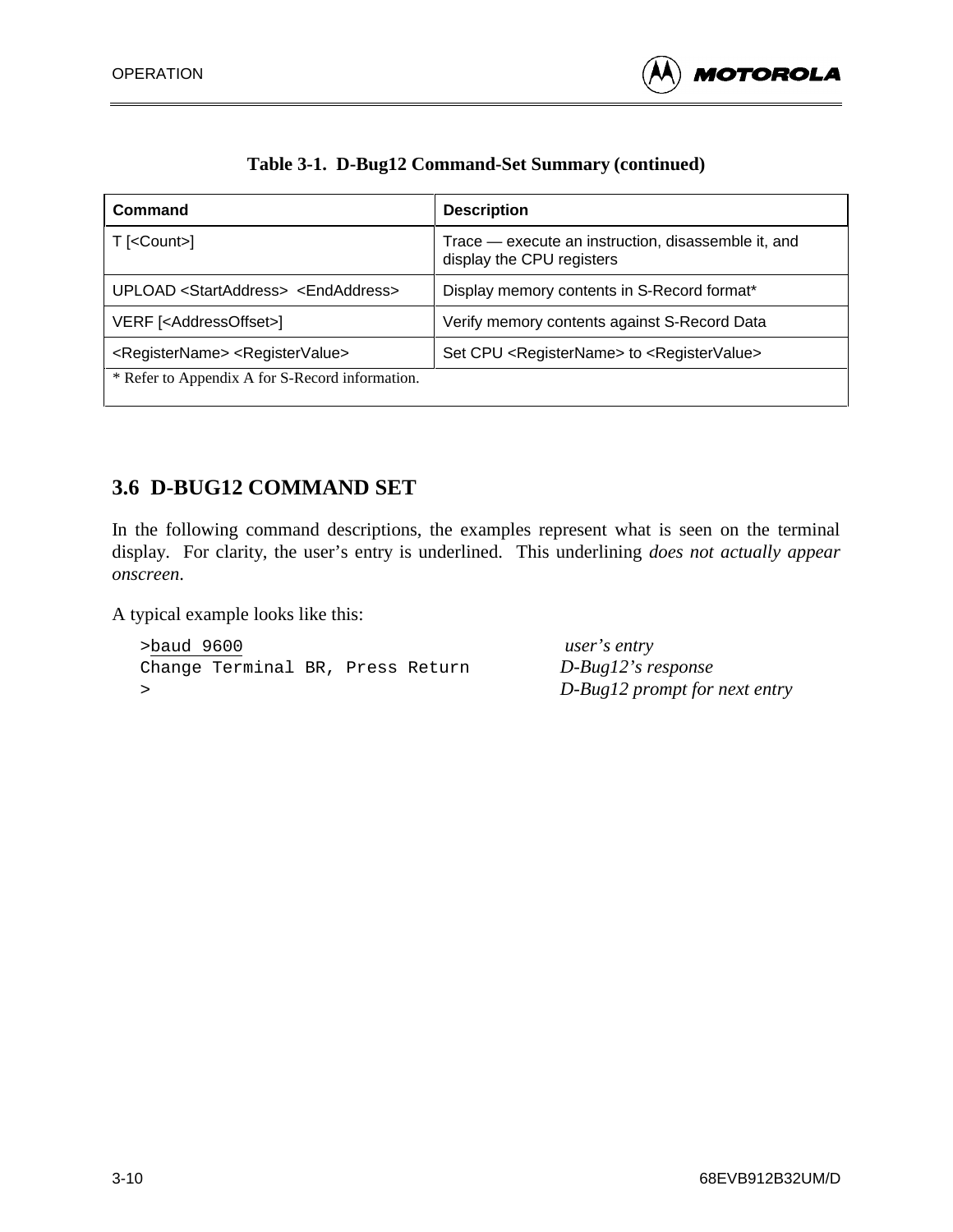|  | Table 3-1. D-Bug12 Command-Set Summary (continued) |  |
|--|----------------------------------------------------|--|
|  |                                                    |  |

| Command                                                        | <b>Description</b>                                                               |
|----------------------------------------------------------------|----------------------------------------------------------------------------------|
| $T$ [< $Count$ >]                                              | Trace — execute an instruction, disassemble it, and<br>display the CPU registers |
| UPLOAD <startaddress> <endaddress></endaddress></startaddress> | Display memory contents in S-Record format*                                      |
| VERF [ <addressoffset>]</addressoffset>                        | Verify memory contents against S-Record Data                                     |
| <registername> <registervalue></registervalue></registername>  | Set CPU <registername> to <registervalue></registervalue></registername>         |
| * Refer to Appendix A for S-Record information.                |                                                                                  |

### **3.6 D-BUG12 COMMAND SET**

In the following command descriptions, the examples represent what is seen on the terminal display. For clarity, the user's entry is underlined. This underlining *does not actually appear onscreen*.

A typical example looks like this:

```
>baud 9600 user's entry
Change Terminal BR, Press Return D-Bug12's response
> D-Bug12 prompt for next entry
```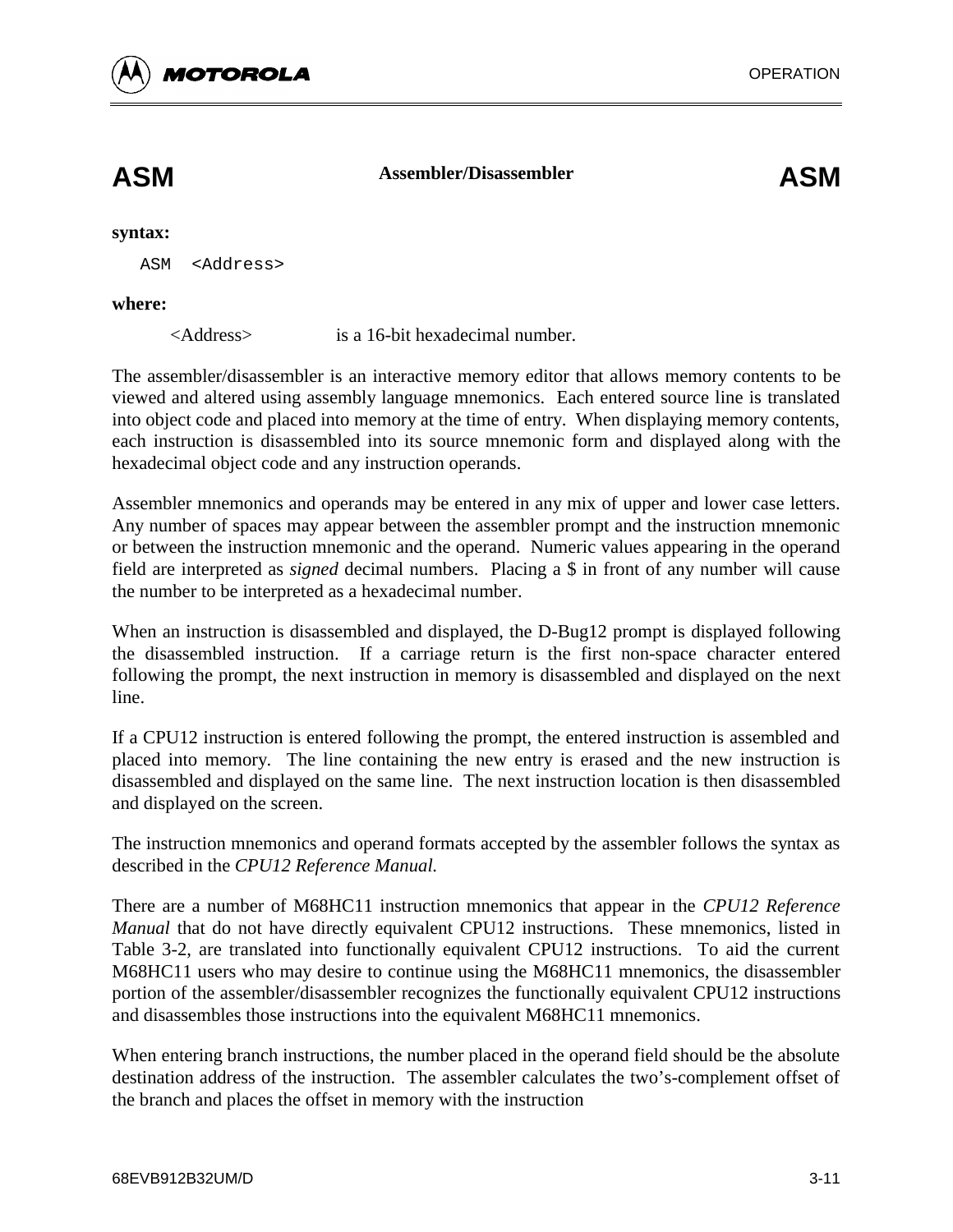

**ASM Assembler/Disassembler ASM**

#### **syntax:**

ASM <Address>

**where:**

<Address> is a 16-bit hexadecimal number.

The assembler/disassembler is an interactive memory editor that allows memory contents to be viewed and altered using assembly language mnemonics. Each entered source line is translated into object code and placed into memory at the time of entry. When displaying memory contents, each instruction is disassembled into its source mnemonic form and displayed along with the hexadecimal object code and any instruction operands.

Assembler mnemonics and operands may be entered in any mix of upper and lower case letters. Any number of spaces may appear between the assembler prompt and the instruction mnemonic or between the instruction mnemonic and the operand. Numeric values appearing in the operand field are interpreted as *signed* decimal numbers. Placing a \$ in front of any number will cause the number to be interpreted as a hexadecimal number.

When an instruction is disassembled and displayed, the D-Bug12 prompt is displayed following the disassembled instruction. If a carriage return is the first non-space character entered following the prompt, the next instruction in memory is disassembled and displayed on the next line.

If a CPU12 instruction is entered following the prompt, the entered instruction is assembled and placed into memory. The line containing the new entry is erased and the new instruction is disassembled and displayed on the same line. The next instruction location is then disassembled and displayed on the screen.

The instruction mnemonics and operand formats accepted by the assembler follows the syntax as described in the *CPU12 Reference Manual*.

There are a number of M68HC11 instruction mnemonics that appear in the *CPU12 Reference Manual* that do not have directly equivalent CPU12 instructions. These mnemonics, listed in Table 3-2, are translated into functionally equivalent CPU12 instructions. To aid the current M68HC11 users who may desire to continue using the M68HC11 mnemonics, the disassembler portion of the assembler/disassembler recognizes the functionally equivalent CPU12 instructions and disassembles those instructions into the equivalent M68HC11 mnemonics.

When entering branch instructions, the number placed in the operand field should be the absolute destination address of the instruction. The assembler calculates the two's-complement offset of the branch and places the offset in memory with the instruction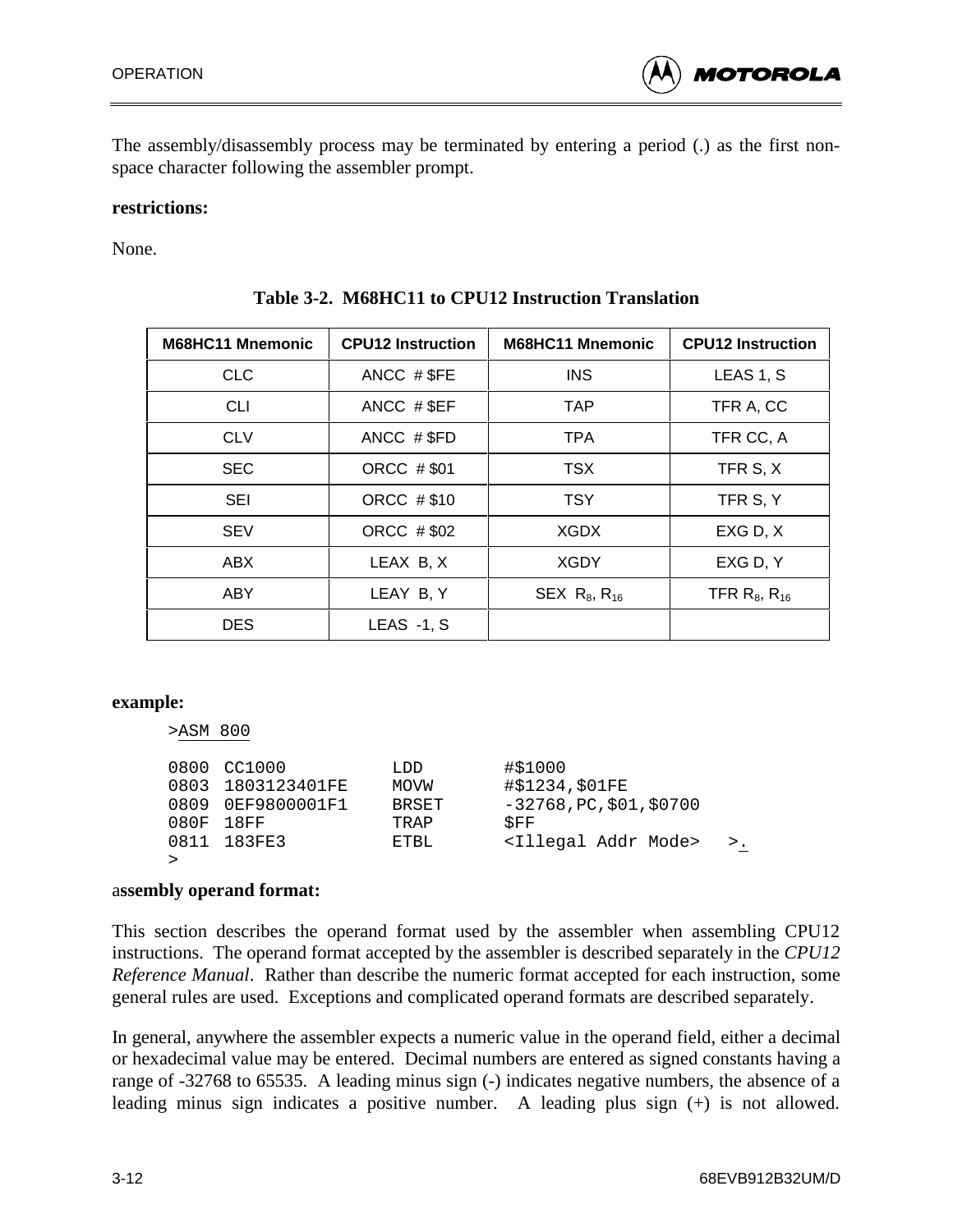The assembly/disassembly process may be terminated by entering a period (.) as the first nonspace character following the assembler prompt.

#### **restrictions:**

None.

| M68HC11 Mnemonic | <b>CPU12 Instruction</b> | M68HC11 Mnemonic     | <b>CPU12 Instruction</b> |
|------------------|--------------------------|----------------------|--------------------------|
| <b>CLC</b>       | ANCC # \$FE              | <b>INS</b>           | LEAS 1, S                |
| <b>CLI</b>       | ANCC # \$EF              | TAP.                 | TFR A, CC                |
| <b>CLV</b>       | ANCC # \$FD              | <b>TPA</b>           | TFR CC, A                |
| <b>SEC</b>       | ORCC #\$01               | <b>TSX</b>           | TFR S, X                 |
| <b>SEI</b>       | ORCC #\$10               | <b>TSY</b>           | TFR S, Y                 |
| <b>SEV</b>       | ORCC #\$02               | <b>XGDX</b>          | EXG D, X                 |
| <b>ABX</b>       | LEAX B, X                | <b>XGDY</b>          | EXG D, Y                 |
| <b>ABY</b>       | LEAY B, Y                | SEX $R_8$ , $R_{16}$ | TFR $R_8$ , $R_{16}$     |
| <b>DES</b>       | <b>LEAS -1, S</b>        |                      |                          |

#### **Table 3-2. M68HC11 to CPU12 Instruction Translation**

#### **example:**

>ASM 800

|           | 0800 CC1000       | <b>LDD</b> | #\$1000                                                    |
|-----------|-------------------|------------|------------------------------------------------------------|
|           |                   |            |                                                            |
|           | 0803 1803123401FE | MOVW       | #\$1234,\$01FE                                             |
|           | 0809 0EF9800001F1 | BRSET      | $-32768$ , PC, $$01$ , $$0700$                             |
| 080F 18FF |                   | TRAP       | SFF                                                        |
|           | 0811 183FE3       | ETBL       | <illegal addr="" mode=""><br/><math>&gt;</math>.</illegal> |
| $\geq$    |                   |            |                                                            |

#### a**ssembly operand format:**

This section describes the operand format used by the assembler when assembling CPU12 instructions. The operand format accepted by the assembler is described separately in the *CPU12 Reference Manual*. Rather than describe the numeric format accepted for each instruction, some general rules are used. Exceptions and complicated operand formats are described separately.

In general, anywhere the assembler expects a numeric value in the operand field, either a decimal or hexadecimal value may be entered. Decimal numbers are entered as signed constants having a range of -32768 to 65535. A leading minus sign (-) indicates negative numbers, the absence of a leading minus sign indicates a positive number. A leading plus sign (+) is not allowed.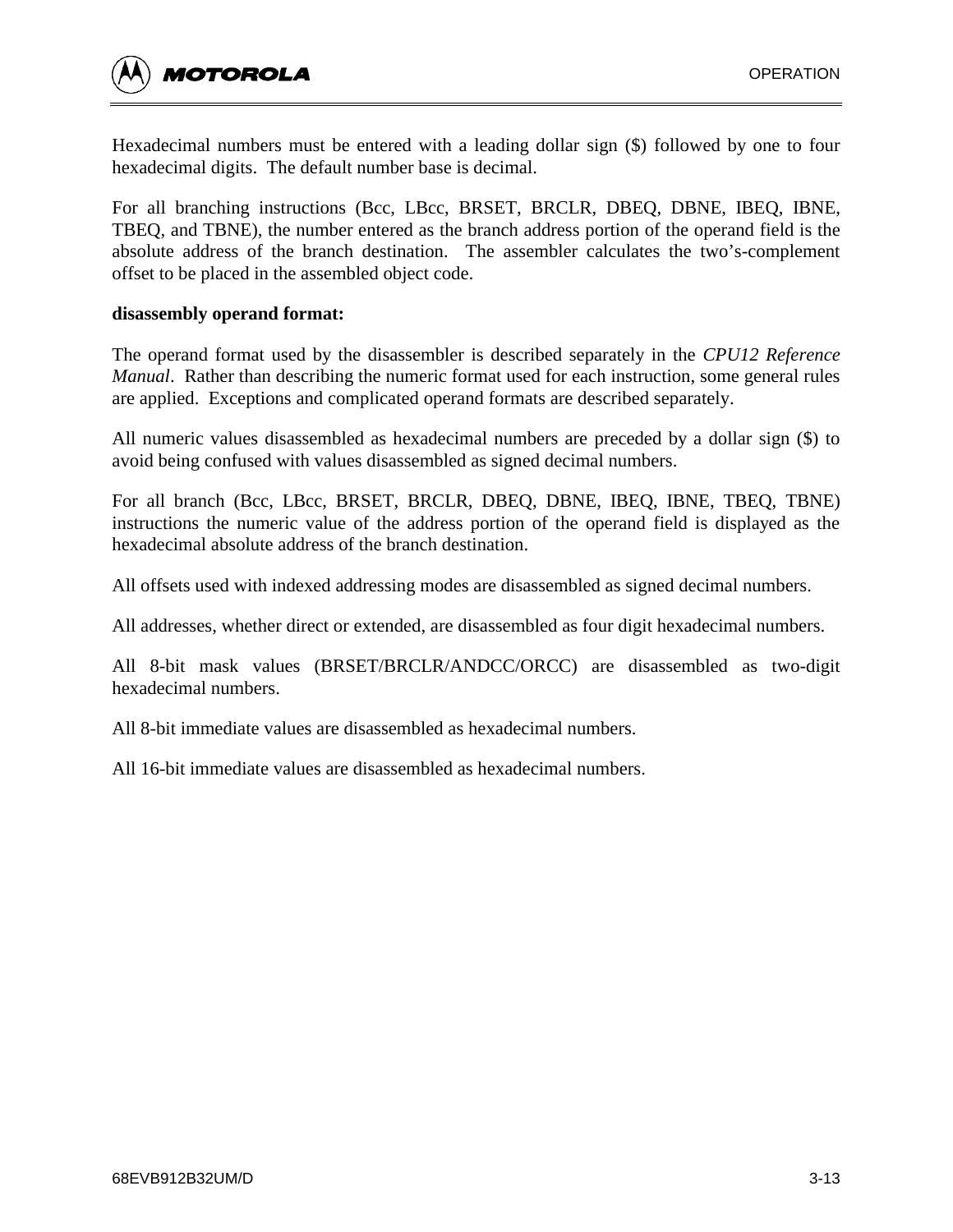

Hexadecimal numbers must be entered with a leading dollar sign (\$) followed by one to four hexadecimal digits. The default number base is decimal.

For all branching instructions (Bcc, LBcc, BRSET, BRCLR, DBEQ, DBNE, IBEQ, IBNE, TBEQ, and TBNE), the number entered as the branch address portion of the operand field is the absolute address of the branch destination. The assembler calculates the two's-complement offset to be placed in the assembled object code.

#### **disassembly operand format:**

The operand format used by the disassembler is described separately in the *CPU12 Reference Manual*. Rather than describing the numeric format used for each instruction, some general rules are applied. Exceptions and complicated operand formats are described separately.

All numeric values disassembled as hexadecimal numbers are preceded by a dollar sign (\$) to avoid being confused with values disassembled as signed decimal numbers.

For all branch (Bcc, LBcc, BRSET, BRCLR, DBEQ, DBNE, IBEQ, IBNE, TBEQ, TBNE) instructions the numeric value of the address portion of the operand field is displayed as the hexadecimal absolute address of the branch destination.

All offsets used with indexed addressing modes are disassembled as signed decimal numbers.

All addresses, whether direct or extended, are disassembled as four digit hexadecimal numbers.

All 8-bit mask values (BRSET/BRCLR/ANDCC/ORCC) are disassembled as two-digit hexadecimal numbers.

All 8-bit immediate values are disassembled as hexadecimal numbers.

All 16-bit immediate values are disassembled as hexadecimal numbers.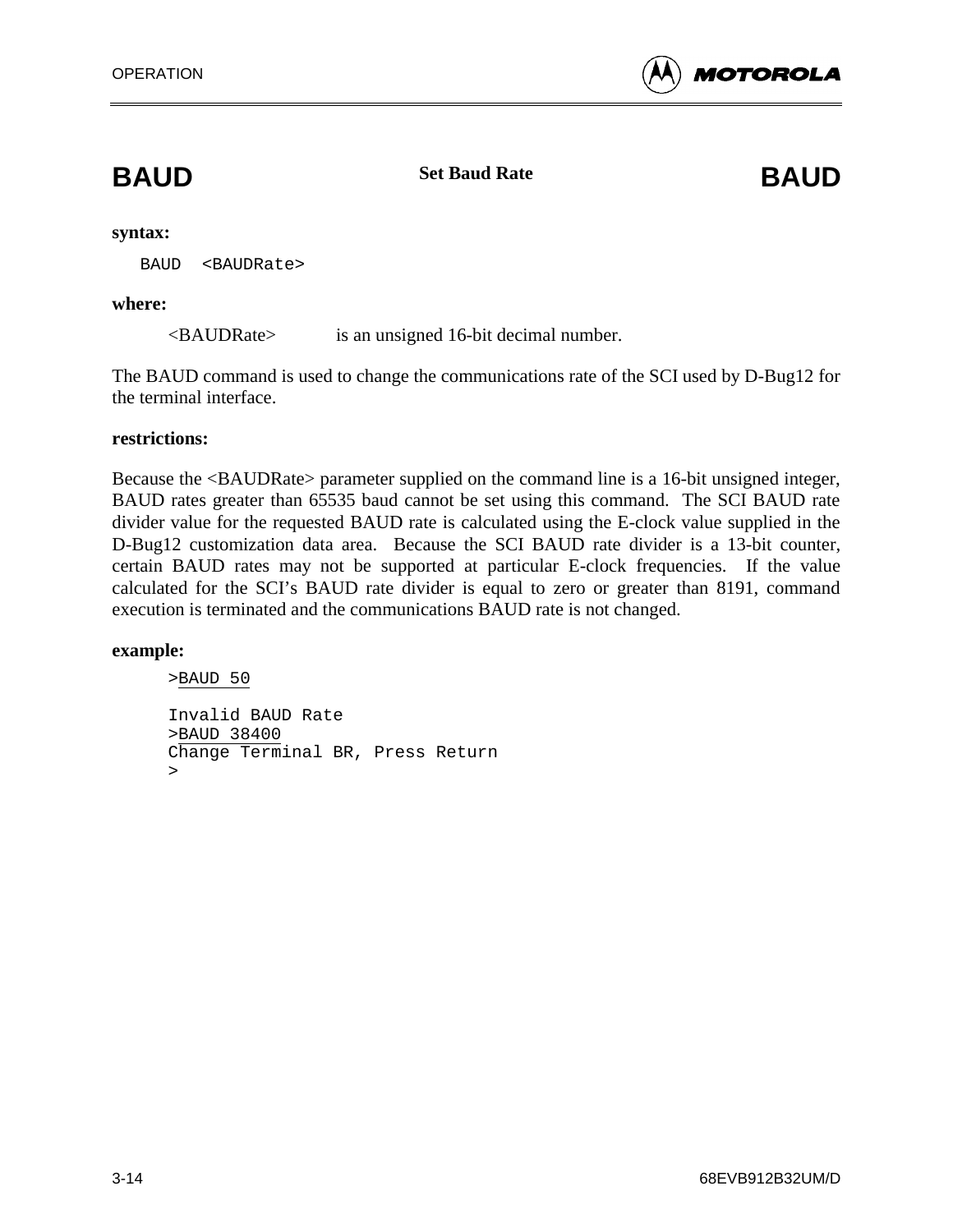

## **BAUD Set Baud Rate BAUD**

#### **syntax:**

BAUD <BAUDRate>

**where:**

<BAUDRate> is an unsigned 16-bit decimal number.

The BAUD command is used to change the communications rate of the SCI used by D-Bug12 for the terminal interface.

#### **restrictions:**

Because the <BAUDRate> parameter supplied on the command line is a 16-bit unsigned integer, BAUD rates greater than 65535 baud cannot be set using this command. The SCI BAUD rate divider value for the requested BAUD rate is calculated using the E-clock value supplied in the D-Bug12 customization data area. Because the SCI BAUD rate divider is a 13-bit counter, certain BAUD rates may not be supported at particular E-clock frequencies. If the value calculated for the SCI's BAUD rate divider is equal to zero or greater than 8191, command execution is terminated and the communications BAUD rate is not changed.

#### **example:**

>BAUD 50 Invalid BAUD Rate >BAUD 38400 Change Terminal BR, Press Return >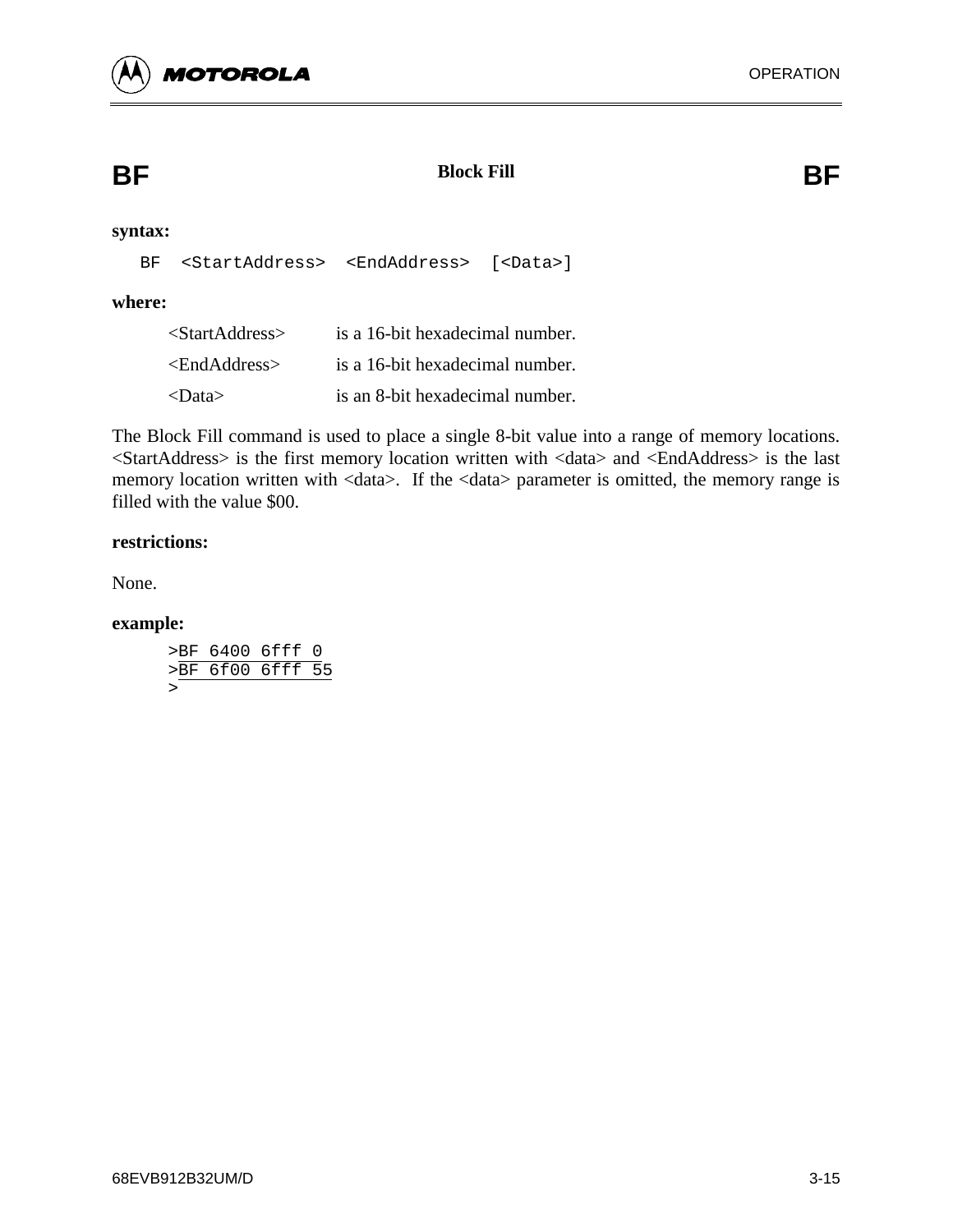

**BF Block Fill BF**

### **syntax:**

BF <StartAddress> <EndAddress> [<Data>]

**where:**

| <startaddress></startaddress> | is a 16-bit hexadecimal number. |
|-------------------------------|---------------------------------|
| <endaddress></endaddress>     | is a 16-bit hexadecimal number. |
| <data></data>                 | is an 8-bit hexadecimal number. |

The Block Fill command is used to place a single 8-bit value into a range of memory locations. <StartAddress> is the first memory location written with <data> and <EndAddress> is the last memory location written with <data>. If the <data> parameter is omitted, the memory range is filled with the value \$00.

### **restrictions:**

None.

|  | >BF 6400 6fff 0  |  |
|--|------------------|--|
|  | >BF 6f00 6fff 55 |  |
|  |                  |  |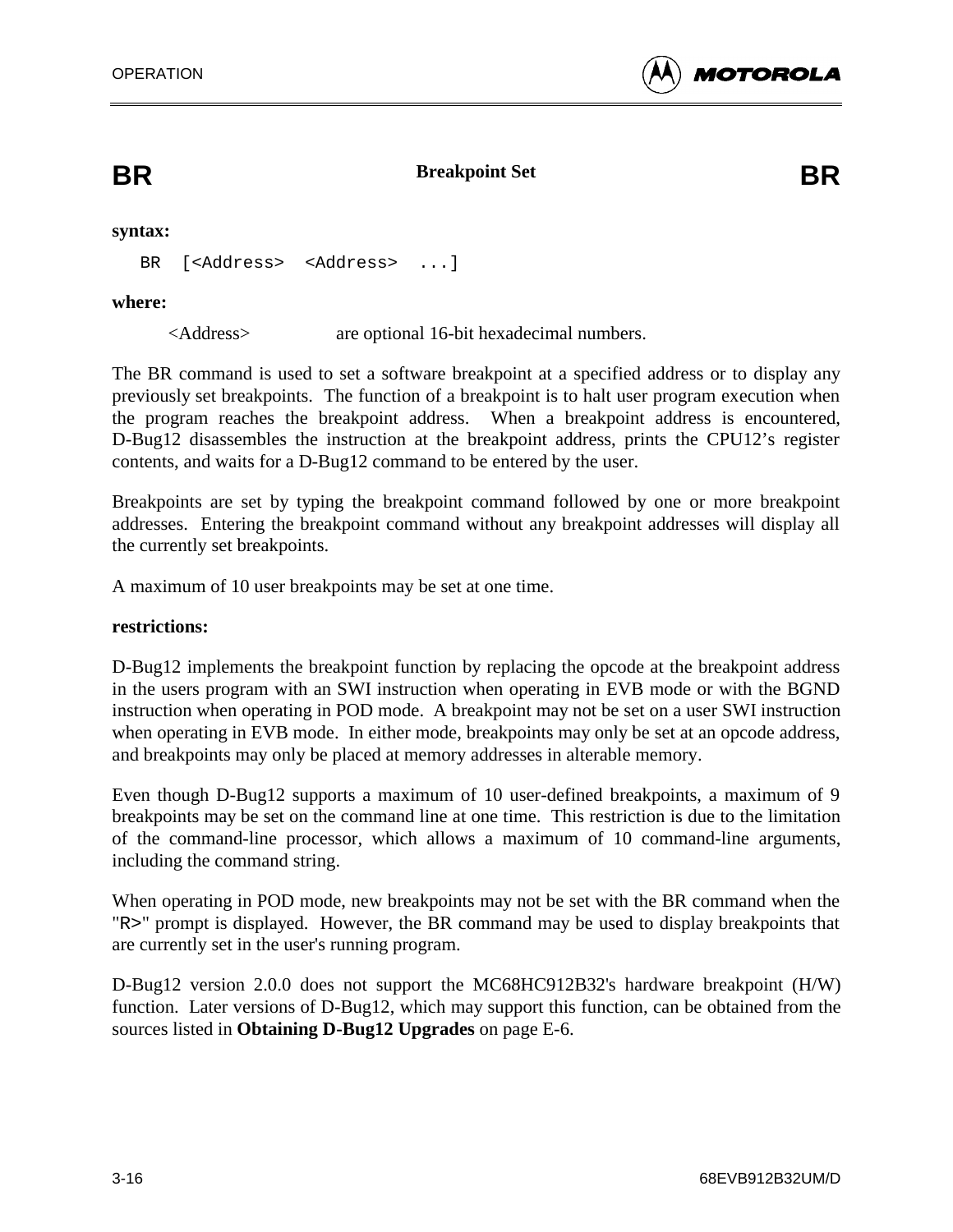

### **BR Breakpoint Set BR**

### **syntax:**

BR [<Address> <Address> ...]

#### **where:**

<Address> are optional 16-bit hexadecimal numbers.

The BR command is used to set a software breakpoint at a specified address or to display any previously set breakpoints. The function of a breakpoint is to halt user program execution when the program reaches the breakpoint address. When a breakpoint address is encountered, D-Bug12 disassembles the instruction at the breakpoint address, prints the CPU12's register contents, and waits for a D-Bug12 command to be entered by the user.

Breakpoints are set by typing the breakpoint command followed by one or more breakpoint addresses. Entering the breakpoint command without any breakpoint addresses will display all the currently set breakpoints.

A maximum of 10 user breakpoints may be set at one time.

#### **restrictions:**

D-Bug12 implements the breakpoint function by replacing the opcode at the breakpoint address in the users program with an SWI instruction when operating in EVB mode or with the BGND instruction when operating in POD mode. A breakpoint may not be set on a user SWI instruction when operating in EVB mode. In either mode, breakpoints may only be set at an opcode address, and breakpoints may only be placed at memory addresses in alterable memory.

Even though D-Bug12 supports a maximum of 10 user-defined breakpoints, a maximum of 9 breakpoints may be set on the command line at one time. This restriction is due to the limitation of the command-line processor, which allows a maximum of 10 command-line arguments, including the command string.

When operating in POD mode, new breakpoints may not be set with the BR command when the "R>" prompt is displayed. However, the BR command may be used to display breakpoints that are currently set in the user's running program.

D-Bug12 version 2.0.0 does not support the MC68HC912B32's hardware breakpoint (H/W) function. Later versions of D-Bug12, which may support this function, can be obtained from the sources listed in **Obtaining D-Bug12 Upgrades** on page E-6.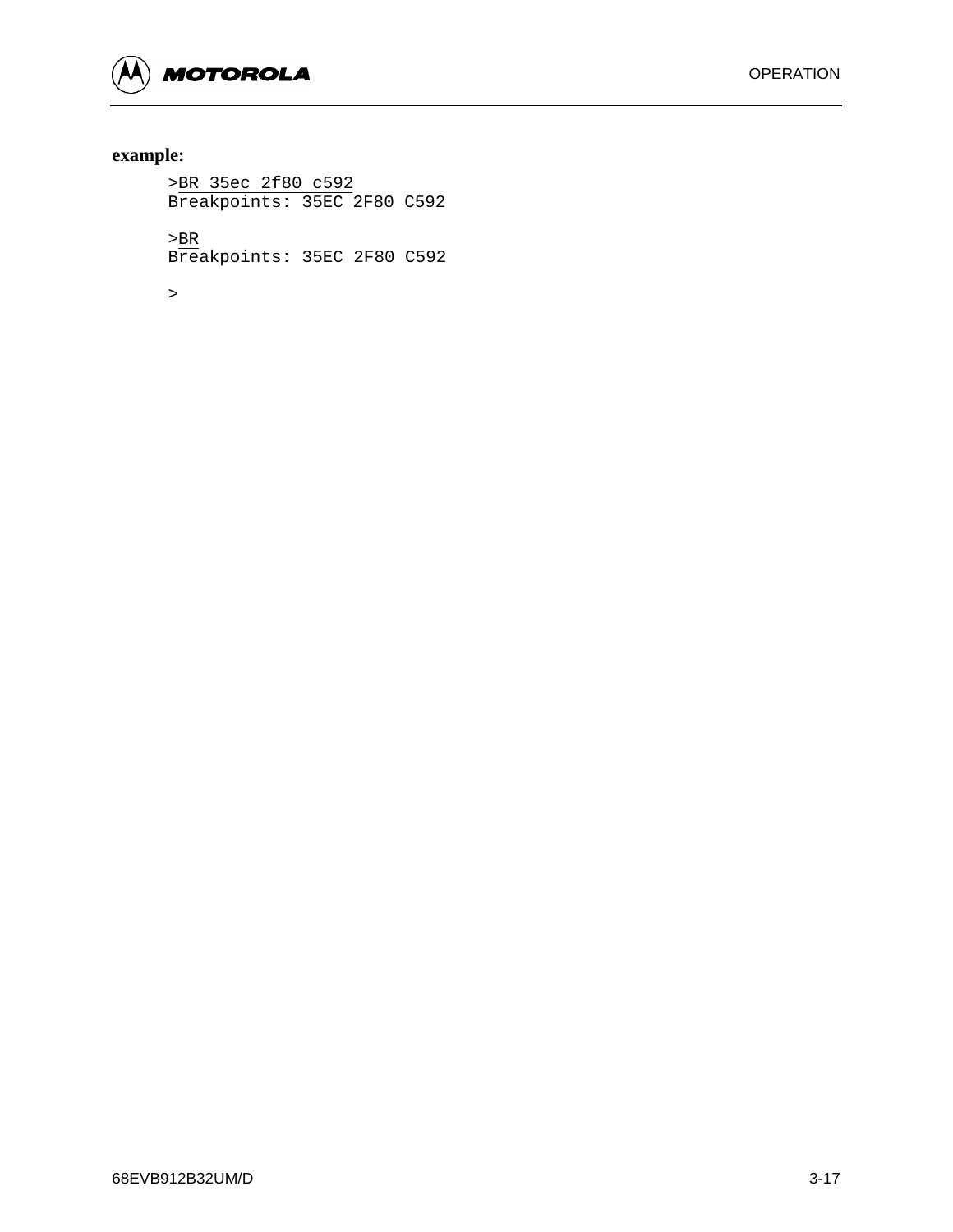

>BR 35ec 2f80 c592 Breakpoints: 35EC 2F80 C592

>BR Breakpoints: 35EC 2F80 C592

 $\geq$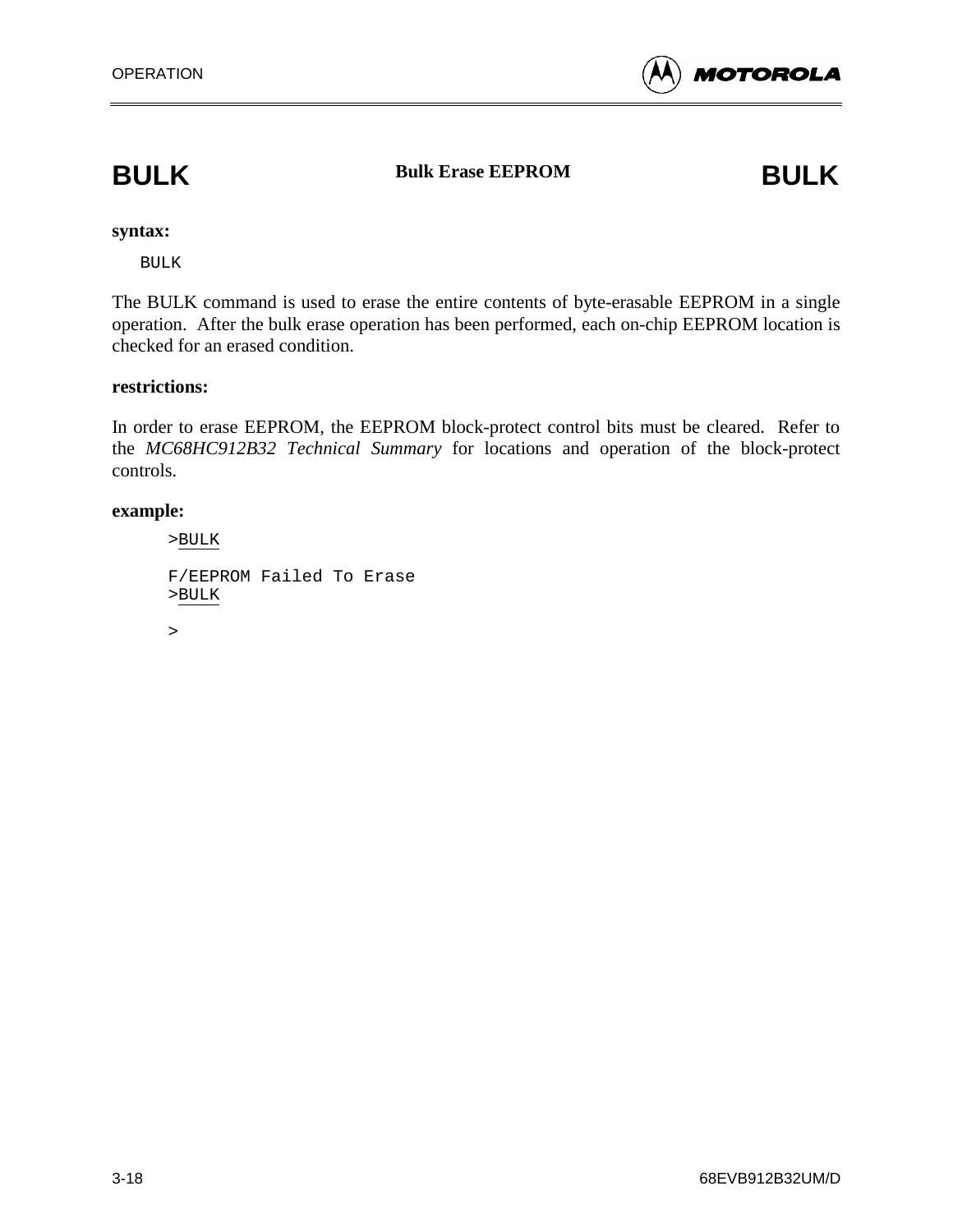

**BULK Bulk Erase EEPROM BULK**

#### **syntax:**

BULK

The BULK command is used to erase the entire contents of byte-erasable EEPROM in a single operation. After the bulk erase operation has been performed, each on-chip EEPROM location is checked for an erased condition.

#### **restrictions:**

In order to erase EEPROM, the EEPROM block-protect control bits must be cleared. Refer to the *MC68HC912B32 Technical Summary* for locations and operation of the block-protect controls.

#### **example:**

>BULK F/EEPROM Failed To Erase >BULK

>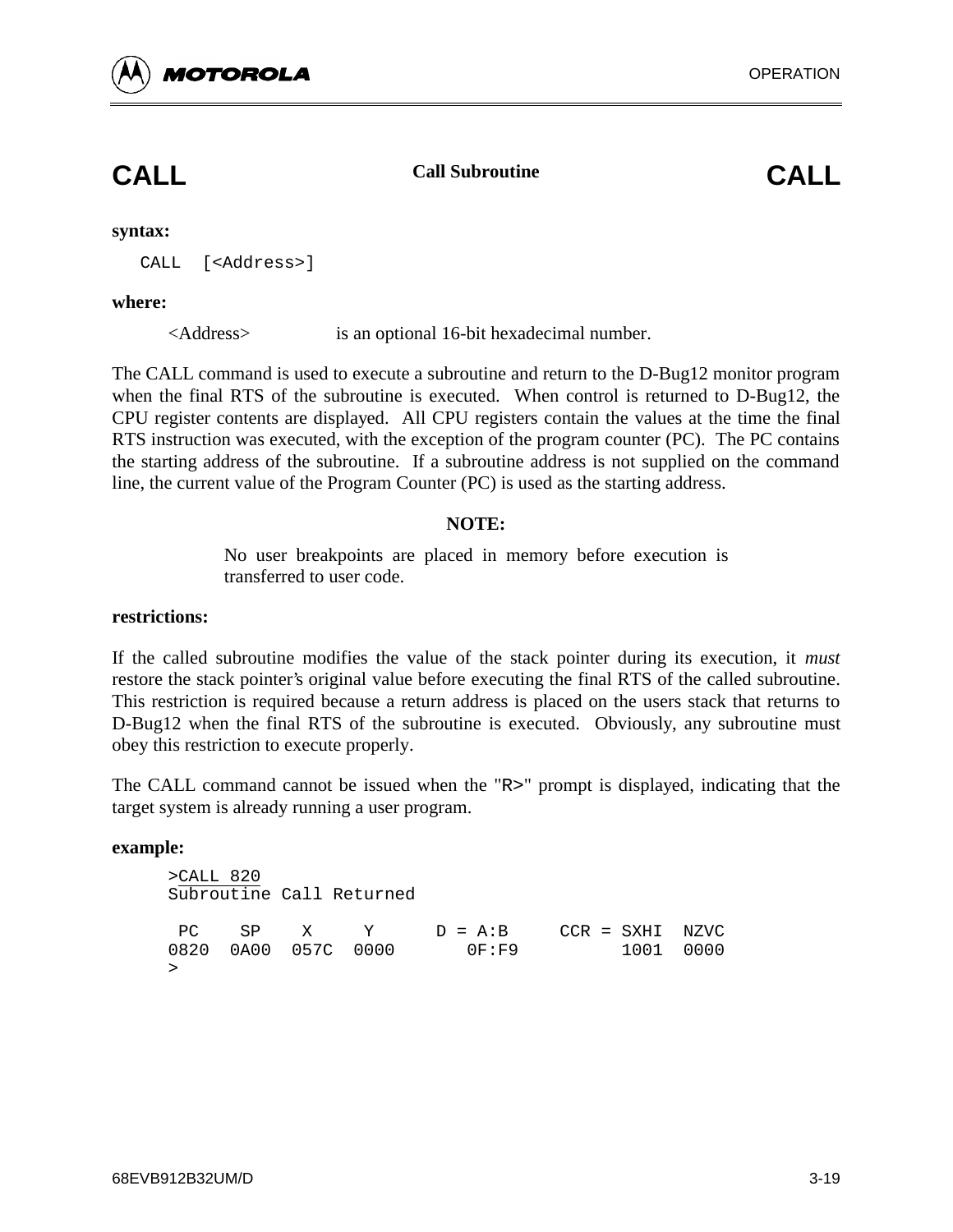

**CALL Call Subroutine CALL**

#### **syntax:**

CALL [<Address>]

#### **where:**

<Address> is an optional 16-bit hexadecimal number.

The CALL command is used to execute a subroutine and return to the D-Bug12 monitor program when the final RTS of the subroutine is executed. When control is returned to D-Bug12, the CPU register contents are displayed. All CPU registers contain the values at the time the final RTS instruction was executed, with the exception of the program counter (PC). The PC contains the starting address of the subroutine. If a subroutine address is not supplied on the command line, the current value of the Program Counter (PC) is used as the starting address.

### **NOTE:**

No user breakpoints are placed in memory before execution is transferred to user code.

#### **restrictions:**

If the called subroutine modifies the value of the stack pointer during its execution, it *must* restore the stack pointer's original value before executing the final RTS of the called subroutine. This restriction is required because a return address is placed on the users stack that returns to D-Bug12 when the final RTS of the subroutine is executed. Obviously, any subroutine must obey this restriction to execute properly.

The CALL command cannot be issued when the "R>" prompt is displayed, indicating that the target system is already running a user program.

```
>CALL 820
Subroutine Call Returned
 PC SP X Y D = A:B CCR = SXHI NZVC
0820 0A00 057C 0000 0F:F9 1001 0000
>
```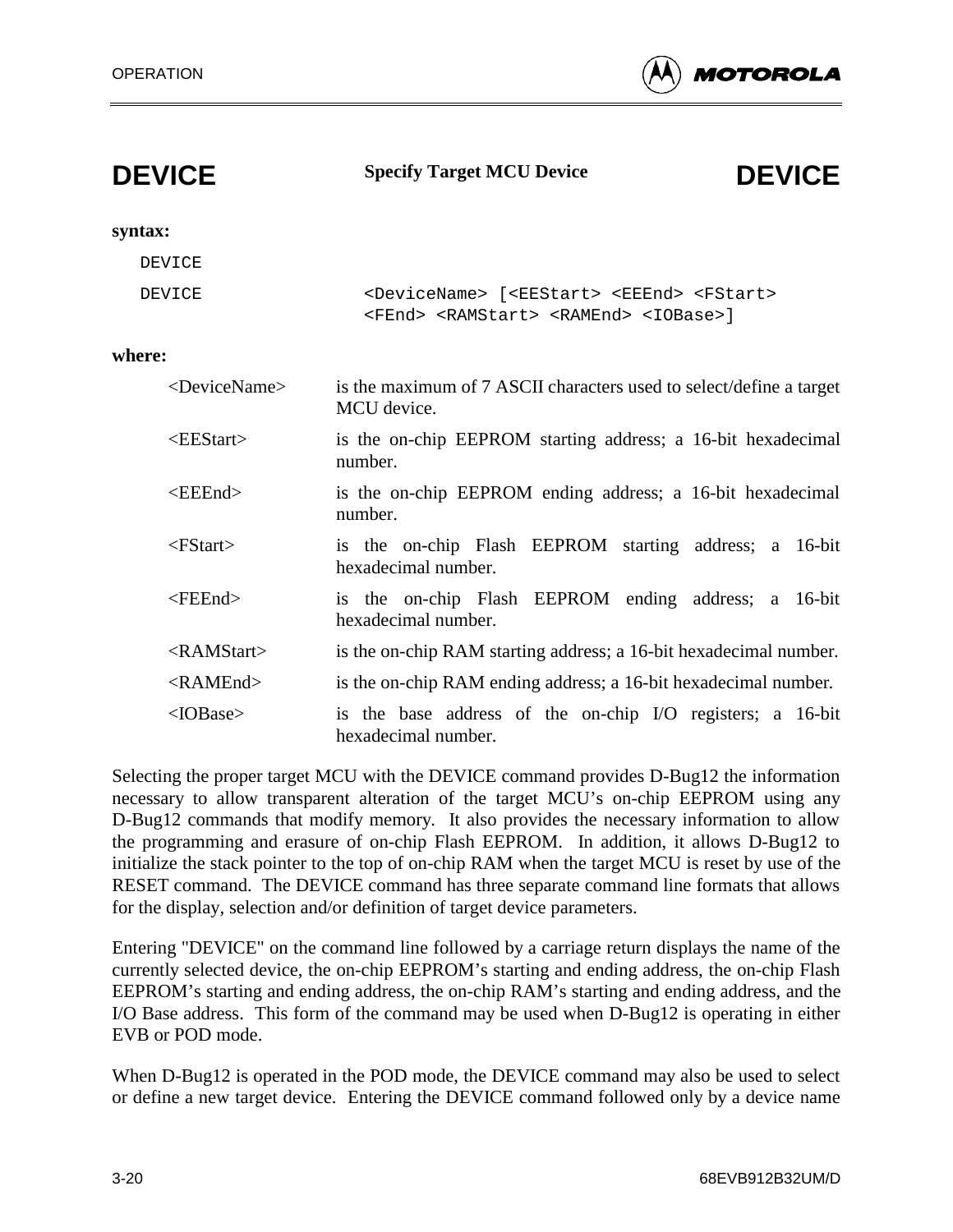

| <b>DEVICE</b>             | <b>Specify Target MCU Device</b><br><b>DEVICE</b>                                                                                                             |                                                                     |  |  |  |  |  |  |
|---------------------------|---------------------------------------------------------------------------------------------------------------------------------------------------------------|---------------------------------------------------------------------|--|--|--|--|--|--|
| syntax:                   |                                                                                                                                                               |                                                                     |  |  |  |  |  |  |
| DEVICE                    |                                                                                                                                                               |                                                                     |  |  |  |  |  |  |
| DEVICE                    | <devicename> [<eestart> <eeend> <fstart><br/><fend> <ramstart> <ramend> <iobase>]</iobase></ramend></ramstart></fend></fstart></eeend></eestart></devicename> |                                                                     |  |  |  |  |  |  |
| where:                    |                                                                                                                                                               |                                                                     |  |  |  |  |  |  |
| <devicename></devicename> | MCU device.                                                                                                                                                   | is the maximum of 7 ASCII characters used to select/define a target |  |  |  |  |  |  |
| $<$ EEStart $>$           | is the on-chip EEPROM starting address; a 16-bit hexadecimal<br>number.                                                                                       |                                                                     |  |  |  |  |  |  |
| $<$ EEEnd $>$             | is the on-chip EEPROM ending address; a 16-bit hexadecimal<br>number.                                                                                         |                                                                     |  |  |  |  |  |  |
| $<$ FStart $>$            | is the on-chip Flash EEPROM starting address; a 16-bit<br>hexadecimal number.                                                                                 |                                                                     |  |  |  |  |  |  |
| $<$ FEEnd $>$             | is the on-chip Flash EEPROM ending address; a 16-bit<br>hexadecimal number.                                                                                   |                                                                     |  |  |  |  |  |  |
| $<$ RAMStart $>$          | is the on-chip RAM starting address; a 16-bit hexadecimal number.                                                                                             |                                                                     |  |  |  |  |  |  |
| $<$ RAMEnd $>$            | is the on-chip RAM ending address; a 16-bit hexadecimal number.                                                                                               |                                                                     |  |  |  |  |  |  |
| <iobase></iobase>         | is the base address of the on-chip I/O registers; a 16-bit<br>hexadecimal number.                                                                             |                                                                     |  |  |  |  |  |  |

Selecting the proper target MCU with the DEVICE command provides D-Bug12 the information necessary to allow transparent alteration of the target MCU's on-chip EEPROM using any D-Bug12 commands that modify memory. It also provides the necessary information to allow the programming and erasure of on-chip Flash EEPROM. In addition, it allows D-Bug12 to initialize the stack pointer to the top of on-chip RAM when the target MCU is reset by use of the RESET command. The DEVICE command has three separate command line formats that allows for the display, selection and/or definition of target device parameters.

Entering "DEVICE" on the command line followed by a carriage return displays the name of the currently selected device, the on-chip EEPROM's starting and ending address, the on-chip Flash EEPROM's starting and ending address, the on-chip RAM's starting and ending address, and the I/O Base address. This form of the command may be used when D-Bug12 is operating in either EVB or POD mode.

When D-Bug12 is operated in the POD mode, the DEVICE command may also be used to select or define a new target device. Entering the DEVICE command followed only by a device name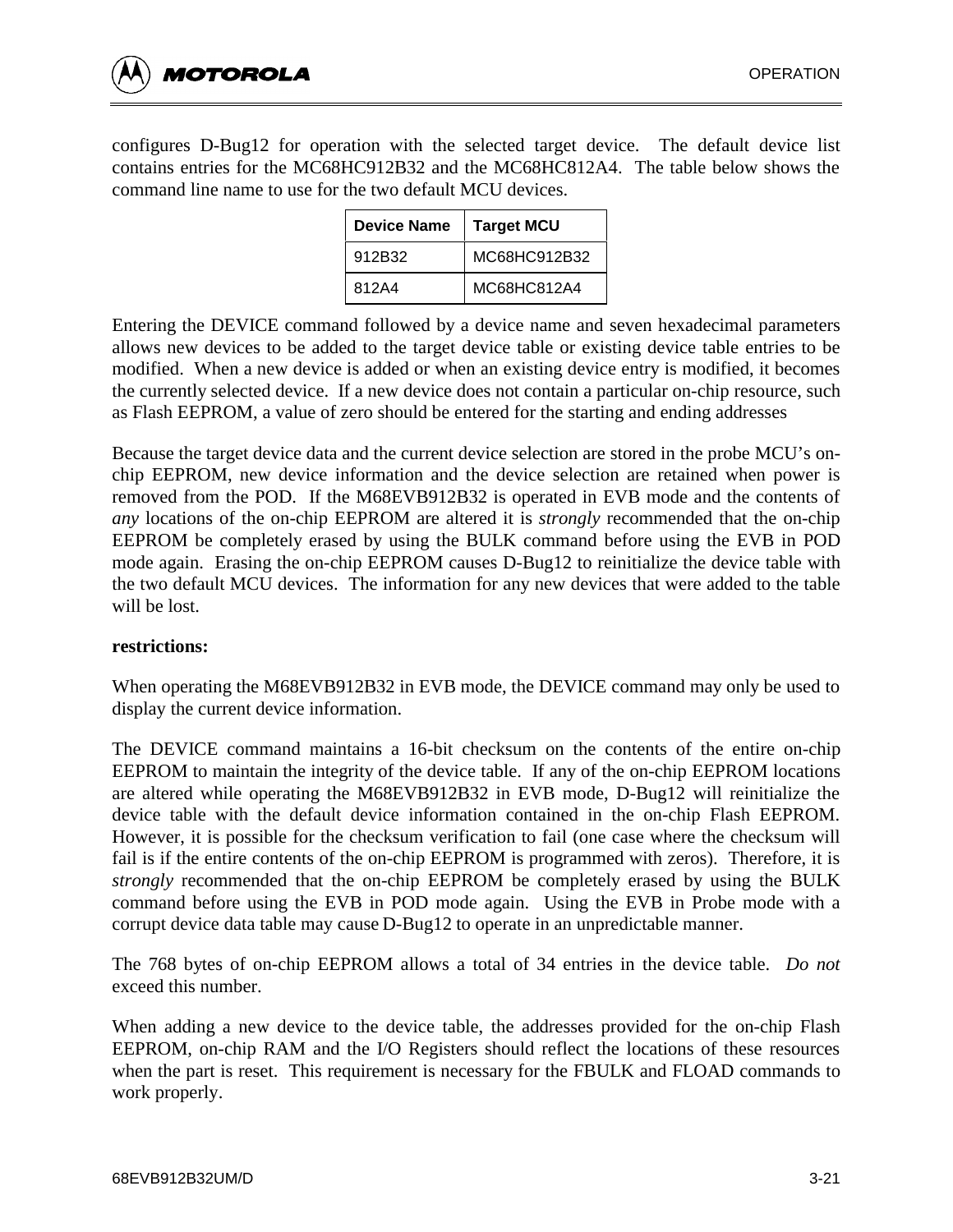configures D-Bug12 for operation with the selected target device. The default device list contains entries for the MC68HC912B32 and the MC68HC812A4. The table below shows the command line name to use for the two default MCU devices.

| <b>Device Name</b> | <b>Target MCU</b> |  |  |  |  |
|--------------------|-------------------|--|--|--|--|
| 912B32             | MC68HC912B32      |  |  |  |  |
| 812A4              | MC68HC812A4       |  |  |  |  |

Entering the DEVICE command followed by a device name and seven hexadecimal parameters allows new devices to be added to the target device table or existing device table entries to be modified. When a new device is added or when an existing device entry is modified, it becomes the currently selected device. If a new device does not contain a particular on-chip resource, such as Flash EEPROM, a value of zero should be entered for the starting and ending addresses

Because the target device data and the current device selection are stored in the probe MCU's onchip EEPROM, new device information and the device selection are retained when power is removed from the POD. If the M68EVB912B32 is operated in EVB mode and the contents of *any* locations of the on-chip EEPROM are altered it is *strongly* recommended that the on-chip EEPROM be completely erased by using the BULK command before using the EVB in POD mode again. Erasing the on-chip EEPROM causes D-Bug12 to reinitialize the device table with the two default MCU devices. The information for any new devices that were added to the table will be lost.

### **restrictions:**

When operating the M68EVB912B32 in EVB mode, the DEVICE command may only be used to display the current device information.

The DEVICE command maintains a 16-bit checksum on the contents of the entire on-chip EEPROM to maintain the integrity of the device table. If any of the on-chip EEPROM locations are altered while operating the M68EVB912B32 in EVB mode, D-Bug12 will reinitialize the device table with the default device information contained in the on-chip Flash EEPROM. However, it is possible for the checksum verification to fail (one case where the checksum will fail is if the entire contents of the on-chip EEPROM is programmed with zeros). Therefore, it is *strongly* recommended that the on-chip EEPROM be completely erased by using the BULK command before using the EVB in POD mode again. Using the EVB in Probe mode with a corrupt device data table may cause D-Bug12 to operate in an unpredictable manner.

The 768 bytes of on-chip EEPROM allows a total of 34 entries in the device table. *Do not* exceed this number.

When adding a new device to the device table, the addresses provided for the on-chip Flash EEPROM, on-chip RAM and the I/O Registers should reflect the locations of these resources when the part is reset. This requirement is necessary for the FBULK and FLOAD commands to work properly.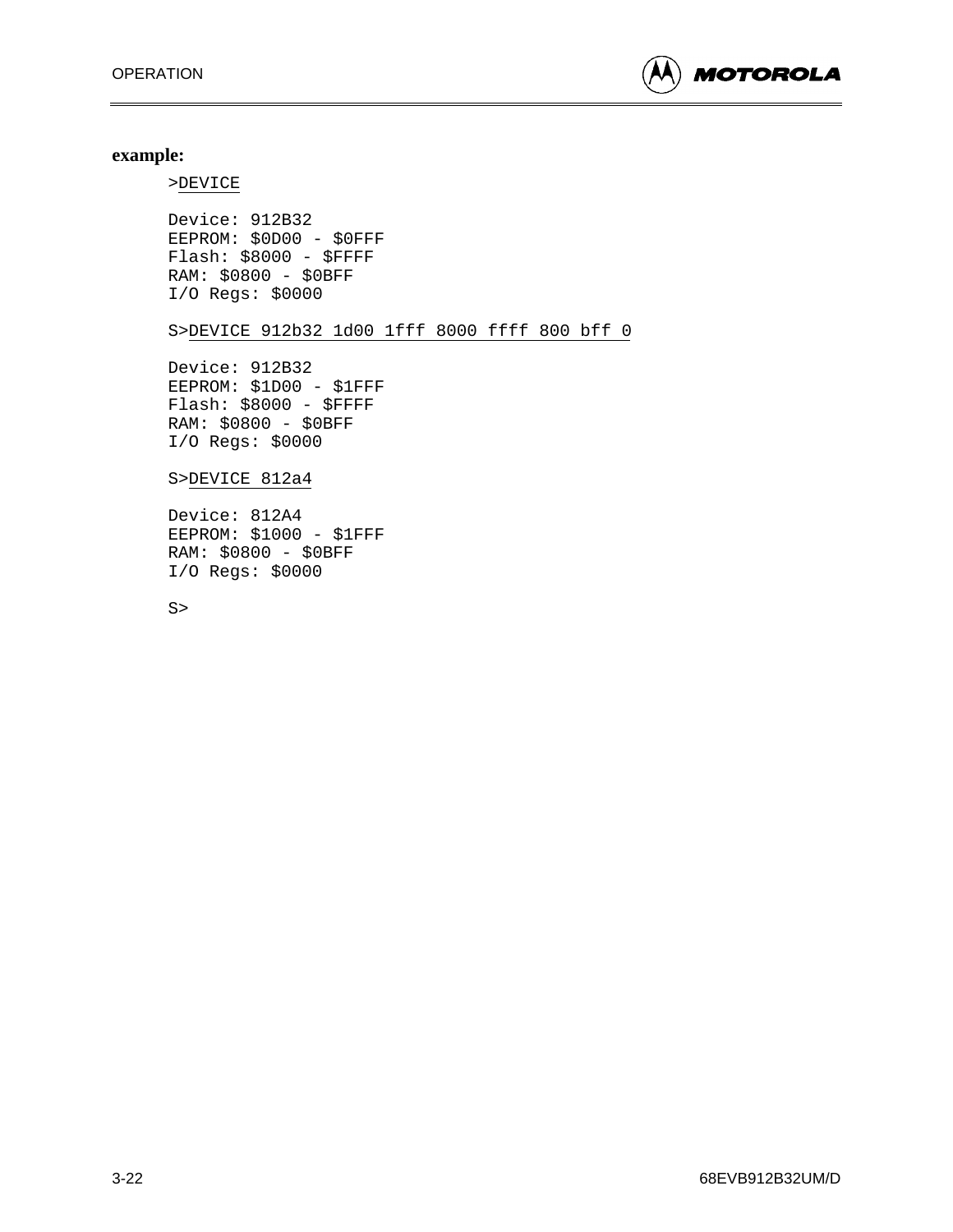

#### >DEVICE

Device: 912B32 EEPROM: \$0D00 - \$0FFF Flash: \$8000 - \$FFFF RAM: \$0800 - \$0BFF I/O Regs: \$0000

S>DEVICE 912b32 1d00 1fff 8000 ffff 800 bff 0

Device: 912B32 EEPROM: \$1D00 - \$1FFF Flash: \$8000 - \$FFFF RAM: \$0800 - \$0BFF I/O Regs: \$0000

#### S>DEVICE 812a4

Device: 812A4 EEPROM: \$1000 - \$1FFF RAM: \$0800 - \$0BFF I/O Regs: \$0000

S>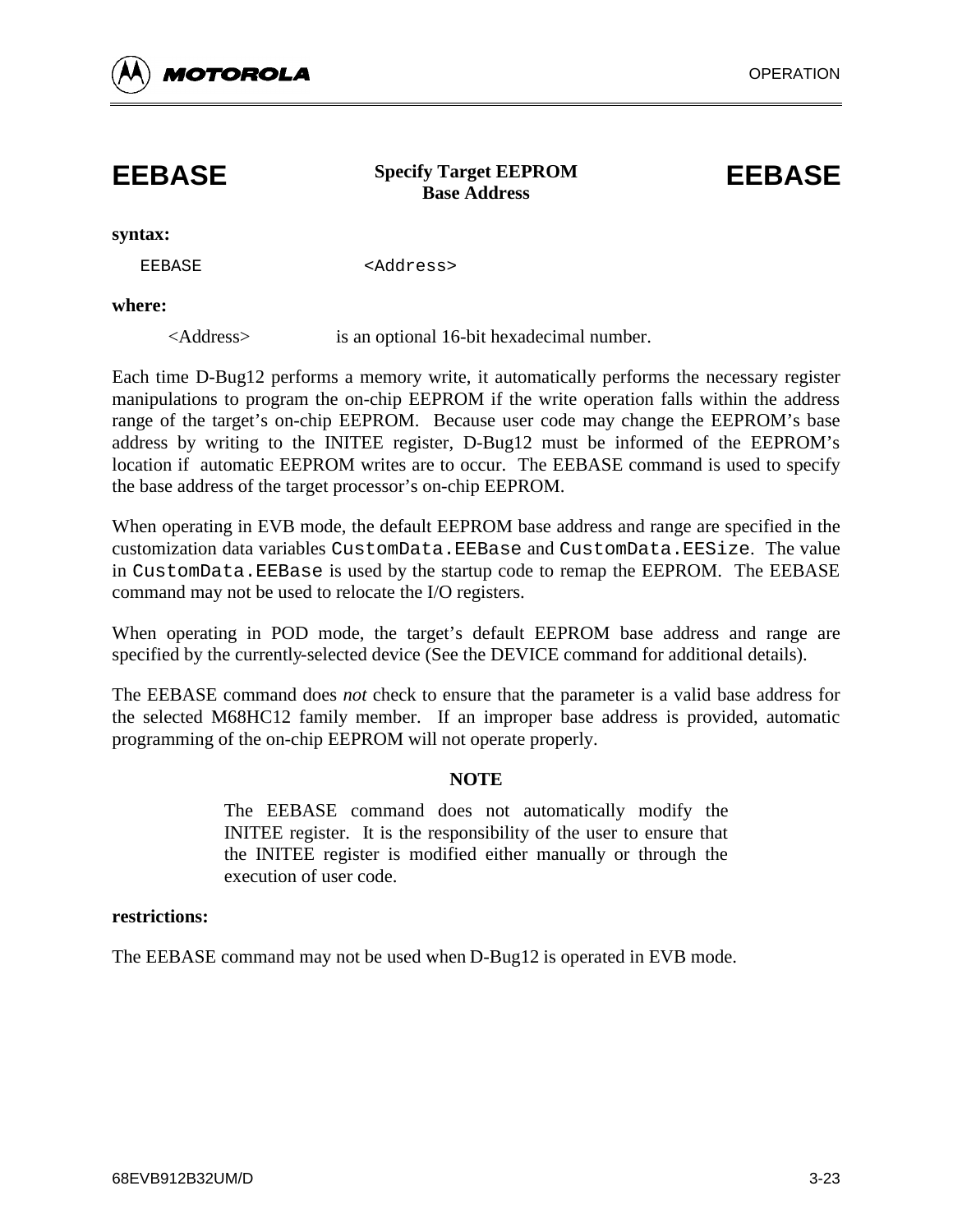

### **EEBASE Specify Target EEPROM Base Address**

# **EEBASE**

#### **syntax:**

EEBASE <Address>

#### **where:**

<Address> is an optional 16-bit hexadecimal number.

Each time D-Bug12 performs a memory write, it automatically performs the necessary register manipulations to program the on-chip EEPROM if the write operation falls within the address range of the target's on-chip EEPROM. Because user code may change the EEPROM's base address by writing to the INITEE register, D-Bug12 must be informed of the EEPROM's location if automatic EEPROM writes are to occur. The EEBASE command is used to specify the base address of the target processor's on-chip EEPROM.

When operating in EVB mode, the default EEPROM base address and range are specified in the customization data variables CustomData.EEBase and CustomData.EESize. The value in CustomData.EEBase is used by the startup code to remap the EEPROM. The EEBASE command may not be used to relocate the I/O registers.

When operating in POD mode, the target's default EEPROM base address and range are specified by the currently-selected device (See the DEVICE command for additional details).

The EEBASE command does *not* check to ensure that the parameter is a valid base address for the selected M68HC12 family member. If an improper base address is provided, automatic programming of the on-chip EEPROM will not operate properly.

### **NOTE**

The EEBASE command does not automatically modify the INITEE register. It is the responsibility of the user to ensure that the INITEE register is modified either manually or through the execution of user code.

#### **restrictions:**

The EEBASE command may not be used when D-Bug12 is operated in EVB mode.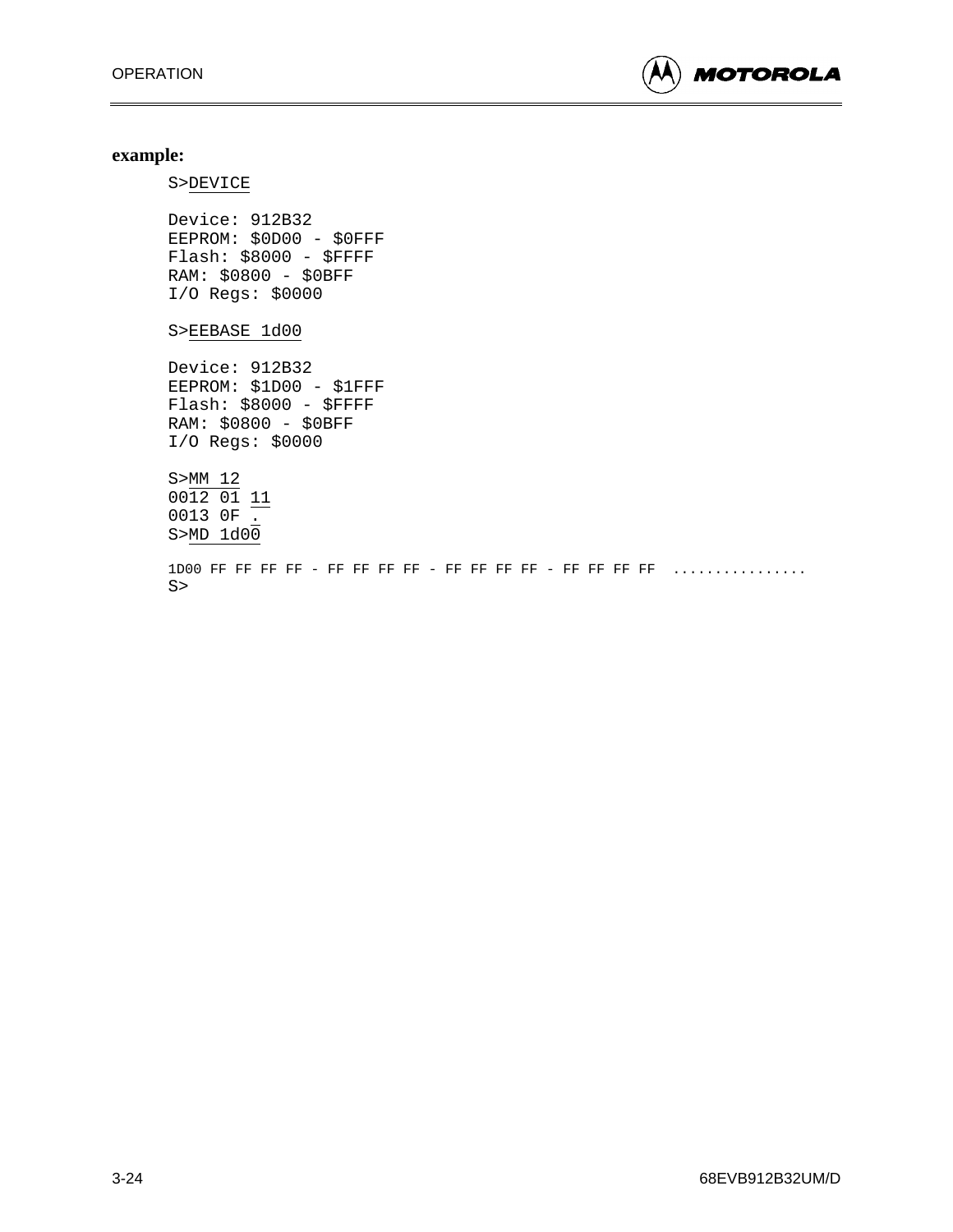

#### S>DEVICE

Device: 912B32 EEPROM: \$0D00 - \$0FFF Flash: \$8000 - \$FFFF RAM: \$0800 - \$0BFF I/O Regs: \$0000

S>EEBASE 1d00

Device: 912B32 EEPROM: \$1D00 - \$1FFF Flash: \$8000 - \$FFFF RAM: \$0800 - \$0BFF I/O Regs: \$0000

S>MM 12 0012 01 11  $0013$  OF  $\frac{1}{100}$ S>MD 1d00

1D00 FF FF FF FF - FF FF FF FF - FF FF FF FF - FF FF FF FF ................ S>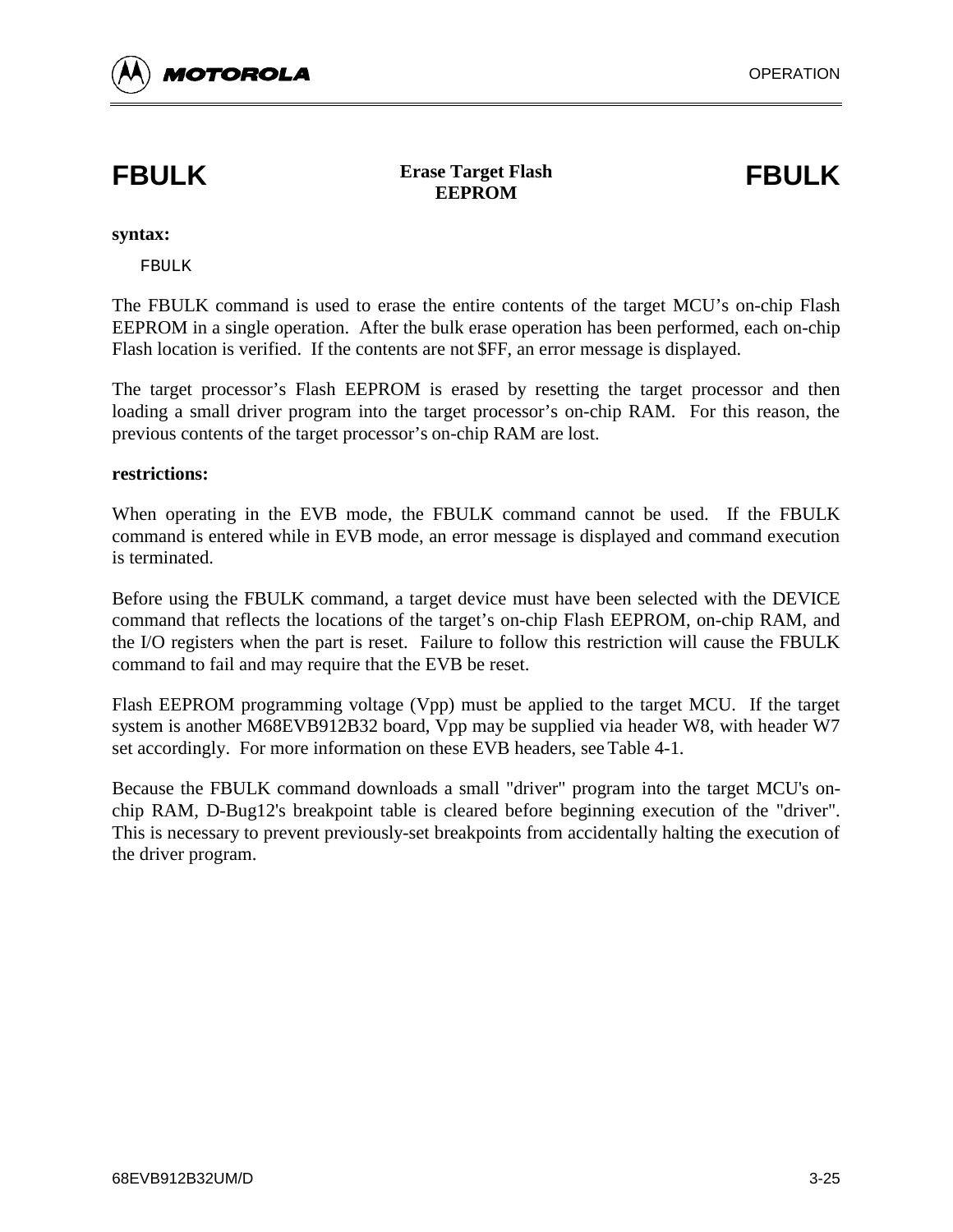

**FBULK Erase Target Flash EEPROM**

# **FBULK**

#### **syntax:**

FBULK

The FBULK command is used to erase the entire contents of the target MCU's on-chip Flash EEPROM in a single operation. After the bulk erase operation has been performed, each on-chip Flash location is verified. If the contents are not \$FF, an error message is displayed.

The target processor's Flash EEPROM is erased by resetting the target processor and then loading a small driver program into the target processor's on-chip RAM. For this reason, the previous contents of the target processor's on-chip RAM are lost.

#### **restrictions:**

When operating in the EVB mode, the FBULK command cannot be used. If the FBULK command is entered while in EVB mode, an error message is displayed and command execution is terminated.

Before using the FBULK command, a target device must have been selected with the DEVICE command that reflects the locations of the target's on-chip Flash EEPROM, on-chip RAM, and the I/O registers when the part is reset. Failure to follow this restriction will cause the FBULK command to fail and may require that the EVB be reset.

Flash EEPROM programming voltage (Vpp) must be applied to the target MCU. If the target system is another M68EVB912B32 board, Vpp may be supplied via header W8, with header W7 set accordingly. For more information on these EVB headers, see Table 4-1.

Because the FBULK command downloads a small "driver" program into the target MCU's onchip RAM, D-Bug12's breakpoint table is cleared before beginning execution of the "driver". This is necessary to prevent previously-set breakpoints from accidentally halting the execution of the driver program.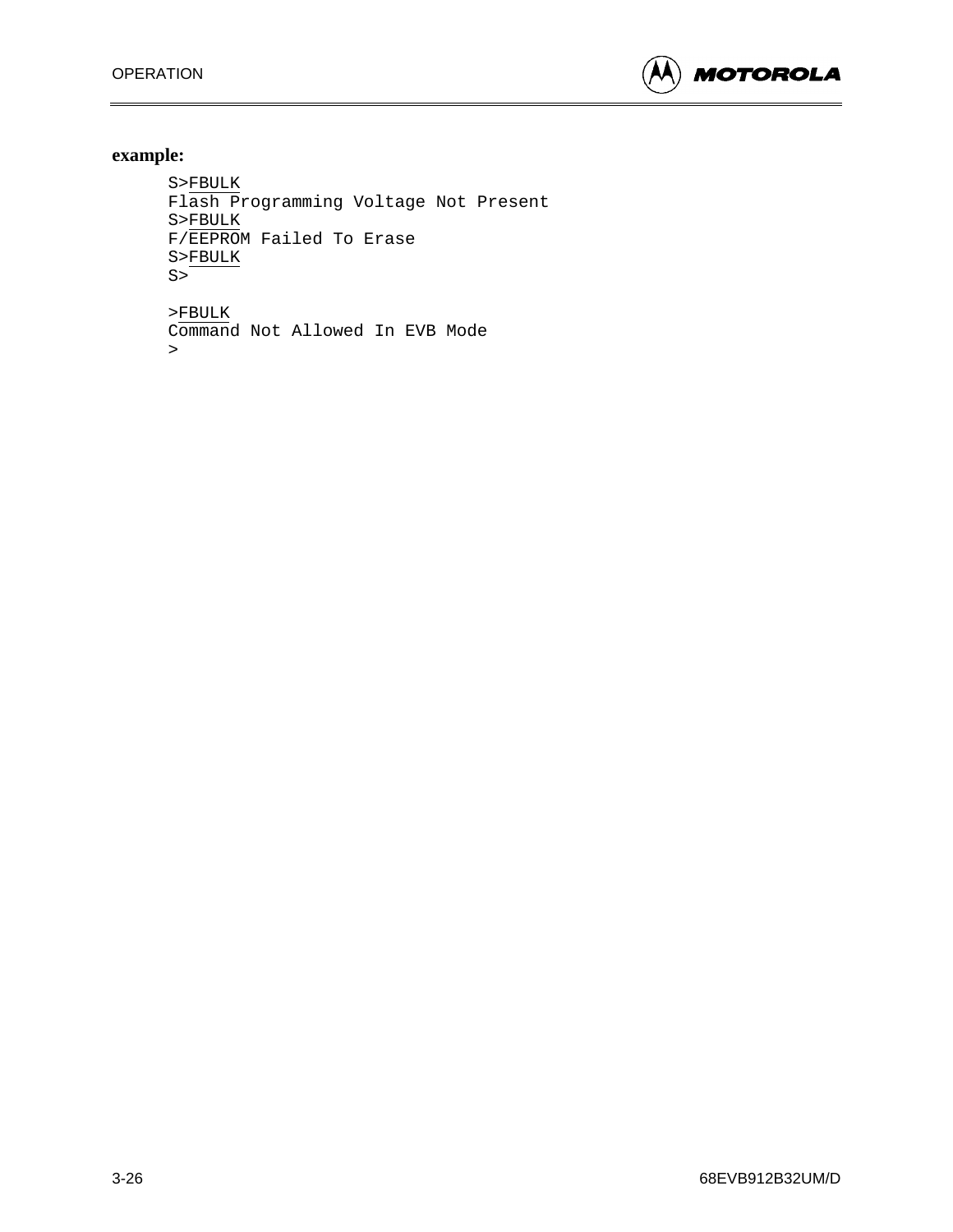

```
S>FBULK
Flash Programming Voltage Not Present
S>FBULK
F/EEPROM Failed To Erase
S>FBULK
S>
>FBULK
Command Not Allowed In EVB Mode
\geq
```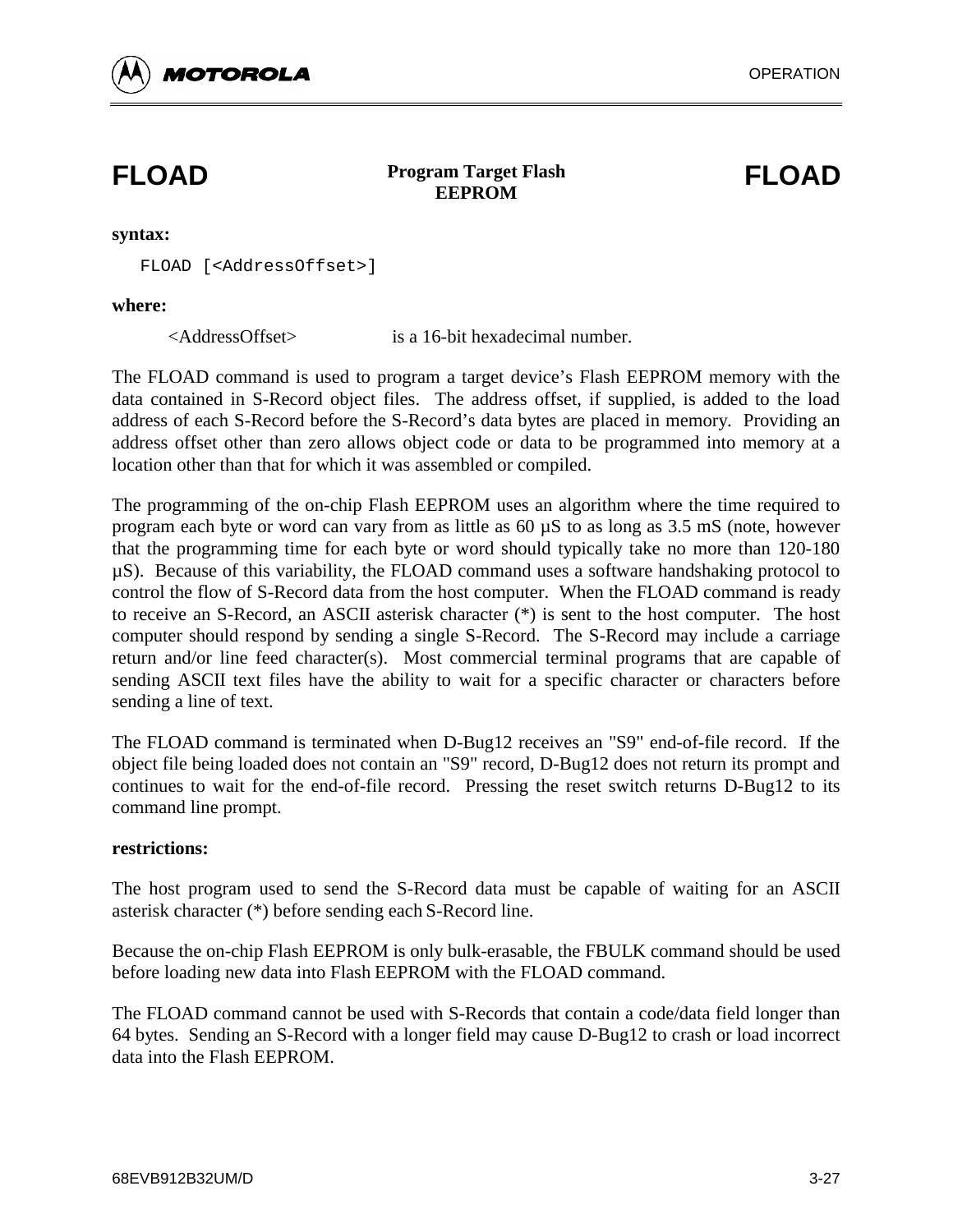

**FLOAD Program Target Flash EEPROM**

# **FLOAD**

#### **syntax:**

FLOAD [<AddressOffset>]

#### **where:**

<AddressOffset> is a 16-bit hexadecimal number.

The FLOAD command is used to program a target device's Flash EEPROM memory with the data contained in S-Record object files. The address offset, if supplied, is added to the load address of each S-Record before the S-Record's data bytes are placed in memory. Providing an address offset other than zero allows object code or data to be programmed into memory at a location other than that for which it was assembled or compiled.

The programming of the on-chip Flash EEPROM uses an algorithm where the time required to program each byte or word can vary from as little as 60 µS to as long as 3.5 mS (note, however that the programming time for each byte or word should typically take no more than 120-180 µS). Because of this variability, the FLOAD command uses a software handshaking protocol to control the flow of S-Record data from the host computer. When the FLOAD command is ready to receive an S-Record, an ASCII asterisk character (\*) is sent to the host computer. The host computer should respond by sending a single S-Record. The S-Record may include a carriage return and/or line feed character(s). Most commercial terminal programs that are capable of sending ASCII text files have the ability to wait for a specific character or characters before sending a line of text.

The FLOAD command is terminated when D-Bug12 receives an "S9" end-of-file record. If the object file being loaded does not contain an "S9" record, D-Bug12 does not return its prompt and continues to wait for the end-of-file record. Pressing the reset switch returns D-Bug12 to its command line prompt.

### **restrictions:**

The host program used to send the S-Record data must be capable of waiting for an ASCII asterisk character (\*) before sending each S-Record line.

Because the on-chip Flash EEPROM is only bulk-erasable, the FBULK command should be used before loading new data into Flash EEPROM with the FLOAD command.

The FLOAD command cannot be used with S-Records that contain a code/data field longer than 64 bytes. Sending an S-Record with a longer field may cause D-Bug12 to crash or load incorrect data into the Flash EEPROM.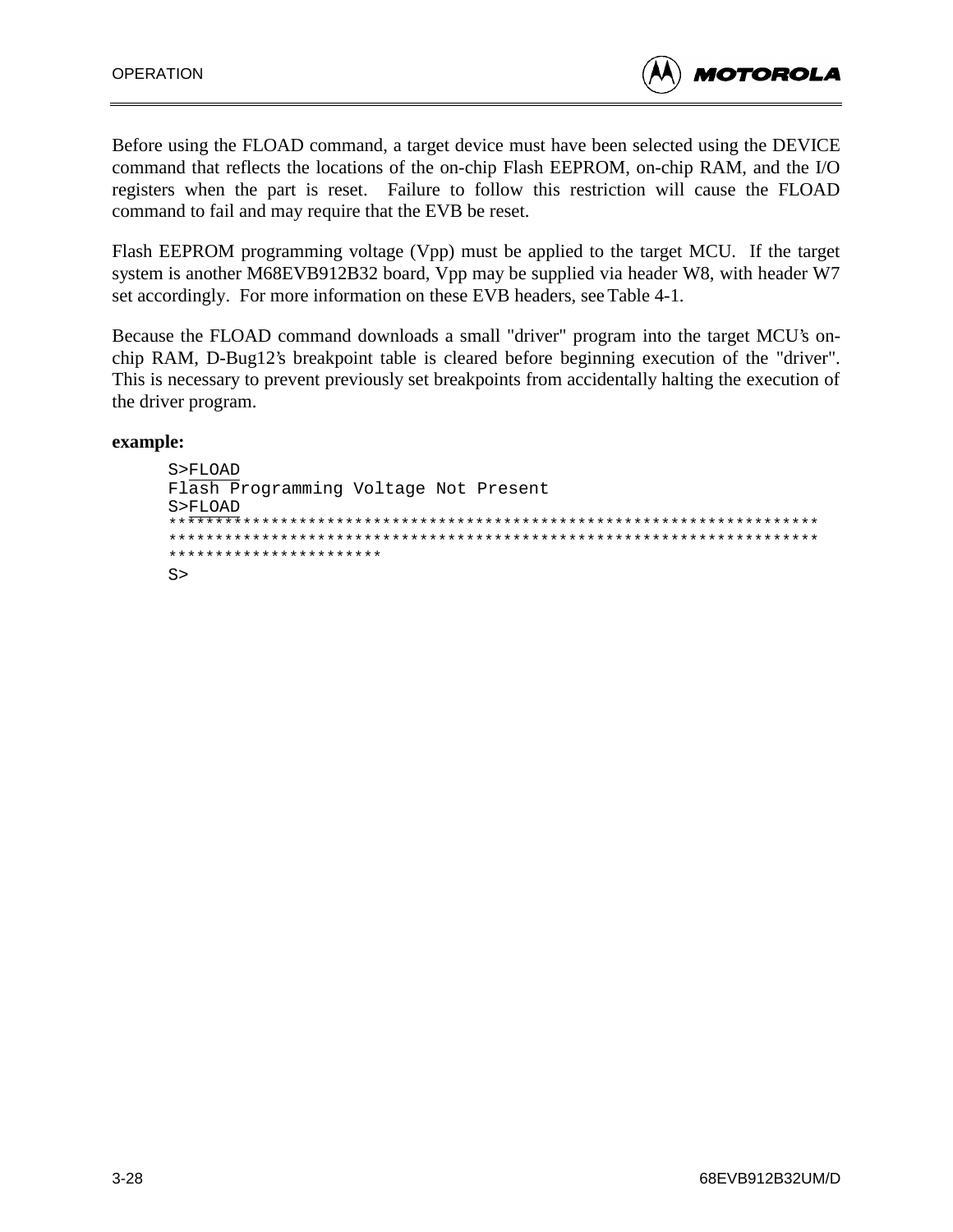Before using the FLOAD command, a target device must have been selected using the DEVICE command that reflects the locations of the on-chip Flash EEPROM, on-chip RAM, and the I/O registers when the part is reset. Failure to follow this restriction will cause the FLOAD command to fail and may require that the EVB be reset.

Flash EEPROM programming voltage (Vpp) must be applied to the target MCU. If the target system is another M68EVB912B32 board, Vpp may be supplied via header W8, with header W7 set accordingly. For more information on these EVB headers, see Table 4-1.

Because the FLOAD command downloads a small "driver" program into the target MCU's onchip RAM, D-Bug12's breakpoint table is cleared before beginning execution of the "driver". This is necessary to prevent previously set breakpoints from accidentally halting the execution of the driver program.

```
S>FLOAD
Flash Programming Voltage Not Present
S>FLOAD
**********************************************************************
**********************************************************************
***********************
S>
```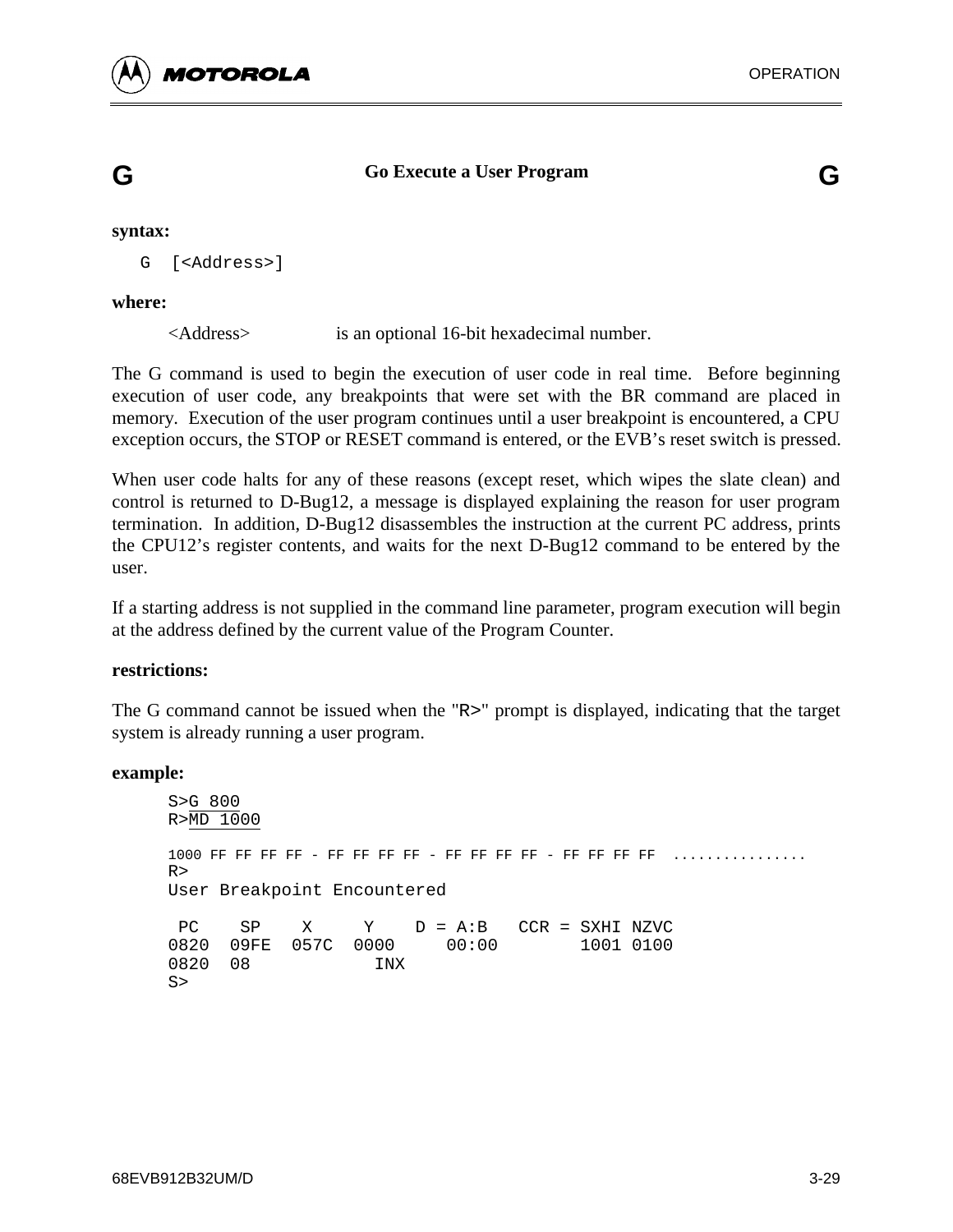

### **G Go Execute a User Program G**

### **syntax:**

G [<Address>]

#### **where:**

<Address> is an optional 16-bit hexadecimal number.

The G command is used to begin the execution of user code in real time. Before beginning execution of user code, any breakpoints that were set with the BR command are placed in memory. Execution of the user program continues until a user breakpoint is encountered, a CPU exception occurs, the STOP or RESET command is entered, or the EVB's reset switch is pressed.

When user code halts for any of these reasons (except reset, which wipes the slate clean) and control is returned to D-Bug12, a message is displayed explaining the reason for user program termination. In addition, D-Bug12 disassembles the instruction at the current PC address, prints the CPU12's register contents, and waits for the next D-Bug12 command to be entered by the user.

If a starting address is not supplied in the command line parameter, program execution will begin at the address defined by the current value of the Program Counter.

### **restrictions:**

The G command cannot be issued when the "R>" prompt is displayed, indicating that the target system is already running a user program.

```
S>G 800
R>MD 1000
1000 FF FF FF FF - FF FF FF FF - FF FF FF FF - FF FF FF FF ................
R>User Breakpoint Encountered
 PC SP X Y D = A:B CCR = SXHI NZVC
0820 09FE 057C 0000 00:00 1001 0100
0820 08 INX
S
```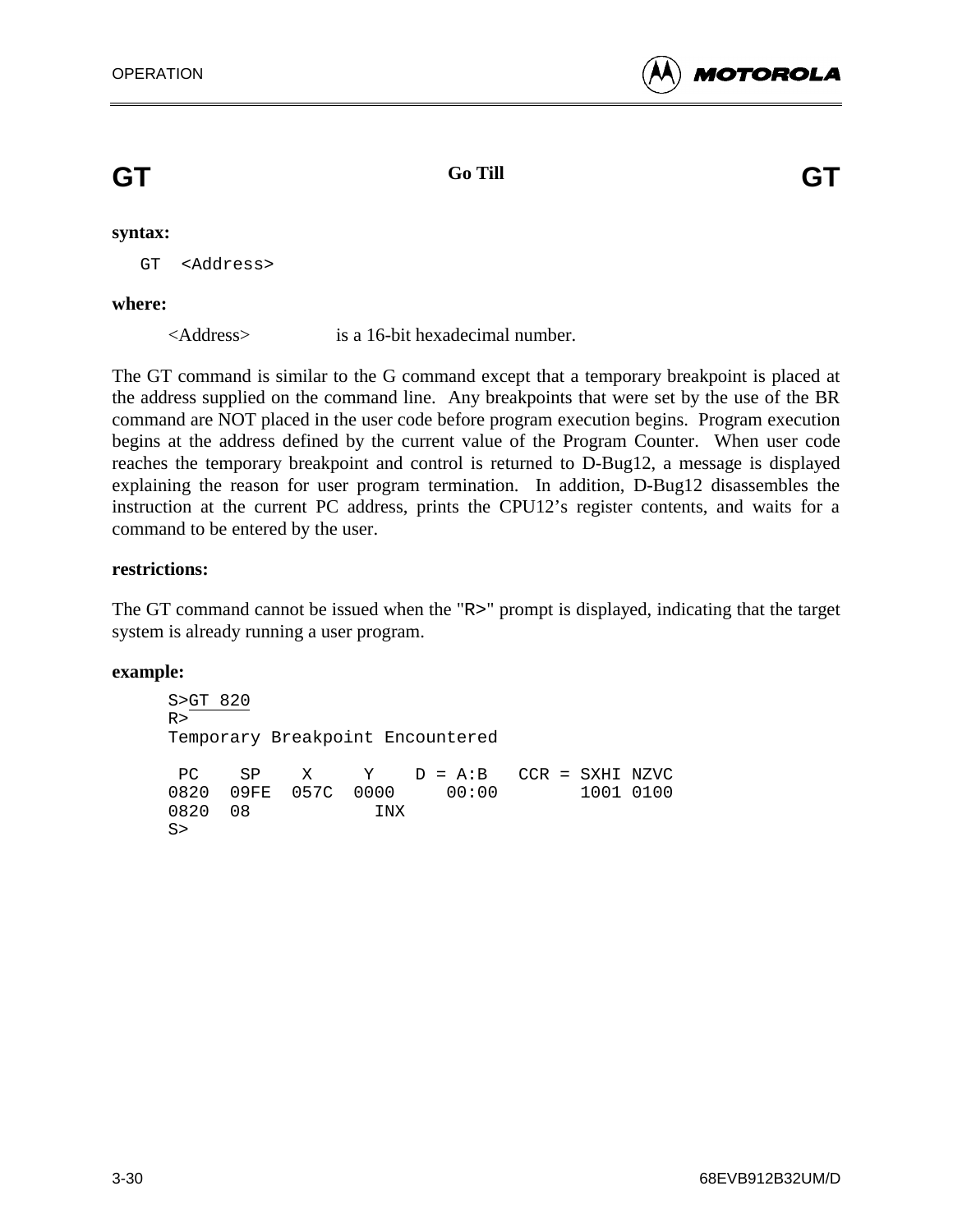# **GT Go Till GT**

#### **syntax:**

GT <Address>

#### **where:**

<Address> is a 16-bit hexadecimal number.

The GT command is similar to the G command except that a temporary breakpoint is placed at the address supplied on the command line. Any breakpoints that were set by the use of the BR command are NOT placed in the user code before program execution begins. Program execution begins at the address defined by the current value of the Program Counter. When user code reaches the temporary breakpoint and control is returned to D-Bug12, a message is displayed explaining the reason for user program termination. In addition, D-Bug12 disassembles the instruction at the current PC address, prints the CPU12's register contents, and waits for a command to be entered by the user.

#### **restrictions:**

The GT command cannot be issued when the "R>" prompt is displayed, indicating that the target system is already running a user program.

```
S>GT 820
RTemporary Breakpoint Encountered
 PC SP X Y D = A:B CCR = SXHI NZVC
0820 09FE 057C 0000 00:00 1001 0100
0820 08 INX
S
```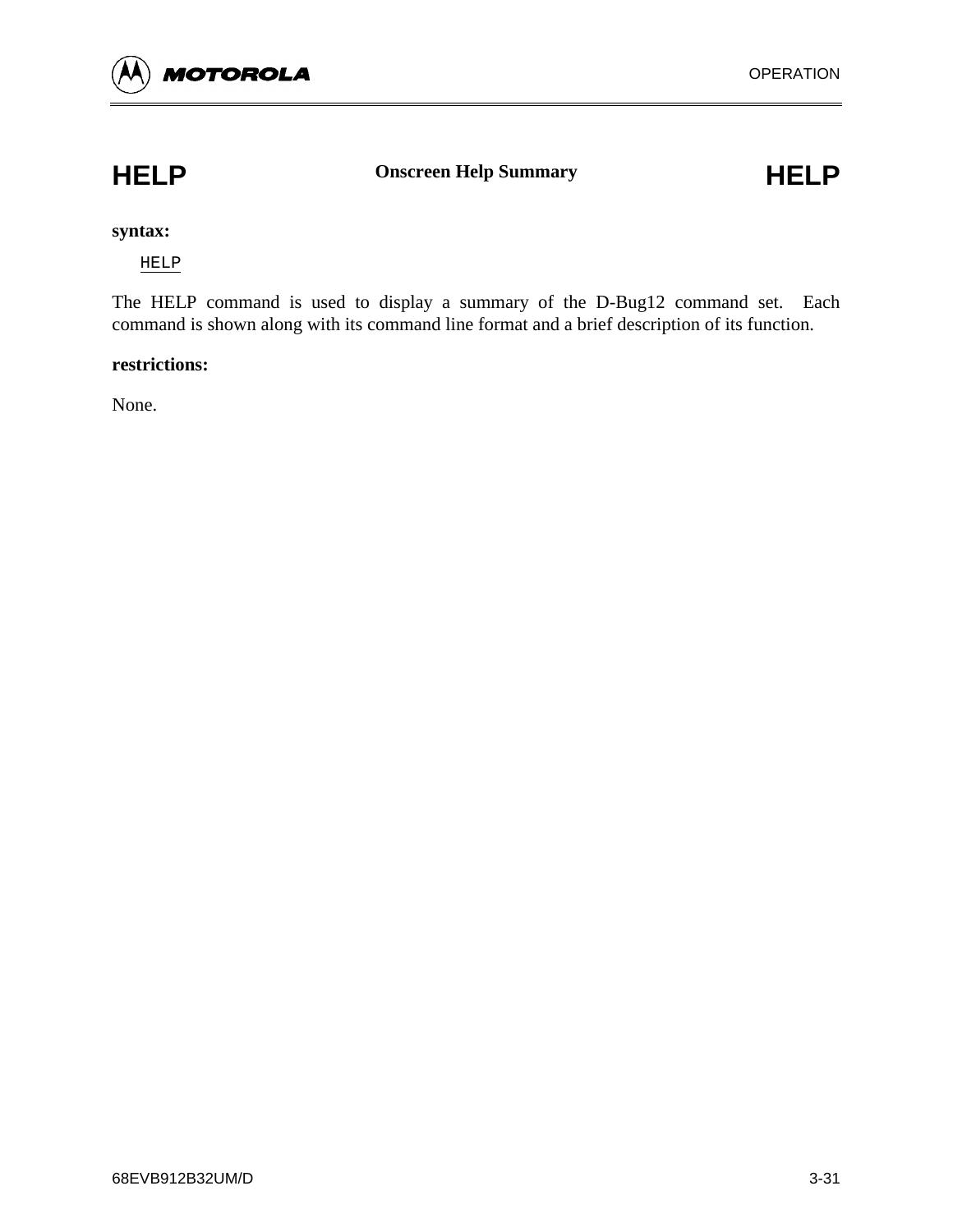

**HELP Onscreen Help Summary HELP** 

### **syntax:**

HELP

The HELP command is used to display a summary of the D-Bug12 command set. Each command is shown along with its command line format and a brief description of its function.

### **restrictions:**

None.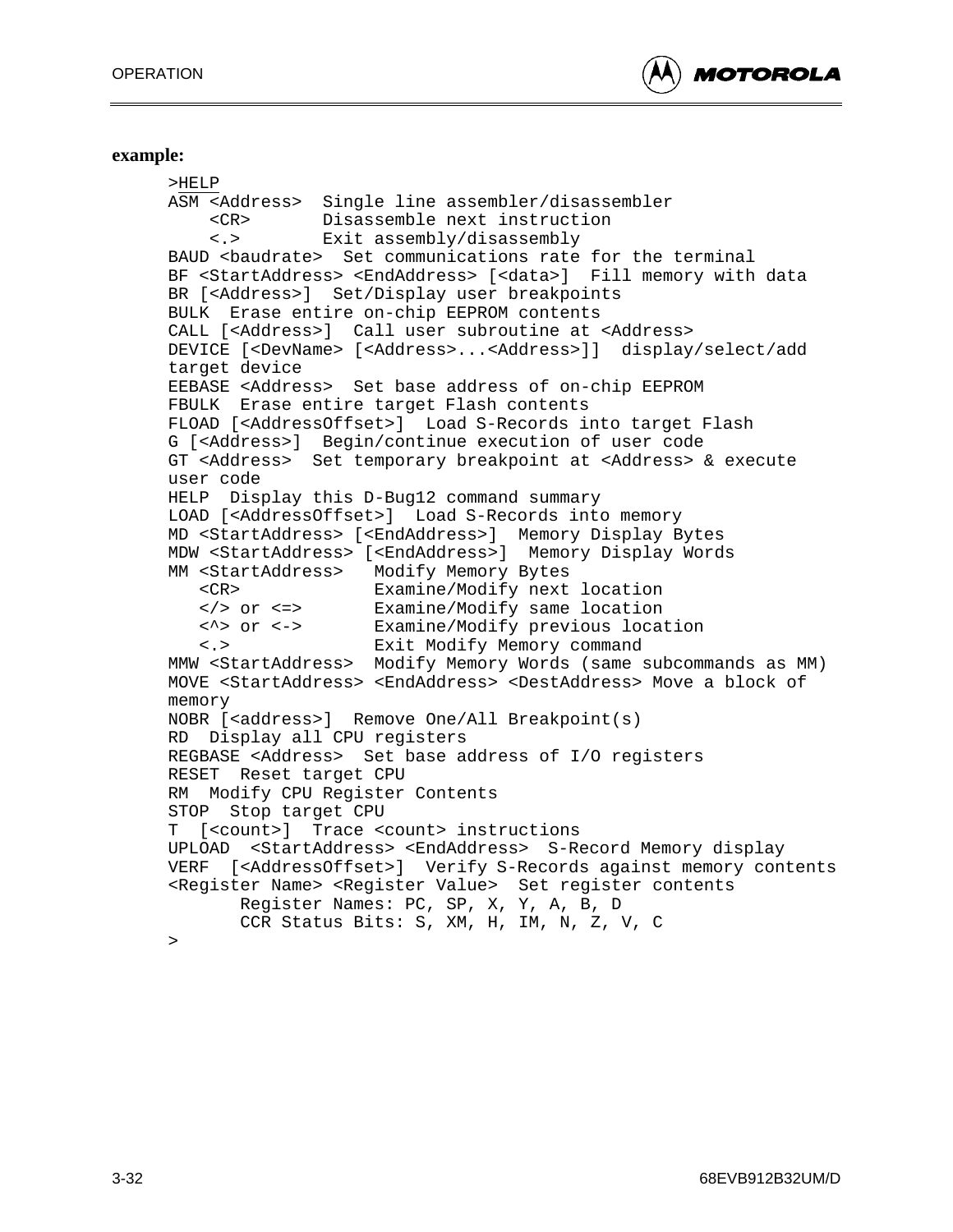

>HELP ASM <Address> Single line assembler/disassembler <CR> Disassemble next instruction<br>
> > Pyit assembly/disassembly <.> Exit assembly/disassembly BAUD <br/>baudrate> Set communications rate for the terminal BF <StartAddress> <EndAddress> [<data>] Fill memory with data BR [<Address>] Set/Display user breakpoints BULK Erase entire on-chip EEPROM contents CALL [<Address>] Call user subroutine at <Address> DEVICE [<DevName> [<Address>...<Address>]] display/select/add target device EEBASE <Address> Set base address of on-chip EEPROM FBULK Erase entire target Flash contents FLOAD [<AddressOffset>] Load S-Records into target Flash G [<Address>] Begin/continue execution of user code GT <Address> Set temporary breakpoint at <Address> & execute user code HELP Display this D-Bug12 command summary LOAD [<AddressOffset>] Load S-Records into memory MD <StartAddress> [<EndAddress>] Memory Display Bytes MDW <StartAddress> [<EndAddress>] Memory Display Words MM <StartAddress> Modify Memory Bytes <CR> Examine/Modify next location </> or <=> Examine/Modify same location <^> or <-> Examine/Modify previous location <.> Exit Modify Memory command MMW <StartAddress> Modify Memory Words (same subcommands as MM) MOVE <StartAddress> <EndAddress> <DestAddress> Move a block of memory NOBR [<address>] Remove One/All Breakpoint(s) RD Display all CPU registers REGBASE <Address> Set base address of I/O registers RESET Reset target CPU RM Modify CPU Register Contents STOP Stop target CPU T [<count>] Trace <count> instructions UPLOAD <StartAddress> <EndAddress> S-Record Memory display VERF [<AddressOffset>] Verify S-Records against memory contents <Register Name> <Register Value> Set register contents Register Names: PC, SP, X, Y, A, B, D CCR Status Bits: S, XM, H, IM, N, Z, V, C

>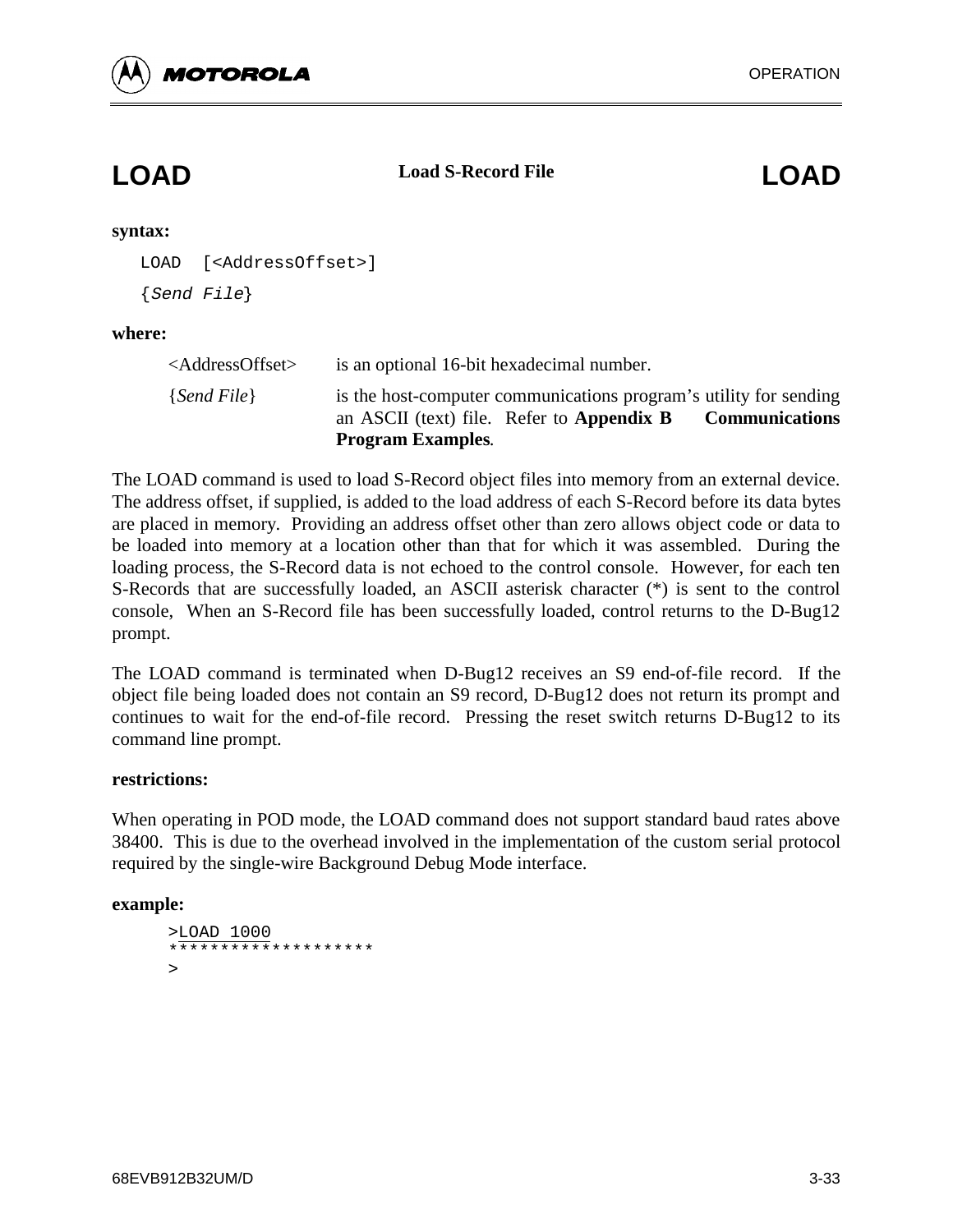

**LOAD Load S-Record File LOAD**

#### **syntax:**

```
LOAD [<AddressOffset>]
```
{Send File}

### **where:**

|                                 | <b>Program Examples.</b>                                          |
|---------------------------------|-------------------------------------------------------------------|
|                                 | an ASCII (text) file. Refer to Appendix $B -$ Communications      |
| $\{Send\ File\}$                | is the host-computer communications program's utility for sending |
| <addressoffset></addressoffset> | is an optional 16-bit hexadecimal number.                         |

The LOAD command is used to load S-Record object files into memory from an external device. The address offset, if supplied, is added to the load address of each S-Record before its data bytes are placed in memory. Providing an address offset other than zero allows object code or data to be loaded into memory at a location other than that for which it was assembled. During the loading process, the S-Record data is not echoed to the control console. However, for each ten S-Records that are successfully loaded, an ASCII asterisk character (\*) is sent to the control console, When an S-Record file has been successfully loaded, control returns to the D-Bug12 prompt.

The LOAD command is terminated when D-Bug12 receives an S9 end-of-file record. If the object file being loaded does not contain an S9 record, D-Bug12 does not return its prompt and continues to wait for the end-of-file record. Pressing the reset switch returns D-Bug12 to its command line prompt.

### **restrictions:**

When operating in POD mode, the LOAD command does not support standard baud rates above 38400. This is due to the overhead involved in the implementation of the custom serial protocol required by the single-wire Background Debug Mode interface.

```
>LOAD 1000
********************
>
```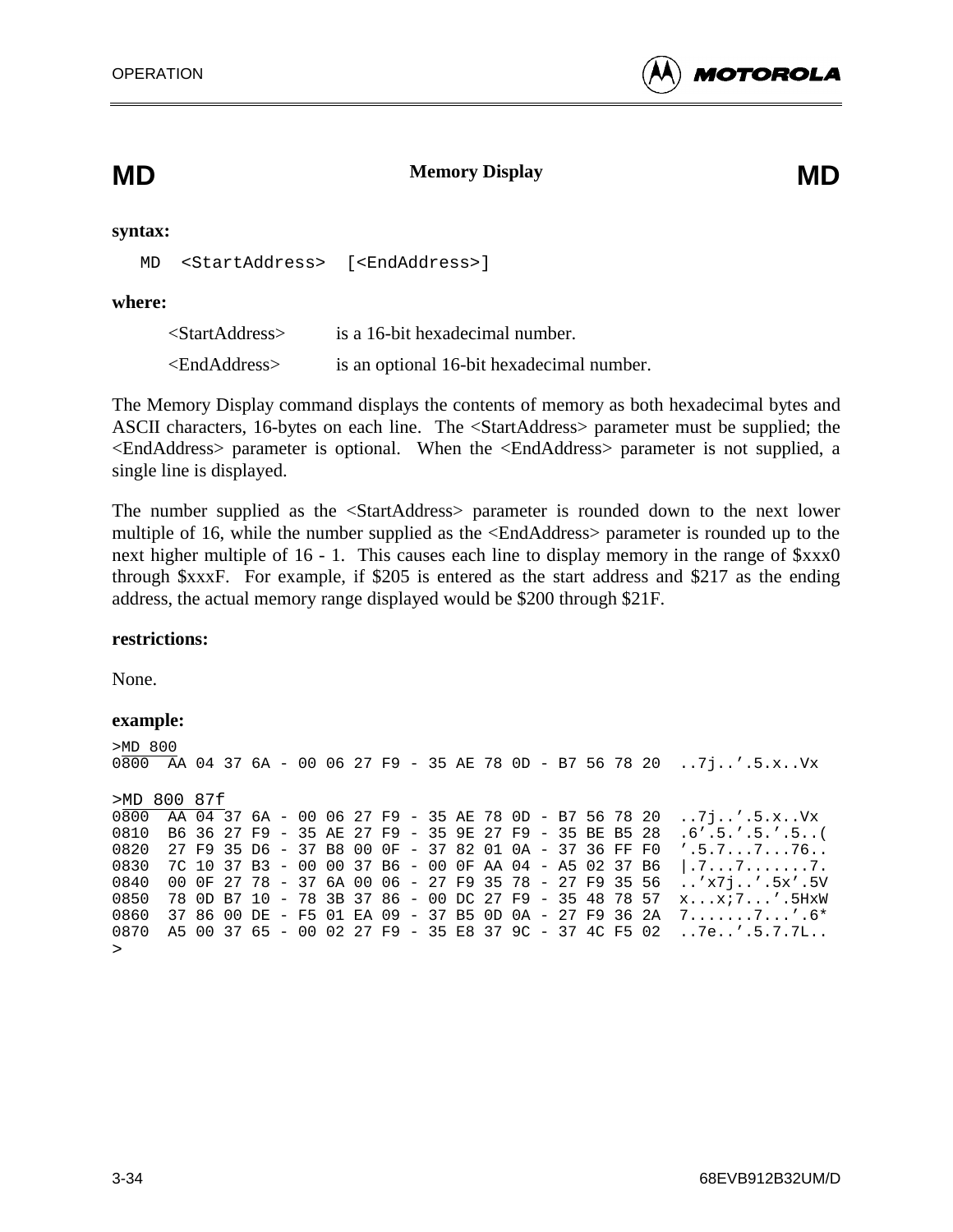

### **MD Memory Display MD**

# **syntax:**

MD <StartAddress> [<EndAddress>]

#### **where:**

| <startaddress></startaddress> | is a 16-bit hexadecimal number.           |
|-------------------------------|-------------------------------------------|
| <endaddress></endaddress>     | is an optional 16-bit hexadecimal number. |

The Memory Display command displays the contents of memory as both hexadecimal bytes and ASCII characters, 16-bytes on each line. The <StartAddress> parameter must be supplied; the <EndAddress> parameter is optional. When the <EndAddress> parameter is not supplied, a single line is displayed.

The number supplied as the <StartAddress> parameter is rounded down to the next lower multiple of 16, while the number supplied as the <EndAddress> parameter is rounded up to the next higher multiple of 16 - 1. This causes each line to display memory in the range of  $xxx0$ through \$xxxF. For example, if \$205 is entered as the start address and \$217 as the ending address, the actual memory range displayed would be \$200 through \$21F.

#### **restrictions:**

None.

```
>MD 800
0800 AA 04 37 6A - 00 06 27 F9 - 35 AE 78 0D - B7 56 78 20 ..7j..'.5.x..Vx
>MD 800 87f
0800 AA 04 37 6A - 00 06 27 F9 - 35 AE 78 0D - B7 56 78 20 ..7j..'.5.x..Vx
0810 B6 36 27 F9 - 35 AE 27 F9 - 35 9E 27 F9 - 35 BE B5 28 .6'.5.'.5.'.5..(
0820 27 F9 35 D6 - 37 B8 00 OF - 37 82 01 OA - 37 36 FF F0 '.5.7...7...76..
0830 7C 10 37 B3 - 00 00 37 B6 - 00 0F AA 04 - A5 02 37 B6 | .7...7........7.
0840 00 0F 27 78 - 37 6A 00 06 - 27 F9 35 78 - 27 F9 35 56 ..'x7j..'.5x'.5V
0850 78 0D B7 10 - 78 3B 37 86 - 00 DC 27 F9 - 35 48 78 57 x...x;7...'.5HxW
0860 37 86 00 DE - F5 01 EA 09 - 37 B5 0D 0A - 27 F9 36 2A 7.......7...'.6*
0870 A5 00 37 65 - 00 02 27 F9 - 35 E8 37 9C - 37 4C F5 02 ..7e..'.5.7.7L..
\overline{\phantom{a}}
```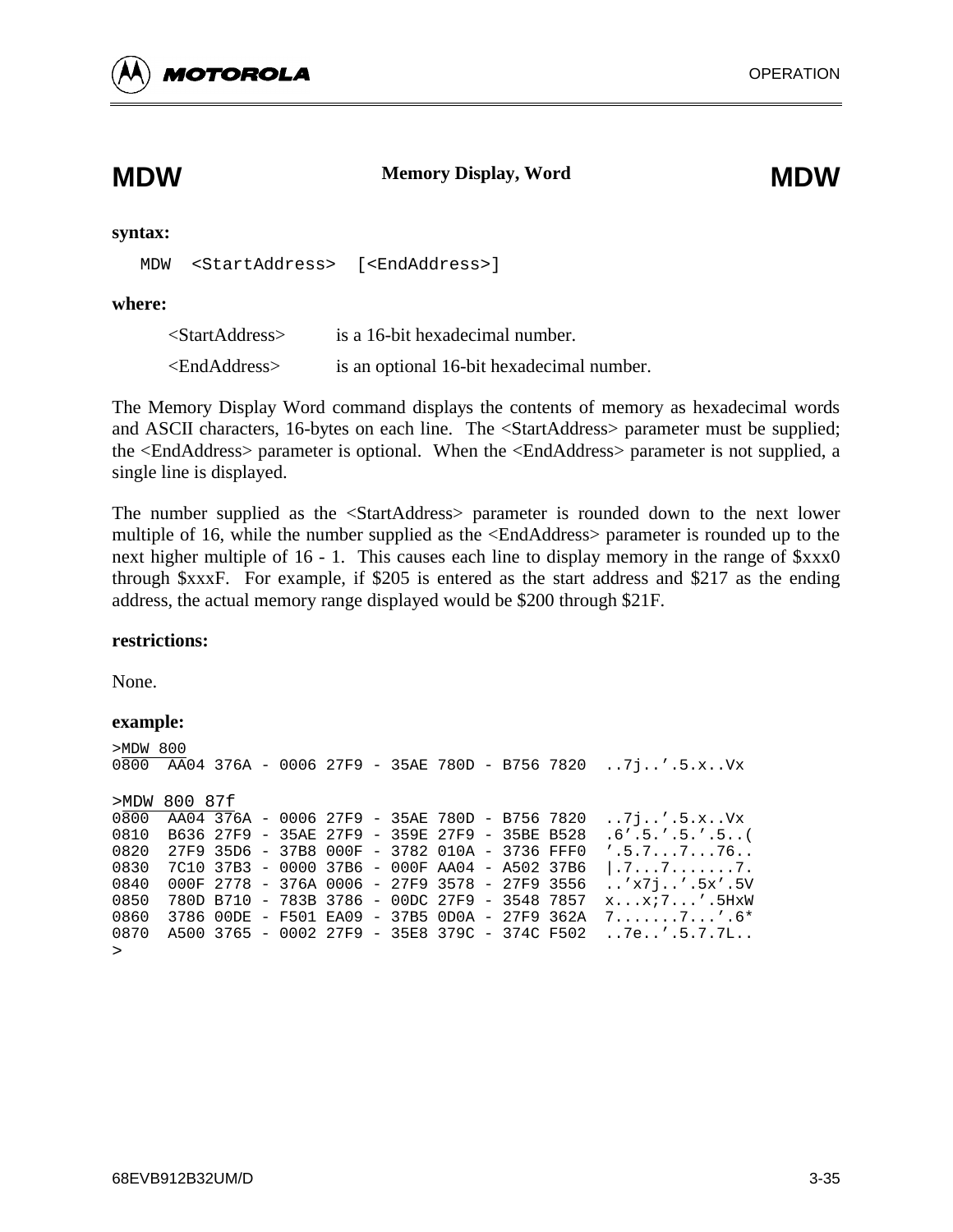

### **MDW Memory Display, Word MDW**

#### **syntax:**

MDW <StartAddress> [<EndAddress>]

**where:**

| <startaddress></startaddress> | is a 16-bit hexadecimal number.           |
|-------------------------------|-------------------------------------------|
| <endaddress></endaddress>     | is an optional 16-bit hexadecimal number. |

The Memory Display Word command displays the contents of memory as hexadecimal words and ASCII characters, 16-bytes on each line. The <StartAddress> parameter must be supplied; the <EndAddress> parameter is optional. When the <EndAddress> parameter is not supplied, a single line is displayed.

The number supplied as the <StartAddress> parameter is rounded down to the next lower multiple of 16, while the number supplied as the <EndAddress> parameter is rounded up to the next higher multiple of 16 - 1. This causes each line to display memory in the range of  $xxx0$ through \$xxxF. For example, if \$205 is entered as the start address and \$217 as the ending address, the actual memory range displayed would be \$200 through \$21F.

### **restrictions:**

None.

```
>MDW 800
0800 AA04 376A - 0006 27F9 - 35AE 780D - B756 7820 ..7j..'.5.x..Vx
>MDW 800 87f
0800 AA04 376A - 0006 27F9 - 35AE 780D - B756 7820 ..7j..'.5.x..Vx<br>0810 B636 27F9 - 35AE 27F9 - 359E 27F9 - 35BE B528 .6'.5.'.5.'.5..(
0810 B636 27F9 - 35AE 27F9 - 359E 27F9 - 35BE B528 .6'.5.'.5.'.5..(<br>0820 27F9 35D6 - 37B8 000F - 3782 010A - 3736 FFF0 '.5.7...7...76..
0820 27F9 35D6 - 37B8 000F - 3782 010A - 3736 FFF0
0830 7C10 37B3 - 0000 37B6 - 000F AA04 - A502 37B6 | .7...7........7.<br>0840 000F 2778 - 376A 0006 - 27F9 3578 - 27F9 3556 ..'x7j..'.5x'.5V
0840 000F 2778 - 376A 0006 - 27F9 3578 - 27F9 3556
0850 780D B710 - 783B 3786 - 00DC 27F9 - 3548 7857 x...x;7...'.5HxW
0860 3786 00DE - F501 EA09 - 37B5 0D0A - 27F9 362A 7.......7...'.6*
0870 A500 3765 - 0002 27F9 - 35E8 379C - 374C F502 ..7e..'.5.7.7L..
>
```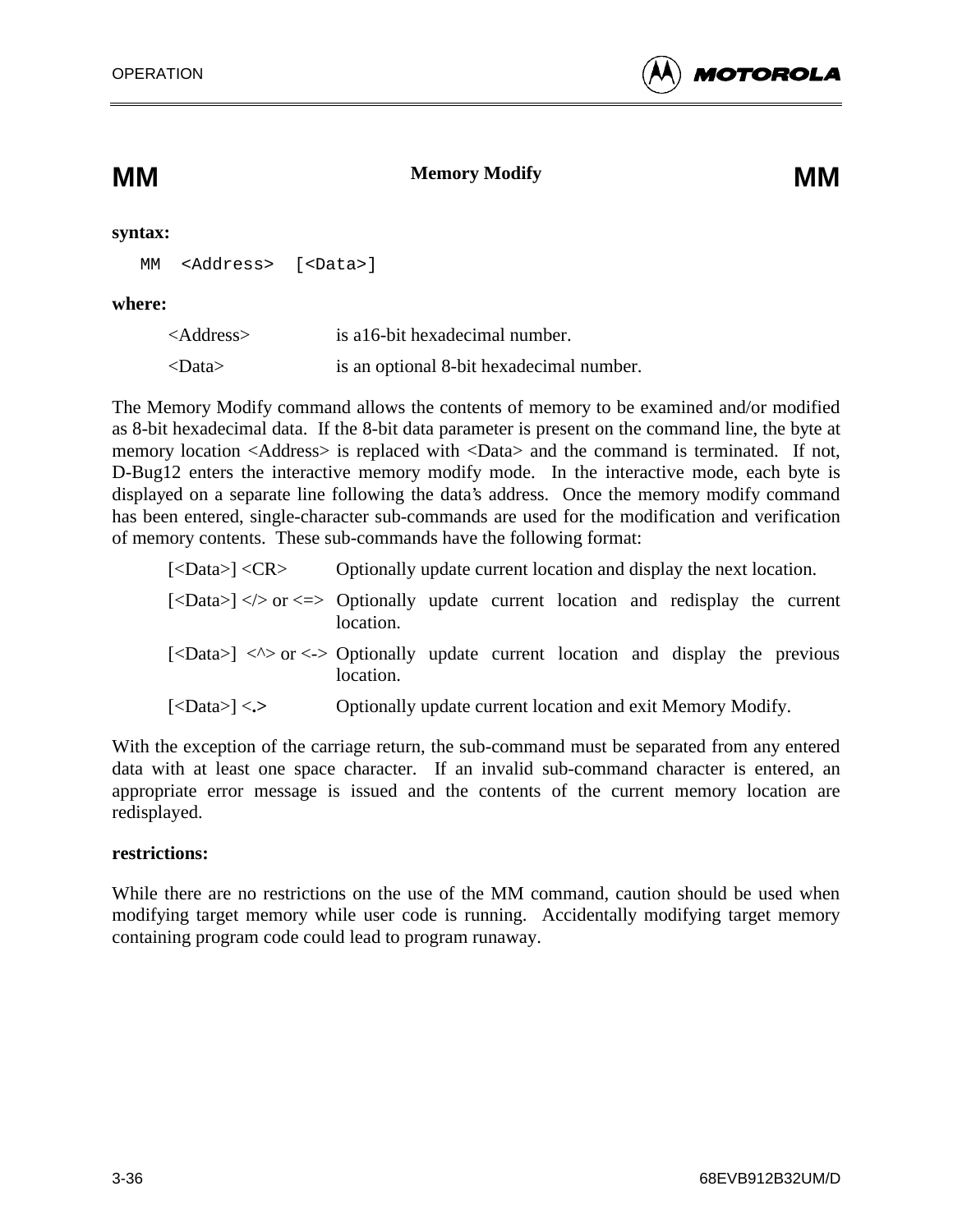

### **MM Memory Modify MM**

#### **syntax:**

MM <Address> [<Data>]

#### **where:**

| $<$ Address $>$ | is a 16-bit hexadecimal number.          |
|-----------------|------------------------------------------|
| $<$ Data $>$    | is an optional 8-bit hexadecimal number. |

The Memory Modify command allows the contents of memory to be examined and/or modified as 8-bit hexadecimal data. If the 8-bit data parameter is present on the command line, the byte at memory location <Address> is replaced with <Data> and the command is terminated. If not, D-Bug12 enters the interactive memory modify mode. In the interactive mode, each byte is displayed on a separate line following the data's address. Once the memory modify command has been entered, single-character sub-commands are used for the modification and verification of memory contents. These sub-commands have the following format:

| [ <data>] &lt;<math>CR</math>&gt;</data>                                                                                                                            | Optionally update current location and display the next location. |  |  |  |  |  |  |
|---------------------------------------------------------------------------------------------------------------------------------------------------------------------|-------------------------------------------------------------------|--|--|--|--|--|--|
| $\vert$ <data><math>\vert</math> <math>\vert</math> or &lt;=&gt; Optionally update current location and redisplay the current</data>                                | location.                                                         |  |  |  |  |  |  |
| $\vert$ <data><math>\vert</math> &lt;<math>\vert</math> &lt;<math>\vert</math> &gt; or &lt;-&gt; Optionally update current location and display the previous</data> | location.                                                         |  |  |  |  |  |  |
| $\text{[]} \le$                                                                                                                                                     | Optionally update current location and exit Memory Modify.        |  |  |  |  |  |  |

With the exception of the carriage return, the sub-command must be separated from any entered data with at least one space character. If an invalid sub-command character is entered, an appropriate error message is issued and the contents of the current memory location are redisplayed.

#### **restrictions:**

While there are no restrictions on the use of the MM command, caution should be used when modifying target memory while user code is running. Accidentally modifying target memory containing program code could lead to program runaway.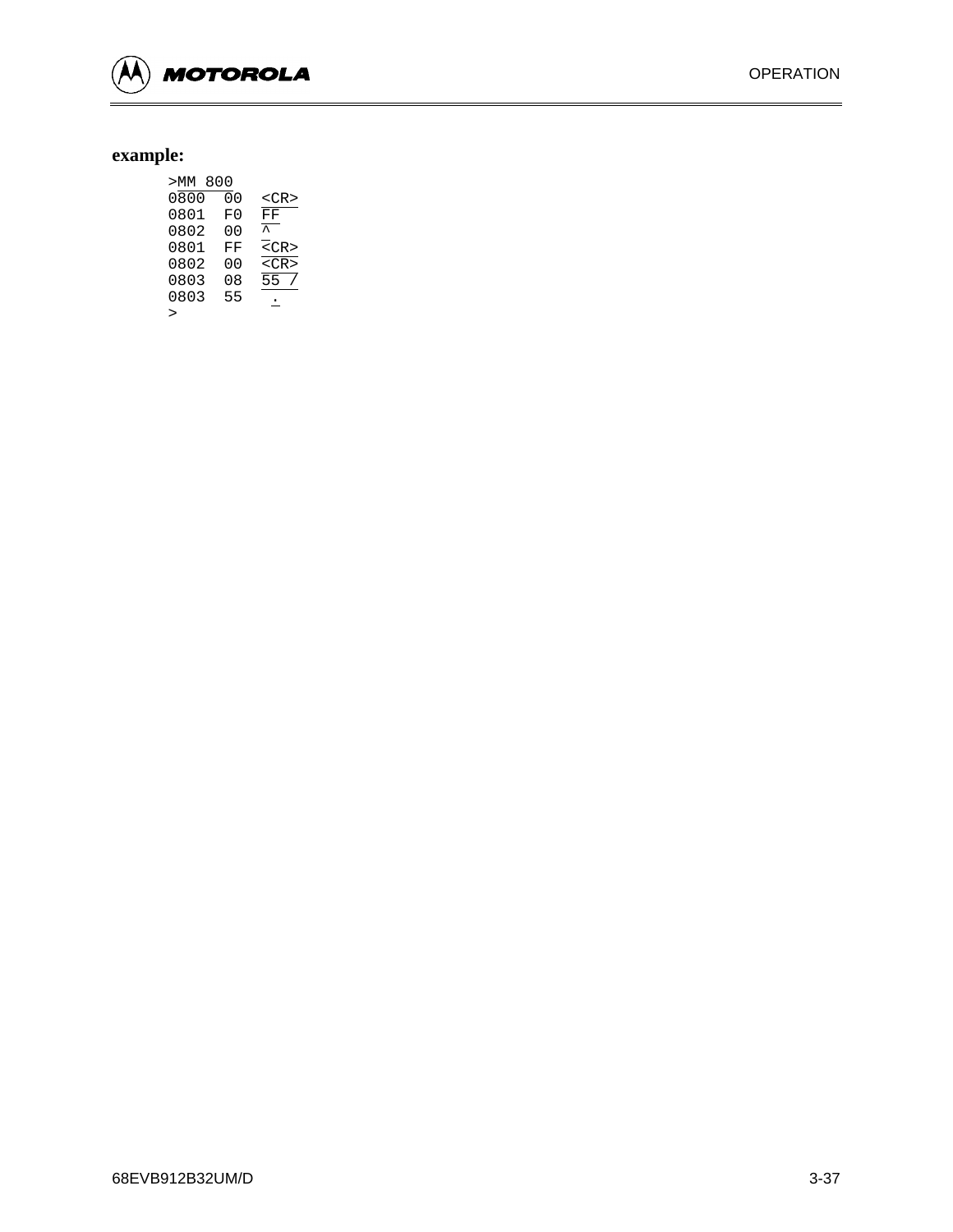

#### OPERATION

| $>$ MM | 800            |           |
|--------|----------------|-----------|
| 0800   | 00             | <cr></cr> |
| 0801   | F0             | FF        |
| 0802   | 0 <sub>0</sub> |           |
| 0801   | FF             | <cr></cr> |
| 0802   | 00             | <cr></cr> |
| 0803   | 08             | 55        |
| 0803   | 55             |           |
|        |                |           |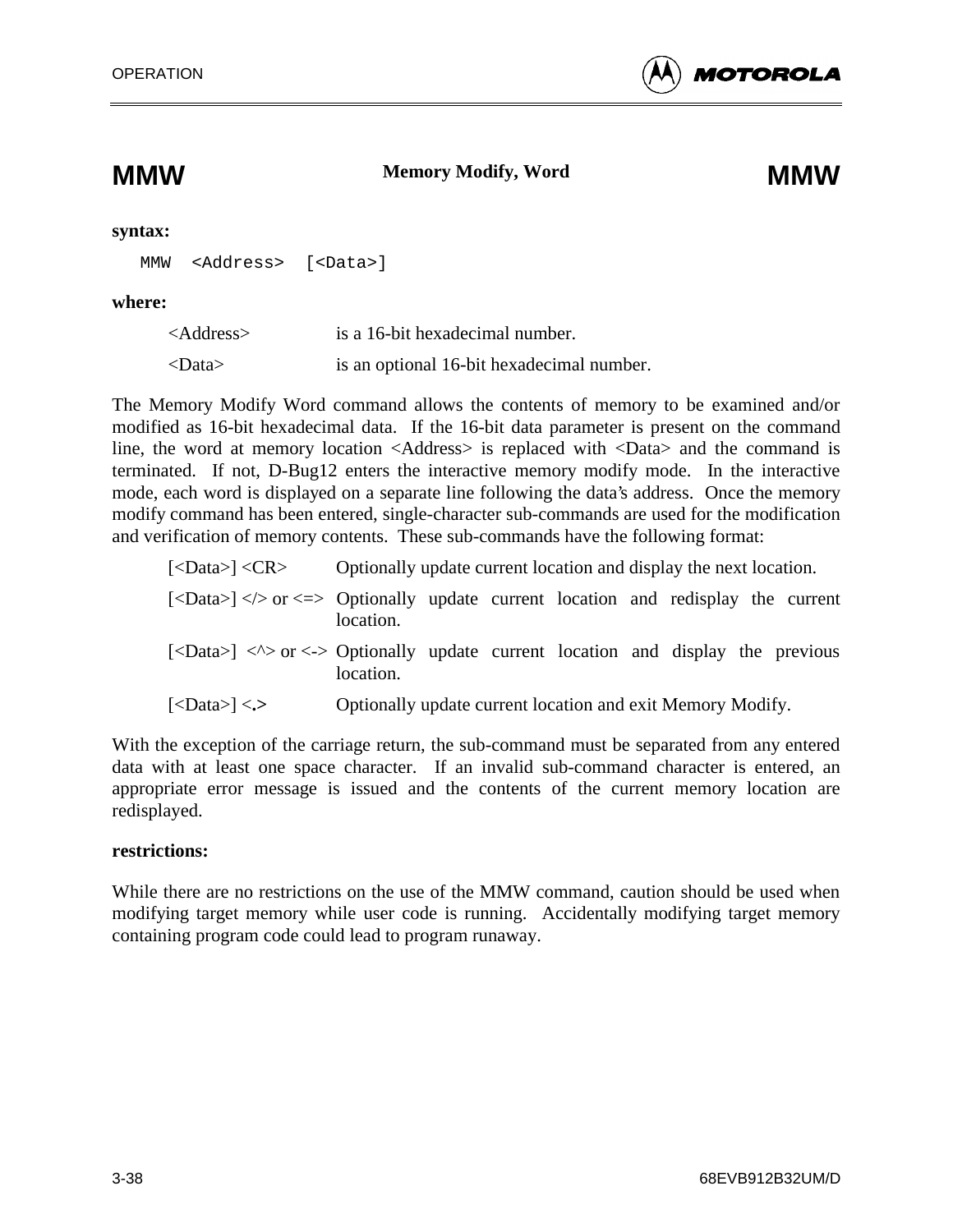**MMW Memory Modify, Word MMW**

#### **syntax:**

MMW <Address> [<Data>]

#### **where:**

| <address></address> | is a 16-bit hexadecimal number.           |
|---------------------|-------------------------------------------|
| <data></data>       | is an optional 16-bit hexadecimal number. |

The Memory Modify Word command allows the contents of memory to be examined and/or modified as 16-bit hexadecimal data. If the 16-bit data parameter is present on the command line, the word at memory location <Address> is replaced with <Data> and the command is terminated. If not, D-Bug12 enters the interactive memory modify mode. In the interactive mode, each word is displayed on a separate line following the data's address. Once the memory modify command has been entered, single-character sub-commands are used for the modification and verification of memory contents. These sub-commands have the following format:

| $[\langle Data \rangle] \langle CR \rangle$                                                                                                                         | Optionally update current location and display the next location. |  |  |  |  |  |  |
|---------------------------------------------------------------------------------------------------------------------------------------------------------------------|-------------------------------------------------------------------|--|--|--|--|--|--|
| $\vert$ <data><math>\vert</math> <math>\vert</math> <math>\vert</math> or &lt;=&gt; Optionally update current location and redisplay the current</data>             | location.                                                         |  |  |  |  |  |  |
| $\vert$ <data><math>\vert</math> &lt;<math>\vert</math> &lt;<math>\vert</math> &gt; or &lt;-&gt; Optionally update current location and display the previous</data> | location.                                                         |  |  |  |  |  |  |
| $[\langle \text{Data}\rangle] \langle \rangle$                                                                                                                      | Optionally update current location and exit Memory Modify.        |  |  |  |  |  |  |

With the exception of the carriage return, the sub-command must be separated from any entered data with at least one space character. If an invalid sub-command character is entered, an appropriate error message is issued and the contents of the current memory location are redisplayed.

### **restrictions:**

While there are no restrictions on the use of the MMW command, caution should be used when modifying target memory while user code is running. Accidentally modifying target memory containing program code could lead to program runaway.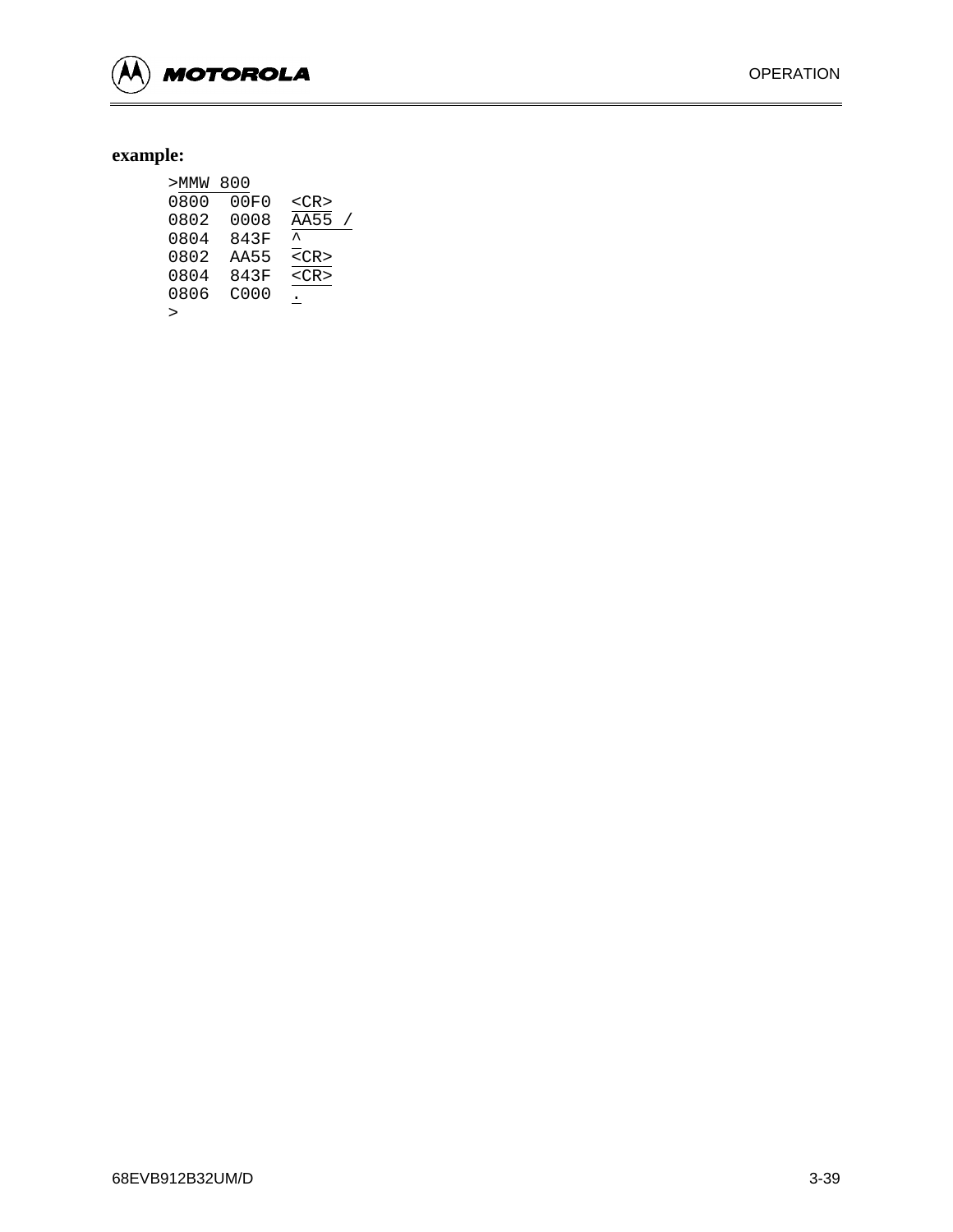

| $>$ MMW | 800  |            |  |
|---------|------|------------|--|
| 0800    | 00F0 | <cr></cr>  |  |
| 0802    | 0008 | AA55       |  |
| 0804    | 843F | ᄉ          |  |
| 0802    | AA55 | $<$ CR $>$ |  |
| 0804    | 843F | $<$ CR $>$ |  |
| 0806    | C000 |            |  |
| >       |      |            |  |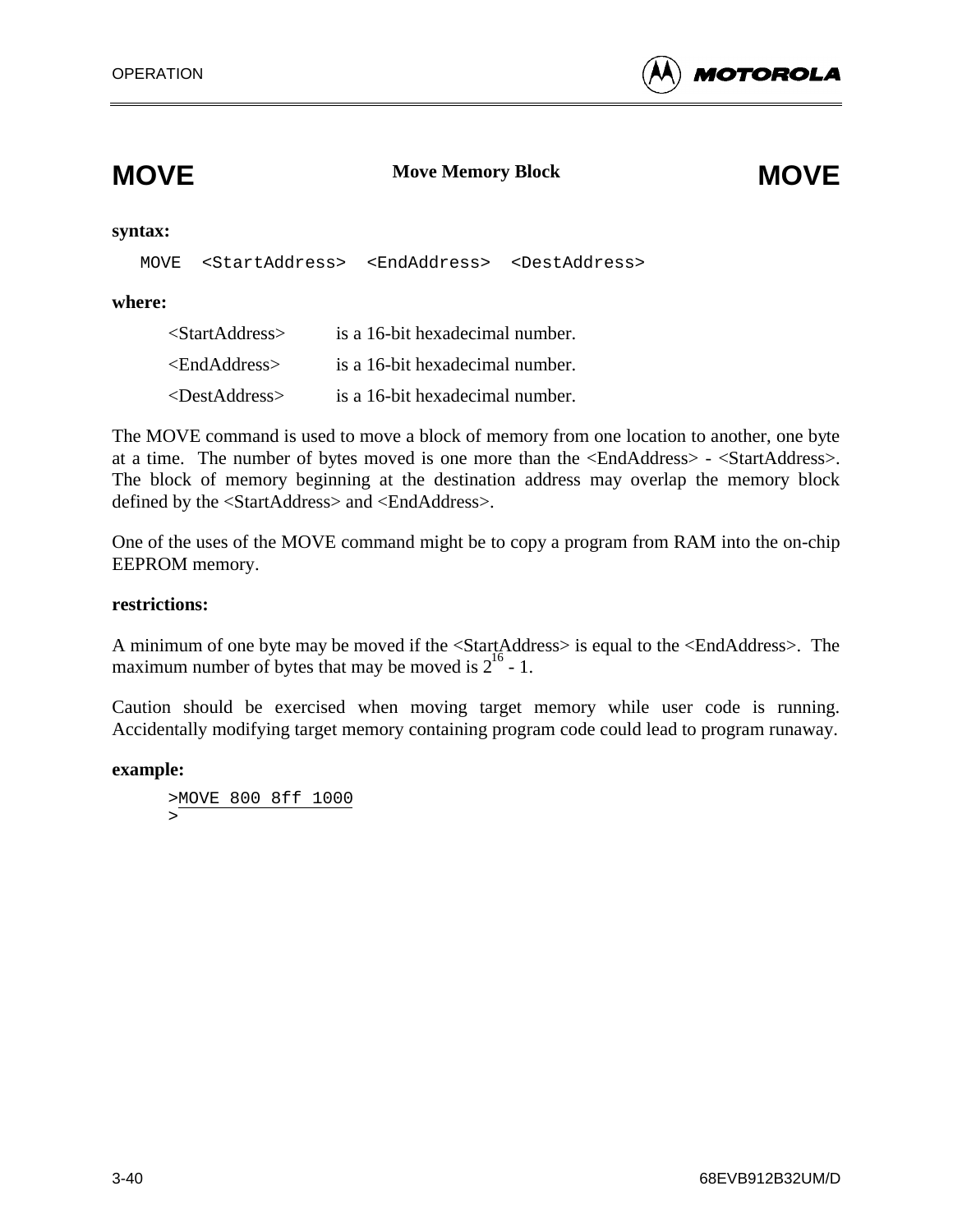

**MOVE Move Memory Block MOVE**

#### **syntax:**

MOVE <StartAddress> <EndAddress> <DestAddress>

**where:**

| <startaddress></startaddress> | is a 16-bit hexadecimal number. |
|-------------------------------|---------------------------------|
| <endaddress></endaddress>     | is a 16-bit hexadecimal number. |
| <destaddress></destaddress>   | is a 16-bit hexadecimal number. |

The MOVE command is used to move a block of memory from one location to another, one byte at a time. The number of bytes moved is one more than the <EndAddress> - <StartAddress>. The block of memory beginning at the destination address may overlap the memory block defined by the <StartAddress> and <EndAddress>.

One of the uses of the MOVE command might be to copy a program from RAM into the on-chip EEPROM memory.

#### **restrictions:**

A minimum of one byte may be moved if the <StartAddress> is equal to the <EndAddress>. The maximum number of bytes that may be moved is  $2^{16}$  - 1.

Caution should be exercised when moving target memory while user code is running. Accidentally modifying target memory containing program code could lead to program runaway.

#### **example:**

>MOVE 800 8ff 1000  $\geq$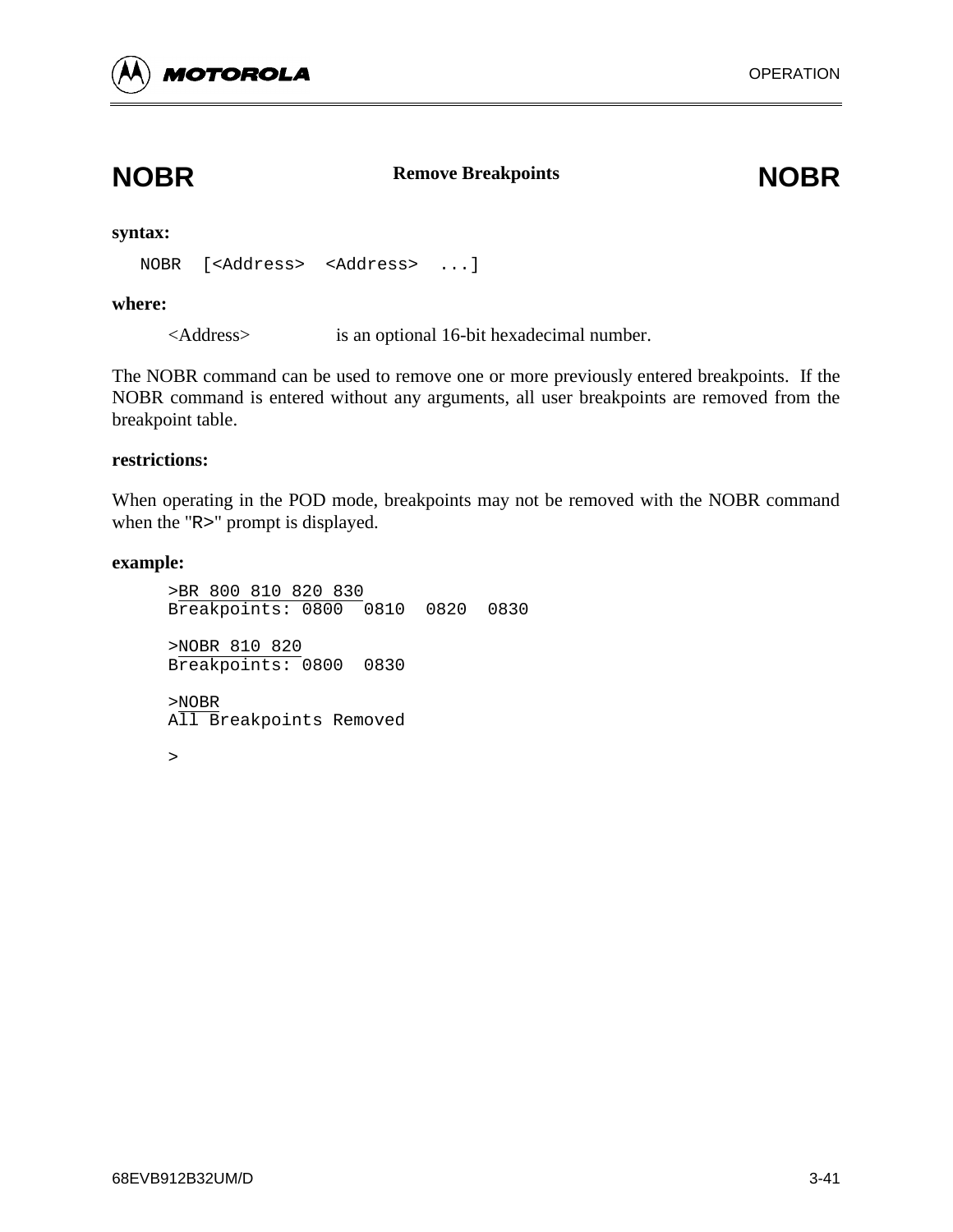

### **NOBR Remove Breakpoints NOBR**

#### **syntax:**

NOBR [<Address> <Address> ...]

#### **where:**

<Address> is an optional 16-bit hexadecimal number.

The NOBR command can be used to remove one or more previously entered breakpoints. If the NOBR command is entered without any arguments, all user breakpoints are removed from the breakpoint table.

#### **restrictions:**

When operating in the POD mode, breakpoints may not be removed with the NOBR command when the "R>" prompt is displayed.

```
>BR 800 810 820 830
Breakpoints: 0800 0810 0820 0830
>NOBR 810 820
Breakpoints: 0800 0830
>NOBR
All Breakpoints Removed
>
```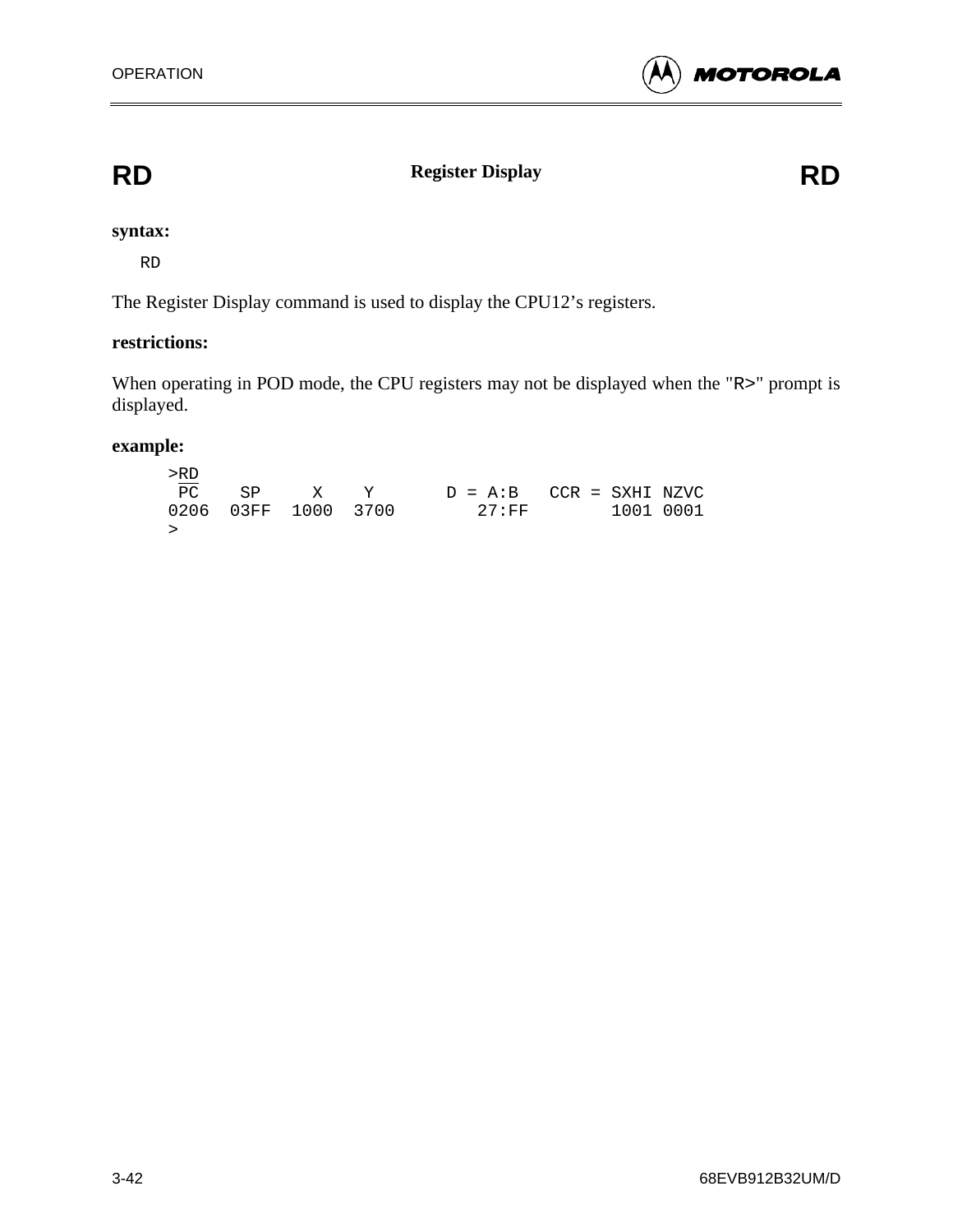

**RD Register Display RD**

### **syntax:**

RD

The Register Display command is used to display the CPU12's registers.

### **restrictions:**

When operating in POD mode, the CPU registers may not be displayed when the "R>" prompt is displayed.

#### **example:**

>RD PC SP X Y D = A:B CCR = SXHI NZVC 0206 03FF 1000 3700 27:FF 1001 0001  $\geq$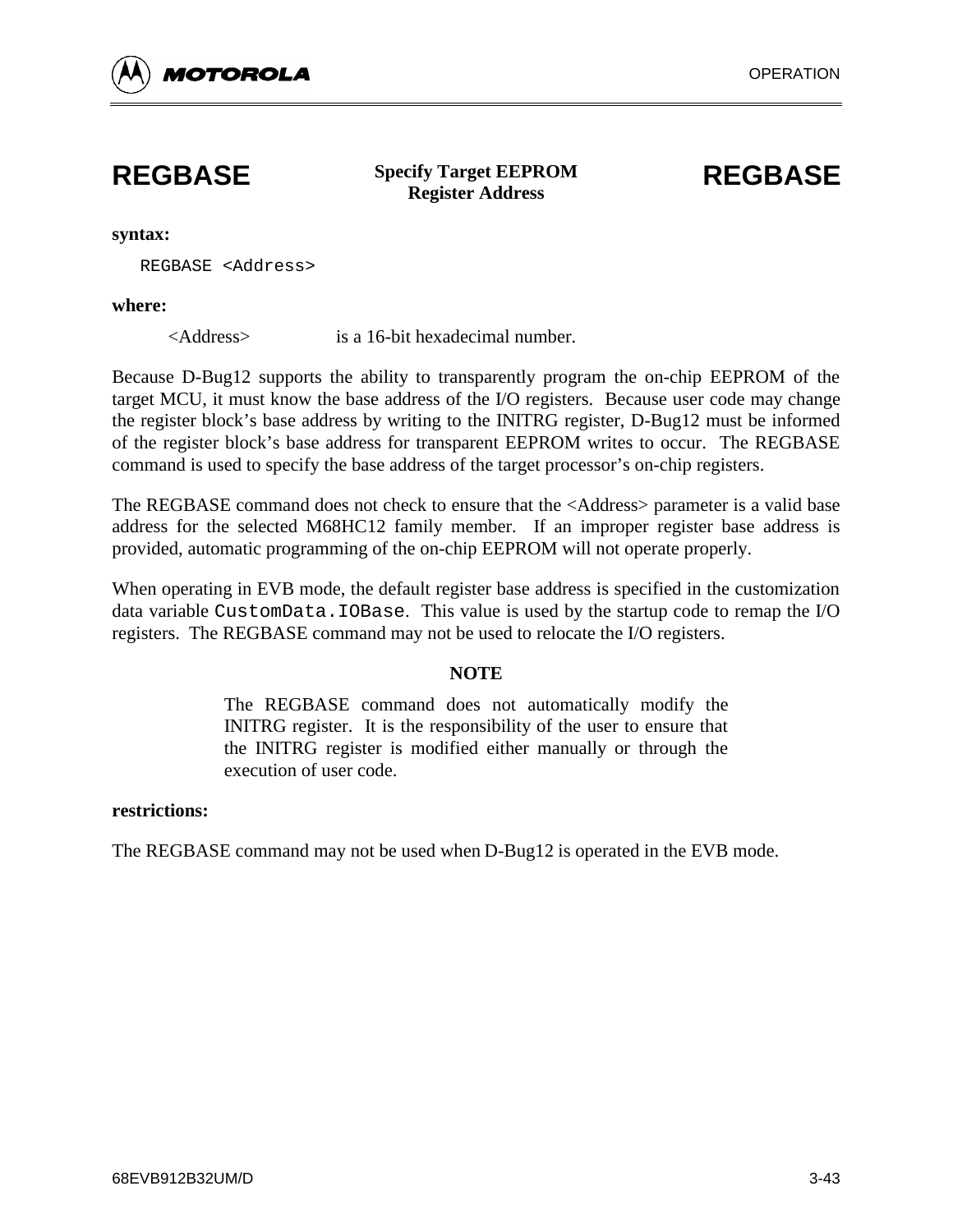

**REGBASE Specify Target EEPROM Register Address**

**REGBASE**

#### **syntax:**

REGBASE <Address>

#### **where:**

<Address> is a 16-bit hexadecimal number.

Because D-Bug12 supports the ability to transparently program the on-chip EEPROM of the target MCU, it must know the base address of the I/O registers. Because user code may change the register block's base address by writing to the INITRG register, D-Bug12 must be informed of the register block's base address for transparent EEPROM writes to occur. The REGBASE command is used to specify the base address of the target processor's on-chip registers.

The REGBASE command does not check to ensure that the <Address> parameter is a valid base address for the selected M68HC12 family member. If an improper register base address is provided, automatic programming of the on-chip EEPROM will not operate properly.

When operating in EVB mode, the default register base address is specified in the customization data variable CustomData.IOBase. This value is used by the startup code to remap the I/O registers. The REGBASE command may not be used to relocate the I/O registers.

### **NOTE**

The REGBASE command does not automatically modify the INITRG register. It is the responsibility of the user to ensure that the INITRG register is modified either manually or through the execution of user code.

#### **restrictions:**

The REGBASE command may not be used when D-Bug12 is operated in the EVB mode.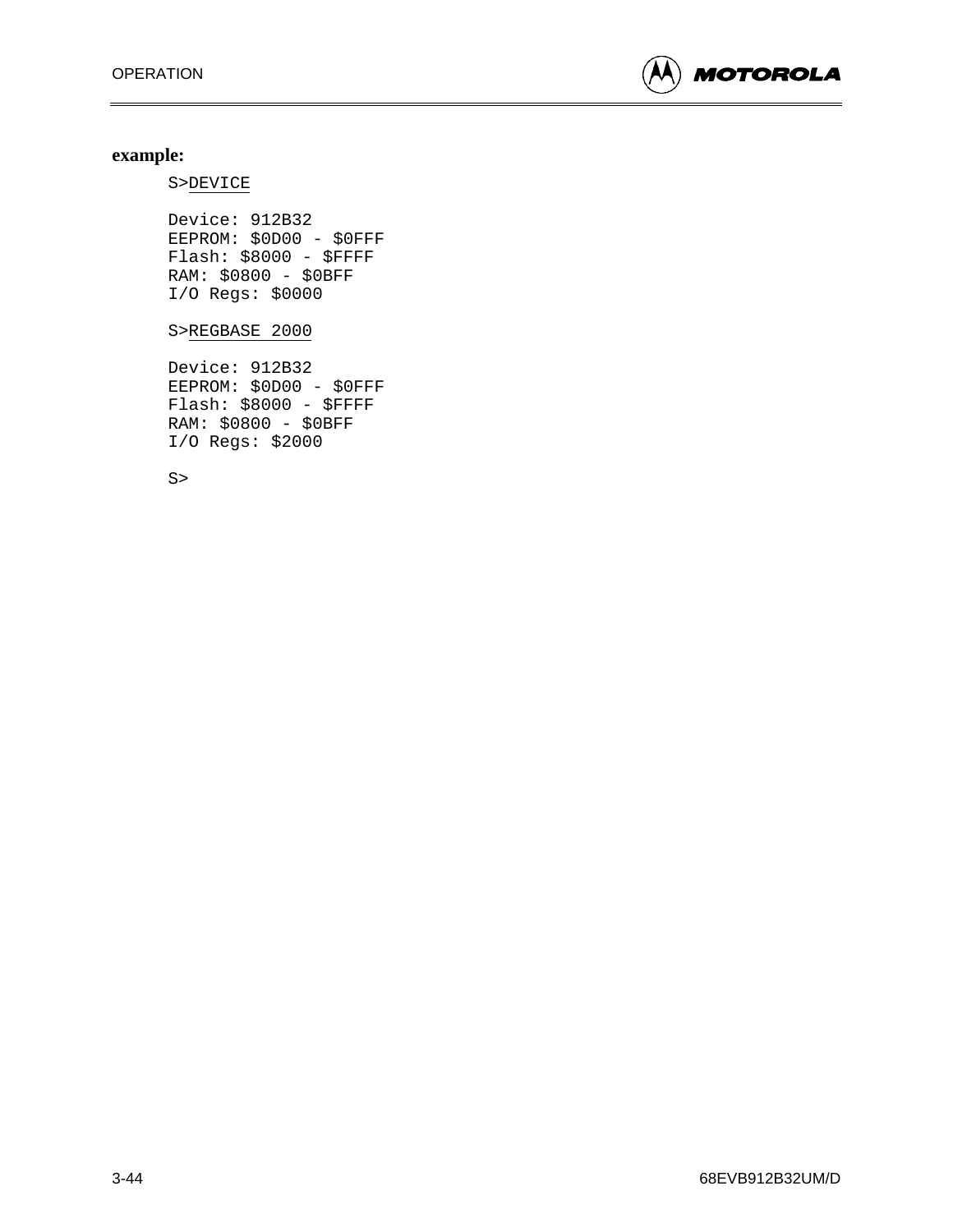

#### S>DEVICE

Device: 912B32 EEPROM: \$0D00 - \$0FFF Flash: \$8000 - \$FFFF RAM: \$0800 - \$0BFF I/O Regs: \$0000

S>REGBASE 2000

Device: 912B32 EEPROM: \$0D00 - \$0FFF Flash: \$8000 - \$FFFF RAM: \$0800 - \$0BFF I/O Regs: \$2000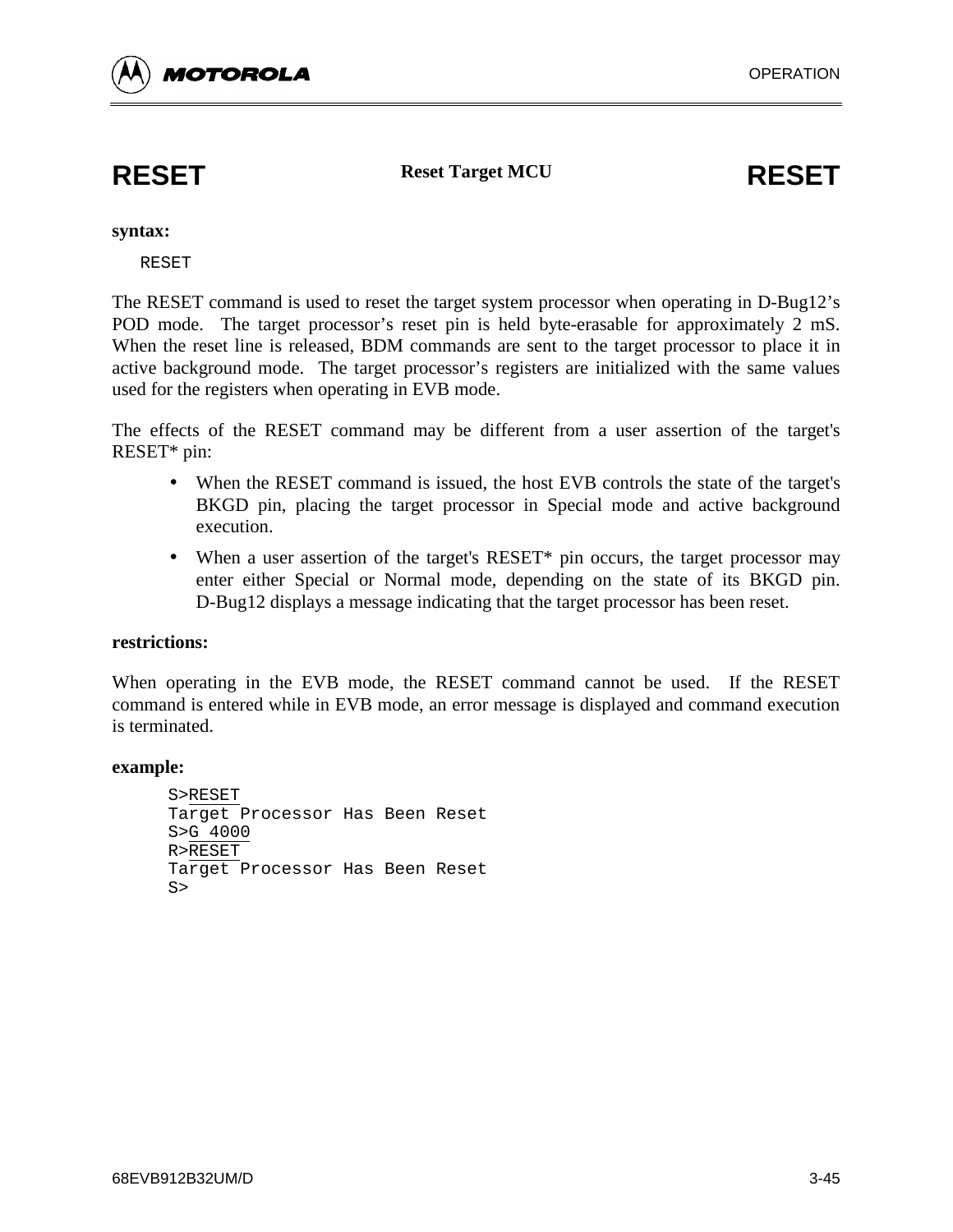

**RESET Reset Target MCU RESET**

#### **syntax:**

RESET

The RESET command is used to reset the target system processor when operating in D-Bug12's POD mode. The target processor's reset pin is held byte-erasable for approximately 2 mS. When the reset line is released, BDM commands are sent to the target processor to place it in active background mode. The target processor's registers are initialized with the same values used for the registers when operating in EVB mode.

The effects of the RESET command may be different from a user assertion of the target's RESET\* pin:

- When the RESET command is issued, the host EVB controls the state of the target's BKGD pin, placing the target processor in Special mode and active background execution.
- When a user assertion of the target's RESET<sup>\*</sup> pin occurs, the target processor may enter either Special or Normal mode, depending on the state of its BKGD pin. D-Bug12 displays a message indicating that the target processor has been reset.

#### **restrictions:**

When operating in the EVB mode, the RESET command cannot be used. If the RESET command is entered while in EVB mode, an error message is displayed and command execution is terminated.

```
S>RESET
Target Processor Has Been Reset
S>G 4000
R>RESET
Target Processor Has Been Reset
S
```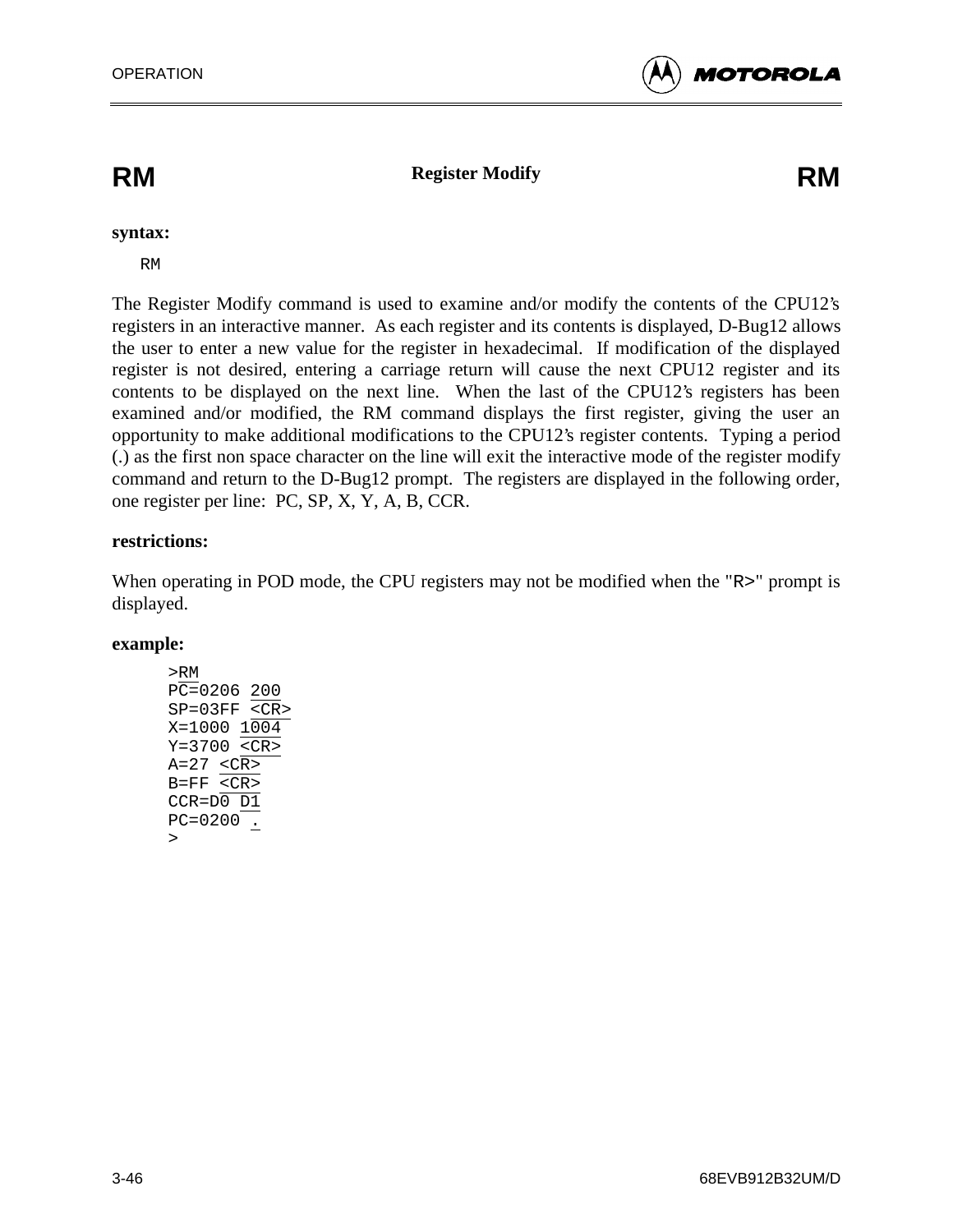

**RM Register Modify RM**

#### **syntax:**

RM

The Register Modify command is used to examine and/or modify the contents of the CPU12's registers in an interactive manner. As each register and its contents is displayed, D-Bug12 allows the user to enter a new value for the register in hexadecimal. If modification of the displayed register is not desired, entering a carriage return will cause the next CPU12 register and its contents to be displayed on the next line. When the last of the CPU12's registers has been examined and/or modified, the RM command displays the first register, giving the user an opportunity to make additional modifications to the CPU12's register contents. Typing a period (.) as the first non space character on the line will exit the interactive mode of the register modify command and return to the D-Bug12 prompt. The registers are displayed in the following order, one register per line: PC, SP, X, Y, A, B, CCR.

### **restrictions:**

When operating in POD mode, the CPU registers may not be modified when the "R>" prompt is displayed.

### **example:**

>RM PC=0206 200 SP=03FF <CR> X=1000 1004  $Y=3700$  <CR> A=27 <CR> B=FF <CR> CCR=D0 D1 PC=0200 . >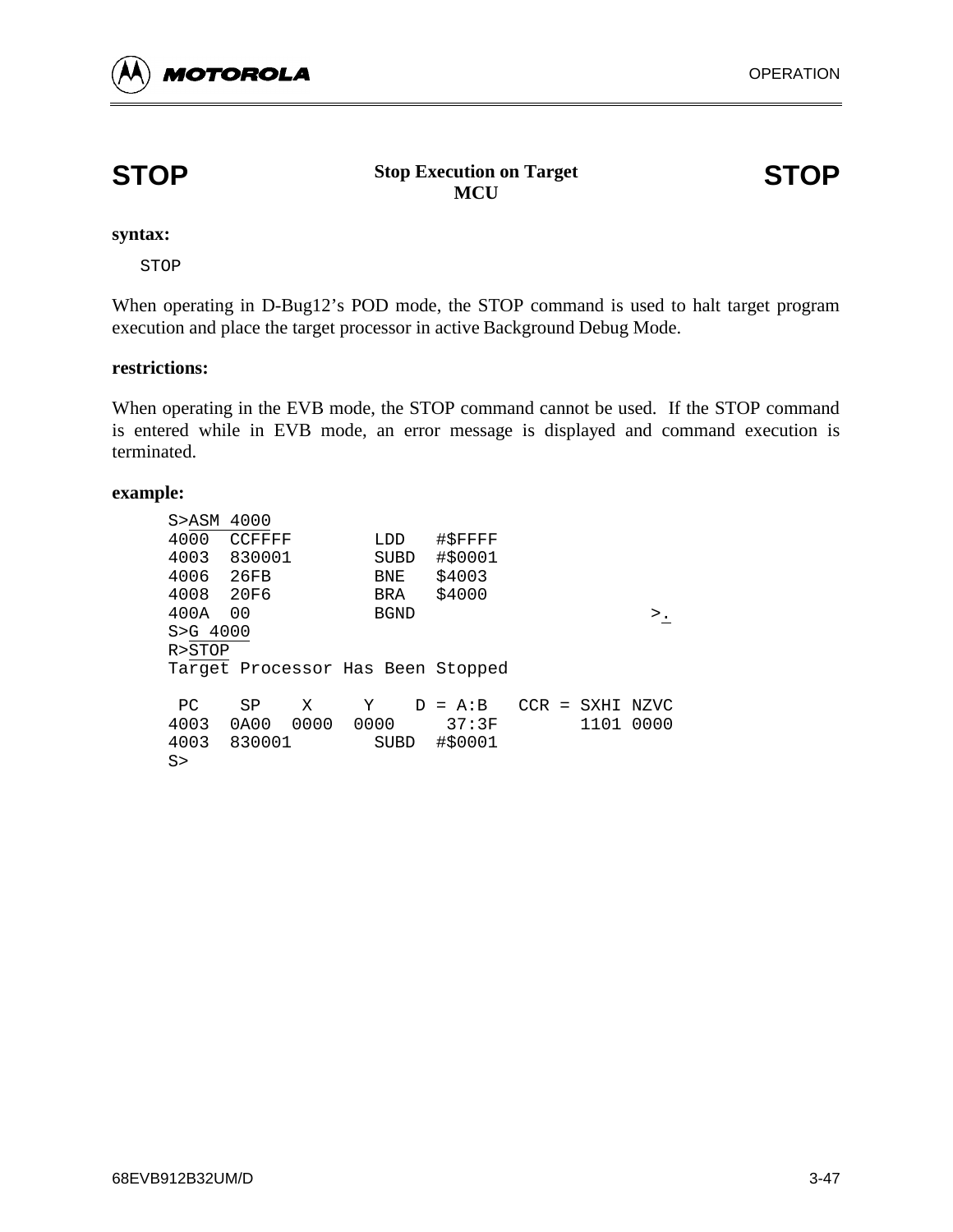

**STOP Stop Execution on Target MCU**

**STOP**

#### **syntax:**

STOP

When operating in D-Bug12's POD mode, the STOP command is used to halt target program execution and place the target processor in active Background Debug Mode.

#### **restrictions:**

When operating in the EVB mode, the STOP command cannot be used. If the STOP command is entered while in EVB mode, an error message is displayed and command execution is terminated.

| S > ASM      | 4000          |      |             |                                   |     |        |       |
|--------------|---------------|------|-------------|-----------------------------------|-----|--------|-------|
| 4000         | <b>CCFFFF</b> |      | LDD         | #\$FFFF                           |     |        |       |
| 4003         | 830001        |      | <b>SUBD</b> | #\$0001                           |     |        |       |
| 4006 26FB    |               |      | BNE         | \$4003                            |     |        |       |
| 4008 20F6    |               |      | <b>BRA</b>  | \$4000                            |     |        |       |
| 400A         | 00            |      | <b>BGND</b> |                                   |     |        | $>$ . |
| $S > G$ 4000 |               |      |             |                                   |     |        |       |
| R>STOP       |               |      |             |                                   |     |        |       |
|              |               |      |             | Target Processor Has Been Stopped |     |        |       |
| PC           | <b>SP</b>     | X    | Υ           | $D = A:B$                         | CCR | = SXHI | NZVC  |
| 4003         | 0A00          | 0000 | 0000        | 37:3F                             |     | 1101   | 0000  |
| 4003         | 830001        |      | <b>SUBD</b> | #\$0001                           |     |        |       |
| $S$ >        |               |      |             |                                   |     |        |       |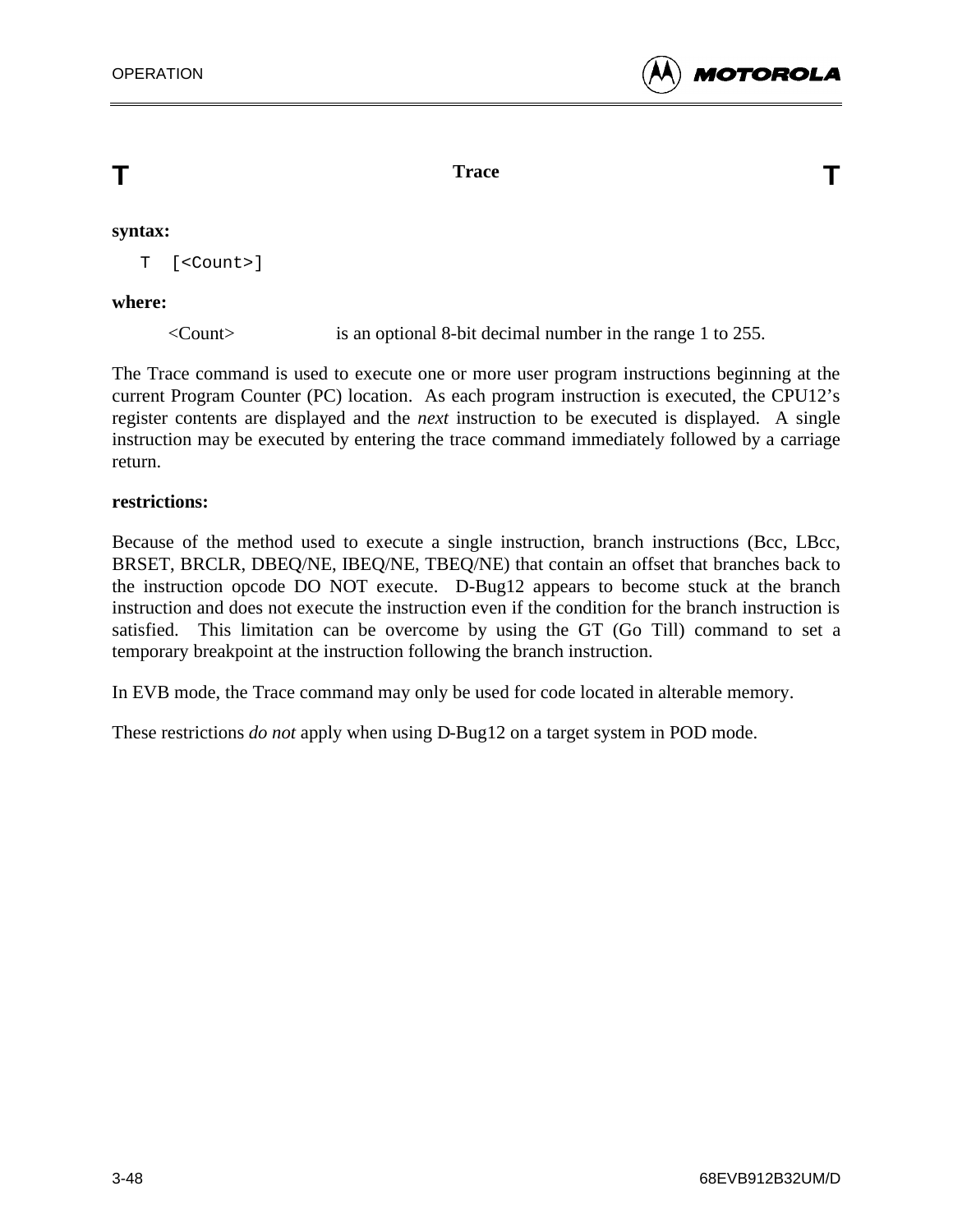

## **T Trace T**

**syntax:**

T [<Count>]

#### **where:**

<Count> is an optional 8-bit decimal number in the range 1 to 255.

The Trace command is used to execute one or more user program instructions beginning at the current Program Counter (PC) location. As each program instruction is executed, the CPU12's register contents are displayed and the *next* instruction to be executed is displayed. A single instruction may be executed by entering the trace command immediately followed by a carriage return.

### **restrictions:**

Because of the method used to execute a single instruction, branch instructions (Bcc, LBcc, BRSET, BRCLR, DBEQ/NE, IBEQ/NE, TBEQ/NE) that contain an offset that branches back to the instruction opcode DO NOT execute. D-Bug12 appears to become stuck at the branch instruction and does not execute the instruction even if the condition for the branch instruction is satisfied. This limitation can be overcome by using the GT (Go Till) command to set a temporary breakpoint at the instruction following the branch instruction.

In EVB mode, the Trace command may only be used for code located in alterable memory.

These restrictions *do not* apply when using D-Bug12 on a target system in POD mode.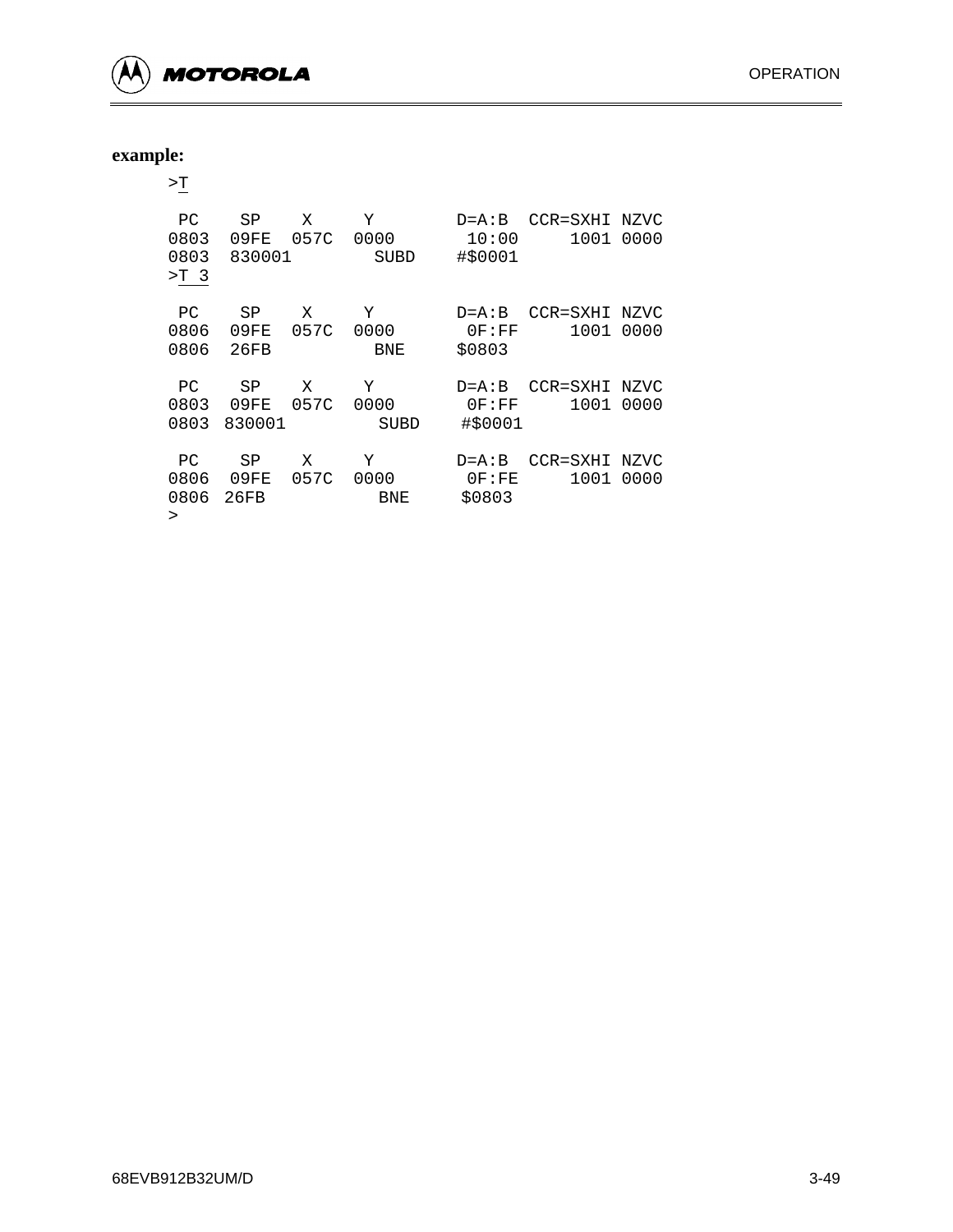

| ۰,<br>v<br>v | . . |
|--------------|-----|
|              |     |

| PC<br>0803<br>0803<br>$>T$ 3 | SP<br>09FE<br>830001 | Χ<br>057C | Υ<br>0000<br><b>SUBD</b> | $D = A : B$<br>10:00<br>#\$0001    | CCR=SXHI<br>1001 | NZVC<br>0000 |
|------------------------------|----------------------|-----------|--------------------------|------------------------------------|------------------|--------------|
| РC<br>0806<br>0806           | SP<br>09FE<br>26FB   | Χ<br>057C | Υ<br>0000<br>BNE         | $D = A : B$<br>$0F$ : FF<br>\$0803 | CCR=SXHI<br>1001 | NZVC<br>0000 |
| PC<br>0803<br>0803           | SP<br>09FE<br>830001 | X<br>057C | Υ<br>0000<br>SUBD        | $D = A : B$<br>0F:FF<br>#\$0001    | CCR=SXHI<br>1001 | NZVC<br>0000 |
| PC<br>0806<br>0806<br>$\geq$ | SP<br>09FE<br>26FB   | X<br>057C | Υ<br>0000<br>BNE         | $D = A : B$<br>$0F$ : FE<br>\$0803 | CCR=SXHI<br>1001 | NZVC<br>0000 |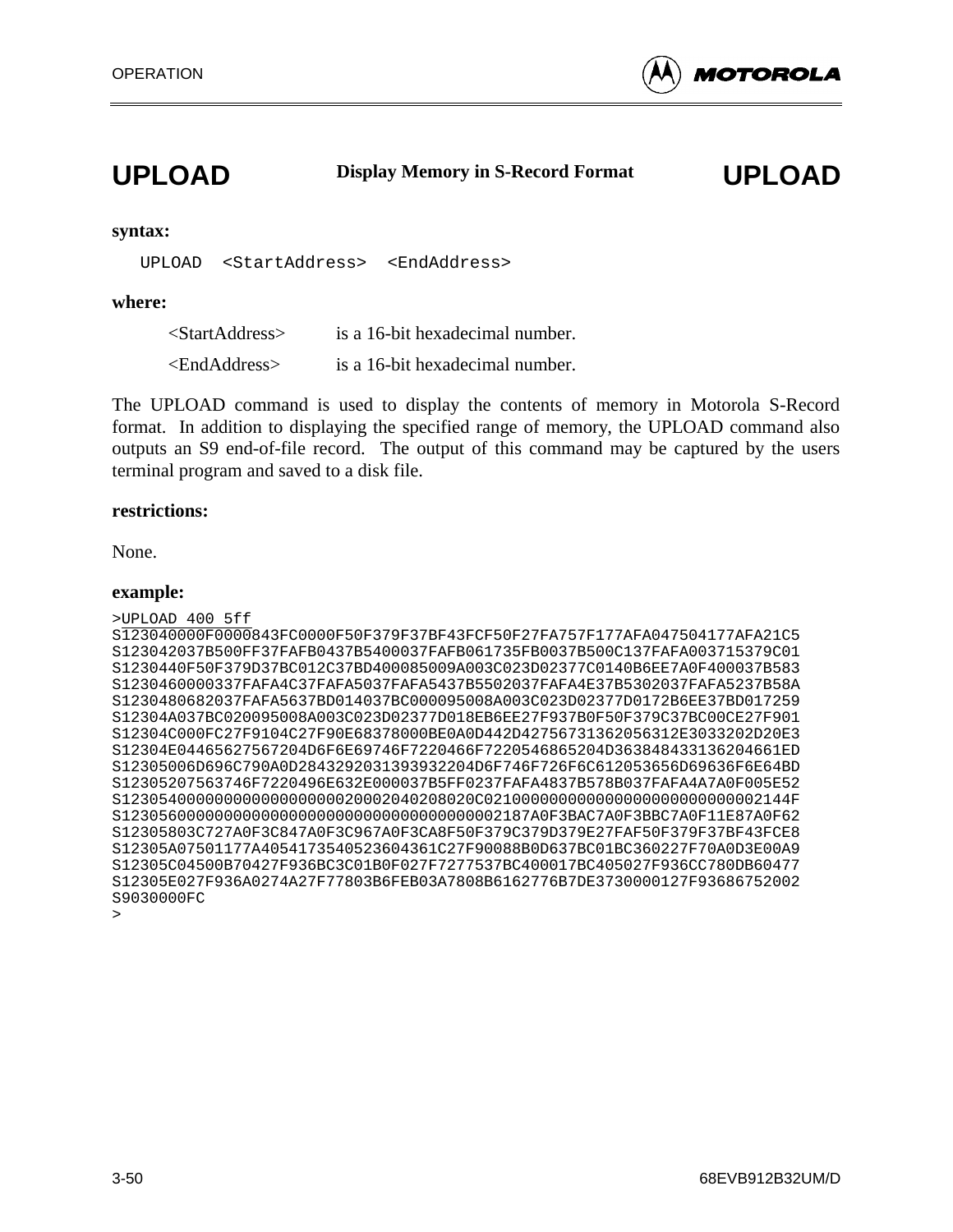

### **UPLOAD Display Memory in S-Record Format UPLOAD**

#### **syntax:**

UPLOAD <StartAddress> <EndAddress>

#### **where:**

| <startaddress></startaddress> | is a 16-bit hexadecimal number. |
|-------------------------------|---------------------------------|
| <endaddress></endaddress>     | is a 16-bit hexadecimal number. |

The UPLOAD command is used to display the contents of memory in Motorola S-Record format. In addition to displaying the specified range of memory, the UPLOAD command also outputs an S9 end-of-file record. The output of this command may be captured by the users terminal program and saved to a disk file.

#### **restrictions:**

None.

#### **example:**

| >UPLOAD 400 5ff                                                             |
|-----------------------------------------------------------------------------|
| S123040000F0000843FC0000F50F379F37BF43FCF50F27FA757F177AFA047504177AFA21C5  |
| S123042037B500FF37FAFB0437B5400037FAFB061735FB0037B500C137FAFA003715379C01  |
| S1230440F50F379D37BC012C37BD400085009A003C023D02377C0140B6EE7A0F400037B583  |
| S1230460000337FAFA4C37FAFA5037FAFA5437B5502037FAFA4E37B5302037FAFA5237B58A  |
| S1230480682037FAFA5637BD014037BC000095008A003C023D02377D0172B6EE37BD017259  |
| S12304A037BC020095008A003C023D02377D018EB6EE27F937B0F50F379C37BC00CE27F901  |
| S12304C000FC27F9104C27F90E68378000BE0A0D442D42756731362056312E3033202D20E3  |
| S12304E04465627567204D6F6E69746F7220466F7220546865204D363848433136204661ED  |
| S12305006D696C790A0D2843292031393932204D6F746F726F6C612053656D69636F6E64BD  |
| S12305207563746F7220496E632E000037B5FF0237FAFA4837B578B037FAFA4A7A0F005E52  |
| $S12305400000000000000000020002040208020C02100000000000000000000000002144F$ |
| S1230560000000000000000000000000000000002187A0F3BAC7A0F3BBC7A0F11E87A0F62   |
| S12305803C727A0F3C847A0F3C967A0F3CA8F50F379C379D379E27FAF50F379F37BF43FCE8  |
| S12305A07501177A4054173540523604361C27F90088B0D637BC01BC360227F70A0D3E00A9  |
| S12305C04500B70427F936BC3C01B0F027F7277537BC400017BC405027F936CC780DB60477  |
| S12305E027F936A0274A27F77803B6FEB03A7808B6162776B7DE3730000127F93686752002  |
| S9030000FC                                                                  |

>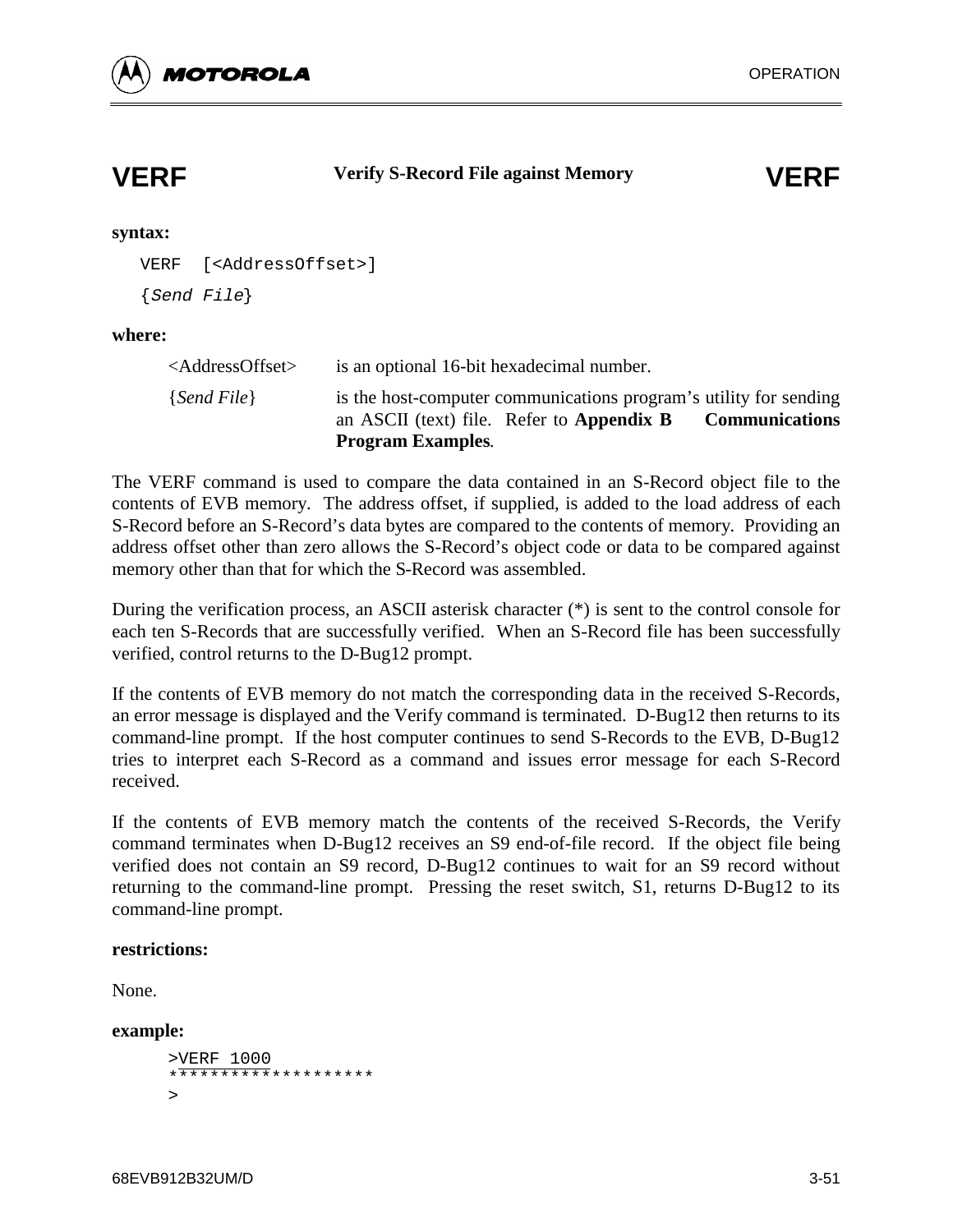

#### **syntax:**

```
VERF [<AddressOffset>]
```
{Send File}

#### **where:**

|                                 | <b>Program Examples.</b>                                          |                                                              |  |
|---------------------------------|-------------------------------------------------------------------|--------------------------------------------------------------|--|
|                                 |                                                                   | an ASCII (text) file. Refer to Appendix $B -$ Communications |  |
| $\{Send\ File\}$                | is the host-computer communications program's utility for sending |                                                              |  |
| <addressoffset></addressoffset> | is an optional 16-bit hexadecimal number.                         |                                                              |  |

The VERF command is used to compare the data contained in an S-Record object file to the contents of EVB memory. The address offset, if supplied, is added to the load address of each S-Record before an S-Record's data bytes are compared to the contents of memory. Providing an address offset other than zero allows the S-Record's object code or data to be compared against memory other than that for which the S-Record was assembled.

During the verification process, an ASCII asterisk character (\*) is sent to the control console for each ten S-Records that are successfully verified. When an S-Record file has been successfully verified, control returns to the D-Bug12 prompt.

If the contents of EVB memory do not match the corresponding data in the received S-Records, an error message is displayed and the Verify command is terminated. D-Bug12 then returns to its command-line prompt. If the host computer continues to send S-Records to the EVB, D-Bug12 tries to interpret each S-Record as a command and issues error message for each S-Record received.

If the contents of EVB memory match the contents of the received S-Records, the Verify command terminates when D-Bug12 receives an S9 end-of-file record. If the object file being verified does not contain an S9 record, D-Bug12 continues to wait for an S9 record without returning to the command-line prompt. Pressing the reset switch, S1, returns D-Bug12 to its command-line prompt.

#### **restrictions:**

None.

**example:**

```
>VERF 1000
******************
>
```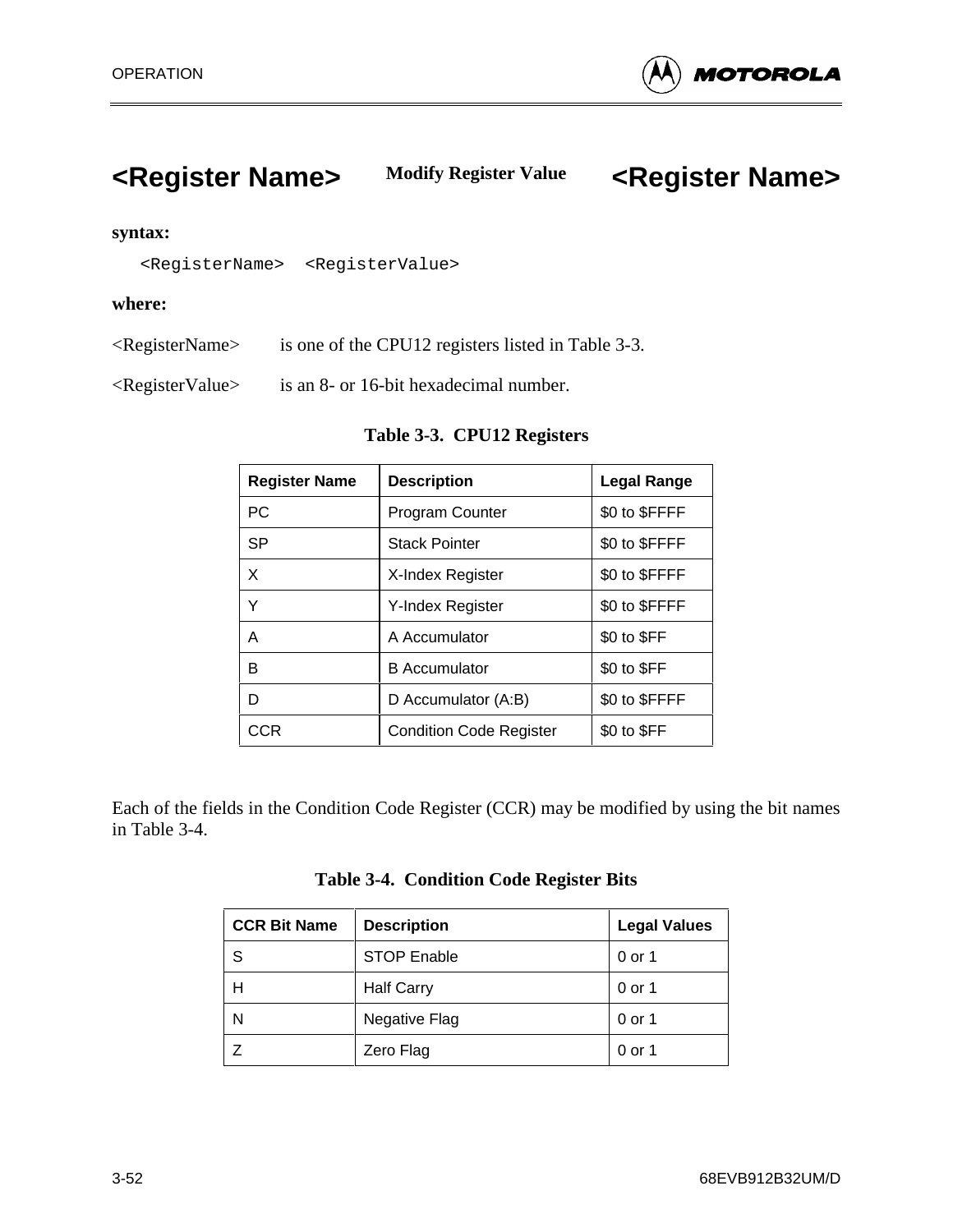

# **<Register Name> Modify Register Value <Register Name>**

#### **syntax:**

<RegisterName> <RegisterValue>

#### **where:**

<RegisterName> is one of the CPU12 registers listed in Table 3-3.

<RegisterValue> is an 8- or 16-bit hexadecimal number.

### **Table 3-3. CPU12 Registers**

| <b>Register Name</b> | <b>Description</b>             | <b>Legal Range</b> |  |
|----------------------|--------------------------------|--------------------|--|
| PC                   | <b>Program Counter</b>         | \$0 to \$FFFF      |  |
| SP                   | <b>Stack Pointer</b>           | \$0 to \$FFFF      |  |
| X                    | X-Index Register               | \$0 to \$FFFF      |  |
| Y                    | Y-Index Register               | \$0 to \$FFFF      |  |
| A                    | A Accumulator                  | \$0 to \$FF        |  |
| B                    | <b>B</b> Accumulator           | \$0 to \$FF        |  |
| D                    | D Accumulator (A:B)            | \$0 to \$FFFF      |  |
| CCR                  | <b>Condition Code Register</b> | \$0 to \$FF        |  |

Each of the fields in the Condition Code Register (CCR) may be modified by using the bit names in Table 3-4.

| <b>CCR Bit Name</b> | <b>Description</b> | <b>Legal Values</b> |
|---------------------|--------------------|---------------------|
| S                   | <b>STOP Enable</b> | 0 or 1              |
| н                   | <b>Half Carry</b>  | 0 or 1              |
| N                   | Negative Flag      | 0 or 1              |
|                     | Zero Flag          | 0 or 1              |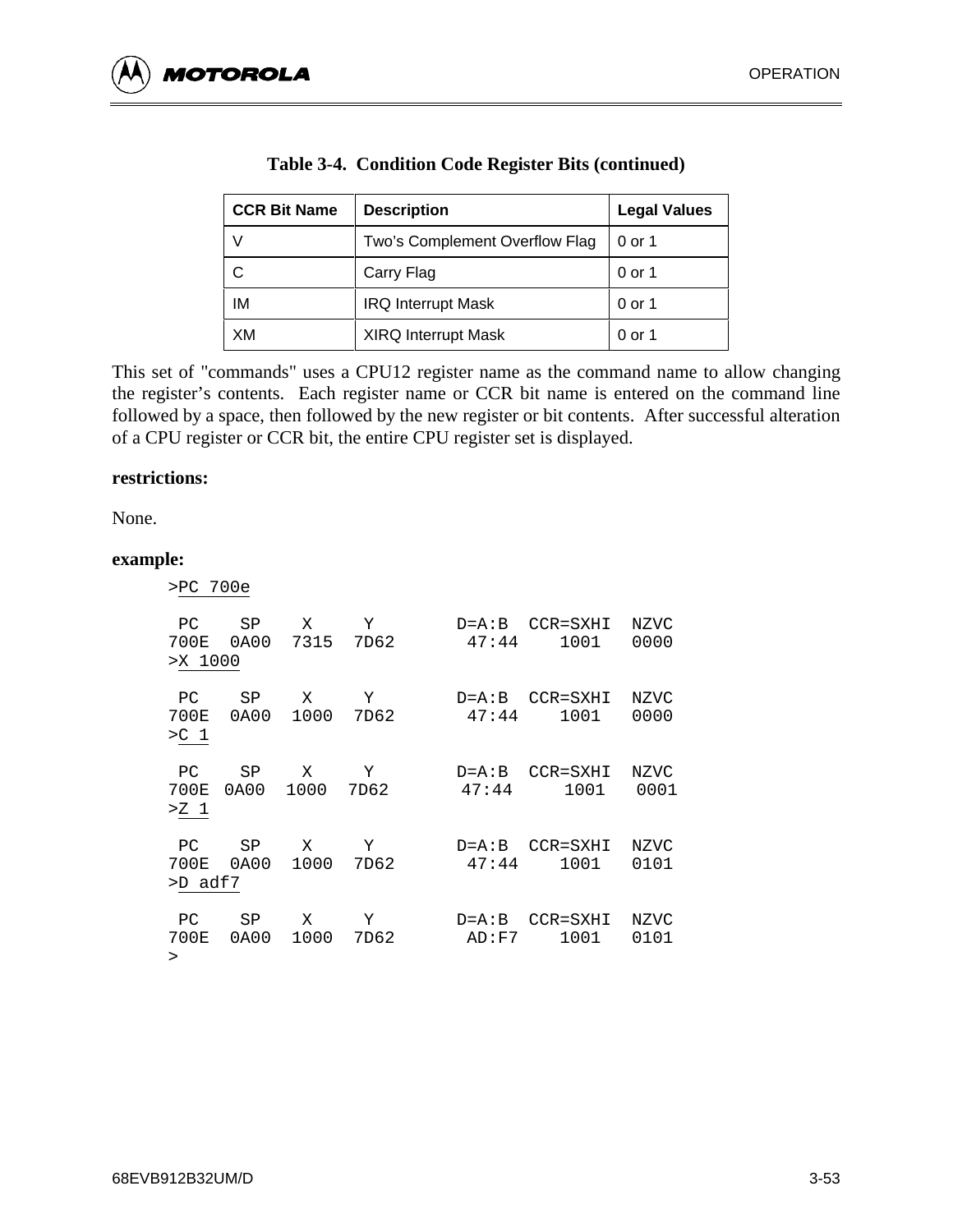| <b>CCR Bit Name</b> | <b>Description</b>             | <b>Legal Values</b> |
|---------------------|--------------------------------|---------------------|
| V                   | Two's Complement Overflow Flag | 0 or 1              |
|                     | Carry Flag                     | 0 or 1              |
| IM                  | <b>IRQ Interrupt Mask</b>      | 0 or 1              |
| XМ                  | <b>XIRQ Interrupt Mask</b>     | 0 or 1              |

This set of "commands" uses a CPU12 register name as the command name to allow changing the register's contents. Each register name or CCR bit name is entered on the command line followed by a space, then followed by the new register or bit contents. After successful alteration of a CPU register or CCR bit, the entire CPU register set is displayed.

#### **restrictions:**

None.

#### **example:**

>PC 700e PC SP X Y D=A:B CCR=SXHI NZVC<br>700E 0A00 7315 7D62 47:44 1001 0000  $47:44$ >X 1000 PC SP X Y D=A:B CCR=SXHI NZVC 700E 0A00 1000 7D62 47:44 1001 0000  $\geq$  1 PC SP X Y D=A:B CCR=SXHI NZVC 700E 0A00 1000 7D62 47:44 1001 0001 >Z 1 PC SP X Y D=A:B CCR=SXHI NZVC 700E 0A00 1000 7D62 47:44 1001 0101 >D adf7 PC SP X Y D=A:B CCR=SXHI NZVC 700E 0A00 1000 7D62 AD:F7 1001 0101 >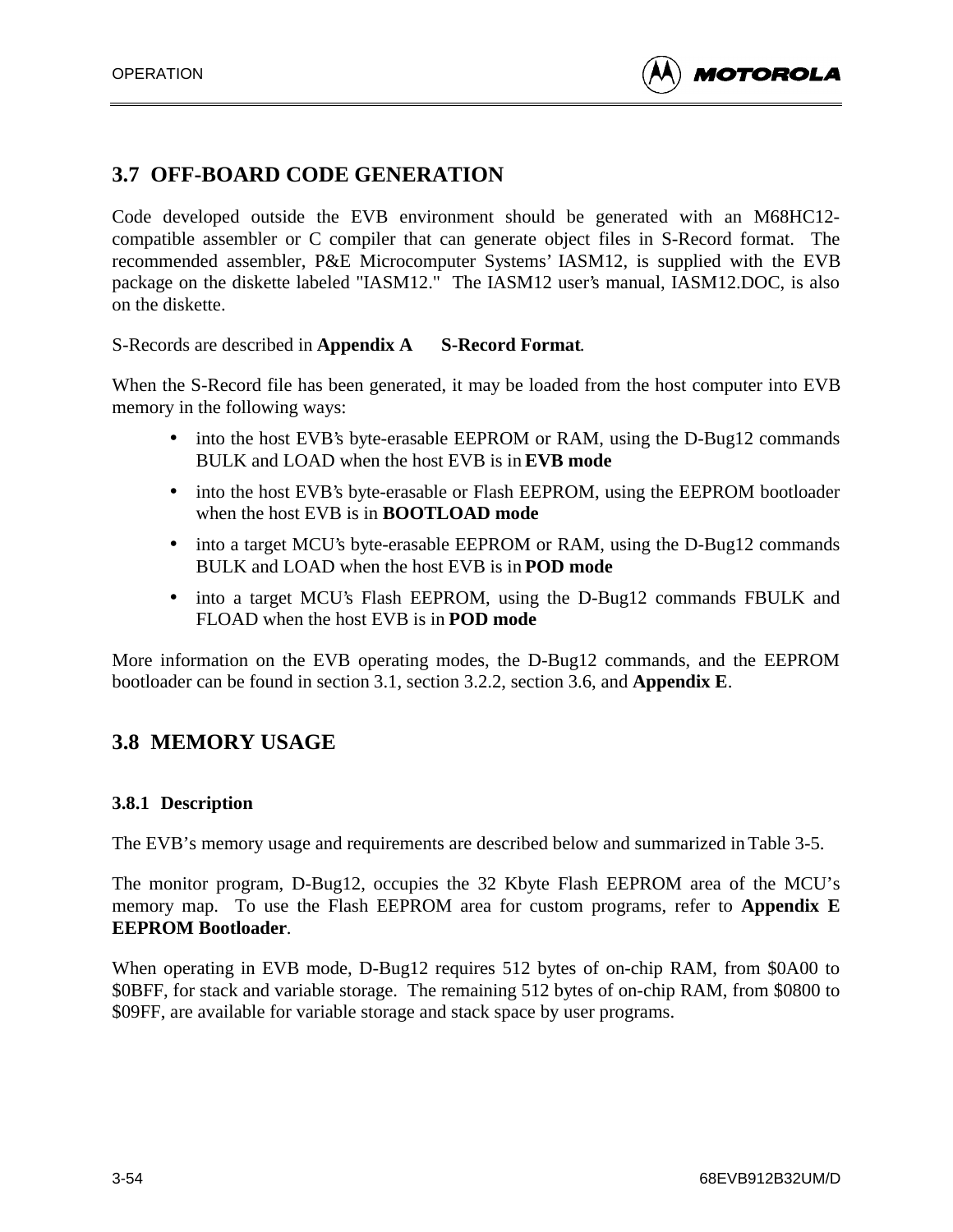### **3.7 OFF-BOARD CODE GENERATION**

Code developed outside the EVB environment should be generated with an M68HC12 compatible assembler or C compiler that can generate object files in S-Record format. The recommended assembler, P&E Microcomputer Systems' IASM12, is supplied with the EVB package on the diskette labeled "IASM12." The IASM12 user's manual, IASM12.DOC, is also on the diskette.

#### S-Records are described in **Appendix A** — S-Record Format.

When the S-Record file has been generated, it may be loaded from the host computer into EVB memory in the following ways:

- into the host EVB's byte-erasable EEPROM or RAM, using the D-Bug12 commands BULK and LOAD when the host EVB is in **EVB mode**
- into the host EVB's byte-erasable or Flash EEPROM, using the EEPROM bootloader when the host EVB is in **BOOTLOAD mode**
- into a target MCU's byte-erasable EEPROM or RAM, using the D-Bug12 commands BULK and LOAD when the host EVB is in **POD mode**
- into a target MCU's Flash EEPROM, using the D-Bug12 commands FBULK and FLOAD when the host EVB is in **POD mode**

More information on the EVB operating modes, the D-Bug12 commands, and the EEPROM bootloader can be found in section 3.1, section 3.2.2, section 3.6, and **Appendix E**.

### **3.8 MEMORY USAGE**

#### **3.8.1 Description**

The EVB's memory usage and requirements are described below and summarized in Table 3-5.

The monitor program, D-Bug12, occupies the 32 Kbyte Flash EEPROM area of the MCU's memory map. To use the Flash EEPROM area for custom programs, refer to **Appendix E EEPROM Bootloader**.

When operating in EVB mode, D-Bug12 requires 512 bytes of on-chip RAM, from \$0A00 to \$0BFF, for stack and variable storage. The remaining 512 bytes of on-chip RAM, from \$0800 to \$09FF, are available for variable storage and stack space by user programs.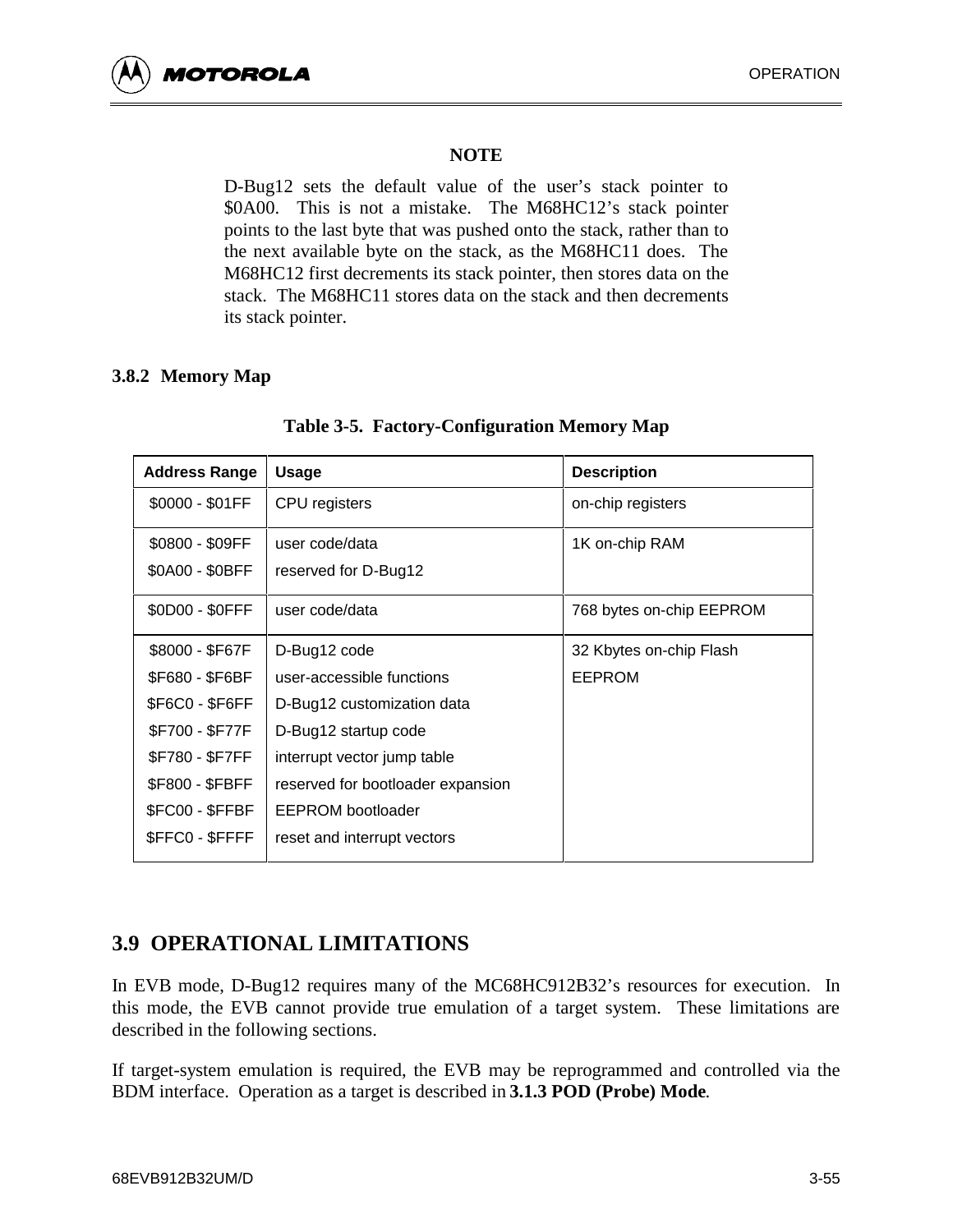

#### **NOTE**

D-Bug12 sets the default value of the user's stack pointer to \$0A00. This is not a mistake. The M68HC12's stack pointer points to the last byte that was pushed onto the stack, rather than to the next available byte on the stack, as the M68HC11 does. The M68HC12 first decrements its stack pointer, then stores data on the stack. The M68HC11 stores data on the stack and then decrements its stack pointer.

#### **3.8.2 Memory Map**

| <b>Address Range</b>   | <b>Usage</b>                      | <b>Description</b>       |
|------------------------|-----------------------------------|--------------------------|
| \$0000 - \$01FF        | CPU registers                     | on-chip registers        |
| \$0800 - \$09FF        | user code/data                    | 1K on-chip RAM           |
| \$0A00 - \$0BFF        | reserved for D-Bug12              |                          |
| \$0D00 - \$0FFF        | user code/data                    | 768 bytes on-chip EEPROM |
| \$8000 - \$F67F        | D-Bug12 code                      | 32 Kbytes on-chip Flash  |
| \$F680 - \$F6BF        | user-accessible functions         | <b>EEPROM</b>            |
| \$F6C0 - \$F6FF        | D-Bug12 customization data        |                          |
| <b>SF700 - SF77F</b>   | D-Bug12 startup code              |                          |
| <b>\$F780 - \$F7FF</b> | interrupt vector jump table       |                          |
| \$F800 - \$FBFF        | reserved for bootloader expansion |                          |
| \$FC00 - \$FFBF        | EEPROM bootloader                 |                          |
| <b>\$FFC0 - \$FFFF</b> | reset and interrupt vectors       |                          |

**Table 3-5. Factory-Configuration Memory Map**

# **3.9 OPERATIONAL LIMITATIONS**

In EVB mode, D-Bug12 requires many of the MC68HC912B32's resources for execution. In this mode, the EVB cannot provide true emulation of a target system. These limitations are described in the following sections.

If target-system emulation is required, the EVB may be reprogrammed and controlled via the BDM interface. Operation as a target is described in **3.1.3 POD (Probe) Mode**.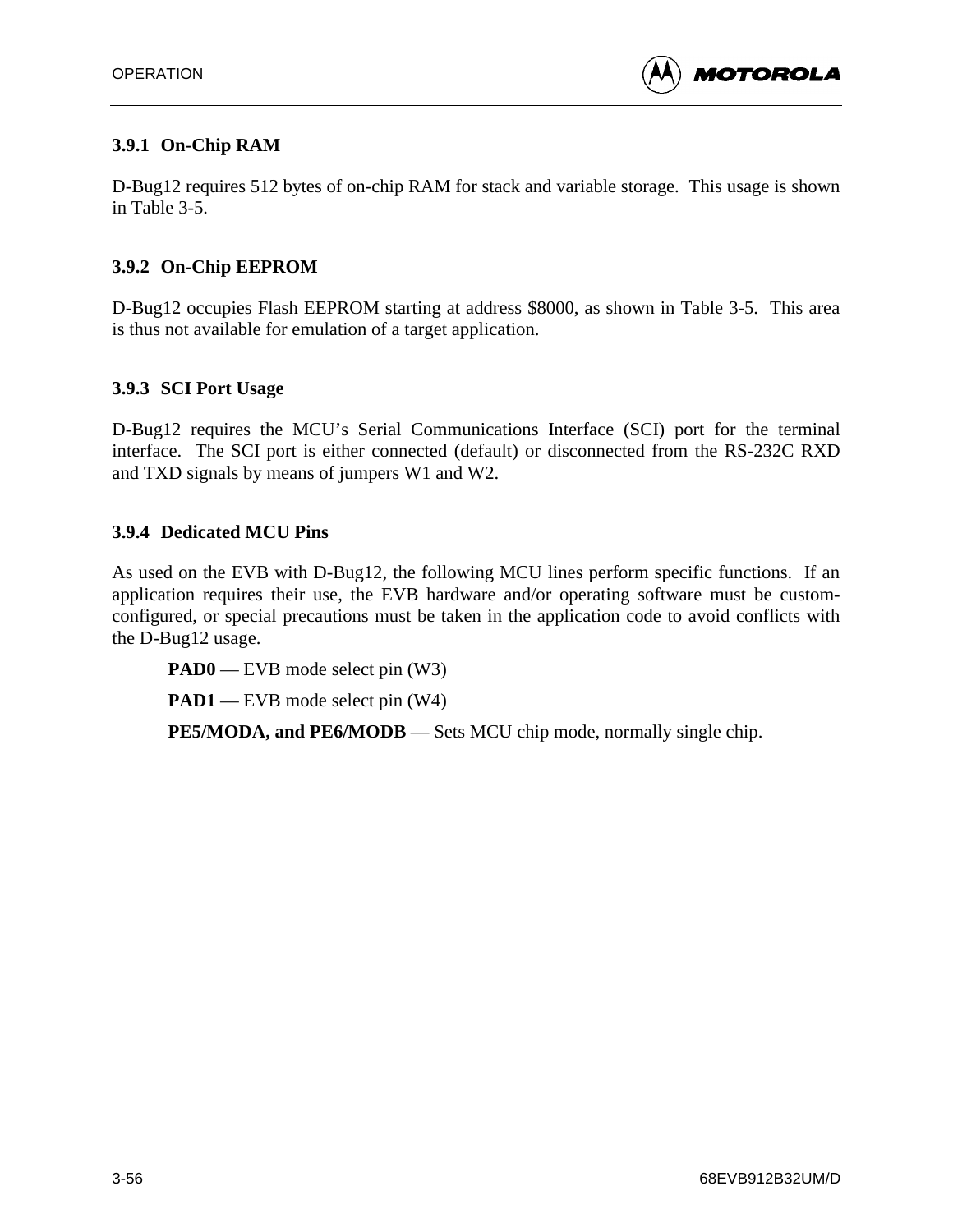### **3.9.1 On-Chip RAM**

D-Bug12 requires 512 bytes of on-chip RAM for stack and variable storage. This usage is shown in Table 3-5.

#### **3.9.2 On-Chip EEPROM**

D-Bug12 occupies Flash EEPROM starting at address \$8000, as shown in Table 3-5. This area is thus not available for emulation of a target application.

#### **3.9.3 SCI Port Usage**

D-Bug12 requires the MCU's Serial Communications Interface (SCI) port for the terminal interface. The SCI port is either connected (default) or disconnected from the RS-232C RXD and TXD signals by means of jumpers W1 and W2.

#### **3.9.4 Dedicated MCU Pins**

As used on the EVB with D-Bug12, the following MCU lines perform specific functions. If an application requires their use, the EVB hardware and/or operating software must be customconfigured, or special precautions must be taken in the application code to avoid conflicts with the D-Bug12 usage.

**PAD0** — EVB mode select pin (W3)

**PAD1** — EVB mode select pin (W4)

**PE5/MODA, and PE6/MODB** — Sets MCU chip mode, normally single chip.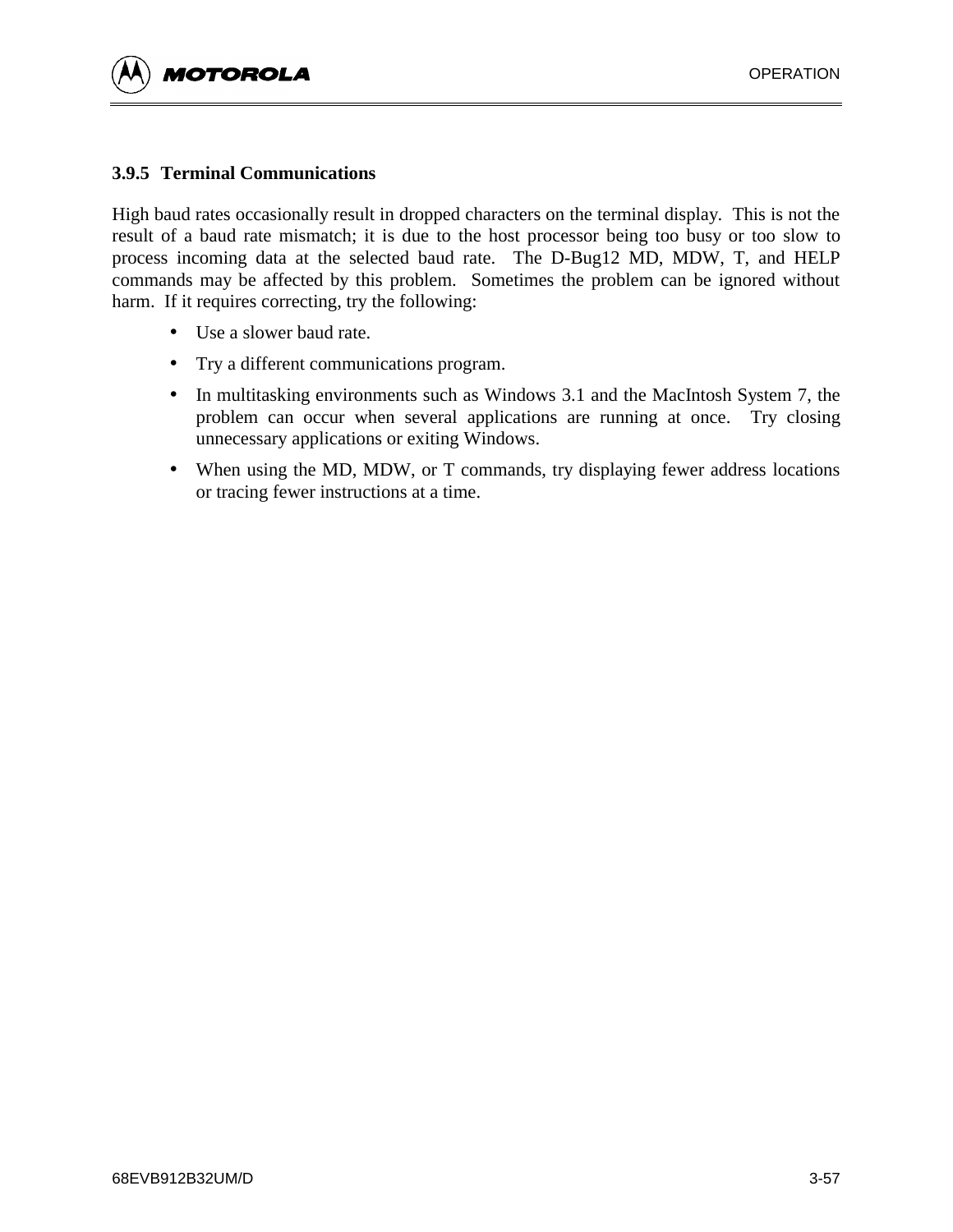

#### **3.9.5 Terminal Communications**

High baud rates occasionally result in dropped characters on the terminal display. This is not the result of a baud rate mismatch; it is due to the host processor being too busy or too slow to process incoming data at the selected baud rate. The D-Bug12 MD, MDW, T, and HELP commands may be affected by this problem. Sometimes the problem can be ignored without harm. If it requires correcting, try the following:

- Use a slower baud rate.
- Try a different communications program.
- In multitasking environments such as Windows 3.1 and the MacIntosh System 7, the problem can occur when several applications are running at once. Try closing unnecessary applications or exiting Windows.
- When using the MD, MDW, or T commands, try displaying fewer address locations or tracing fewer instructions at a time.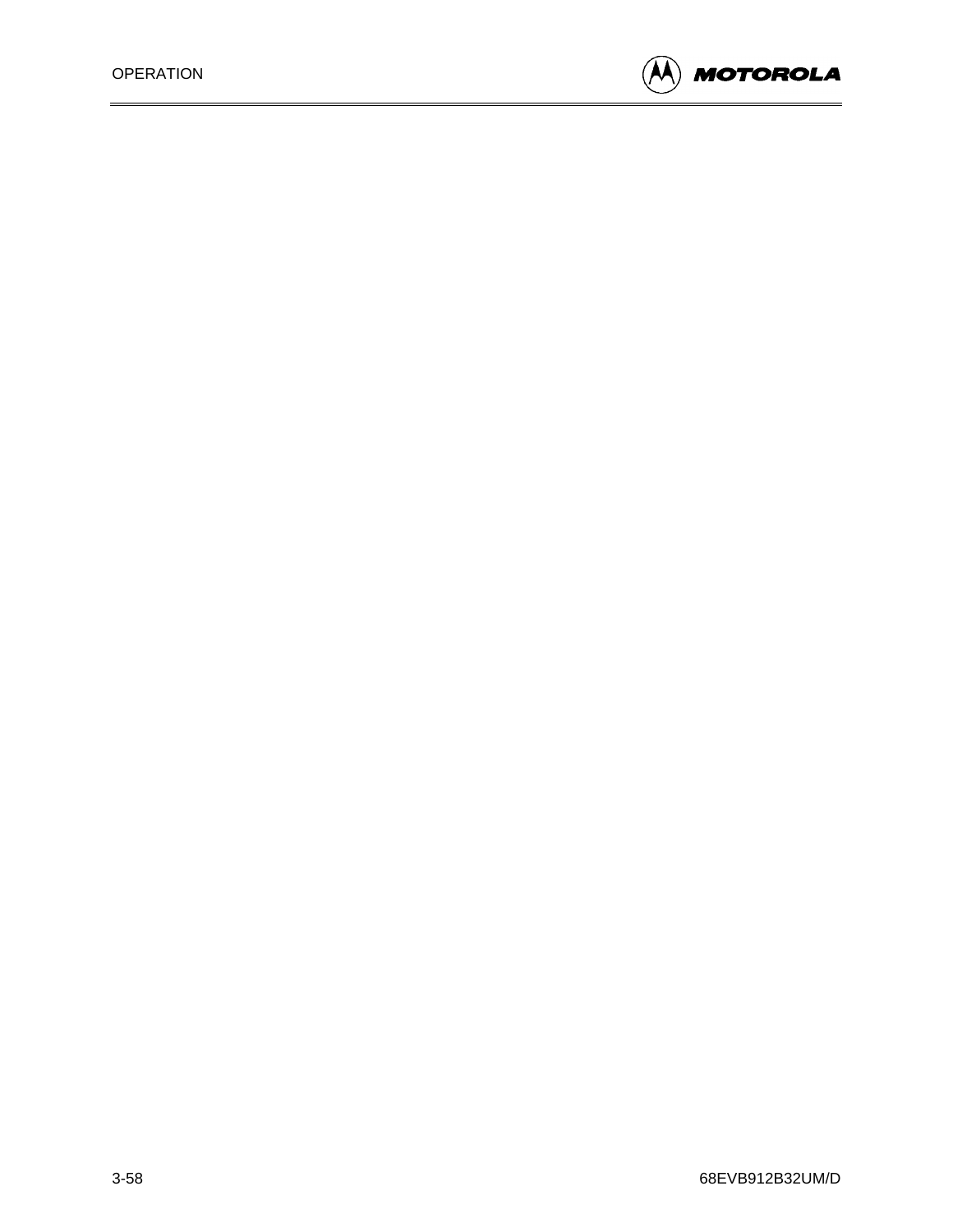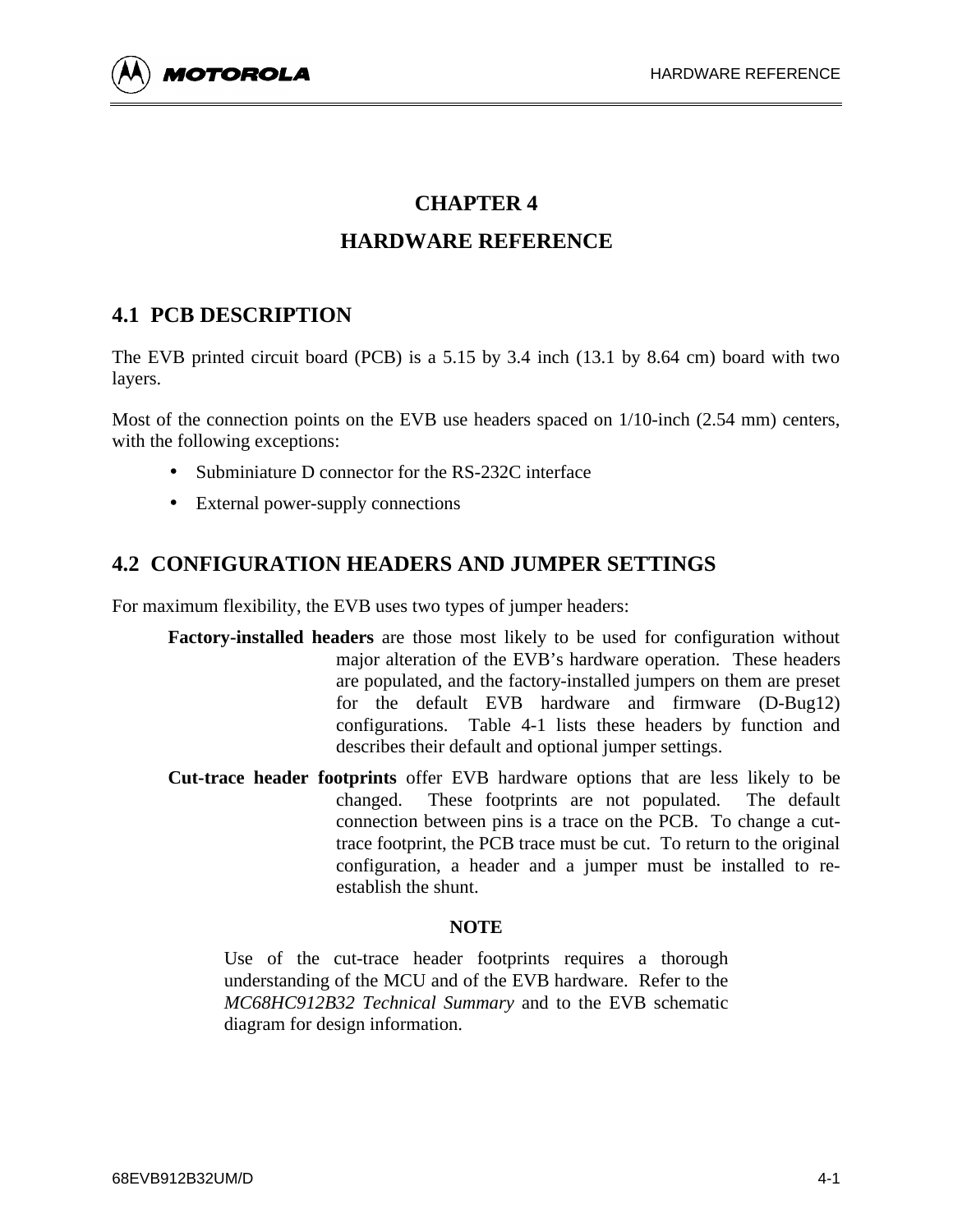

# **CHAPTER 4**

### **HARDWARE REFERENCE**

# **4.1 PCB DESCRIPTION**

The EVB printed circuit board (PCB) is a 5.15 by 3.4 inch (13.1 by 8.64 cm) board with two layers.

Most of the connection points on the EVB use headers spaced on 1/10-inch (2.54 mm) centers, with the following exceptions:

- Subminiature D connector for the RS-232C interface
- External power-supply connections

### **4.2 CONFIGURATION HEADERS AND JUMPER SETTINGS**

For maximum flexibility, the EVB uses two types of jumper headers:

- **Factory-installed headers** are those most likely to be used for configuration without major alteration of the EVB's hardware operation. These headers are populated, and the factory-installed jumpers on them are preset for the default EVB hardware and firmware (D-Bug12) configurations. Table 4-1 lists these headers by function and describes their default and optional jumper settings.
- **Cut-trace header footprints** offer EVB hardware options that are less likely to be changed. These footprints are not populated. The default connection between pins is a trace on the PCB. To change a cuttrace footprint, the PCB trace must be cut. To return to the original configuration, a header and a jumper must be installed to reestablish the shunt.

#### **NOTE**

Use of the cut-trace header footprints requires a thorough understanding of the MCU and of the EVB hardware. Refer to the *MC68HC912B32 Technical Summary* and to the EVB schematic diagram for design information.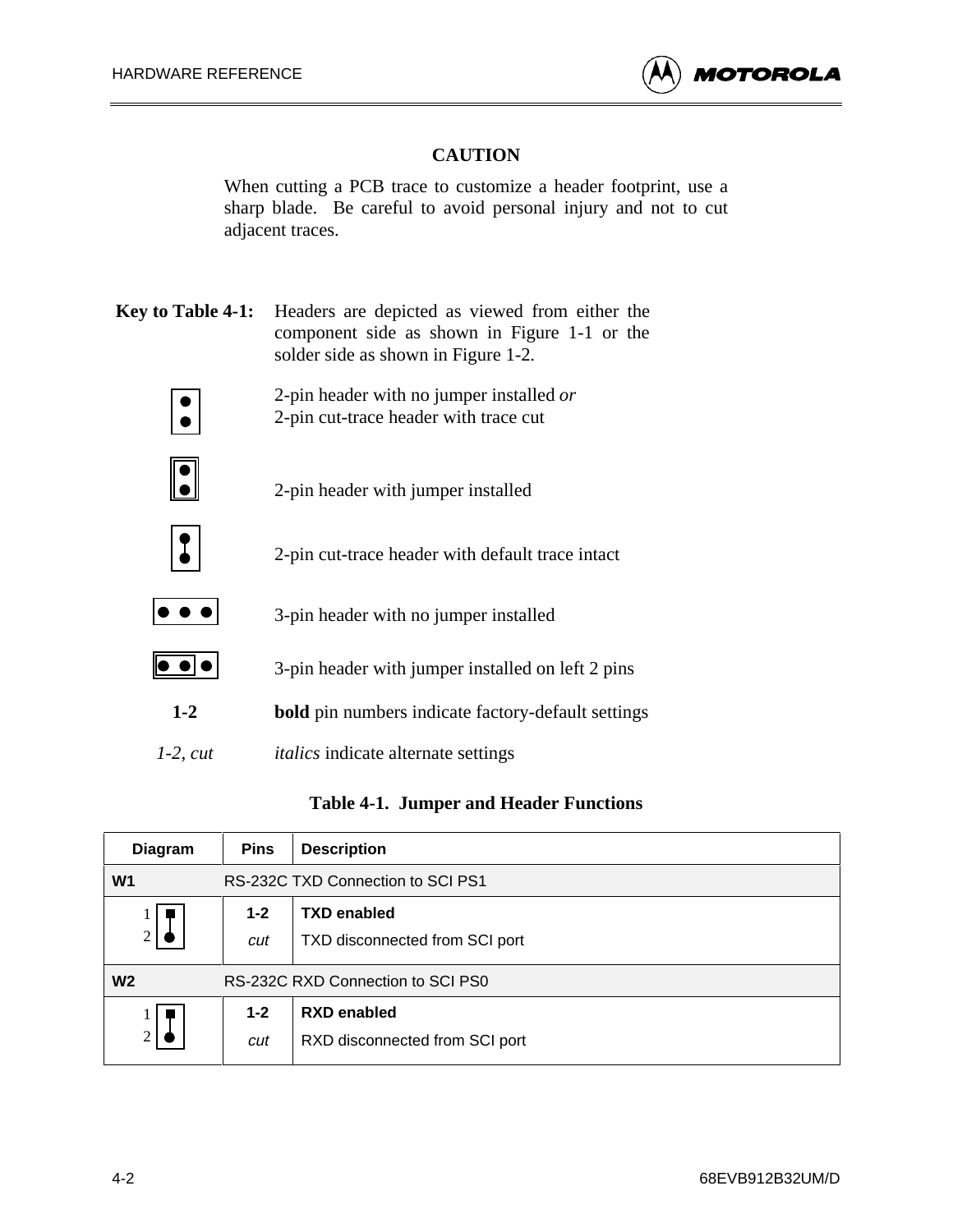### **CAUTION**

When cutting a PCB trace to customize a header footprint, use a sharp blade. Be careful to avoid personal injury and not to cut adjacent traces.

| <b>Key to Table 4-1:</b> | Headers are depicted as viewed from either the<br>component side as shown in Figure 1-1 or the<br>solder side as shown in Figure 1-2. |  |  |
|--------------------------|---------------------------------------------------------------------------------------------------------------------------------------|--|--|
|                          | 2-pin header with no jumper installed or<br>2-pin cut-trace header with trace cut                                                     |  |  |
|                          | 2-pin header with jumper installed                                                                                                    |  |  |
|                          | 2-pin cut-trace header with default trace intact                                                                                      |  |  |
|                          | 3-pin header with no jumper installed                                                                                                 |  |  |
|                          | 3-pin header with jumper installed on left 2 pins                                                                                     |  |  |
| $1 - 2$                  | <b>bold</b> pin numbers indicate factory-default settings                                                                             |  |  |
| $1-2$ , cut              | <i>italics</i> indicate alternate settings                                                                                            |  |  |

#### **Table 4-1. Jumper and Header Functions**

| <b>Diagram</b>                                      | <b>Pins</b>                       | <b>Description</b>                                   |  |  |
|-----------------------------------------------------|-----------------------------------|------------------------------------------------------|--|--|
| W <sub>1</sub>                                      | RS-232C TXD Connection to SCI PS1 |                                                      |  |  |
| $\mathfrak{D}$                                      | $1 - 2$<br>cut                    | <b>TXD enabled</b><br>TXD disconnected from SCI port |  |  |
| W <sub>2</sub><br>RS-232C RXD Connection to SCI PS0 |                                   |                                                      |  |  |
|                                                     | $1 - 2$<br>cut                    | <b>RXD</b> enabled<br>RXD disconnected from SCI port |  |  |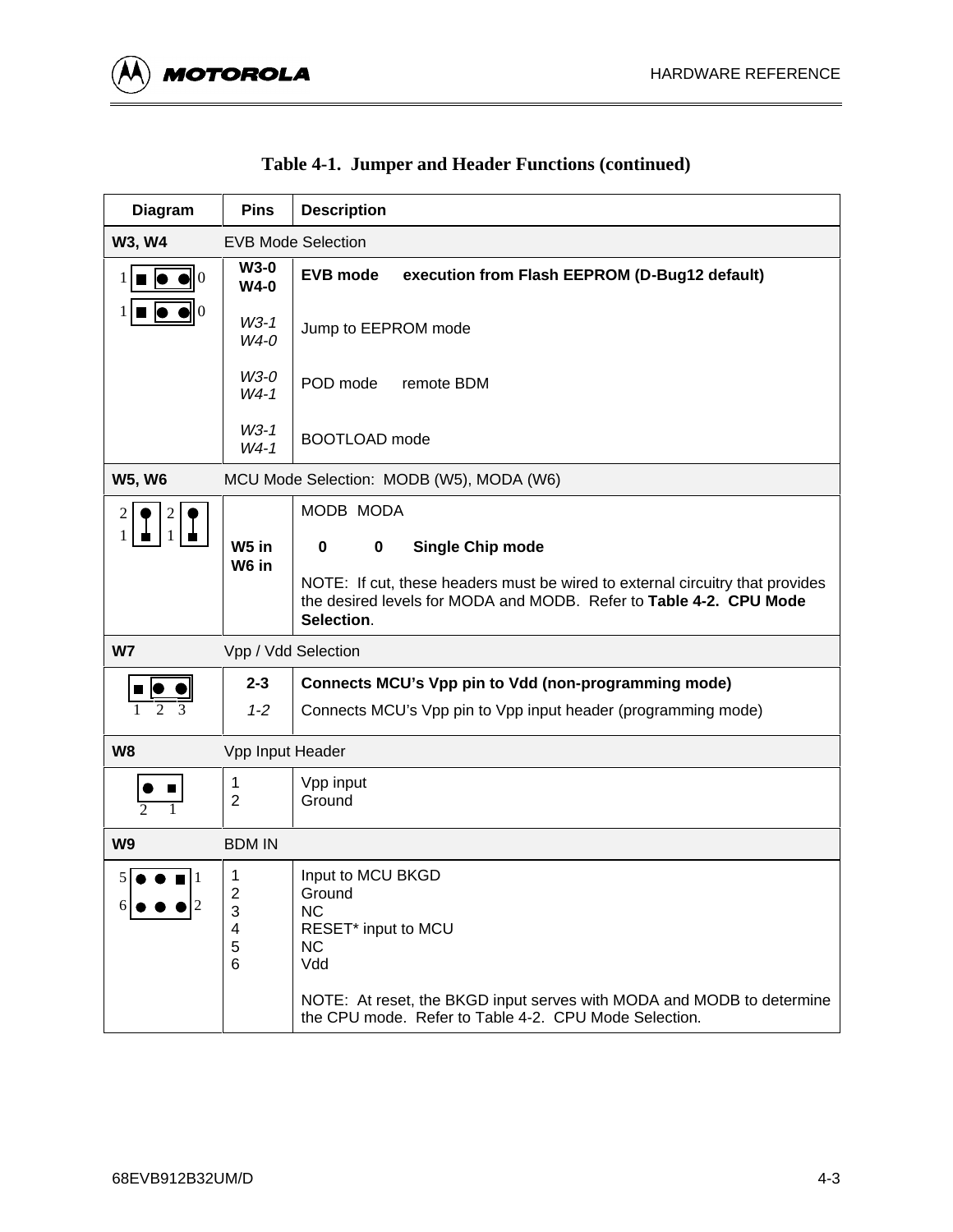

| Diagram        | <b>Pins</b>                                      | <b>Description</b>                                                                                                                                                |  |  |
|----------------|--------------------------------------------------|-------------------------------------------------------------------------------------------------------------------------------------------------------------------|--|--|
| W3, W4         |                                                  | <b>EVB Mode Selection</b>                                                                                                                                         |  |  |
| $\Omega$       | $W3-0$<br>$W4-0$                                 | EVB mode - execution from Flash EEPROM (D-Bug12 default)                                                                                                          |  |  |
|                | $W3-1$<br>$W4-0$                                 | Jump to EEPROM mode                                                                                                                                               |  |  |
|                | $W3-0$<br>$W4-1$                                 | POD mode - remote BDM                                                                                                                                             |  |  |
|                | $W3-1$<br>$W4-1$                                 | <b>BOOTLOAD</b> mode                                                                                                                                              |  |  |
| <b>W5, W6</b>  |                                                  | MCU Mode Selection: MODB (W5), MODA (W6)                                                                                                                          |  |  |
|                |                                                  | MODB MODA                                                                                                                                                         |  |  |
|                | W5 in<br>W6 in                                   | 0<br>$\mathbf 0$<br><b>Single Chip mode</b>                                                                                                                       |  |  |
|                |                                                  | NOTE: If cut, these headers must be wired to external circuitry that provides<br>the desired levels for MODA and MODB. Refer to Table 4-2. CPU Mode<br>Selection. |  |  |
| <b>W7</b>      |                                                  | Vpp / Vdd Selection                                                                                                                                               |  |  |
|                | $2 - 3$                                          | Connects MCU's Vpp pin to Vdd (non-programming mode)                                                                                                              |  |  |
|                | $1 - 2$                                          | Connects MCU's Vpp pin to Vpp input header (programming mode)                                                                                                     |  |  |
| W <sub>8</sub> | Vpp Input Header                                 |                                                                                                                                                                   |  |  |
|                | 1<br>$\overline{2}$                              | Vpp input<br>Ground                                                                                                                                               |  |  |
| W <sub>9</sub> | <b>BDM IN</b>                                    |                                                                                                                                                                   |  |  |
| 5              | 1<br>$\overline{\mathbf{c}}$<br>3<br>4<br>5<br>6 | Input to MCU BKGD<br>Ground<br><b>NC</b><br>RESET* input to MCU<br><b>NC</b><br>Vdd<br>NOTE: At reset, the BKGD input serves with MODA and MODB to determine      |  |  |
|                |                                                  | the CPU mode. Refer to Table 4-2. CPU Mode Selection.                                                                                                             |  |  |

### **Table 4-1. Jumper and Header Functions (continued)**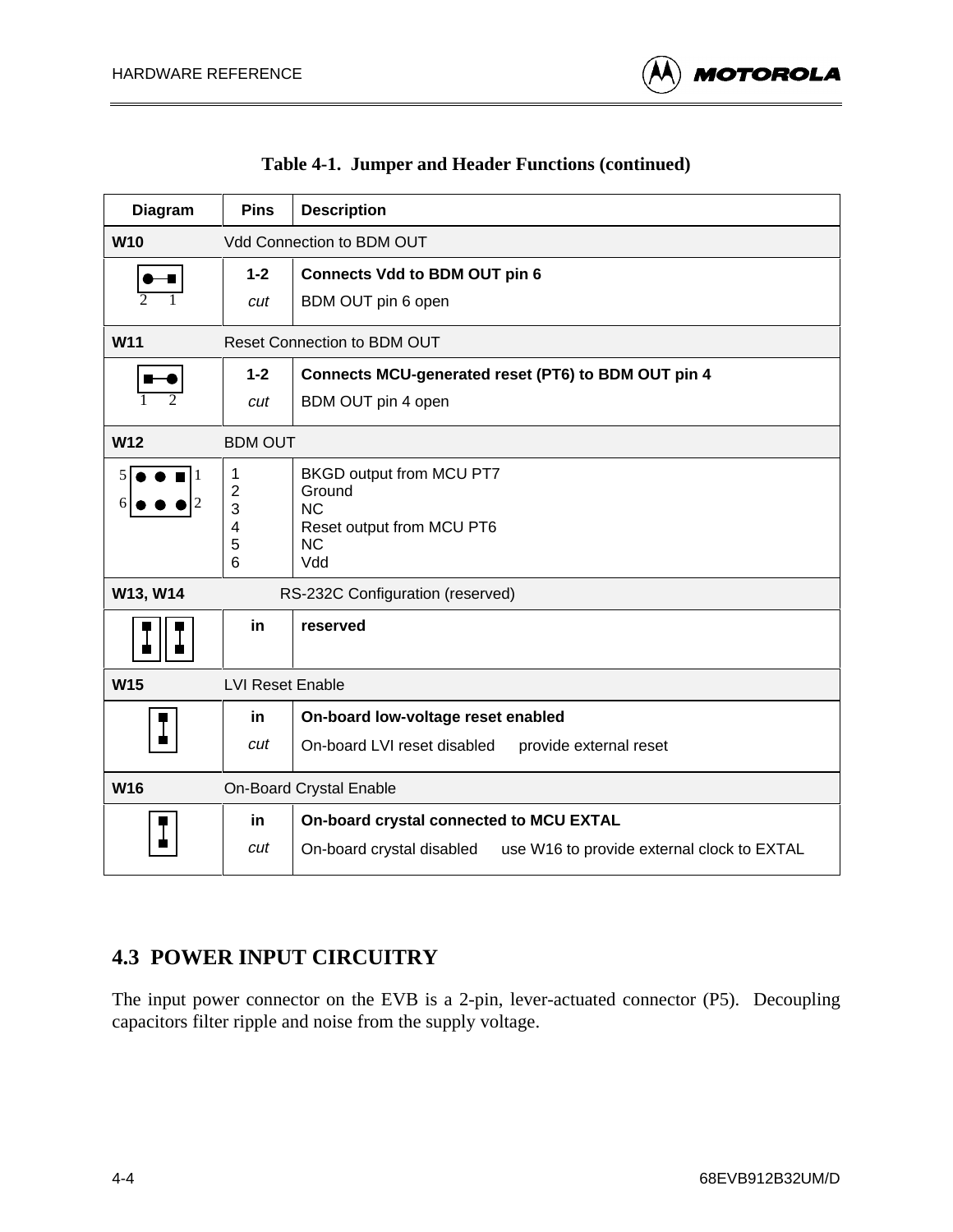| <b>Diagram</b> | <b>Pins</b>                                        | <b>Description</b>                                                                        |  |  |
|----------------|----------------------------------------------------|-------------------------------------------------------------------------------------------|--|--|
| <b>W10</b>     | Vdd Connection to BDM OUT                          |                                                                                           |  |  |
|                | $1 - 2$                                            | <b>Connects Vdd to BDM OUT pin 6</b>                                                      |  |  |
|                | cut                                                | BDM OUT pin 6 open                                                                        |  |  |
| <b>W11</b>     |                                                    | <b>Reset Connection to BDM OUT</b>                                                        |  |  |
|                | $1 - 2$                                            | Connects MCU-generated reset (PT6) to BDM OUT pin 4                                       |  |  |
|                | cut                                                | BDM OUT pin 4 open                                                                        |  |  |
| <b>W12</b>     |                                                    | <b>BDM OUT</b>                                                                            |  |  |
|                | $\mathbf{1}$<br>$\overline{2}$<br>3<br>4<br>5<br>6 | BKGD output from MCU PT7<br>Ground<br>NC<br>Reset output from MCU PT6<br><b>NC</b><br>Vdd |  |  |
| W13, W14       |                                                    | RS-232C Configuration (reserved)                                                          |  |  |
|                | in                                                 | reserved                                                                                  |  |  |
| W15            | <b>LVI Reset Enable</b>                            |                                                                                           |  |  |
| Ī              | in                                                 | On-board low-voltage reset enabled                                                        |  |  |
|                | cut                                                | On-board LVI reset disabled - provide external reset                                      |  |  |
| <b>W16</b>     | On-Board Crystal Enable                            |                                                                                           |  |  |
|                | in                                                 | On-board crystal connected to MCU EXTAL                                                   |  |  |
|                | cut                                                | On-board crystal disabled - use W16 to provide external clock to EXTAL                    |  |  |

#### **Table 4-1. Jumper and Header Functions (continued)**

# **4.3 POWER INPUT CIRCUITRY**

The input power connector on the EVB is a 2-pin, lever-actuated connector (P5). Decoupling capacitors filter ripple and noise from the supply voltage.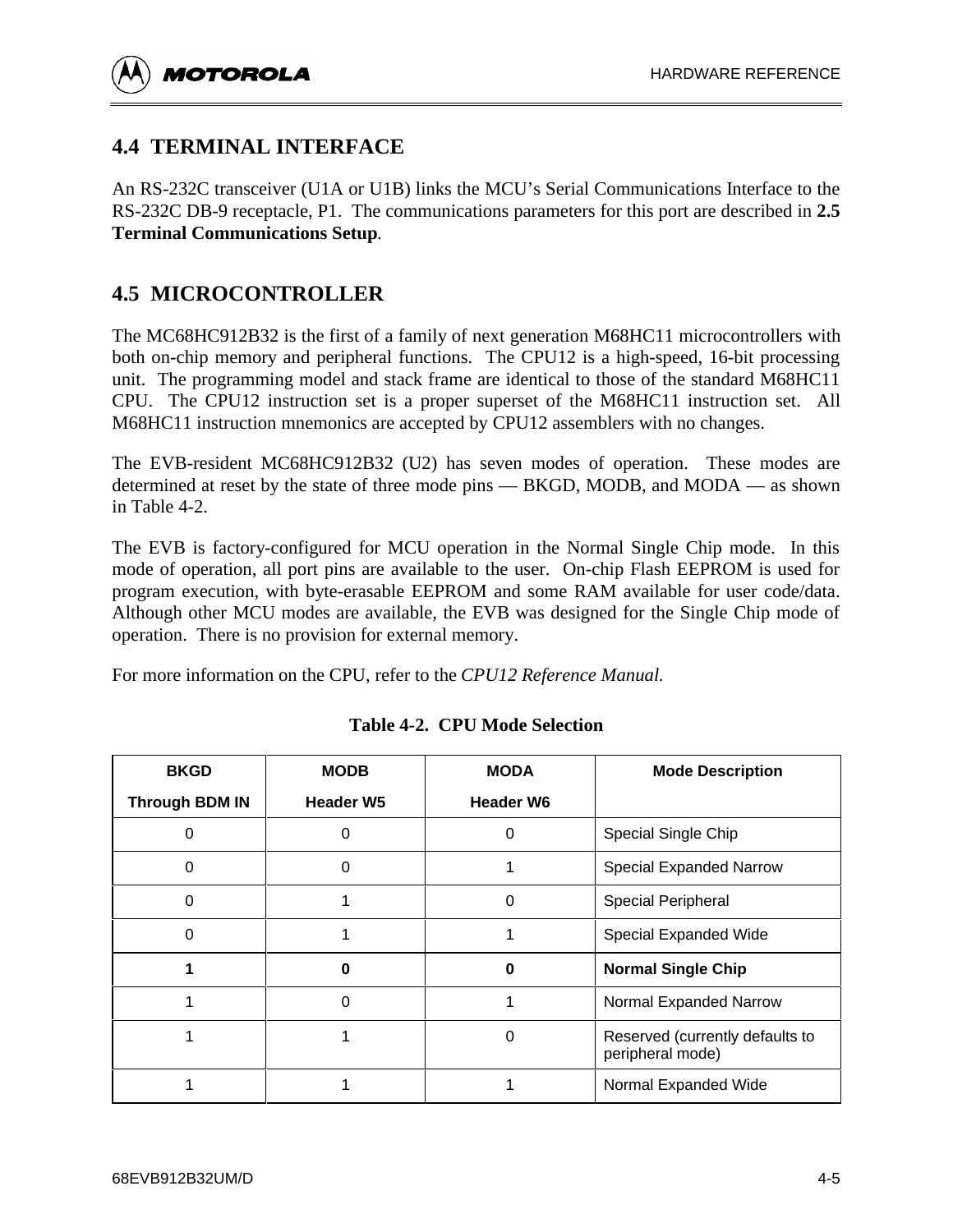

### **4.4 TERMINAL INTERFACE**

An RS-232C transceiver (U1A or U1B) links the MCU's Serial Communications Interface to the RS-232C DB-9 receptacle, P1. The communications parameters for this port are described in **2.5 Terminal Communications Setup**.

# **4.5 MICROCONTROLLER**

The MC68HC912B32 is the first of a family of next generation M68HC11 microcontrollers with both on-chip memory and peripheral functions. The CPU12 is a high-speed, 16-bit processing unit. The programming model and stack frame are identical to those of the standard M68HC11 CPU. The CPU12 instruction set is a proper superset of the M68HC11 instruction set. All M68HC11 instruction mnemonics are accepted by CPU12 assemblers with no changes.

The EVB-resident MC68HC912B32 (U2) has seven modes of operation. These modes are determined at reset by the state of three mode pins — BKGD, MODB, and MODA — as shown in Table 4-2.

The EVB is factory-configured for MCU operation in the Normal Single Chip mode. In this mode of operation, all port pins are available to the user. On-chip Flash EEPROM is used for program execution, with byte-erasable EEPROM and some RAM available for user code/data. Although other MCU modes are available, the EVB was designed for the Single Chip mode of operation. There is no provision for external memory.

For more information on the CPU, refer to the *CPU12 Reference Manual*.

| <b>BKGD</b>    | <b>MODB</b>      | <b>MODA</b> | <b>Mode Description</b>                             |
|----------------|------------------|-------------|-----------------------------------------------------|
| Through BDM IN | <b>Header W5</b> | Header W6   |                                                     |
|                |                  |             | <b>Special Single Chip</b>                          |
| Ω              | ი                |             | <b>Special Expanded Narrow</b>                      |
| Ω              |                  | 0           | Special Peripheral                                  |
| O              |                  |             | Special Expanded Wide                               |
|                | O                | O           | <b>Normal Single Chip</b>                           |
|                | 0                |             | Normal Expanded Narrow                              |
|                |                  | O           | Reserved (currently defaults to<br>peripheral mode) |
|                |                  |             | Normal Expanded Wide                                |

#### **Table 4-2. CPU Mode Selection**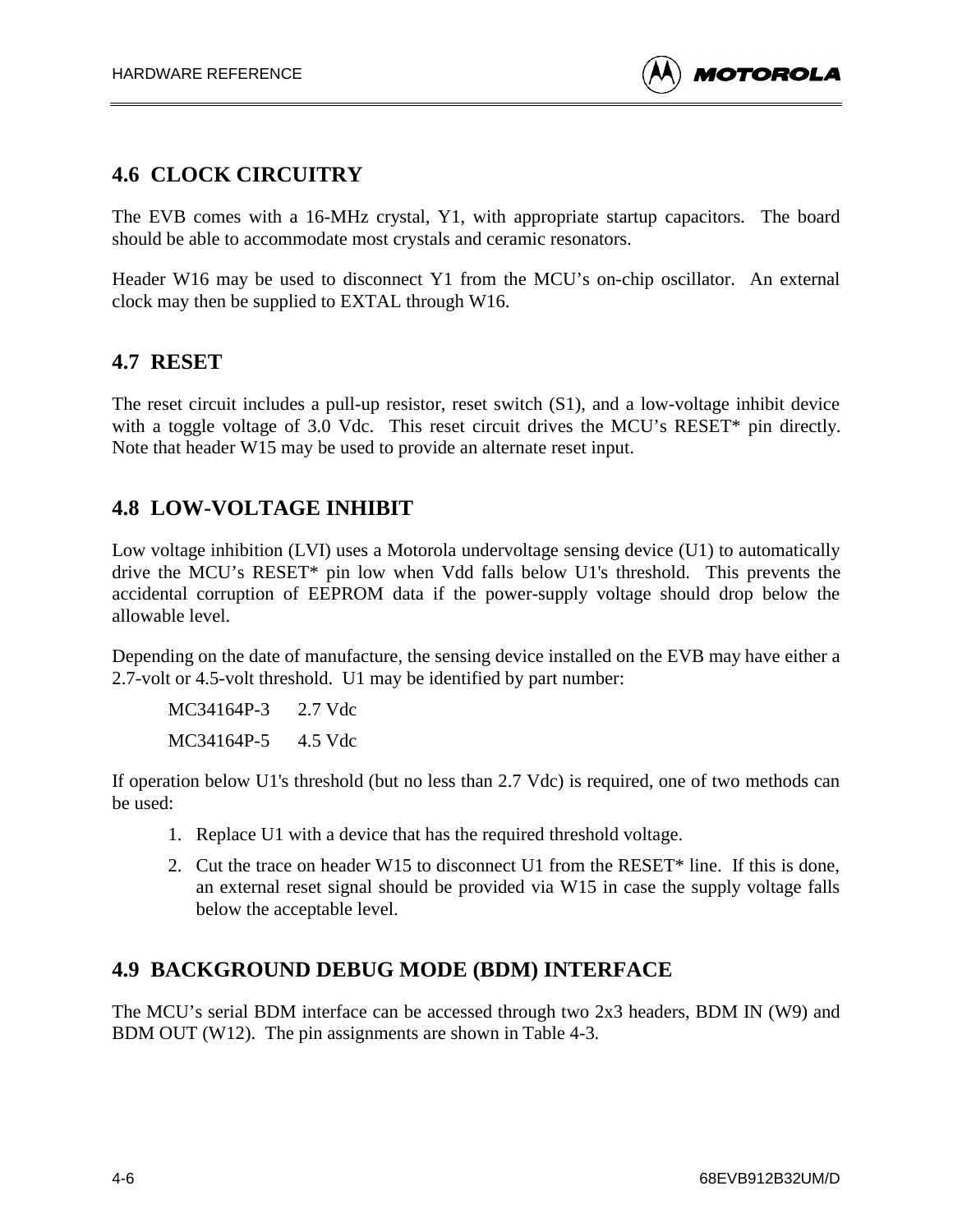# **4.6 CLOCK CIRCUITRY**

The EVB comes with a 16-MHz crystal, Y1, with appropriate startup capacitors. The board should be able to accommodate most crystals and ceramic resonators.

Header W16 may be used to disconnect Y1 from the MCU's on-chip oscillator. An external clock may then be supplied to EXTAL through W16.

### **4.7 RESET**

The reset circuit includes a pull-up resistor, reset switch (S1), and a low-voltage inhibit device with a toggle voltage of 3.0 Vdc. This reset circuit drives the MCU's RESET<sup>\*</sup> pin directly. Note that header W15 may be used to provide an alternate reset input.

# **4.8 LOW-VOLTAGE INHIBIT**

Low voltage inhibition (LVI) uses a Motorola undervoltage sensing device (U1) to automatically drive the MCU's RESET\* pin low when Vdd falls below U1's threshold. This prevents the accidental corruption of EEPROM data if the power-supply voltage should drop below the allowable level.

Depending on the date of manufacture, the sensing device installed on the EVB may have either a 2.7-volt or 4.5-volt threshold. U1 may be identified by part number:

 $MC34164P-3 - 2.7$  Vdc MC34164P-5 - 4.5 Vdc

If operation below U1's threshold (but no less than 2.7 Vdc) is required, one of two methods can be used:

- 1. Replace U1 with a device that has the required threshold voltage.
- 2. Cut the trace on header W15 to disconnect U1 from the RESET\* line. If this is done, an external reset signal should be provided via W15 in case the supply voltage falls below the acceptable level.

# **4.9 BACKGROUND DEBUG MODE (BDM) INTERFACE**

The MCU's serial BDM interface can be accessed through two 2x3 headers, BDM IN (W9) and BDM OUT (W12). The pin assignments are shown in Table 4-3.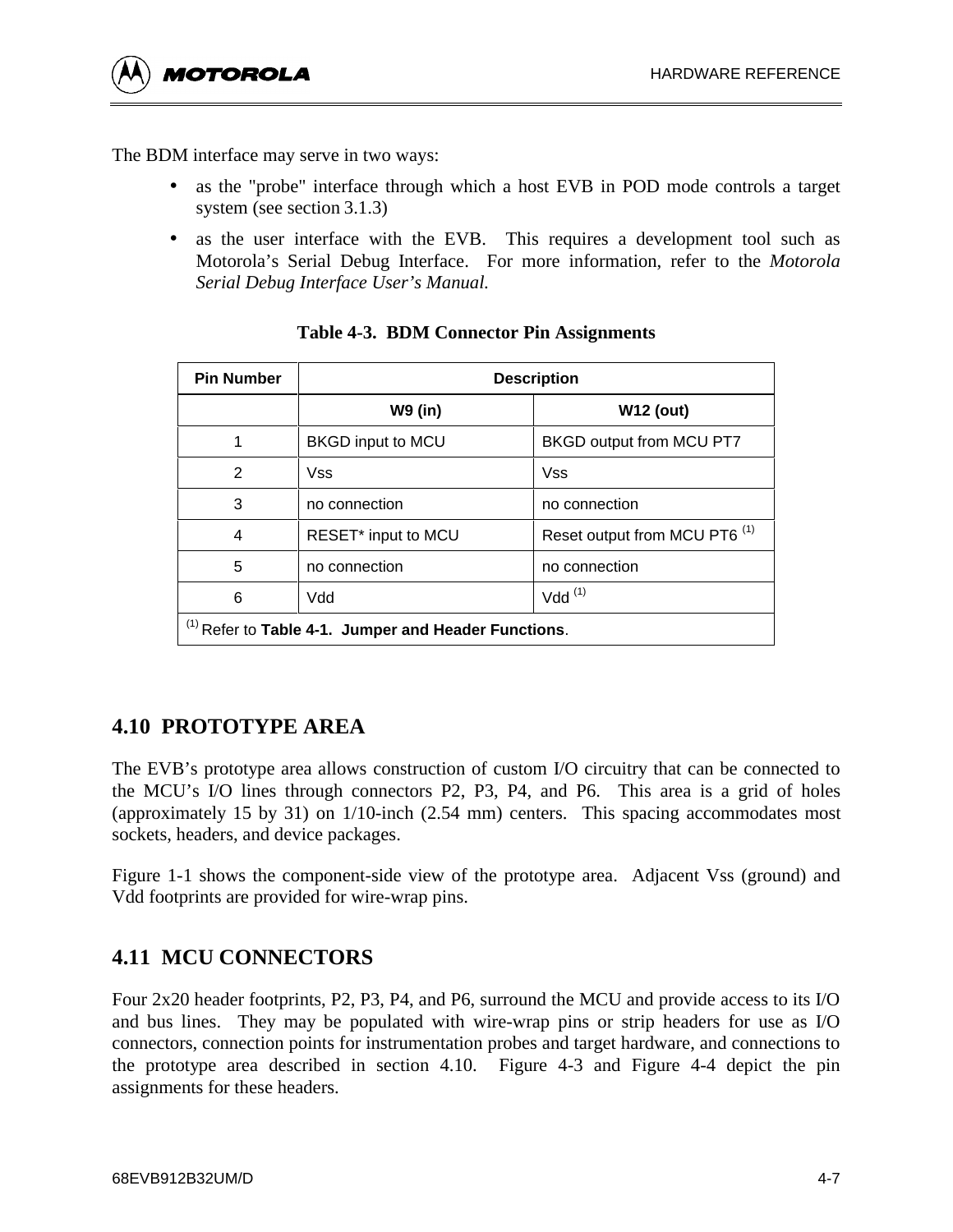

The BDM interface may serve in two ways:

- as the "probe" interface through which a host EVB in POD mode controls a target system (see section 3.1.3)
- as the user interface with the EVB. This requires a development tool such as Motorola's Serial Debug Interface. For more information, refer to the *Motorola Serial Debug Interface User's Manual*.

| <b>Pin Number</b>                                               | <b>Description</b>  |                                          |  |  |  |  |  |
|-----------------------------------------------------------------|---------------------|------------------------------------------|--|--|--|--|--|
|                                                                 | <b>W9 (in)</b>      | <b>W12 (out)</b>                         |  |  |  |  |  |
| 1                                                               | BKGD input to MCU   | BKGD output from MCU PT7                 |  |  |  |  |  |
| 2                                                               | Vss                 | <b>Vss</b>                               |  |  |  |  |  |
| 3                                                               | no connection       | no connection                            |  |  |  |  |  |
| 4                                                               | RESET* input to MCU | Reset output from MCU PT6 <sup>(1)</sup> |  |  |  |  |  |
| 5                                                               | no connection       | no connection                            |  |  |  |  |  |
| 6                                                               | Vdd                 | $Vdd^{(1)}$                              |  |  |  |  |  |
| <sup>(1)</sup> Refer to Table 4-1. Jumper and Header Functions. |                     |                                          |  |  |  |  |  |

**Table 4-3. BDM Connector Pin Assignments**

### **4.10 PROTOTYPE AREA**

The EVB's prototype area allows construction of custom I/O circuitry that can be connected to the MCU's I/O lines through connectors P2, P3, P4, and P6. This area is a grid of holes (approximately 15 by 31) on 1/10-inch (2.54 mm) centers. This spacing accommodates most sockets, headers, and device packages.

Figure 1-1 shows the component-side view of the prototype area. Adjacent Vss (ground) and Vdd footprints are provided for wire-wrap pins.

### **4.11 MCU CONNECTORS**

Four 2x20 header footprints, P2, P3, P4, and P6, surround the MCU and provide access to its I/O and bus lines. They may be populated with wire-wrap pins or strip headers for use as I/O connectors, connection points for instrumentation probes and target hardware, and connections to the prototype area described in section 4.10. Figure 4-3 and Figure 4-4 depict the pin assignments for these headers.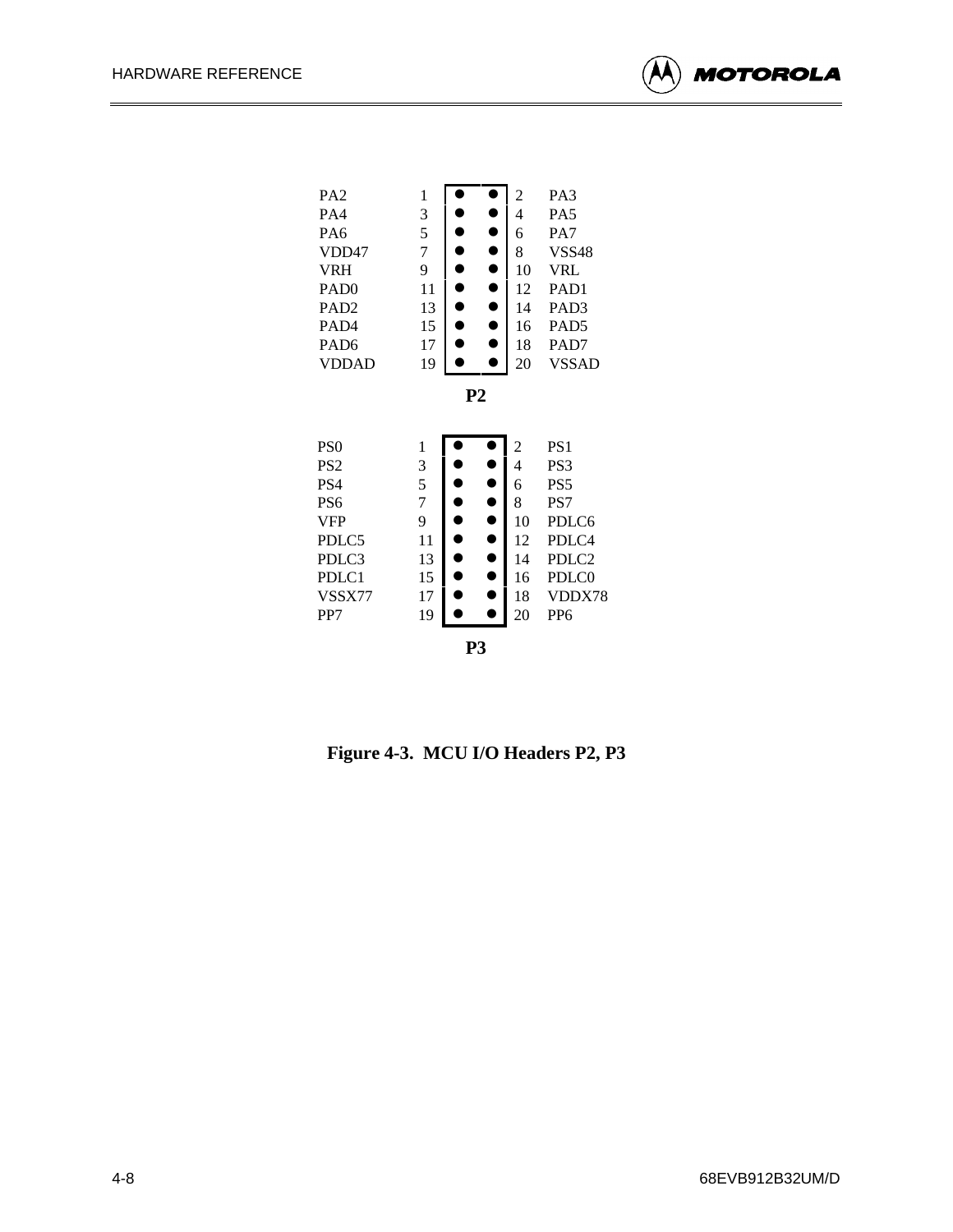

| PA <sub>2</sub>  | $\mathbf{1}$   | $\bullet$                                                              | $\overline{\mathbf{c}}$ | PA3               |  |  |  |  |
|------------------|----------------|------------------------------------------------------------------------|-------------------------|-------------------|--|--|--|--|
| PA4              | 3              |                                                                        | 4                       | PA5               |  |  |  |  |
| PA <sub>6</sub>  | 5              | $\frac{1}{\bullet}$                                                    | 6                       | PA7               |  |  |  |  |
| VDD47            | $\overline{7}$ | $\check{\bullet}$                                                      | 8                       | <b>VSS48</b>      |  |  |  |  |
| <b>VRH</b>       | 9              | $\check{\bullet}$                                                      | 10                      | <b>VRL</b>        |  |  |  |  |
| PAD <sub>0</sub> | 11             | 0 0 0 0 0 0 0 0<br>$\bullet$                                           | 12                      | PAD1              |  |  |  |  |
| PAD <sub>2</sub> | 13             |                                                                        | 14                      | PAD <sub>3</sub>  |  |  |  |  |
| PAD <sub>4</sub> | 15             |                                                                        | 16                      | PAD <sub>5</sub>  |  |  |  |  |
| PAD <sub>6</sub> | 17             | $\bullet$<br>$\bullet$                                                 | 18                      | PAD7              |  |  |  |  |
| <b>VDDAD</b>     | 19             | 20<br><b>VSSAD</b>                                                     |                         |                   |  |  |  |  |
|                  |                | P <sub>2</sub>                                                         |                         |                   |  |  |  |  |
| PS0              | 1              | $\bullet$                                                              | 2                       | PS <sub>1</sub>   |  |  |  |  |
| PS2              | 3              |                                                                        | 4                       | PS3               |  |  |  |  |
| PS4              | 5              | $\bullet$                                                              | 6                       | PS5               |  |  |  |  |
| PS6              | $\overline{7}$ | $\bullet$                                                              | 8                       | PS7               |  |  |  |  |
| <b>VFP</b>       | 9              | $\bullet$ , $\bullet$ , $\bullet$ , $\bullet$ , $\bullet$<br>$\bullet$ | 10                      | PDLC6             |  |  |  |  |
| PDLC5            | 11             | .<br>.<br>.<br>.                                                       | 12                      | PDLC4             |  |  |  |  |
| PDLC3            | 13             |                                                                        | 14                      | PDLC <sub>2</sub> |  |  |  |  |
| PDLC1            | 15             |                                                                        | 16                      | PDLC0             |  |  |  |  |
| VSSX77           | 17             |                                                                        | 18                      | VDDX78            |  |  |  |  |
| PP7              | 19             |                                                                        | 20                      | P <sub>P6</sub>   |  |  |  |  |
|                  |                | P3                                                                     |                         |                   |  |  |  |  |

**Figure 4-3. MCU I/O Headers P2, P3**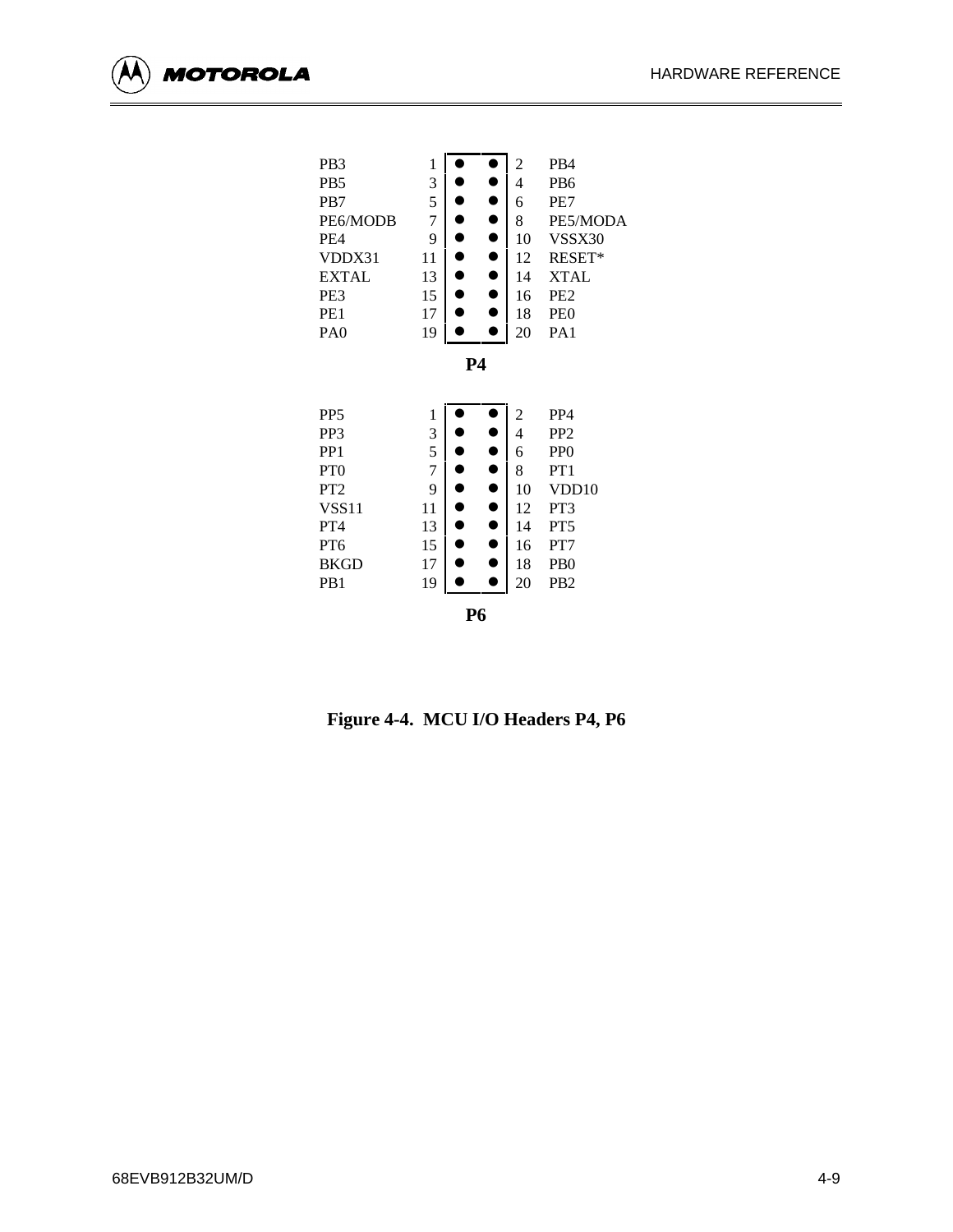

| PB3             | $\mathbf{1}$   | $\bullet$                                                                                              | $\overline{c}$ | PB4               |
|-----------------|----------------|--------------------------------------------------------------------------------------------------------|----------------|-------------------|
| PB5             | 3              |                                                                                                        | 4              | PB <sub>6</sub>   |
| PB7             | 5              | $\bullet$                                                                                              | 6              | PE7               |
| PE6/MODB        | $\overline{7}$ | $\bullet$                                                                                              | 8              | PE5/MODA          |
| PE4             | 9              |                                                                                                        | 10             | VSSX30            |
| VDDX31          | 11             |                                                                                                        | 12             | RESET*            |
| <b>EXTAL</b>    | 13             | $\bullet$ $\bullet$ $\bullet$ $\bullet$ $\bullet$ $\bullet$<br>$\bullet$ $\bullet$ $\bullet$ $\bullet$ | 14             | <b>XTAL</b>       |
| PE3             | 15             |                                                                                                        | 16             | PE <sub>2</sub>   |
| PE1             | 17             |                                                                                                        | 18             | PE <sub>0</sub>   |
| PA <sub>0</sub> | 19             | $\bullet$                                                                                              | 20             | PA1               |
|                 |                | <b>P4</b>                                                                                              |                |                   |
|                 |                |                                                                                                        |                |                   |
| PP5             | $\mathbf{1}$   | $\bullet$                                                                                              | 2              | PP4               |
| PP3             | 3              | $\bullet$ $\bullet$ $\bullet$ $\bullet$ $\bullet$                                                      | $\overline{4}$ | PP <sub>2</sub>   |
| PP <sub>1</sub> | 5              | $\bullet$ $\bullet$ $\bullet$ $\bullet$ $\bullet$                                                      | 6              | PP <sub>0</sub>   |
| PT <sub>0</sub> | $\overline{7}$ |                                                                                                        | 8              | PT1               |
| PT2             | 9              |                                                                                                        | 10             | VDD <sub>10</sub> |
| VSS11           | 11             |                                                                                                        | 12             | PT3               |
| PT4             | 13             |                                                                                                        | 14             | PT5               |
| PT <sub>6</sub> | 15             |                                                                                                        | 16             | PT7               |
| BKGD            | 17             | -<br>•                                                                                                 | 18             | P <sub>B</sub> 0  |
| PB <sub>1</sub> | 19             |                                                                                                        | 20             | PB <sub>2</sub>   |
|                 |                | <b>P6</b>                                                                                              |                |                   |

**Figure 4-4. MCU I/O Headers P4, P6**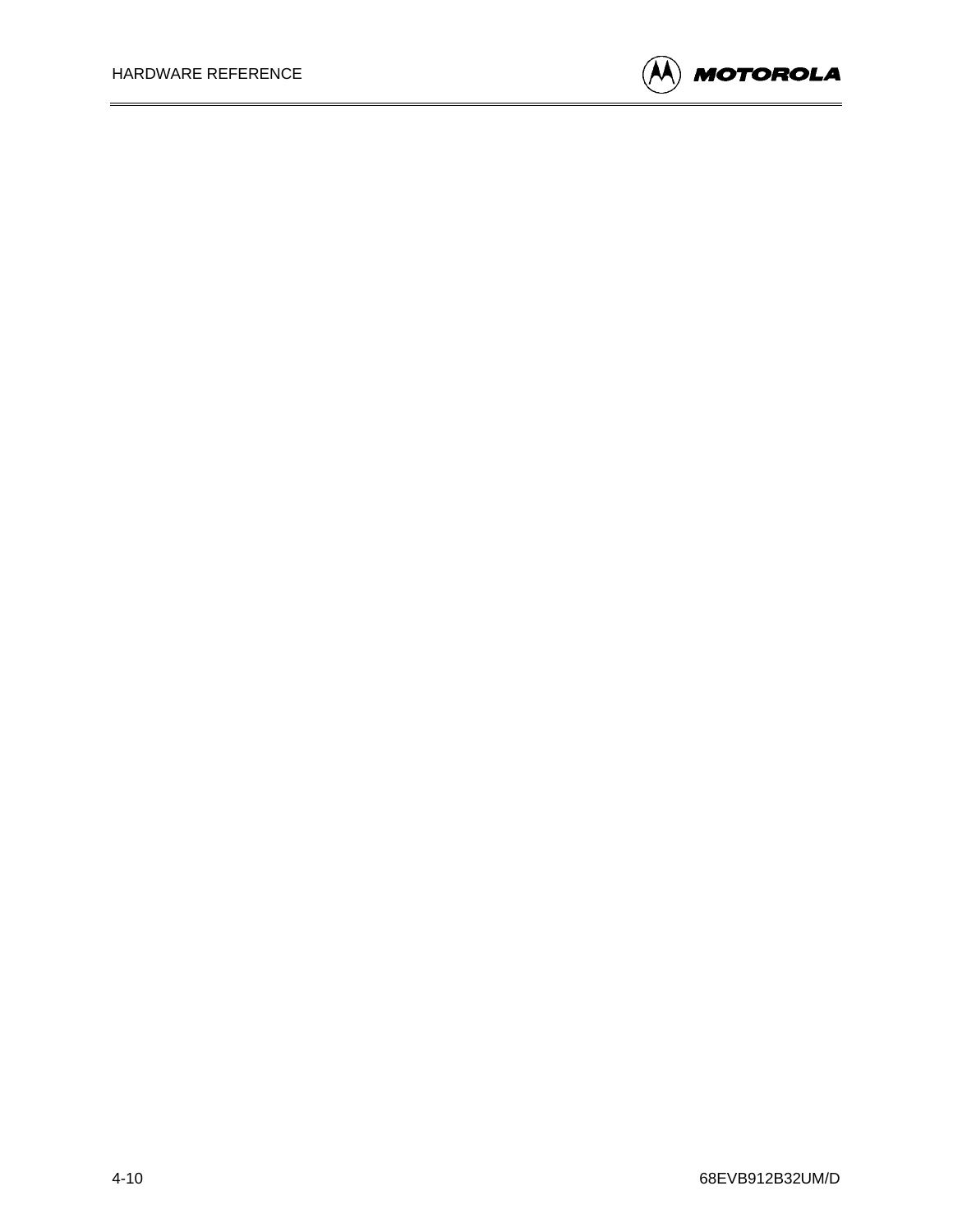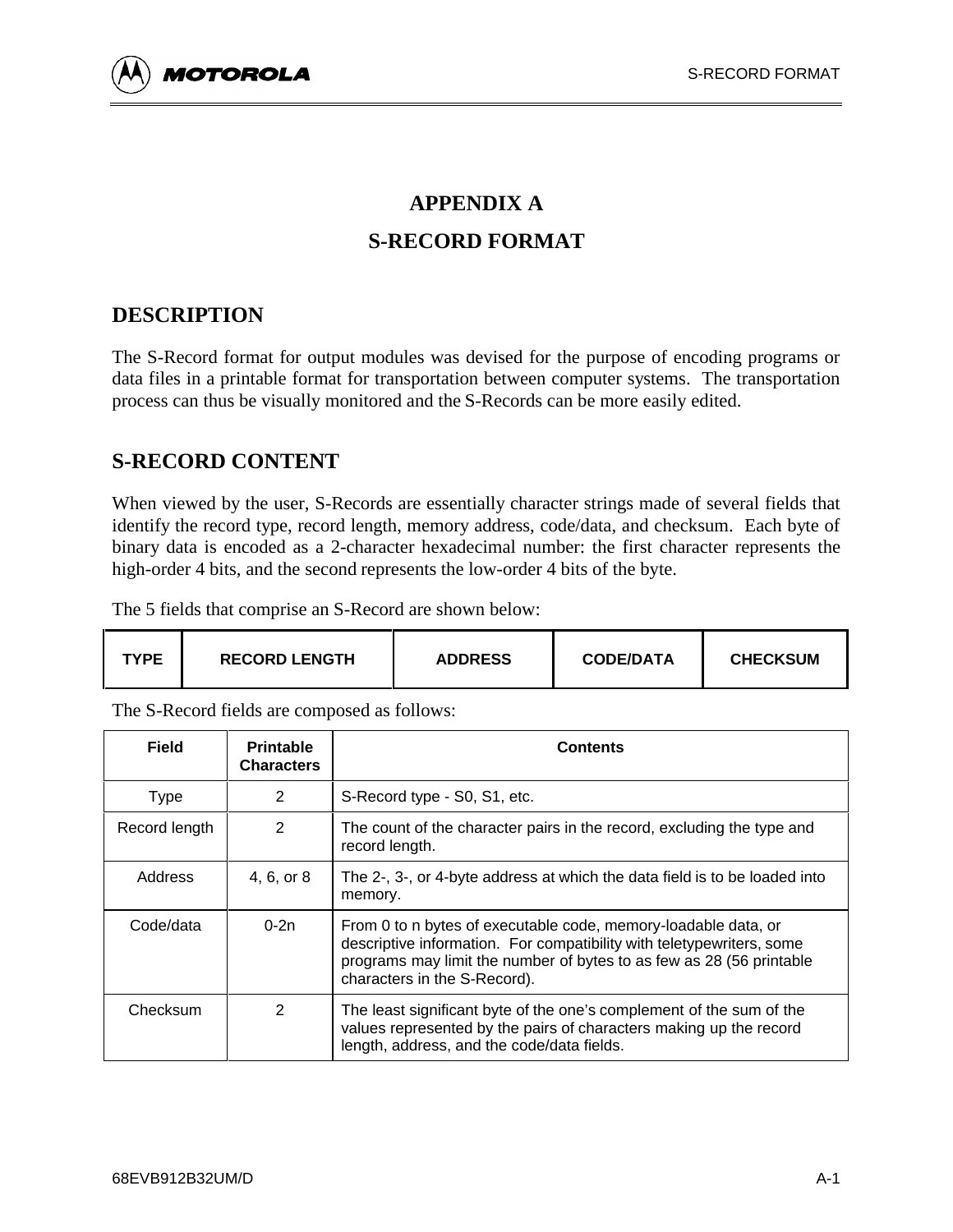

# **APPENDIX A**

# **S-RECORD FORMAT**

# **DESCRIPTION**

The S-Record format for output modules was devised for the purpose of encoding programs or data files in a printable format for transportation between computer systems. The transportation process can thus be visually monitored and the S-Records can be more easily edited.

### **S-RECORD CONTENT**

When viewed by the user, S-Records are essentially character strings made of several fields that identify the record type, record length, memory address, code/data, and checksum. Each byte of binary data is encoded as a 2-character hexadecimal number: the first character represents the high-order 4 bits, and the second represents the low-order 4 bits of the byte.

The 5 fields that comprise an S-Record are shown below:

| <b>TYPE</b><br><b>CHECKSUM</b><br><b>ADDRESS</b><br><b>CODE/DATA</b><br><b>RECORD LENGTH</b> |  |
|----------------------------------------------------------------------------------------------|--|
|----------------------------------------------------------------------------------------------|--|

| <b>Field</b>  | <b>Printable</b><br><b>Characters</b> | Contents                                                                                                                                                                                                                                        |
|---------------|---------------------------------------|-------------------------------------------------------------------------------------------------------------------------------------------------------------------------------------------------------------------------------------------------|
| <b>Type</b>   | 2                                     | S-Record type - S0, S1, etc.                                                                                                                                                                                                                    |
| Record length | 2                                     | The count of the character pairs in the record, excluding the type and<br>record length.                                                                                                                                                        |
| Address       | 4, 6, or 8                            | The 2-, 3-, or 4-byte address at which the data field is to be loaded into<br>memory.                                                                                                                                                           |
| Code/data     | $0-2n$                                | From 0 to n bytes of executable code, memory-loadable data, or<br>descriptive information. For compatibility with teletypewriters, some<br>programs may limit the number of bytes to as few as 28 (56 printable<br>characters in the S-Record). |
| Checksum      | 2                                     | The least significant byte of the one's complement of the sum of the<br>values represented by the pairs of characters making up the record<br>length, address, and the code/data fields.                                                        |

The S-Record fields are composed as follows: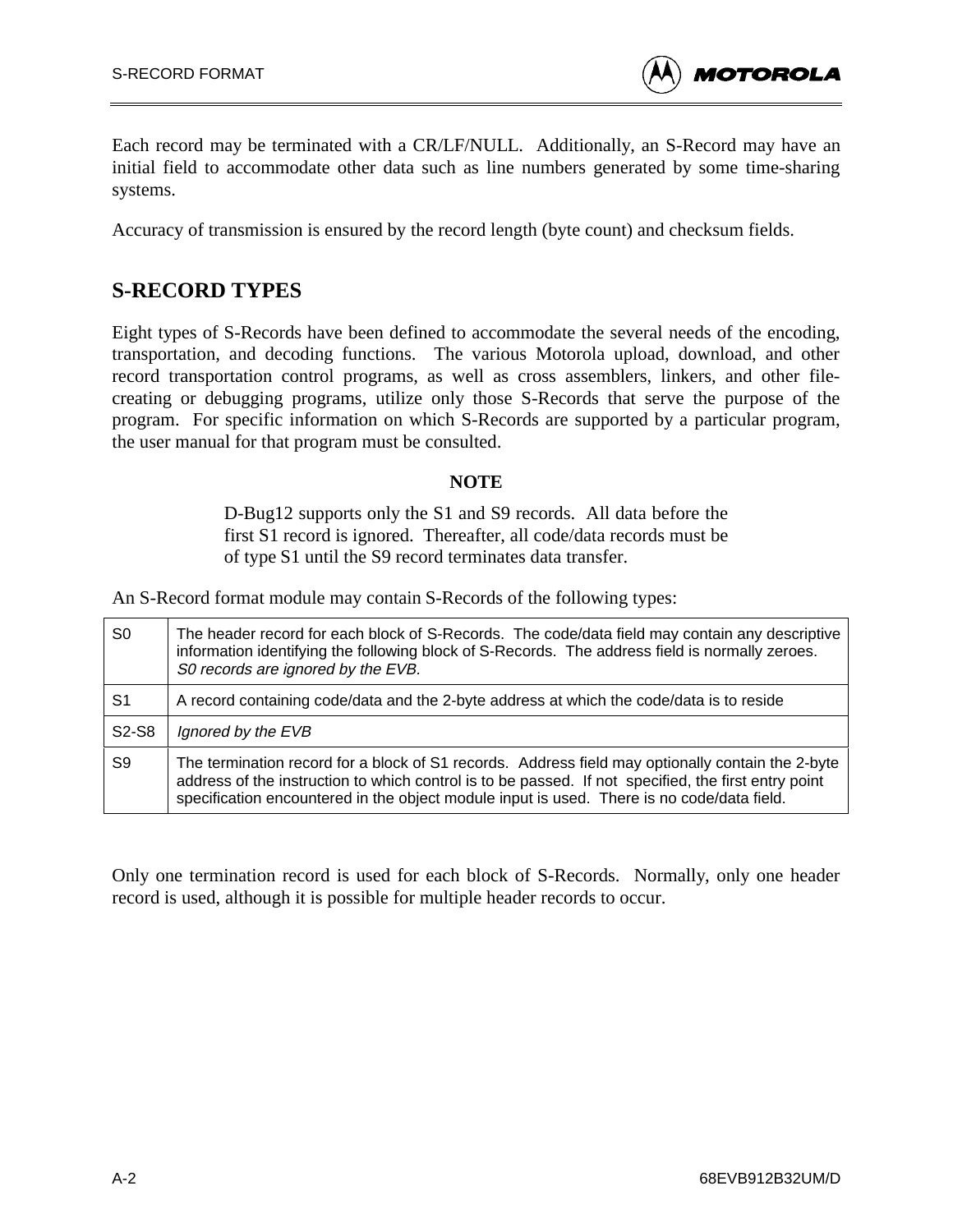Each record may be terminated with a CR/LF/NULL. Additionally, an S-Record may have an initial field to accommodate other data such as line numbers generated by some time-sharing systems.

Accuracy of transmission is ensured by the record length (byte count) and checksum fields.

### **S-RECORD TYPES**

Eight types of S-Records have been defined to accommodate the several needs of the encoding, transportation, and decoding functions. The various Motorola upload, download, and other record transportation control programs, as well as cross assemblers, linkers, and other filecreating or debugging programs, utilize only those S-Records that serve the purpose of the program. For specific information on which S-Records are supported by a particular program, the user manual for that program must be consulted.

#### **NOTE**

D-Bug12 supports only the S1 and S9 records. All data before the first S1 record is ignored. Thereafter, all code/data records must be of type S1 until the S9 record terminates data transfer.

An S-Record format module may contain S-Records of the following types:

| S <sub>0</sub> | The header record for each block of S-Records. The code/data field may contain any descriptive<br>information identifying the following block of S-Records. The address field is normally zeroes.<br>S0 records are ignored by the EVB.                                                                 |
|----------------|---------------------------------------------------------------------------------------------------------------------------------------------------------------------------------------------------------------------------------------------------------------------------------------------------------|
| S <sub>1</sub> | A record containing code/data and the 2-byte address at which the code/data is to reside                                                                                                                                                                                                                |
| S2-S8          | Ignored by the EVB                                                                                                                                                                                                                                                                                      |
| S9             | The termination record for a block of S1 records. Address field may optionally contain the 2-byte<br>address of the instruction to which control is to be passed. If not specified, the first entry point<br>specification encountered in the object module input is used. There is no code/data field. |

Only one termination record is used for each block of S-Records. Normally, only one header record is used, although it is possible for multiple header records to occur.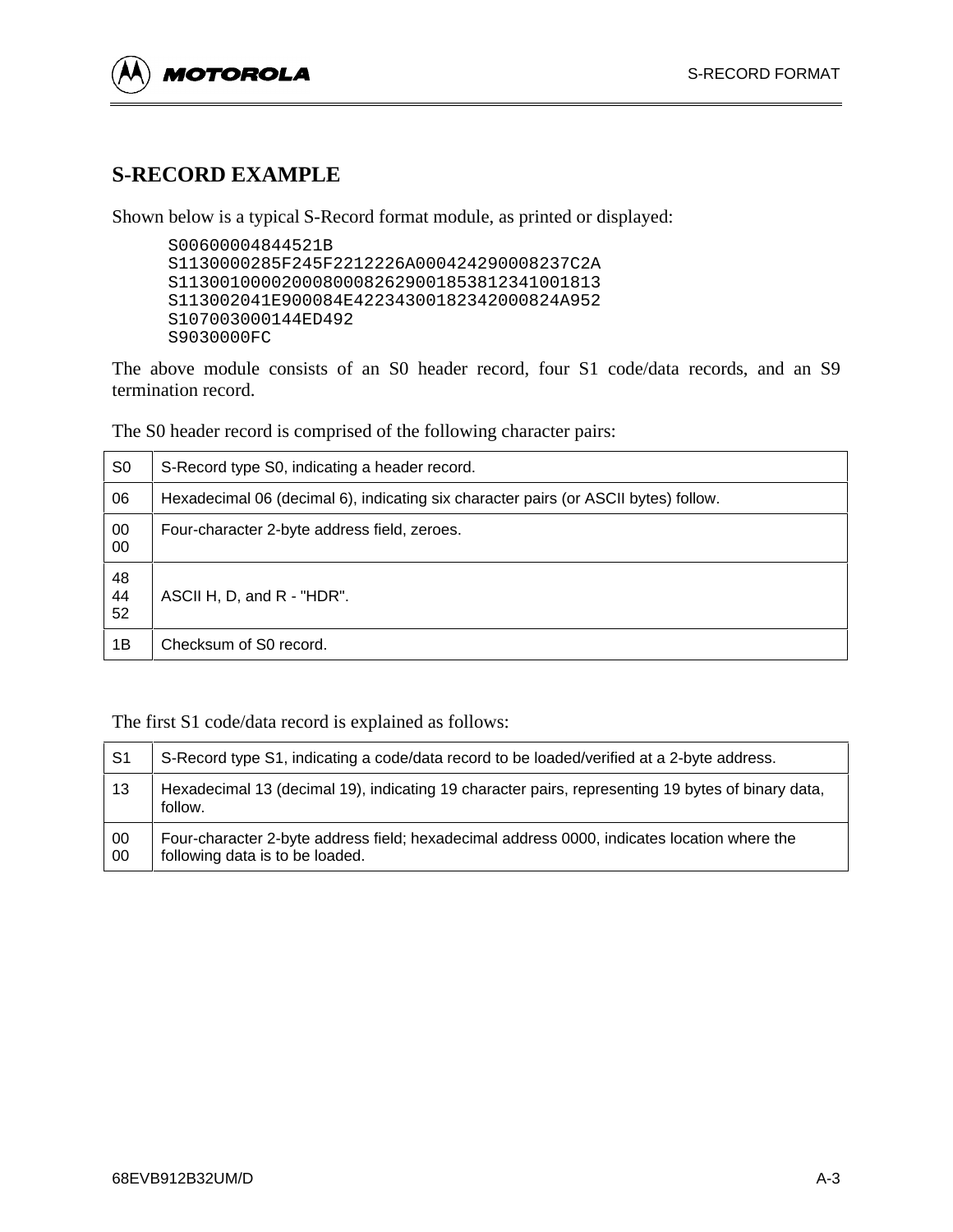

### **S-RECORD EXAMPLE**

Shown below is a typical S-Record format module, as printed or displayed:

S00600004844521B S1130000285F245F2212226A000424290008237C2A S11300100002000800082629001853812341001813 S113002041E900084E42234300182342000824A952 S107003000144ED492 S9030000FC

The above module consists of an S0 header record, four S1 code/data records, and an S9 termination record.

The S0 header record is comprised of the following character pairs:

| S <sub>0</sub> | S-Record type S0, indicating a header record.                                       |
|----------------|-------------------------------------------------------------------------------------|
| 06             | Hexadecimal 06 (decimal 6), indicating six character pairs (or ASCII bytes) follow. |
| 00<br>00       | Four-character 2-byte address field, zeroes.                                        |
| 48<br>44<br>52 | ASCII H, D, and R - "HDR".                                                          |
| 1B             | Checksum of S0 record.                                                              |

The first S1 code/data record is explained as follows:

| S <sub>1</sub> | S-Record type S1, indicating a code/data record to be loaded/verified at a 2-byte address.                                     |
|----------------|--------------------------------------------------------------------------------------------------------------------------------|
| 13             | Hexadecimal 13 (decimal 19), indicating 19 character pairs, representing 19 bytes of binary data,<br>follow.                   |
| 00<br>00       | Four-character 2-byte address field; hexadecimal address 0000, indicates location where the<br>following data is to be loaded. |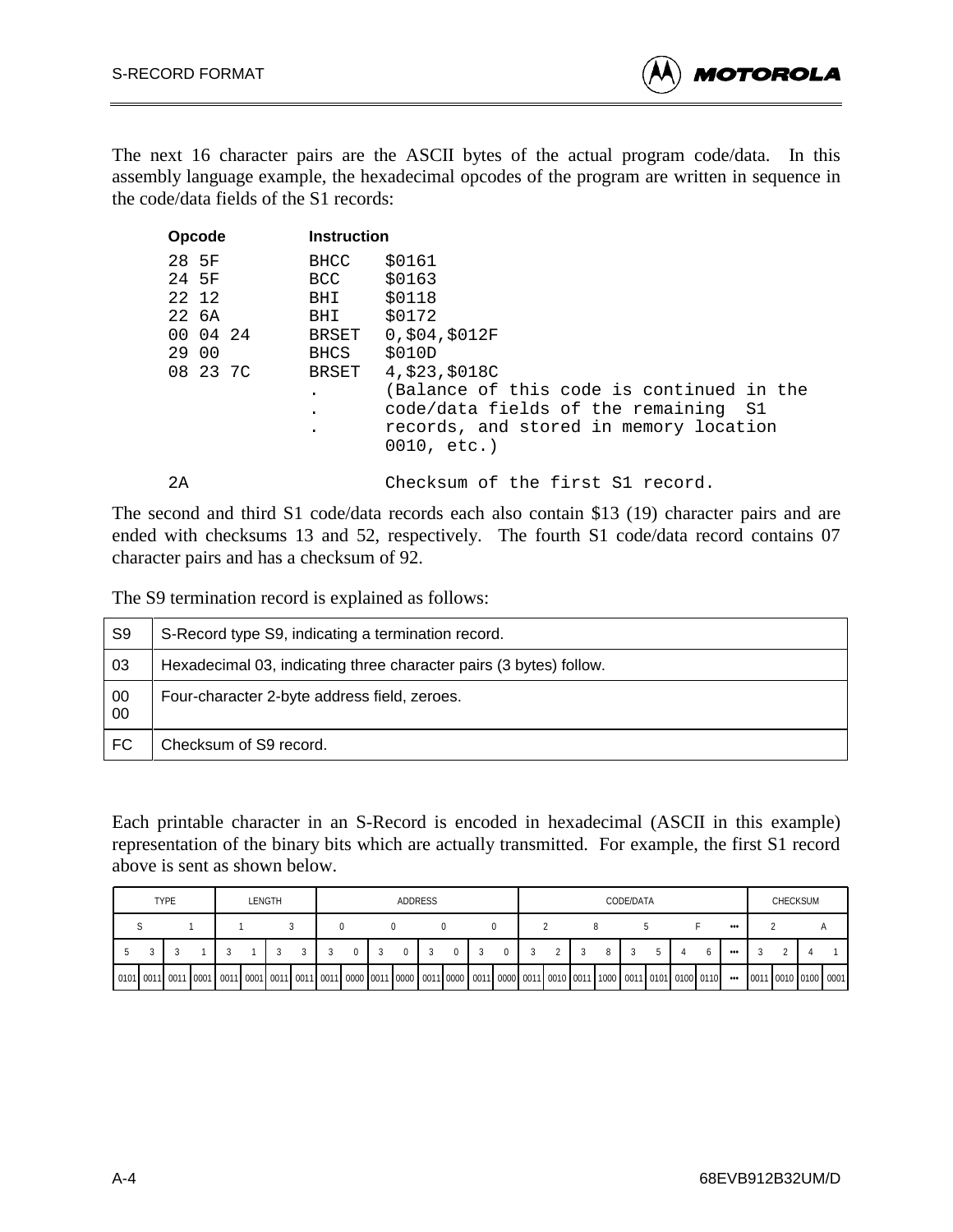The next 16 character pairs are the ASCII bytes of the actual program code/data. In this assembly language example, the hexadecimal opcodes of the program are written in sequence in the code/data fields of the S1 records:

| Opcode                                                            | <b>Instruction</b>                                                |                                                                                                                                                                                                                               |
|-------------------------------------------------------------------|-------------------------------------------------------------------|-------------------------------------------------------------------------------------------------------------------------------------------------------------------------------------------------------------------------------|
| 28 5F<br>24 5F<br>22 12<br>22 6A<br>00 04 24<br>29 00<br>08 23 7C | <b>BHCC</b><br>BCC<br>BHI<br>BHI<br><b>BRSET</b><br>BHCS<br>BRSET | \$0161<br>\$0163<br>\$0118<br>\$0172<br>0.504.5012F<br>\$010D<br>4, \$23, \$018C<br>(Balance of this code is continued in the<br>code/data fields of the remaining S1<br>records, and stored in memory location<br>0010, etc. |
| 2A                                                                |                                                                   | Checksum of the first S1 record.                                                                                                                                                                                              |

The second and third S1 code/data records each also contain \$13 (19) character pairs and are ended with checksums 13 and 52, respectively. The fourth S1 code/data record contains 07 character pairs and has a checksum of 92.

The S9 termination record is explained as follows:

| S9       | S-Record type S9, indicating a termination record.                 |
|----------|--------------------------------------------------------------------|
| 03       | Hexadecimal 03, indicating three character pairs (3 bytes) follow. |
| 00<br>00 | Four-character 2-byte address field, zeroes.                       |
| FC       | Checksum of S9 record.                                             |

Each printable character in an S-Record is encoded in hexadecimal (ASCII in this example) representation of the binary bits which are actually transmitted. For example, the first S1 record above is sent as shown below.

|                                                                                                                                                  | <b>TYPE</b> |  | LENGTH | ADDRESS |  |  |  |  |  | CODE/DATA |  |  |  |  |  |  |  | CHECKSUM |          |  |  |  |                     |
|--------------------------------------------------------------------------------------------------------------------------------------------------|-------------|--|--------|---------|--|--|--|--|--|-----------|--|--|--|--|--|--|--|----------|----------|--|--|--|---------------------|
|                                                                                                                                                  |             |  |        |         |  |  |  |  |  |           |  |  |  |  |  |  |  |          |          |  |  |  |                     |
|                                                                                                                                                  |             |  |        |         |  |  |  |  |  |           |  |  |  |  |  |  |  |          |          |  |  |  |                     |
| 0101  0011  0011   0001   0011  0001  0011  0011  0000   0011   0000   0011  0000   0011  0000  0011  0010   0011  1000   0011  0101  0100  0110 |             |  |        |         |  |  |  |  |  |           |  |  |  |  |  |  |  |          | $\cdots$ |  |  |  | 0011 0010 0100 0001 |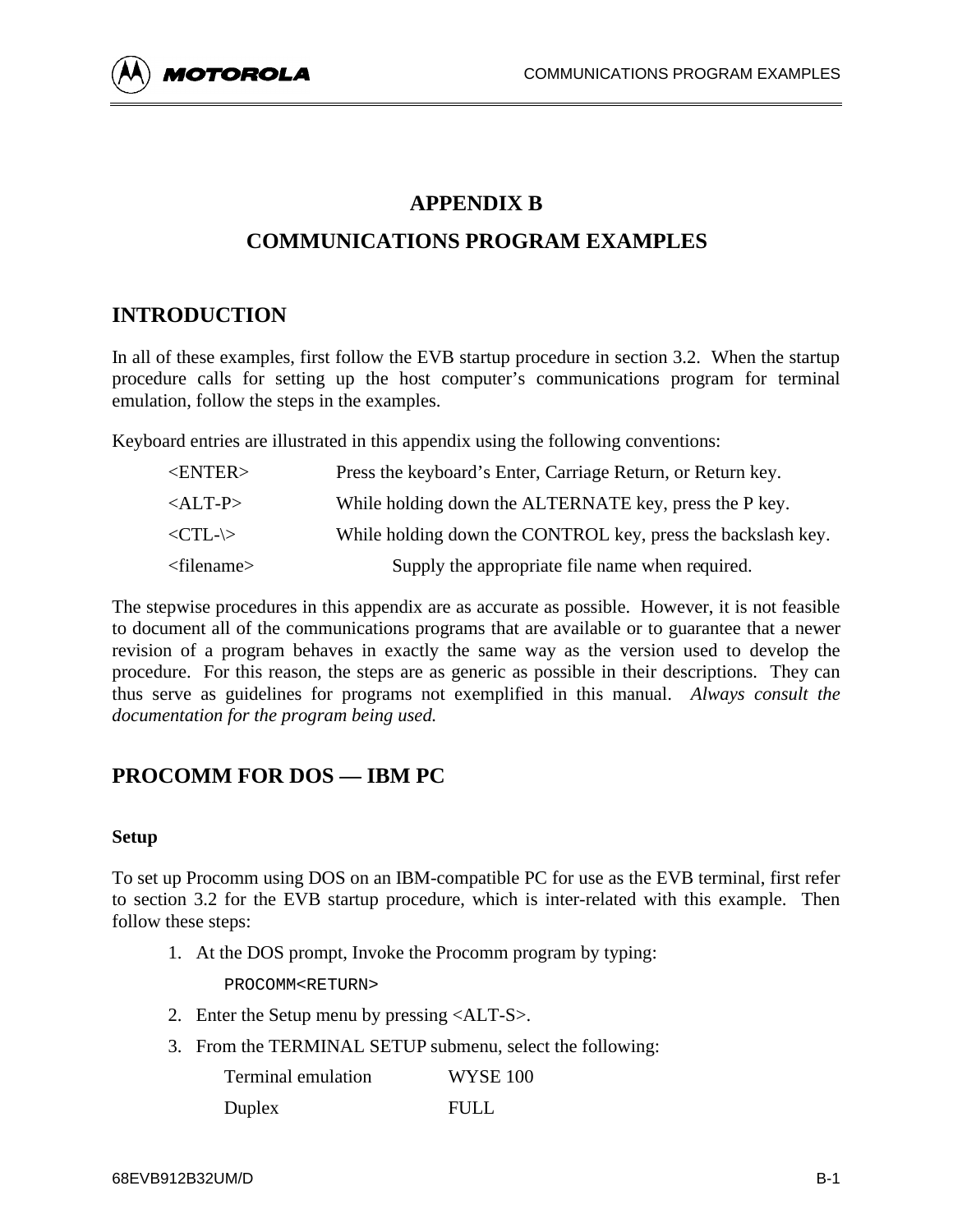

# **APPENDIX B**

### **COMMUNICATIONS PROGRAM EXAMPLES**

# **INTRODUCTION**

In all of these examples, first follow the EVB startup procedure in section 3.2. When the startup procedure calls for setting up the host computer's communications program for terminal emulation, follow the steps in the examples.

Keyboard entries are illustrated in this appendix using the following conventions:

| $<$ ENTER $>$                      | Press the keyboard's Enter, Carriage Return, or Return key.  |
|------------------------------------|--------------------------------------------------------------|
| $\langle \text{ALT-P>}\rangle$     | While holding down the ALTERNATE key, press the P key.       |
| $\langle {\rm CTL}\text{-}\rangle$ | While holding down the CONTROL key, press the backslash key. |
| <filename></filename>              | Supply the appropriate file name when required.              |

The stepwise procedures in this appendix are as accurate as possible. However, it is not feasible to document all of the communications programs that are available or to guarantee that a newer revision of a program behaves in exactly the same way as the version used to develop the procedure. For this reason, the steps are as generic as possible in their descriptions. They can thus serve as guidelines for programs not exemplified in this manual. *Always consult the documentation for the program being used.*

# **PROCOMM FOR DOS — IBM PC**

#### **Setup**

To set up Procomm using DOS on an IBM-compatible PC for use as the EVB terminal, first refer to section 3.2 for the EVB startup procedure, which is inter-related with this example. Then follow these steps:

1. At the DOS prompt, Invoke the Procomm program by typing:

PROCOMM<RETURN>

- 2. Enter the Setup menu by pressing <ALT-S>.
- 3. From the TERMINAL SETUP submenu, select the following:

| Terminal emulation | <b>WYSE 100</b> |
|--------------------|-----------------|
| Duplex             | FULL            |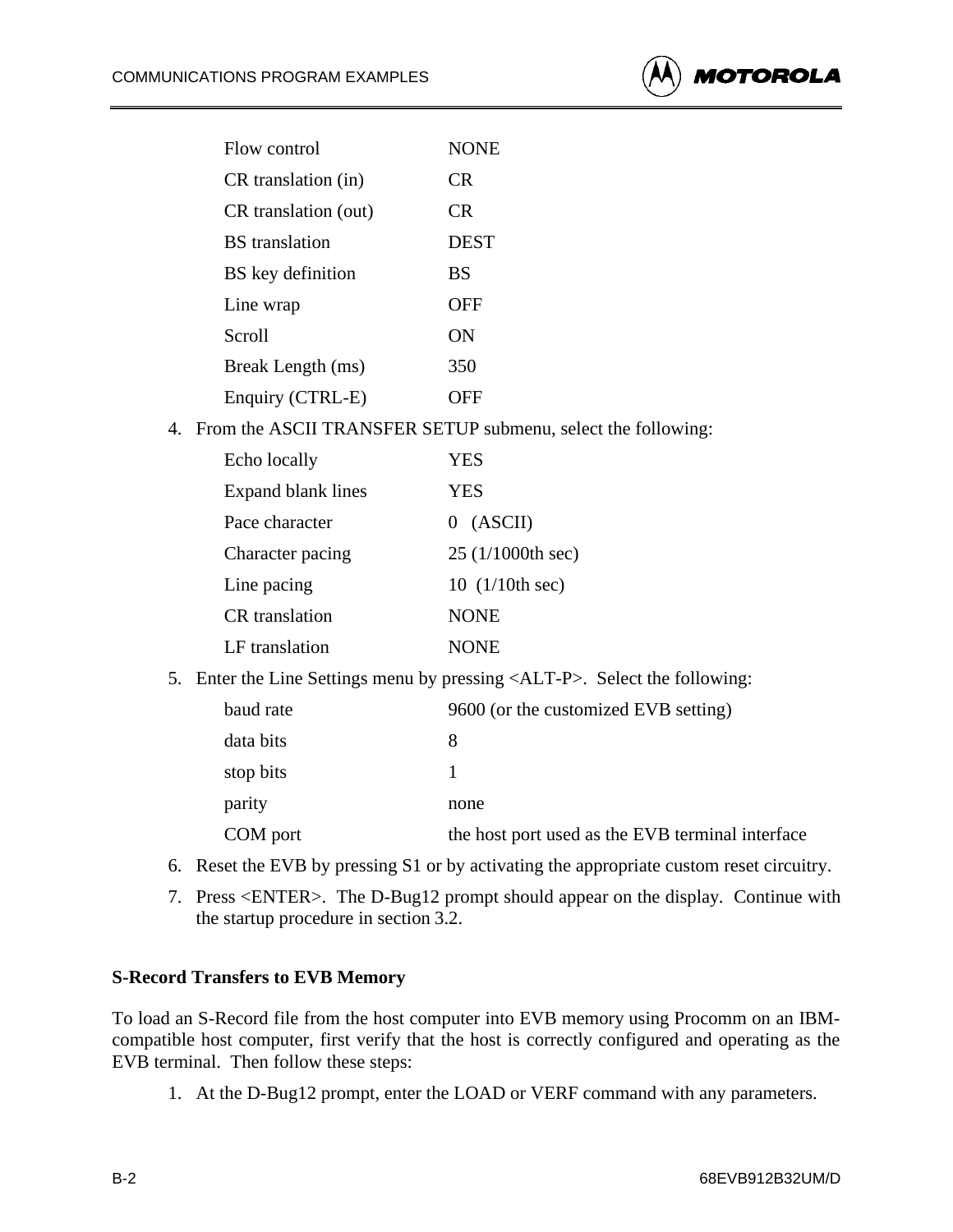

| Flow control          | <b>NONE</b>    |
|-----------------------|----------------|
| CR translation (in)   | CR.            |
| CR translation (out)  | CR.            |
| <b>BS</b> translation | <b>DEST</b>    |
| BS key definition     | BS             |
| Line wrap             | OFF            |
| Scroll                | 0 <sub>N</sub> |
| Break Length (ms)     | 350            |
| Enquiry (CTRL-E)      | )FF            |

4. From the ASCII TRANSFER SETUP submenu, select the following:

| Echo locally       | YES                |
|--------------------|--------------------|
| Expand blank lines | YES                |
| Pace character     | (ASCII)<br>0       |
| Character pacing   | 25 (1/1000th sec)  |
| Line pacing        | 10 $(1/10$ th sec) |
| CR translation     | <b>NONE</b>        |
| LF translation     | <b>NONE</b>        |

5. Enter the Line Settings menu by pressing <ALT-P>. Select the following:

| baud rate | 9600 (or the customized EVB setting)             |
|-----------|--------------------------------------------------|
| data bits | 8                                                |
| stop bits |                                                  |
| parity    | none                                             |
| COM port  | the host port used as the EVB terminal interface |

- 6. Reset the EVB by pressing S1 or by activating the appropriate custom reset circuitry.
- 7. Press <ENTER>. The D-Bug12 prompt should appear on the display. Continue with the startup procedure in section 3.2.

#### **S-Record Transfers to EVB Memory**

To load an S-Record file from the host computer into EVB memory using Procomm on an IBMcompatible host computer, first verify that the host is correctly configured and operating as the EVB terminal. Then follow these steps:

1. At the D-Bug12 prompt, enter the LOAD or VERF command with any parameters.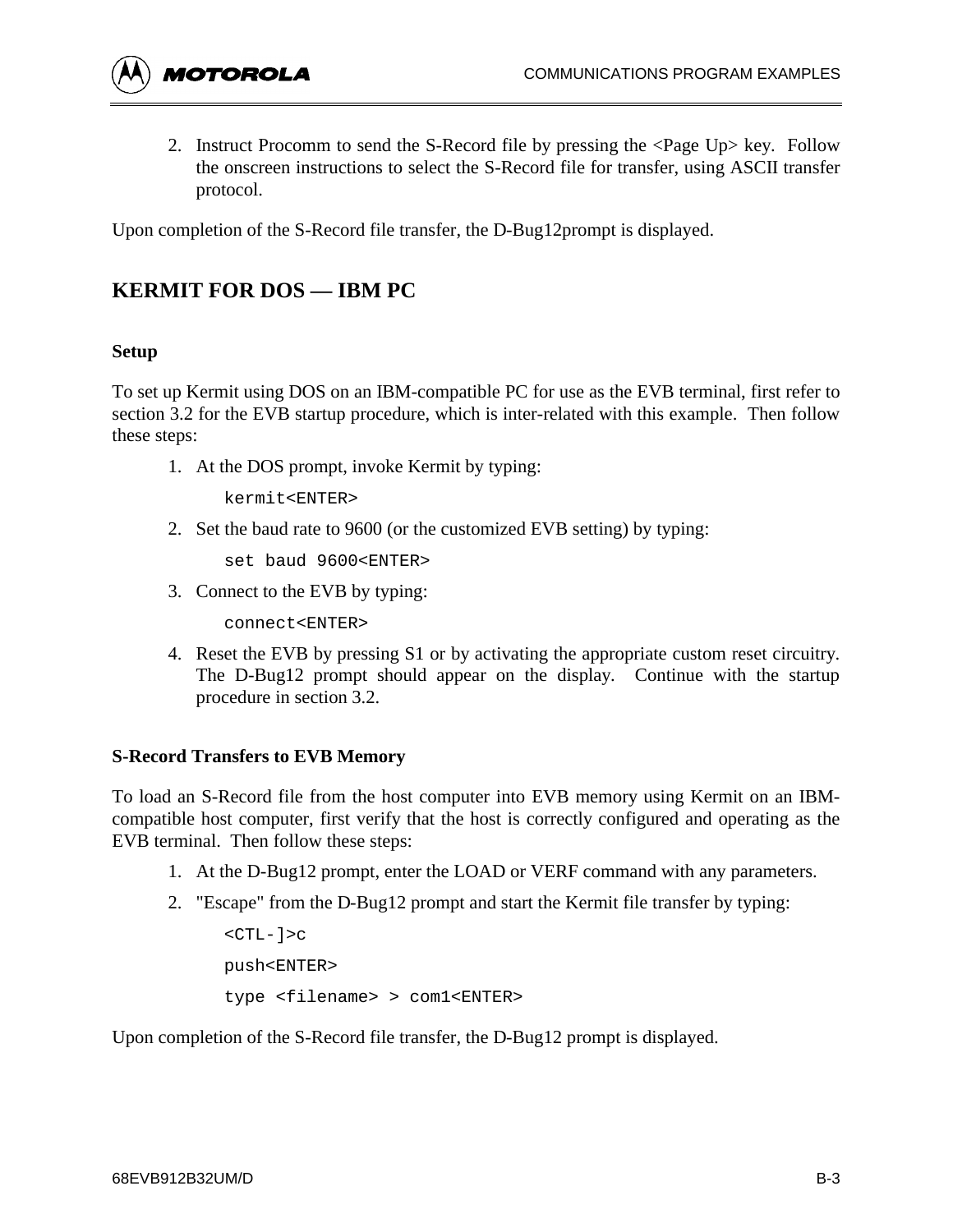

2. Instruct Procomm to send the S-Record file by pressing the <Page Up> key. Follow the onscreen instructions to select the S-Record file for transfer, using ASCII transfer protocol.

Upon completion of the S-Record file transfer, the D-Bug12prompt is displayed.

### **KERMIT FOR DOS — IBM PC**

#### **Setup**

To set up Kermit using DOS on an IBM-compatible PC for use as the EVB terminal, first refer to section 3.2 for the EVB startup procedure, which is inter-related with this example. Then follow these steps:

1. At the DOS prompt, invoke Kermit by typing:

kermit<ENTER>

2. Set the baud rate to 9600 (or the customized EVB setting) by typing:

set baud 9600<ENTER>

3. Connect to the EVB by typing:

connect<ENTER>

4. Reset the EVB by pressing S1 or by activating the appropriate custom reset circuitry. The D-Bug12 prompt should appear on the display. Continue with the startup procedure in section 3.2.

#### **S-Record Transfers to EVB Memory**

To load an S-Record file from the host computer into EVB memory using Kermit on an IBMcompatible host computer, first verify that the host is correctly configured and operating as the EVB terminal. Then follow these steps:

- 1. At the D-Bug12 prompt, enter the LOAD or VERF command with any parameters.
- 2. "Escape" from the D-Bug12 prompt and start the Kermit file transfer by typing:

```
<CTL-]>c
push<ENTER>
type <filename> > com1<ENTER>
```
Upon completion of the S-Record file transfer, the D-Bug12 prompt is displayed.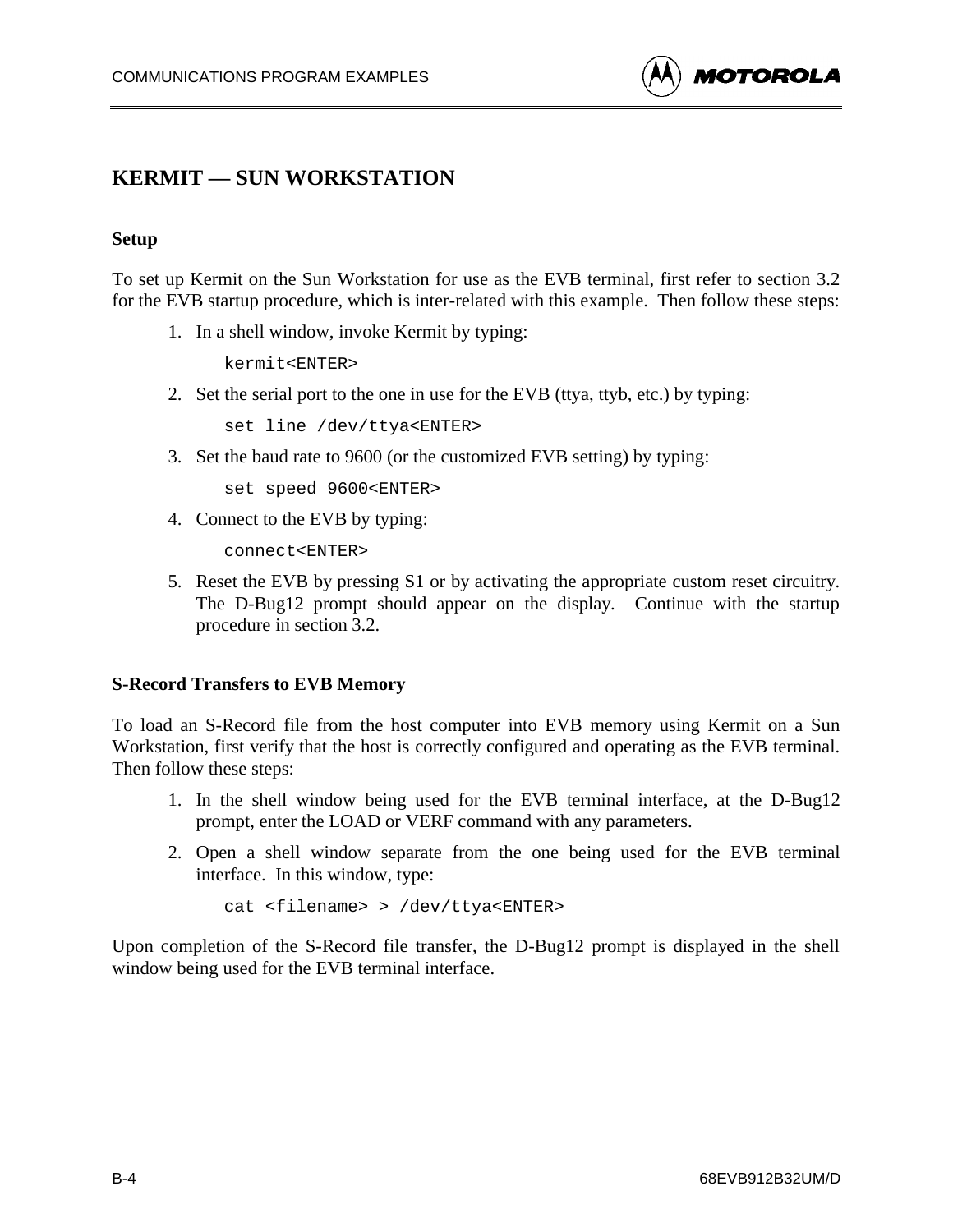### **KERMIT — SUN WORKSTATION**

#### **Setup**

To set up Kermit on the Sun Workstation for use as the EVB terminal, first refer to section 3.2 for the EVB startup procedure, which is inter-related with this example. Then follow these steps:

1. In a shell window, invoke Kermit by typing:

kermit<ENTER>

2. Set the serial port to the one in use for the EVB (ttya, ttyb, etc.) by typing:

set line /dev/ttya<ENTER>

3. Set the baud rate to 9600 (or the customized EVB setting) by typing:

set speed 9600<ENTER>

4. Connect to the EVB by typing:

connect<ENTER>

5. Reset the EVB by pressing S1 or by activating the appropriate custom reset circuitry. The D-Bug12 prompt should appear on the display. Continue with the startup procedure in section 3.2.

#### **S-Record Transfers to EVB Memory**

To load an S-Record file from the host computer into EVB memory using Kermit on a Sun Workstation, first verify that the host is correctly configured and operating as the EVB terminal. Then follow these steps:

- 1. In the shell window being used for the EVB terminal interface, at the D-Bug12 prompt, enter the LOAD or VERF command with any parameters.
- 2. Open a shell window separate from the one being used for the EVB terminal interface. In this window, type:

cat <filename> > /dev/ttya<ENTER>

Upon completion of the S-Record file transfer, the D-Bug12 prompt is displayed in the shell window being used for the EVB terminal interface.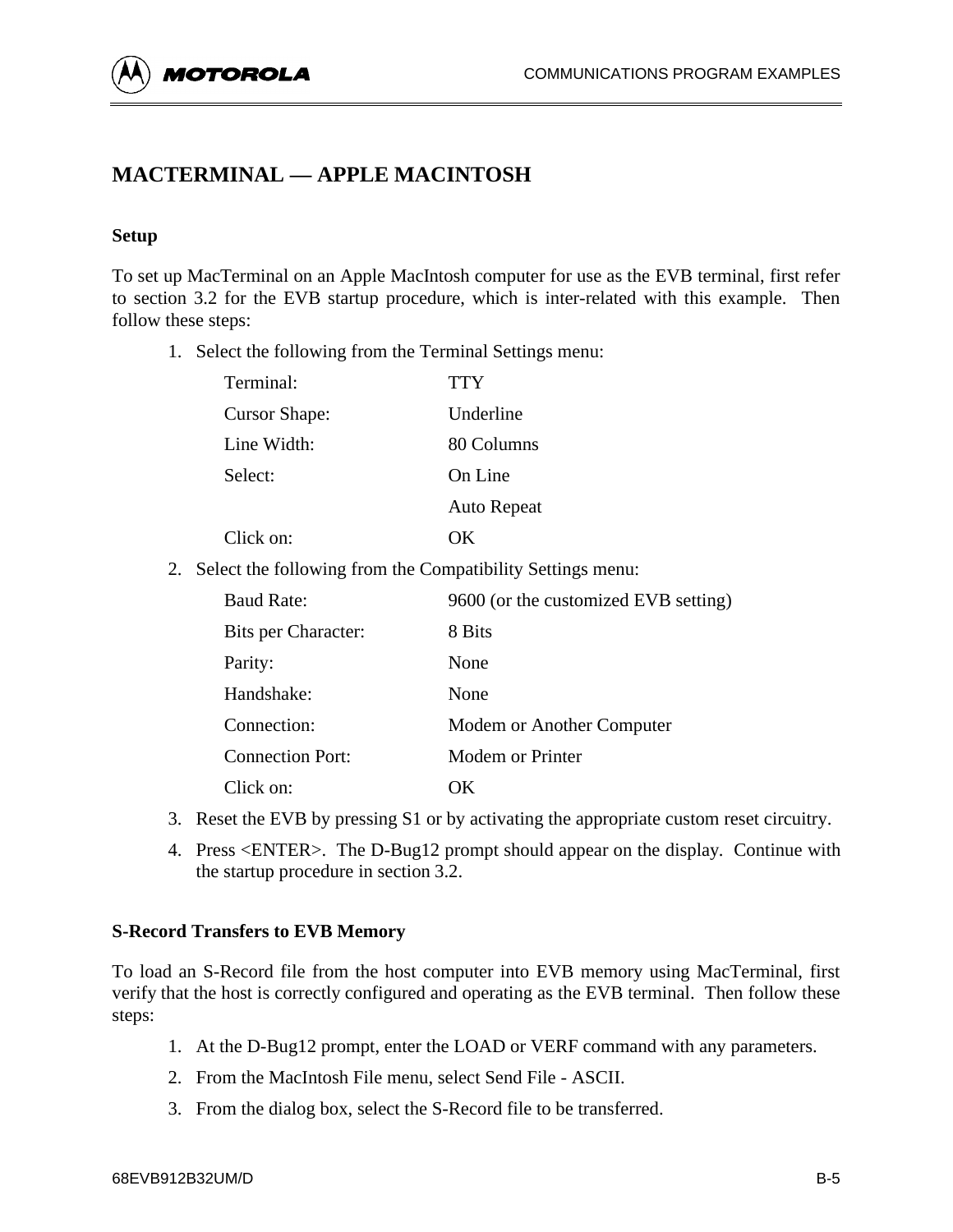

# **MACTERMINAL — APPLE MACINTOSH**

#### **Setup**

To set up MacTerminal on an Apple MacIntosh computer for use as the EVB terminal, first refer to section 3.2 for the EVB startup procedure, which is inter-related with this example. Then follow these steps:

1. Select the following from the Terminal Settings menu:

| Terminal:            | <b>TTY</b>         |
|----------------------|--------------------|
| <b>Cursor Shape:</b> | Underline          |
| Line Width:          | 80 Columns         |
| Select:              | On Line            |
|                      | <b>Auto Repeat</b> |
| Click on:            | OK.                |

2. Select the following from the Compatibility Settings menu:

| <b>Baud Rate:</b>       | 9600 (or the customized EVB setting) |
|-------------------------|--------------------------------------|
| Bits per Character:     | 8 Bits                               |
| Parity:                 | None                                 |
| Handshake:              | None                                 |
| Connection:             | Modem or Another Computer            |
| <b>Connection Port:</b> | Modem or Printer                     |
| Click on:               | OК                                   |

- 3. Reset the EVB by pressing S1 or by activating the appropriate custom reset circuitry.
- 4. Press <ENTER>. The D-Bug12 prompt should appear on the display. Continue with the startup procedure in section 3.2.

#### **S-Record Transfers to EVB Memory**

To load an S-Record file from the host computer into EVB memory using MacTerminal, first verify that the host is correctly configured and operating as the EVB terminal. Then follow these steps:

- 1. At the D-Bug12 prompt, enter the LOAD or VERF command with any parameters.
- 2. From the MacIntosh File menu, select Send File ASCII.
- 3. From the dialog box, select the S-Record file to be transferred.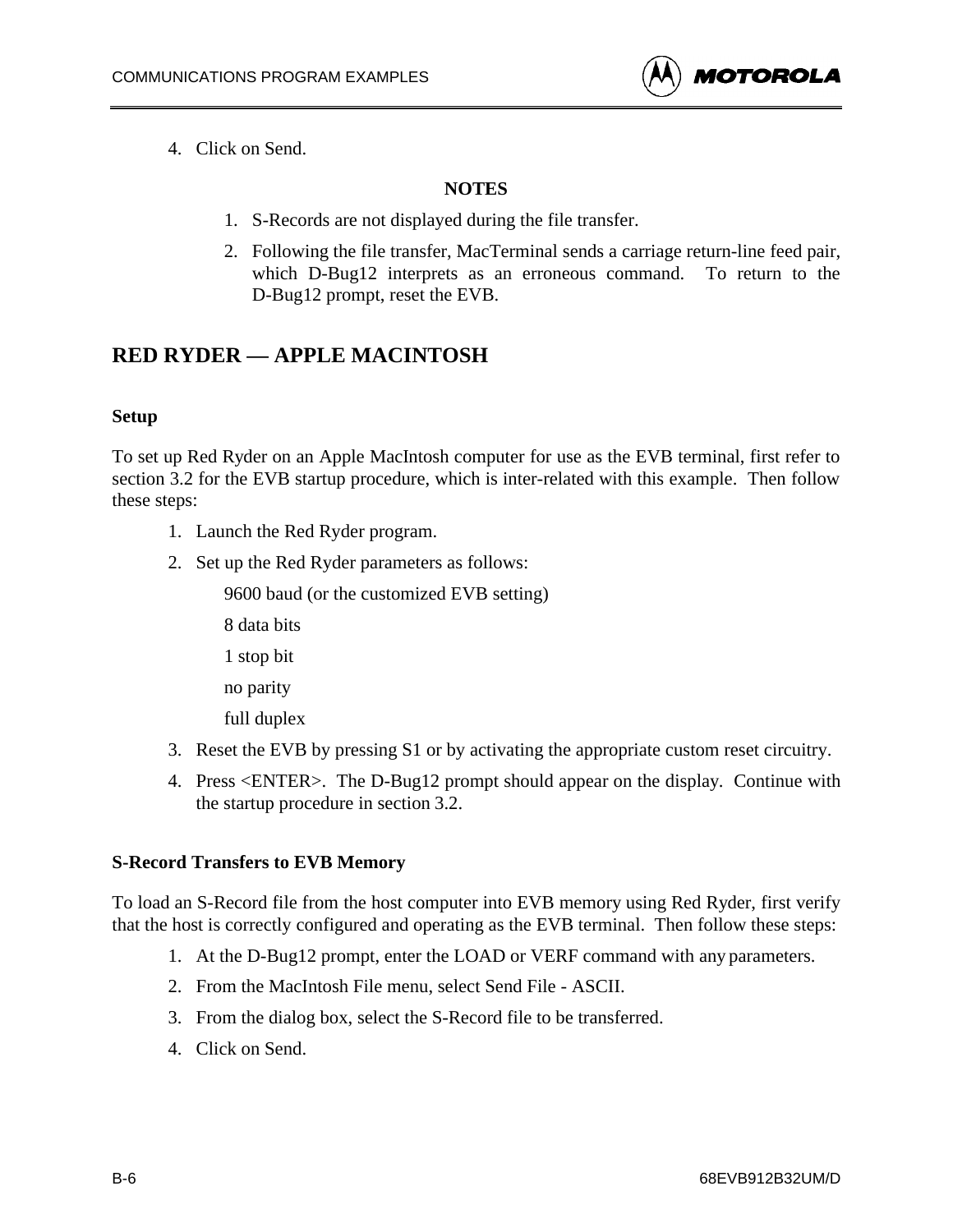

4. Click on Send.

#### **NOTES**

- 1. S-Records are not displayed during the file transfer.
- 2. Following the file transfer, MacTerminal sends a carriage return-line feed pair, which D-Bug12 interprets as an erroneous command. To return to the D-Bug12 prompt, reset the EVB.

### **RED RYDER — APPLE MACINTOSH**

#### **Setup**

To set up Red Ryder on an Apple MacIntosh computer for use as the EVB terminal, first refer to section 3.2 for the EVB startup procedure, which is inter-related with this example. Then follow these steps:

- 1. Launch the Red Ryder program.
- 2. Set up the Red Ryder parameters as follows:

9600 baud (or the customized EVB setting)

8 data bits

1 stop bit

no parity

full duplex

- 3. Reset the EVB by pressing S1 or by activating the appropriate custom reset circuitry.
- 4. Press <ENTER>. The D-Bug12 prompt should appear on the display. Continue with the startup procedure in section 3.2.

#### **S-Record Transfers to EVB Memory**

To load an S-Record file from the host computer into EVB memory using Red Ryder, first verify that the host is correctly configured and operating as the EVB terminal. Then follow these steps:

- 1. At the D-Bug12 prompt, enter the LOAD or VERF command with any parameters.
- 2. From the MacIntosh File menu, select Send File ASCII.
- 3. From the dialog box, select the S-Record file to be transferred.
- 4. Click on Send.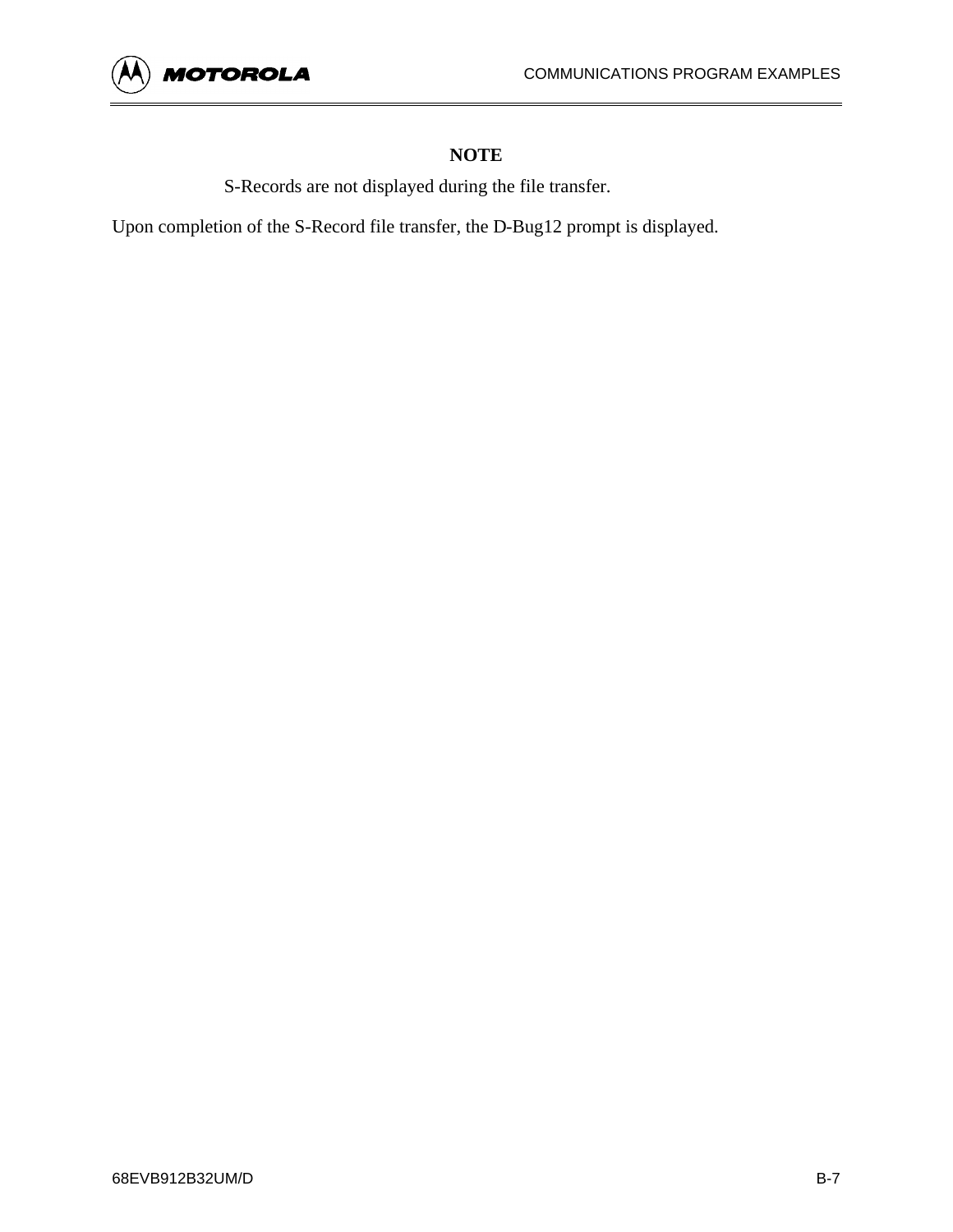

### **NOTE**

S-Records are not displayed during the file transfer.

Upon completion of the S-Record file transfer, the D-Bug12 prompt is displayed.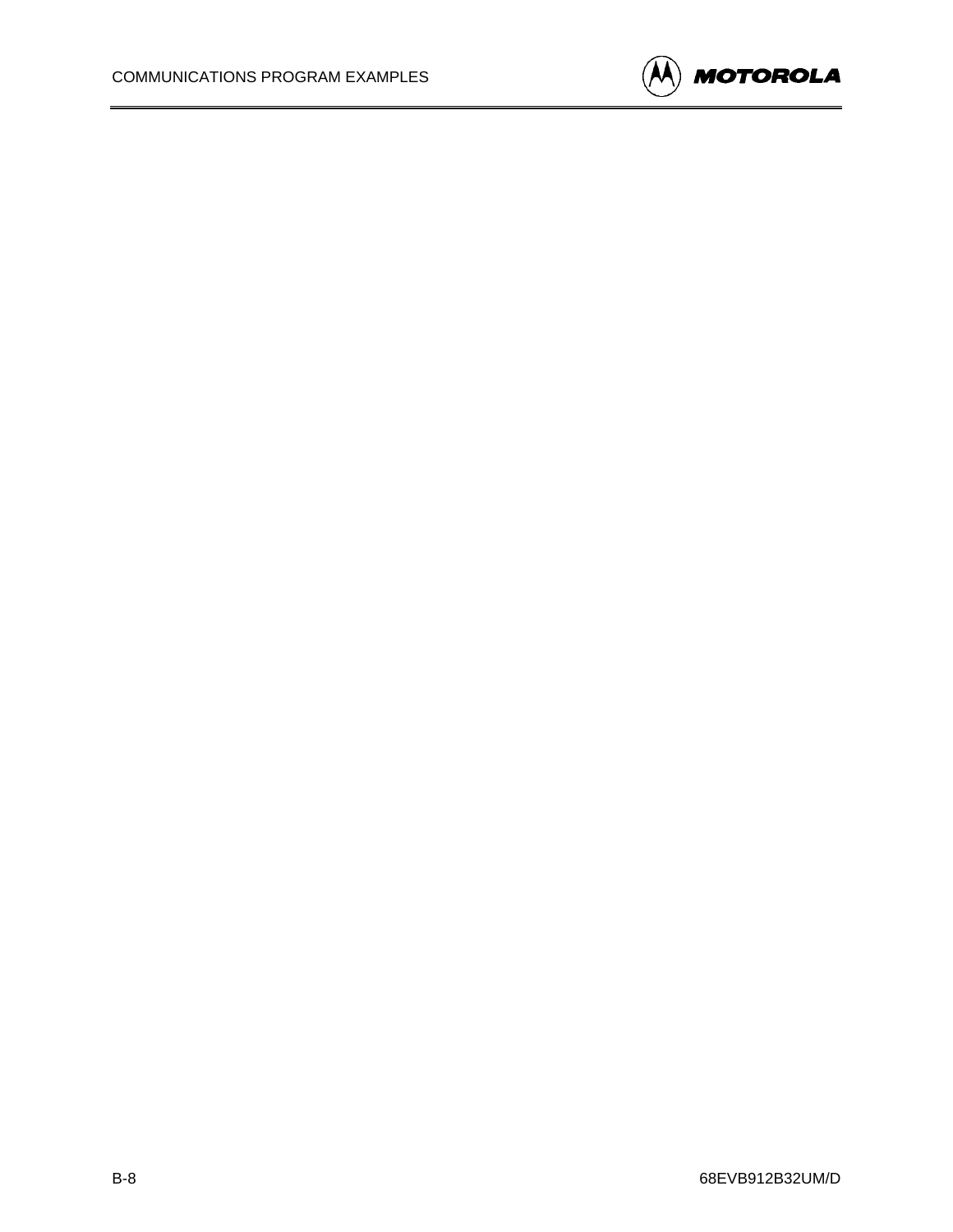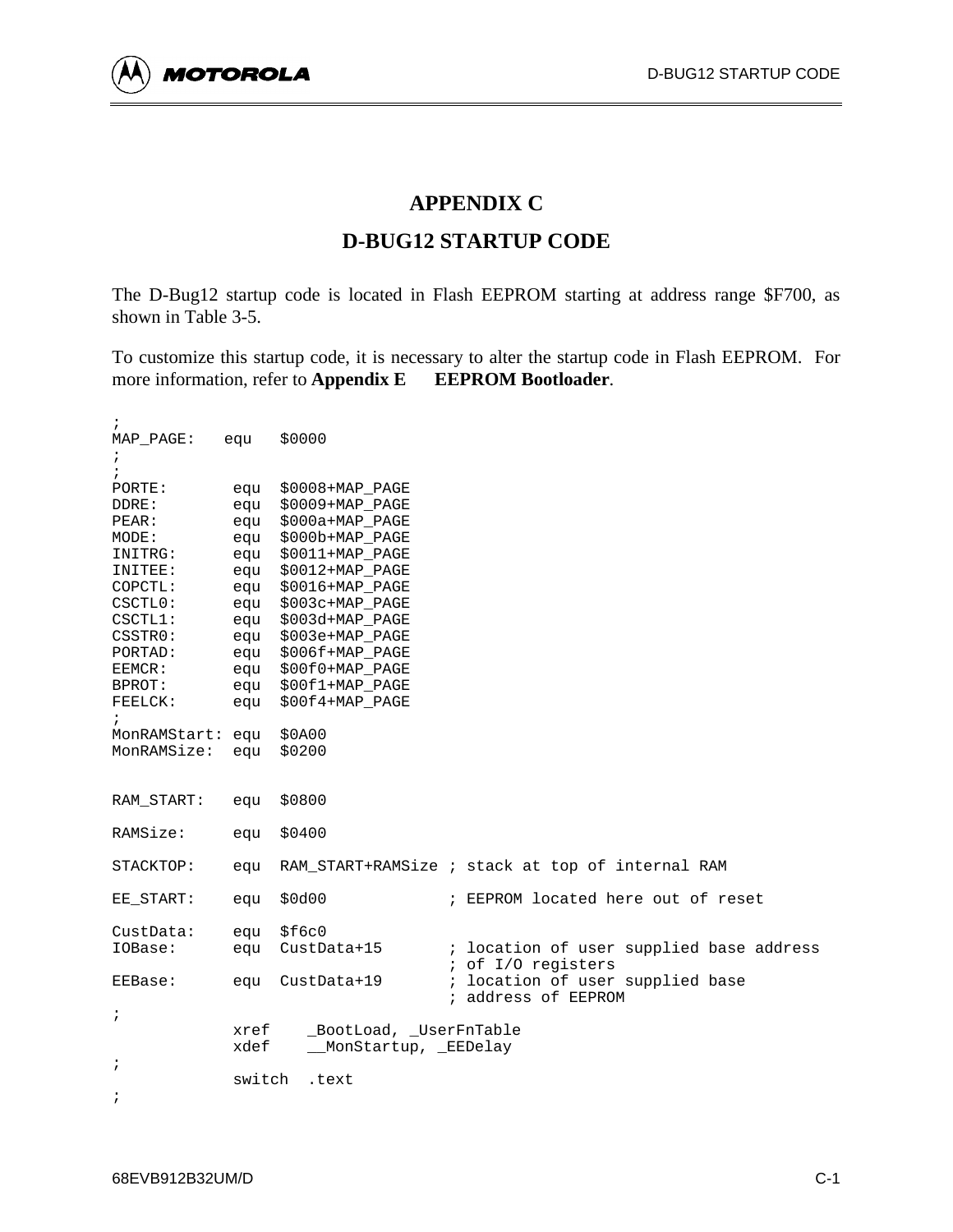

### **APPENDIX C**

### **D-BUG12 STARTUP CODE**

The D-Bug12 startup code is located in Flash EEPROM starting at address range \$F700, as shown in Table 3-5.

To customize this startup code, it is necessary to alter the startup code in Flash EEPROM. For more information, refer to **Appendix E** — **EEPROM Bootloader**.

```
;
MAP_PAGE: equ $0000
;
;
PORTE: equ $0008+MAP_PAGE
DDRE: equ $0009+MAP_PAGE
PEAR: equ $000a+MAP_PAGE<br>MODE: equ $000b+MAP_PAGE
MODE: equ $000b+MAP_PAGE
INITRG: equ $0011+MAP_PAGE
INITEE: equ $0012+MAP_PAGE
COPCTL: equ $0016+MAP_PAGE
CSCTL0: equ $003c+MAP_PAGE
CSCTL1: equ $003d+MAP_PAGE
CSSTR0: equ $003e+MAP_PAGE
PORTAD: equ $006f+MAP_PAGE<br>EEMCR: equ $00f0+MAP_PAGE
          equ $00f0+MAP_PAGE
BPROT: equ $00f1+MAP_PAGE<br>FEELCK: equ $00f4+MAP_PAGE
           FEELCK: equ $00f4+MAP_PAGE
;
MonRAMStart: equ $0A00
MonRAMSize: equ $0200
RAM_START: equ $0800
RAMSize: equ $0400
STACKTOP: equ RAM_START+RAMSize ; stack at top of internal RAM
EE_START: equ $0d00 ; EEPROM located here out of reset
CustData: equ $f6c0<br>IOBase: equ CustData+15
                                  : location of user supplied base address
                                   ; of I/O registers
EEBase: equ CustData+19 ; location of user supplied base
                                   ; address of EEPROM
;
             xref _BootLoad, _UserFnTable
             xdef __MonStartup, _EEDelay
;
             switch .text
;
```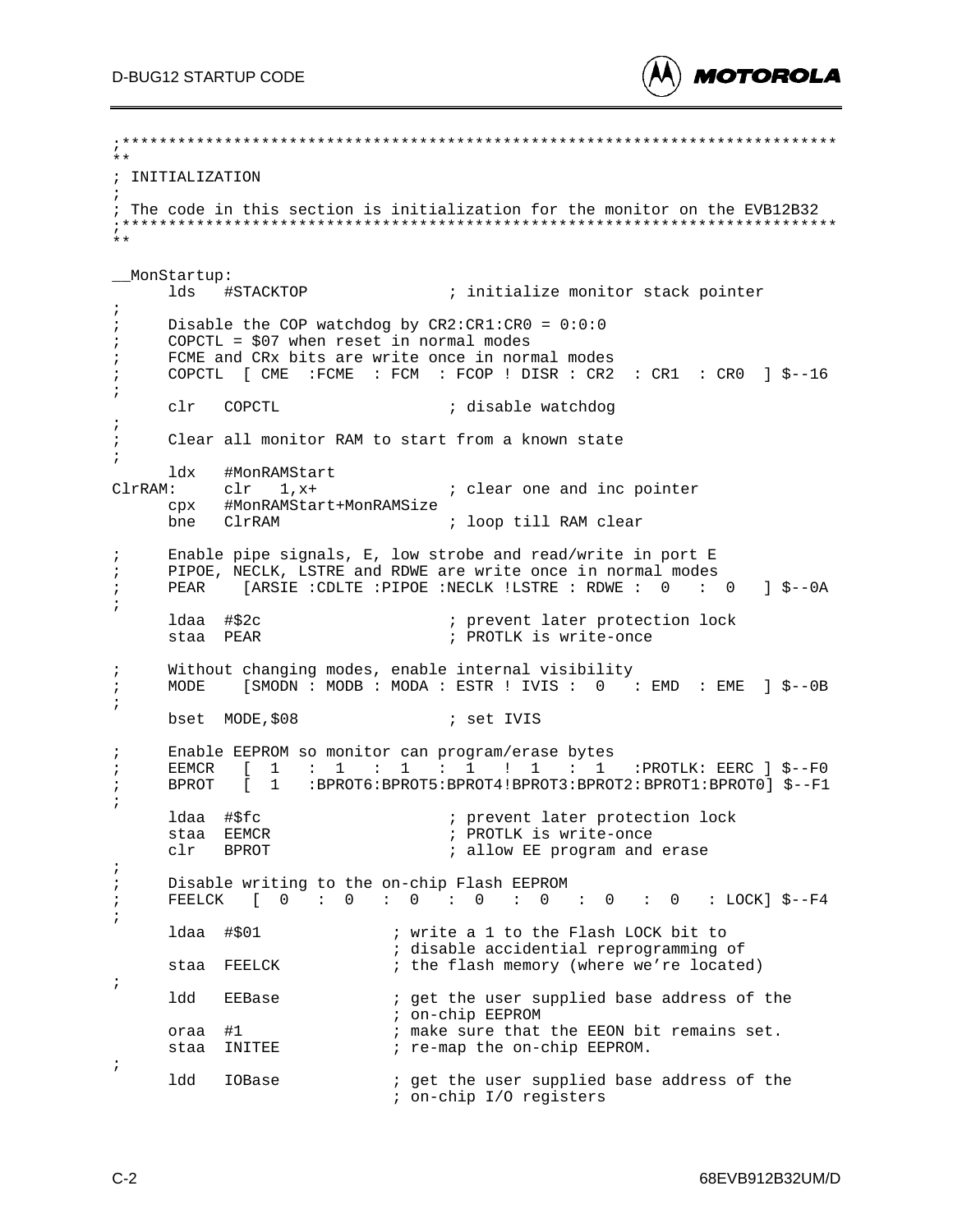

```
;*****************************************************************************
**
; INITIALIZATION
;
; The code in this section is initialization for the monitor on the EVB12B32
;*****************************************************************************
**
__MonStartup:
     lds #STACKTOP : initialize monitor stack pointer
;
; Disable the COP watchdog by CR2:CR1:CR0 = 0:0:0
; COPCTL = $07 when reset in normal modes
; FCME and CRx bits are write once in normal modes
; COPCTL [ CME :FCME : FCM : FCOP ! DISR : CR2 : CR1 : CR0 ] $--16
;
     clr COPCTL ; disable watchdog
;
; Clear all monitor RAM to start from a known state
;
     ldx #MonRAMStart
ClrRAM: clr 1, x+ ; clear one and inc pointer
     cpx #MonRAMStart+MonRAMSize
                                   ; loop till RAM clear
; Enable pipe signals, E, low strobe and read/write in port E
; PIPOE, NECLK, LSTRE and RDWE are write once in normal modes<br>; PEAR [ARSIE :CDLTE :PIPOE :NECLK !LSTRE : RDWE : 0 :
            [ARSIE : CDLTE : PIPOE : NECLK : LISTRE : RDWE : 0 : 0 ] $--0A;
     ldaa #$2c                      ; prevent later protection lock<br>staa PEAR                      ; PROTLK is write-once
                                   ; PROTLK is write-once
; Without changing modes, enable internal visibility
; MODE [SMODN : MODB : MODA : ESTR ! IVIS : 0 : EMD : EME ] $--0B
;
     bset MODE, $08 ; set IVIS
; Enable EEPROM so monitor can program/erase bytes
; EEMCR [ 1 : 1 : 1 : 1 ! 1 : 1 : PROTLK: EERC ] $--F0
; BPROT [ 1 :BPROT6:BPROT5:BPROT4!BPROT3:BPROT2: BPROT1:BPROT0] $--F1
;
     ldaa #$fc                         ; prevent later protection lock<br>staa EEMCR                       ; PROTLK is write-once
                                  ; PROTLK is write-once
     clr BPROT ; allow EE program and erase
;
; Disable writing to the on-chip Flash EEPROM
; FEELCK [ 0 : 0 : 0 : 0 : 0 : 0 : 0 : LOCK] $--F4
;
     ldaa #$01             ; write a 1 to the Flash LOCK bit to
                             ; disable accidential reprogramming of
     staa FEELCK ; the flash memory (where we're located)
;
     ldd EEBase : ; get the user supplied base address of the
                            ; on-chip EEPROM
     oraa #1 ; make sure that the EEON bit remains set.
     staa INITEE \qquad \qquad ; re-map the on-chip EEPROM.
;
     ldd IOBase \qquad ; get the user supplied base address of the
                             ; on-chip I/O registers
```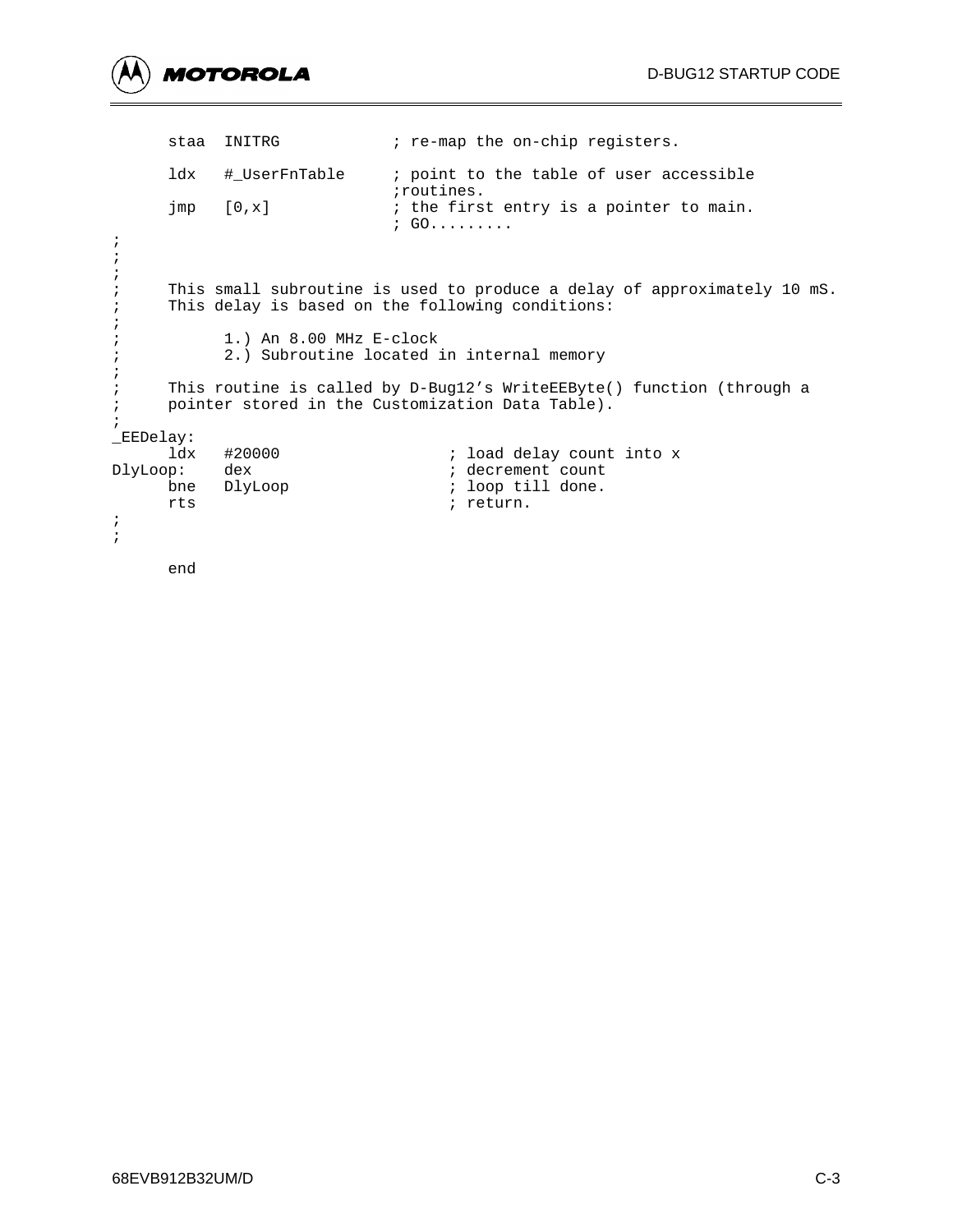

```
staa INITRG \qquad \qquad ; re-map the on-chip registers.
     ldx #_UserFnTable ; point to the table of user accessible
                             ;routines.
     jmp [0,x] ; the first entry is a pointer to main.
                             ; GO.........
;
;
;
; This small subroutine is used to produce a delay of approximately 10 mS.
; This delay is based on the following conditions:
;
; 1.) An 8.00 MHz E-clock
; 2.) Subroutine located in internal memory
;
; This routine is called by D-Bug12's WriteEEByte() function (through a
; pointer stored in the Customization Data Table).
;
_EEDelay:
           #20000 <br>dex <br>decrement count<br><br>decrement count
DlyLoop: dex ; decrement count<br>bne DlyLoop ; loop till done.
     bne DlyLoop ; loop till done.<br>
rts ; return.
                                  ; return.
;
;
```
end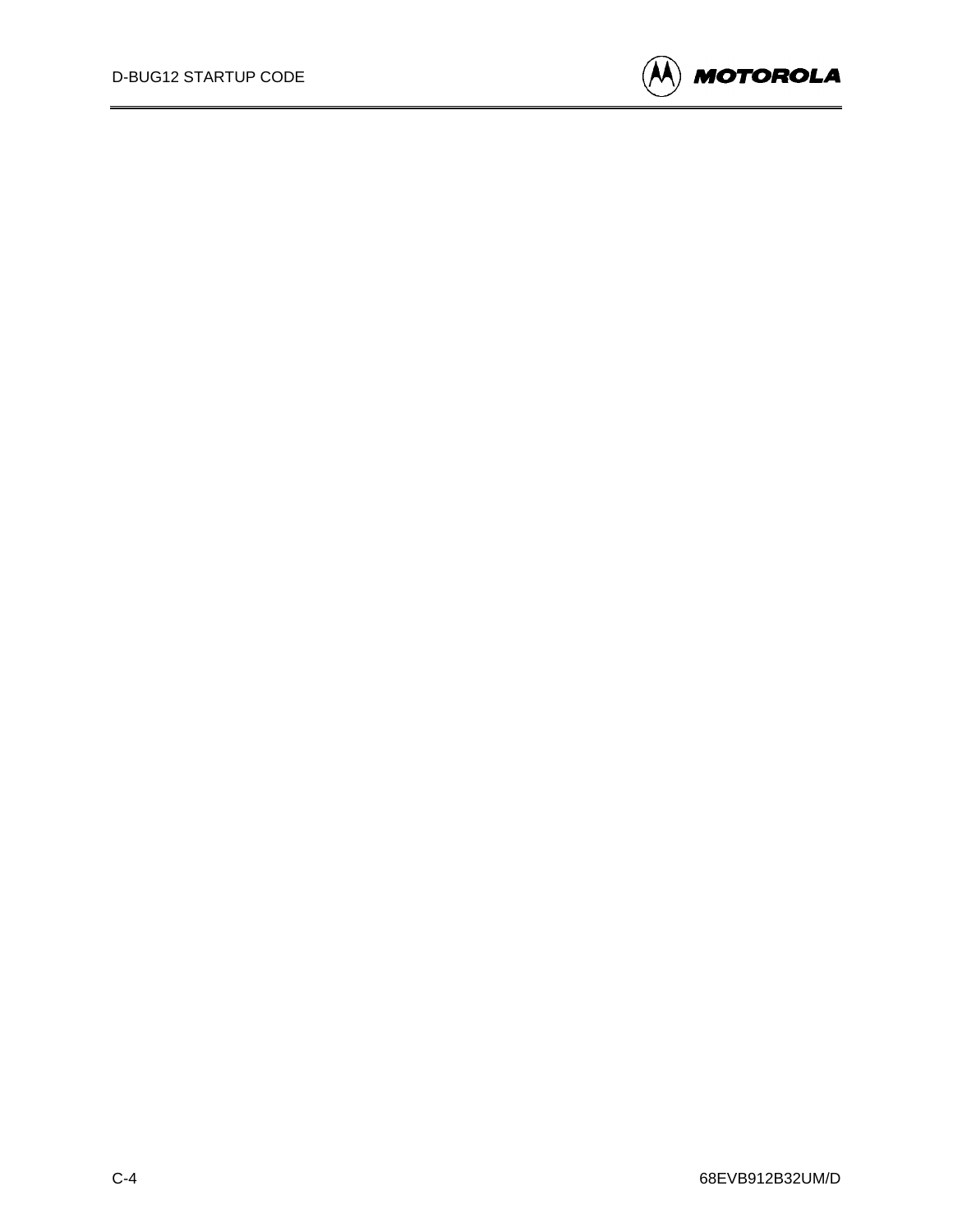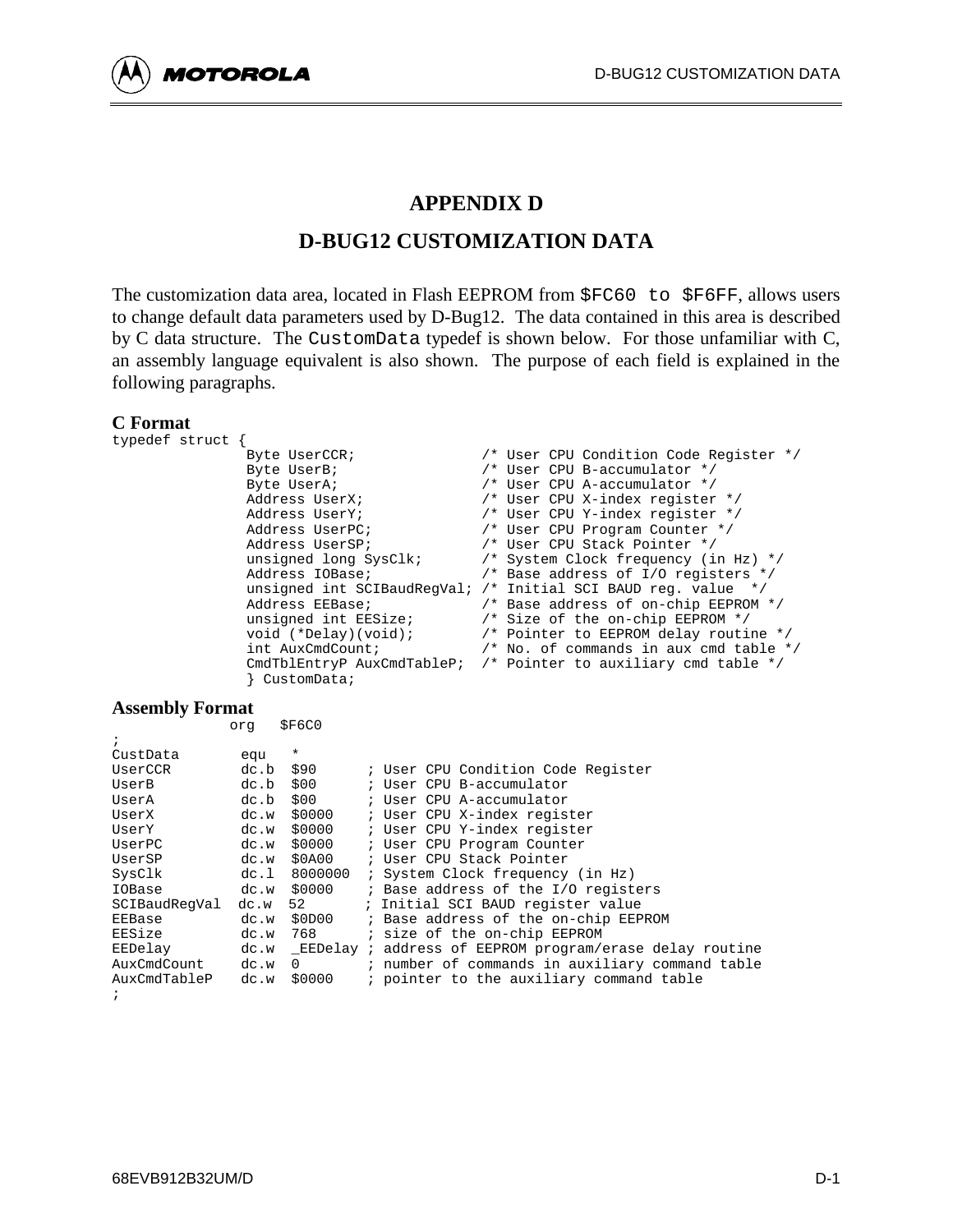

### **APPENDIX D**

### **D-BUG12 CUSTOMIZATION DATA**

The customization data area, located in Flash EEPROM from \$FC60 to \$F6FF, allows users to change default data parameters used by D-Bug12. The data contained in this area is described by C data structure. The CustomData typedef is shown below. For those unfamiliar with C, an assembly language equivalent is also shown. The purpose of each field is explained in the following paragraphs.

#### **C Format**

typedef struct {

| cypeder perdet |                       |                                                                 |
|----------------|-----------------------|-----------------------------------------------------------------|
|                | Byte UserCCR;         | /* User CPU Condition Code Register */                          |
|                | Byte UserB;           | /* User CPU B-accumulator */                                    |
|                | Byte UserA;           | /* User CPU A-accumulator */                                    |
|                | Address UserX;        | /* User CPU X-index register */                                 |
|                | Address UserY;        | /* User CPU Y-index register */                                 |
|                | Address UserPC;       | /* User CPU Program Counter */                                  |
|                | Address UserSP;       | /* User CPU Stack Pointer */                                    |
|                | unsigned long SysClk; | /* System Clock frequency (in Hz) */                            |
|                | Address IOBase;       | /* Base address of $I/O$ registers */                           |
|                |                       | unsigned int SCIBaudReqVal; /* Initial SCI BAUD req. value */   |
|                | Address EEBase;       | /* Base address of on-chip EEPROM */                            |
|                | unsigned int EESize;  | /* Size of the on-chip EEPROM $*/$                              |
|                | void (*Delay)(void);  | /* Pointer to EEPROM delay routine */                           |
|                | int AuxCmdCount;      | $/*$ No. of commands in aux cmd table $*/$                      |
|                |                       | CmdTblEntryP AuxCmdTableP; /* Pointer to auxiliary cmd table */ |
|                | CustomData;           |                                                                 |
|                |                       |                                                                 |

#### **Assembly Format**

org \$F6C0

| $\ddot{i}$    |      |                |                                                         |
|---------------|------|----------------|---------------------------------------------------------|
| CustData      | equ  | $\star$        |                                                         |
| UserCCR       | dc.b | \$90           | ; User CPU Condition Code Register                      |
| UserB         | dc.b | \$00           | ; User CPU B-accumulator                                |
| UserA         | dc.b | \$00           | ; User CPU A-accumulator                                |
| UserX         | dc.w | \$0000         | ; User CPU X-index register                             |
| UserY         | dc.w | \$0000         | ; User CPU Y-index register                             |
| UserPC        | dc.w | \$0000         | ; User CPU Program Counter                              |
| UserSP        | dc.w | \$0A00         | ; User CPU Stack Pointer                                |
| SysClk        | dc.l | 8000000        | ; System Clock frequency (in Hz)                        |
| IOBase        | dc.w | \$0000         | ; Base address of the I/O registers                     |
| SCIBaudReqVal | dc.w | 52             | ; Initial SCI BAUD register value                       |
| EEBase        | dc.w | \$0D00         | ; Base address of the on-chip EEPROM                    |
| EESize        | dc.w | 768            | ; size of the on-chip EEPROM                            |
| EEDelay       | dc.w |                | EEDelay ; address of EEPROM program/erase delay routine |
| AuxCmdCount   | dc.w | $\overline{0}$ | ; number of commands in auxiliary command table         |
| AuxCmdTableP  | dc.w | \$0000         | ; pointer to the auxiliary command table                |
| $\cdot$       |      |                |                                                         |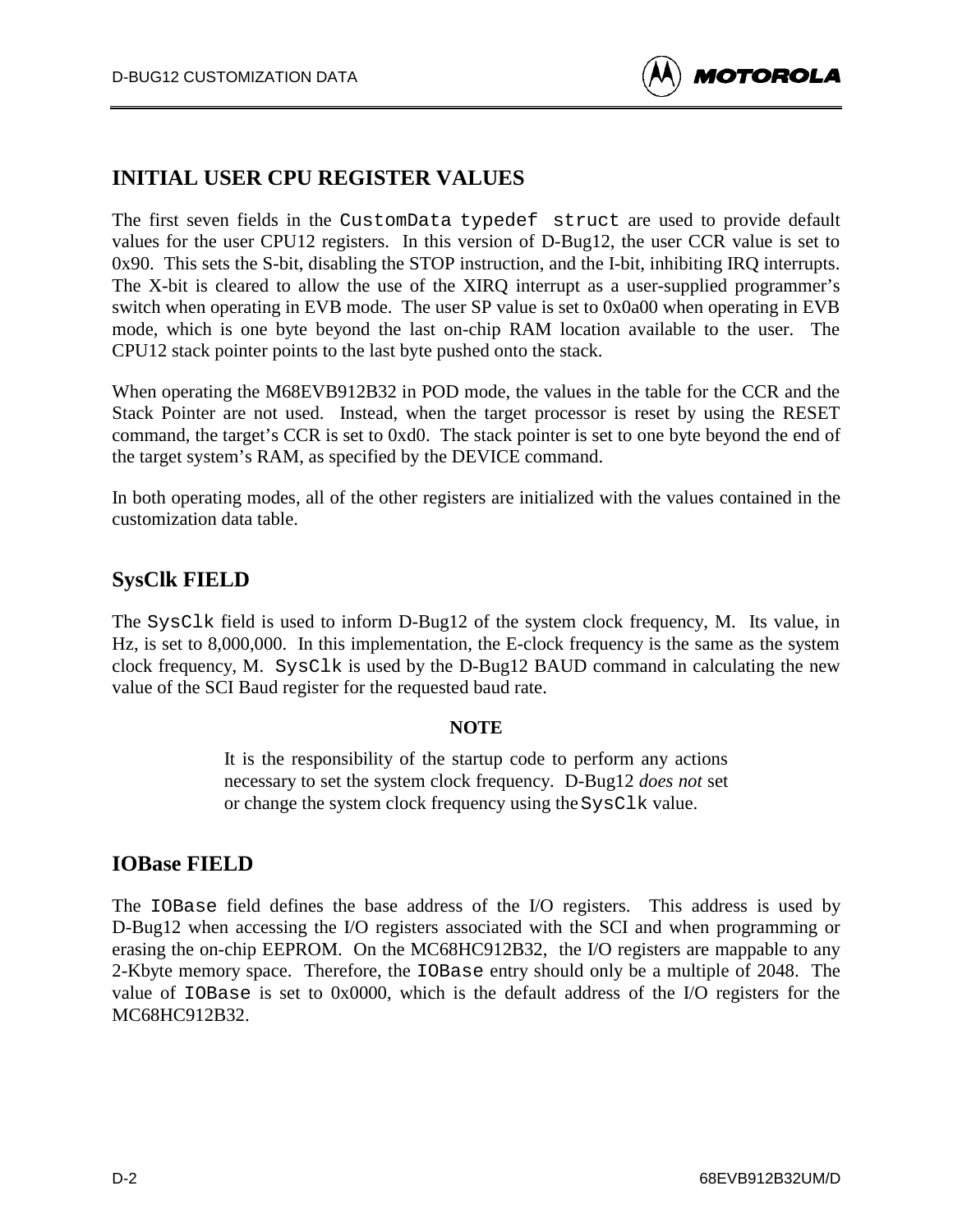# **INITIAL USER CPU REGISTER VALUES**

The first seven fields in the CustomData typedef struct are used to provide default values for the user CPU12 registers. In this version of D-Bug12, the user CCR value is set to 0x90. This sets the S-bit, disabling the STOP instruction, and the I-bit, inhibiting IRQ interrupts. The X-bit is cleared to allow the use of the XIRQ interrupt as a user-supplied programmer's switch when operating in EVB mode. The user SP value is set to 0x0a00 when operating in EVB mode, which is one byte beyond the last on-chip RAM location available to the user. The CPU12 stack pointer points to the last byte pushed onto the stack.

When operating the M68EVB912B32 in POD mode, the values in the table for the CCR and the Stack Pointer are not used. Instead, when the target processor is reset by using the RESET command, the target's CCR is set to 0xd0. The stack pointer is set to one byte beyond the end of the target system's RAM, as specified by the DEVICE command.

In both operating modes, all of the other registers are initialized with the values contained in the customization data table.

### **SysClk FIELD**

The SysClk field is used to inform D-Bug12 of the system clock frequency, M. Its value, in Hz, is set to 8,000,000. In this implementation, the E-clock frequency is the same as the system clock frequency, M. SysClk is used by the D-Bug12 BAUD command in calculating the new value of the SCI Baud register for the requested baud rate.

#### **NOTE**

It is the responsibility of the startup code to perform any actions necessary to set the system clock frequency. D-Bug12 *does not* set or change the system clock frequency using the SysClk value.

### **IOBase FIELD**

The IOBase field defines the base address of the I/O registers. This address is used by D-Bug12 when accessing the I/O registers associated with the SCI and when programming or erasing the on-chip EEPROM. On the MC68HC912B32, the I/O registers are mappable to any 2-Kbyte memory space. Therefore, the IOBase entry should only be a multiple of 2048. The value of IOBase is set to 0x0000, which is the default address of the I/O registers for the MC68HC912B32.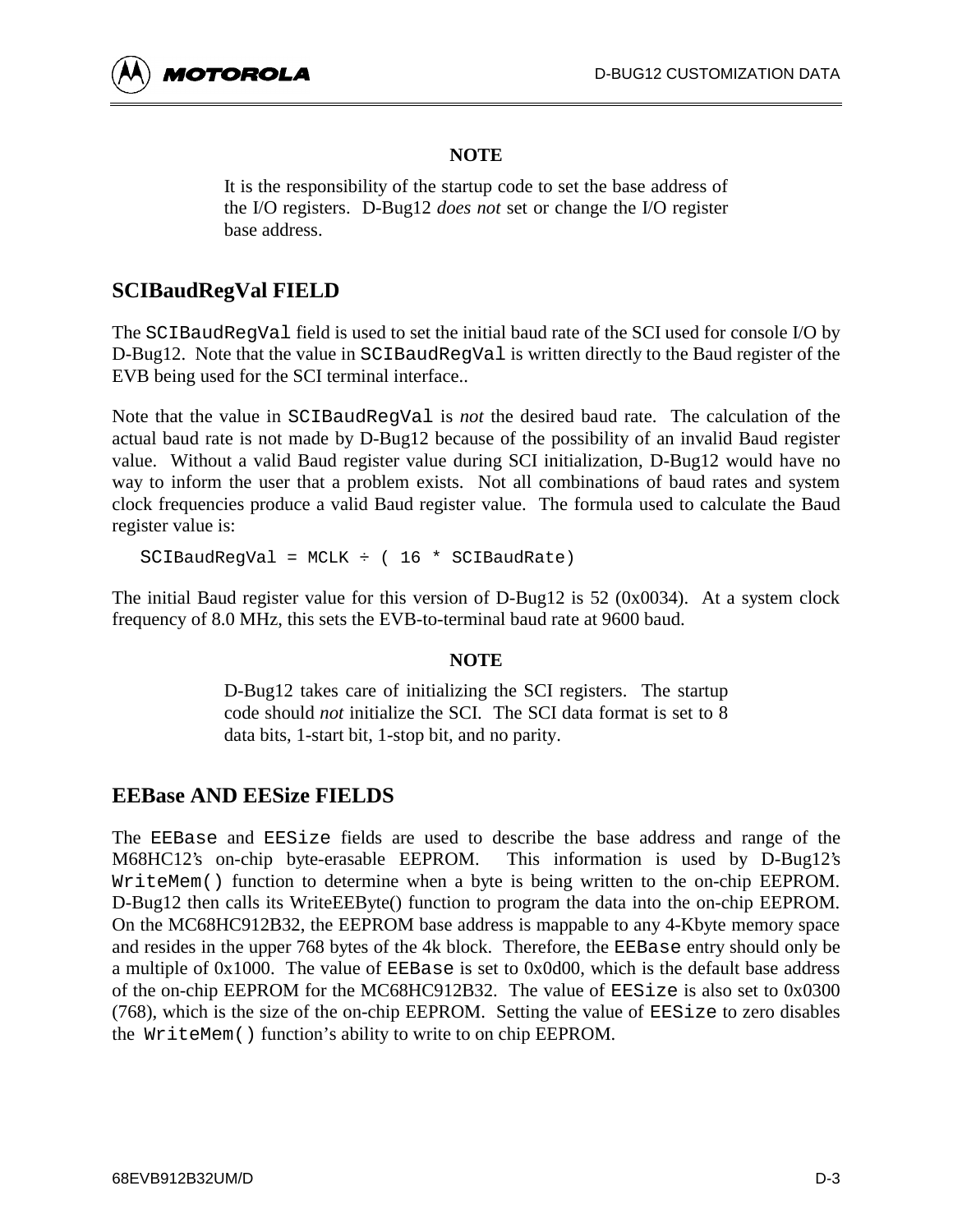

## **NOTE**

It is the responsibility of the startup code to set the base address of the I/O registers. D-Bug12 *does not* set or change the I/O register base address.

# **SCIBaudRegVal FIELD**

The SCIBaudRegVal field is used to set the initial baud rate of the SCI used for console I/O by D-Bug12. Note that the value in SCIBaudRegVal is written directly to the Baud register of the EVB being used for the SCI terminal interface..

Note that the value in SCIBaudRegVal is *not* the desired baud rate. The calculation of the actual baud rate is not made by D-Bug12 because of the possibility of an invalid Baud register value. Without a valid Baud register value during SCI initialization, D-Bug12 would have no way to inform the user that a problem exists. Not all combinations of baud rates and system clock frequencies produce a valid Baud register value. The formula used to calculate the Baud register value is:

 $SCIBaudRegVal = MCLK \div (16 * SCIBaudRate)$ 

The initial Baud register value for this version of D-Bug12 is 52 (0x0034). At a system clock frequency of 8.0 MHz, this sets the EVB-to-terminal baud rate at 9600 baud.

### **NOTE**

D-Bug12 takes care of initializing the SCI registers. The startup code should *not* initialize the SCI. The SCI data format is set to 8 data bits, 1-start bit, 1-stop bit, and no parity.

## **EEBase AND EESize FIELDS**

The EEBase and EESize fields are used to describe the base address and range of the M68HC12's on-chip byte-erasable EEPROM. This information is used by D-Bug12's WriteMem() function to determine when a byte is being written to the on-chip EEPROM. D-Bug12 then calls its WriteEEByte() function to program the data into the on-chip EEPROM. On the MC68HC912B32, the EEPROM base address is mappable to any 4-Kbyte memory space and resides in the upper 768 bytes of the 4k block. Therefore, the EEBase entry should only be a multiple of 0x1000. The value of EEBase is set to 0x0d00, which is the default base address of the on-chip EEPROM for the MC68HC912B32. The value of EESize is also set to 0x0300 (768), which is the size of the on-chip EEPROM. Setting the value of EESize to zero disables the WriteMem() function's ability to write to on chip EEPROM.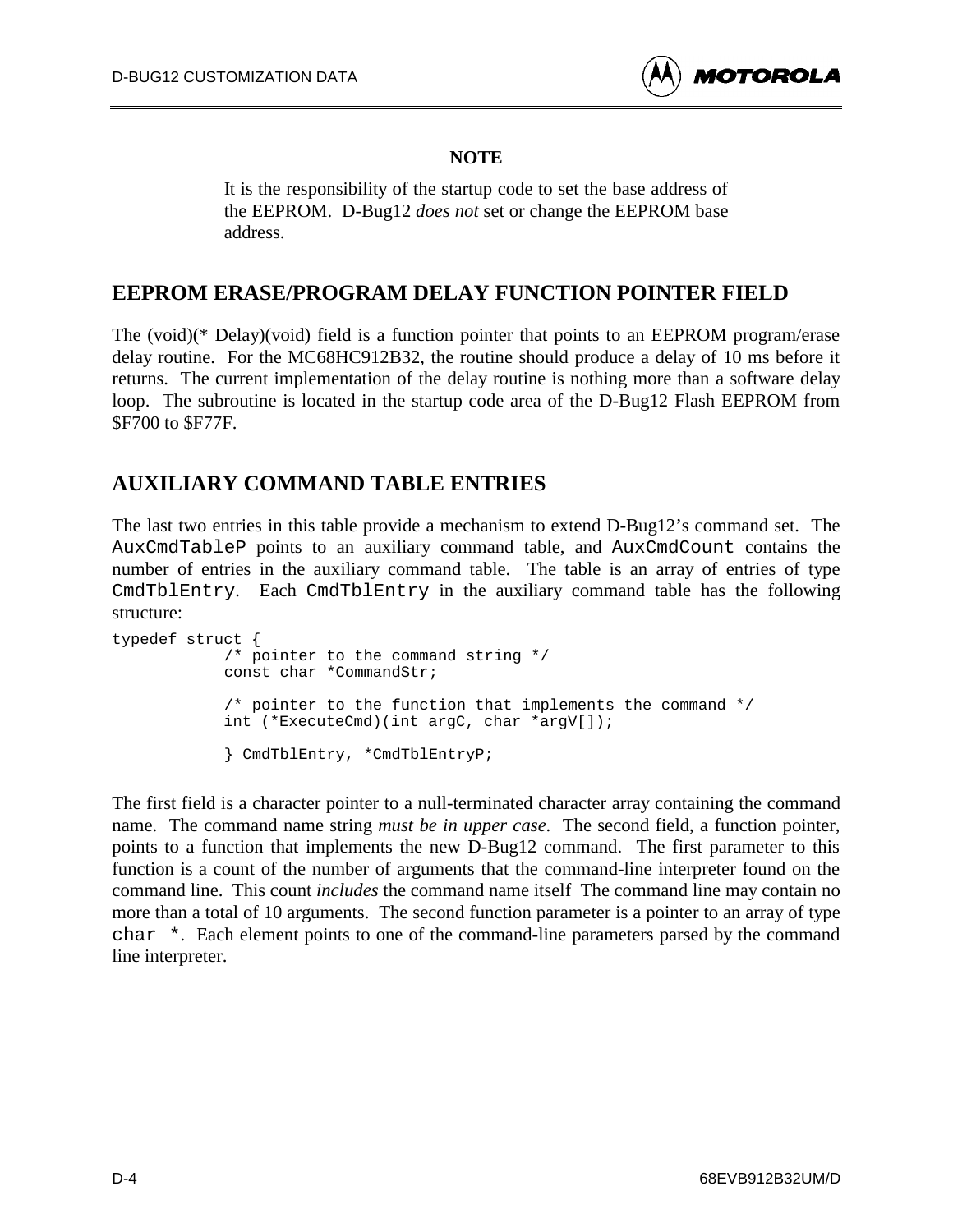

## **NOTE**

It is the responsibility of the startup code to set the base address of the EEPROM. D-Bug12 *does not* set or change the EEPROM base address.

# **EEPROM ERASE/PROGRAM DELAY FUNCTION POINTER FIELD**

The (void)(\* Delay)(void) field is a function pointer that points to an EEPROM program/erase delay routine. For the MC68HC912B32, the routine should produce a delay of 10 ms before it returns. The current implementation of the delay routine is nothing more than a software delay loop. The subroutine is located in the startup code area of the D-Bug12 Flash EEPROM from \$F700 to \$F77F.

# **AUXILIARY COMMAND TABLE ENTRIES**

The last two entries in this table provide a mechanism to extend D-Bug12's command set. The AuxCmdTableP points to an auxiliary command table, and AuxCmdCount contains the number of entries in the auxiliary command table. The table is an array of entries of type CmdTblEntry. Each CmdTblEntry in the auxiliary command table has the following structure:

```
typedef struct {
             /* pointer to the command string */
            const char *CommandStr;
            /* pointer to the function that implements the command */
             int (*ExecuteCmd)(int argC, char *argV[]);
            } CmdTblEntry, *CmdTblEntryP;
```
The first field is a character pointer to a null-terminated character array containing the command name. The command name string *must be in upper case*. The second field, a function pointer, points to a function that implements the new D-Bug12 command. The first parameter to this function is a count of the number of arguments that the command-line interpreter found on the command line. This count *includes* the command name itself The command line may contain no more than a total of 10 arguments. The second function parameter is a pointer to an array of type char \*. Each element points to one of the command-line parameters parsed by the command line interpreter.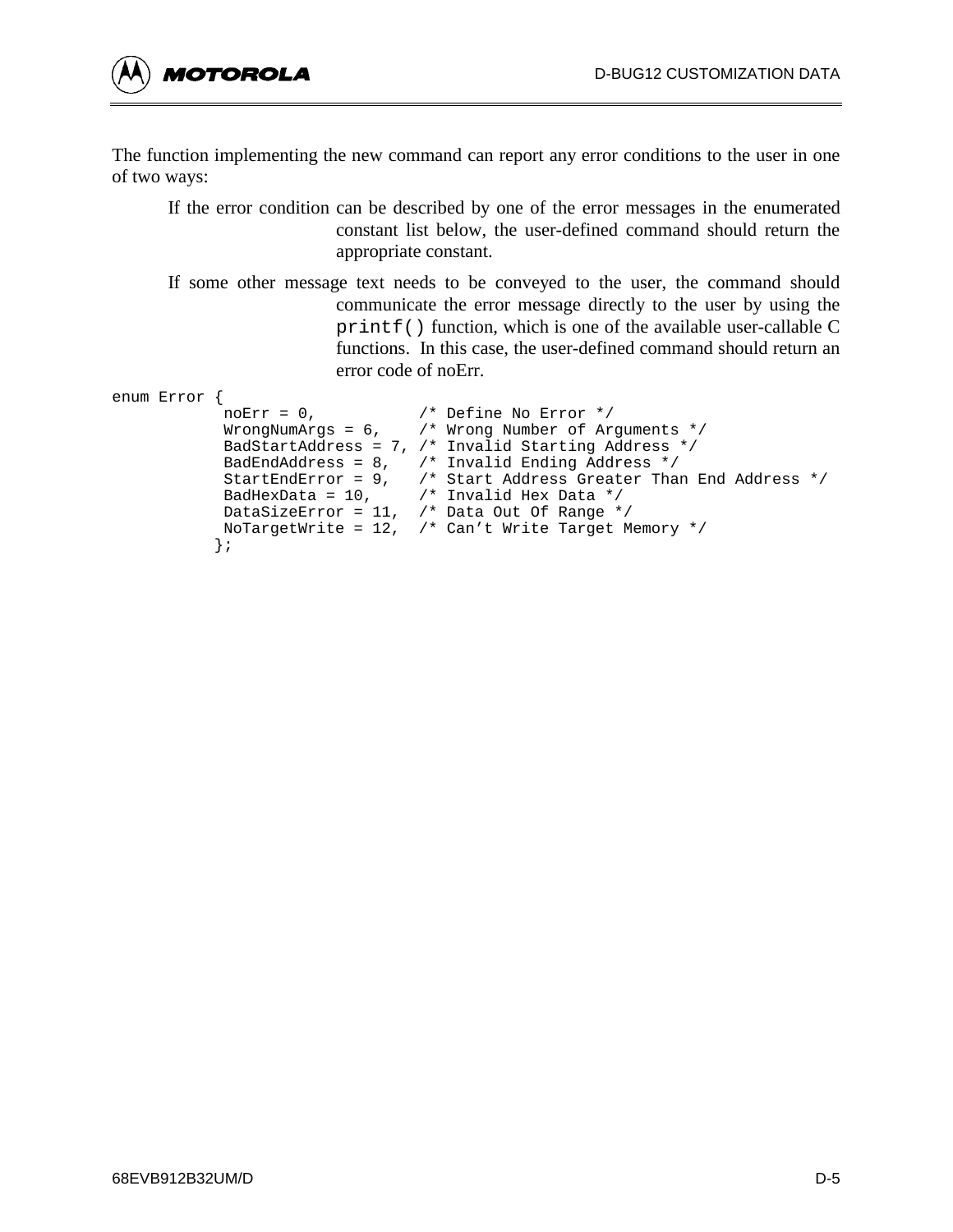

The function implementing the new command can report any error conditions to the user in one of two ways:

- If the error condition can be described by one of the error messages in the enumerated constant list below, the user-defined command should return the appropriate constant.
- If some other message text needs to be conveyed to the user, the command should communicate the error message directly to the user by using the printf() function, which is one of the available user-callable C functions. In this case, the user-defined command should return an error code of noErr.

```
enum Error {
noErr = 0, /* Define No Error */ WrongNumArgs = 6, /* Wrong Number of Arguments */
              BadStartAddress = 7, /* Invalid Starting Address */
              BadEndAddress = 8, /* Invalid Ending Address */
             StartEndError = 9, \frac{1}{3} Start Address Greater Than End Address */<br>BadHexData = 10, \frac{1}{3} \frac{1}{3} Invalid Hex Data */
                                   /* Invalid Hex Data */ DataSizeError = 11, /* Data Out Of Range */
            NoTargetWrite = 12, \frac{1}{2} Can't Write Target Memory */
             };
```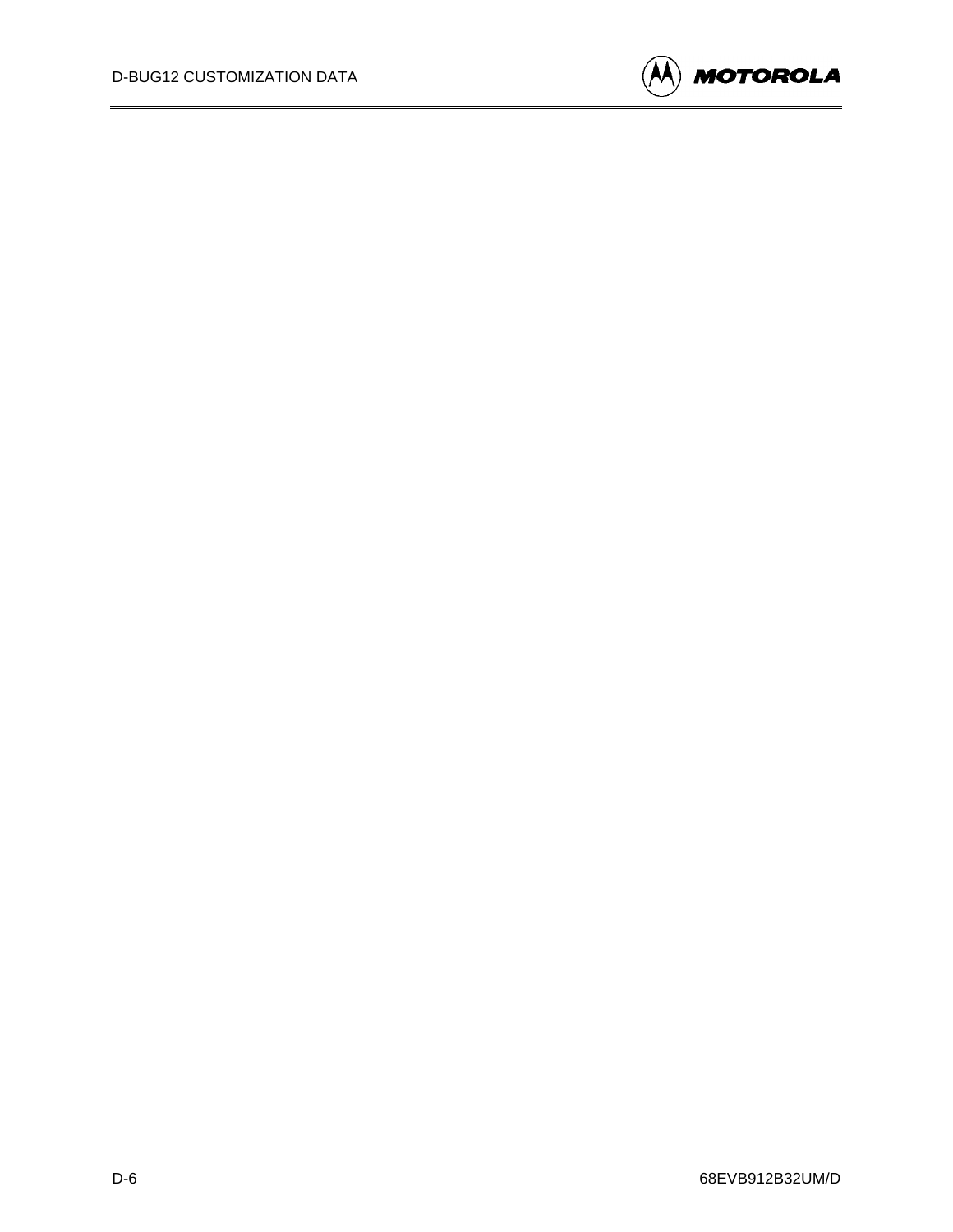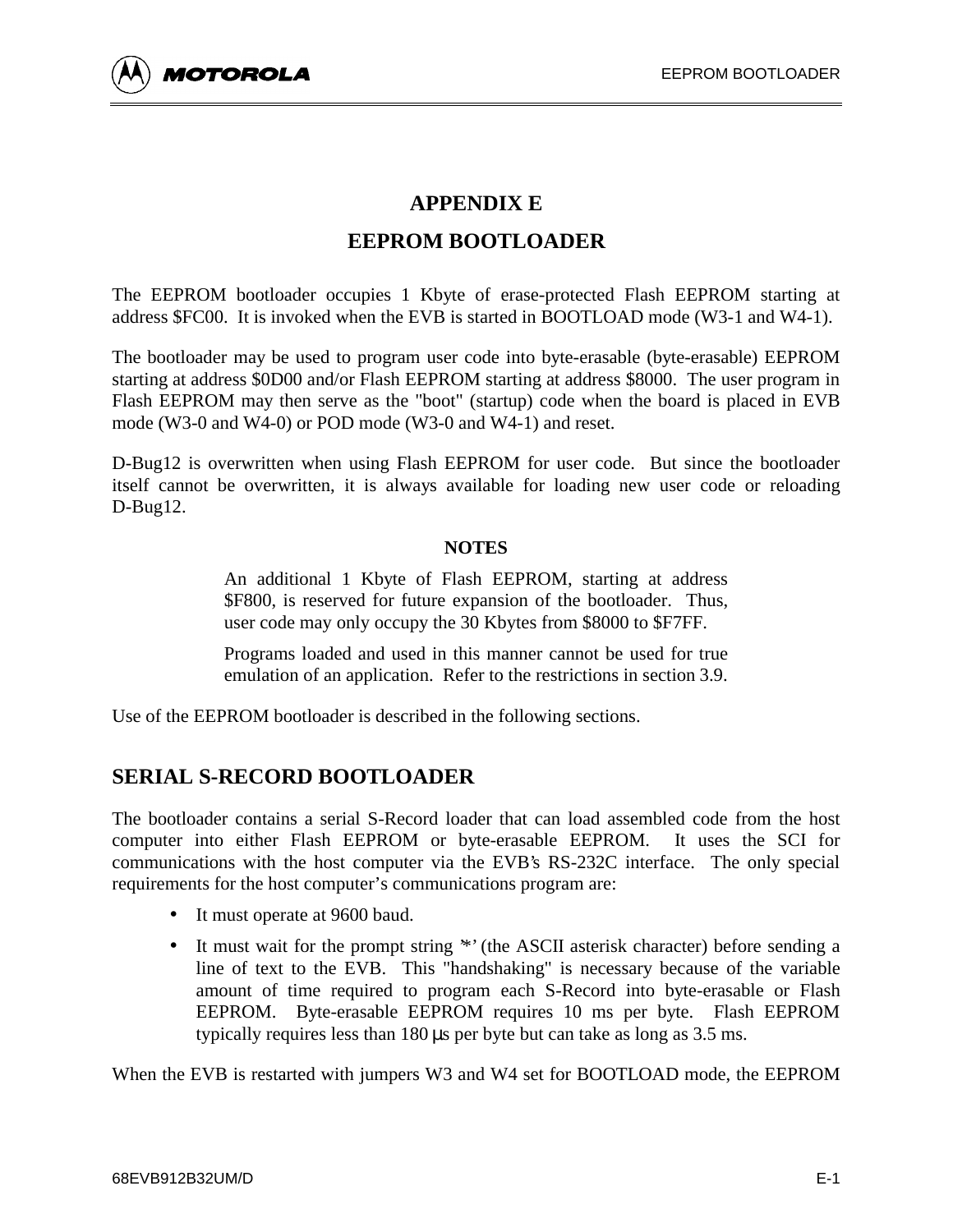

## **APPENDIX E**

## **EEPROM BOOTLOADER**

The EEPROM bootloader occupies 1 Kbyte of erase-protected Flash EEPROM starting at address \$FC00. It is invoked when the EVB is started in BOOTLOAD mode (W3-1 and W4-1).

The bootloader may be used to program user code into byte-erasable (byte-erasable) EEPROM starting at address \$0D00 and/or Flash EEPROM starting at address \$8000. The user program in Flash EEPROM may then serve as the "boot" (startup) code when the board is placed in EVB mode (W3-0 and W4-0) or POD mode (W3-0 and W4-1) and reset.

D-Bug12 is overwritten when using Flash EEPROM for user code. But since the bootloader itself cannot be overwritten, it is always available for loading new user code or reloading D-Bug12.

### **NOTES**

An additional 1 Kbyte of Flash EEPROM, starting at address \$F800, is reserved for future expansion of the bootloader. Thus, user code may only occupy the 30 Kbytes from \$8000 to \$F7FF.

Programs loaded and used in this manner cannot be used for true emulation of an application. Refer to the restrictions in section 3.9.

Use of the EEPROM bootloader is described in the following sections.

## **SERIAL S-RECORD BOOTLOADER**

The bootloader contains a serial S-Record loader that can load assembled code from the host computer into either Flash EEPROM or byte-erasable EEPROM. It uses the SCI for communications with the host computer via the EVB's RS-232C interface. The only special requirements for the host computer's communications program are:

- It must operate at 9600 baud.
- It must wait for the prompt string \*\*' (the ASCII asterisk character) before sending a line of text to the EVB. This "handshaking" is necessary because of the variable amount of time required to program each S-Record into byte-erasable or Flash EEPROM. Byte-erasable EEPROM requires 10 ms per byte. Flash EEPROM typically requires less than 180 µs per byte but can take as long as 3.5 ms.

When the EVB is restarted with jumpers W3 and W4 set for BOOTLOAD mode, the EEPROM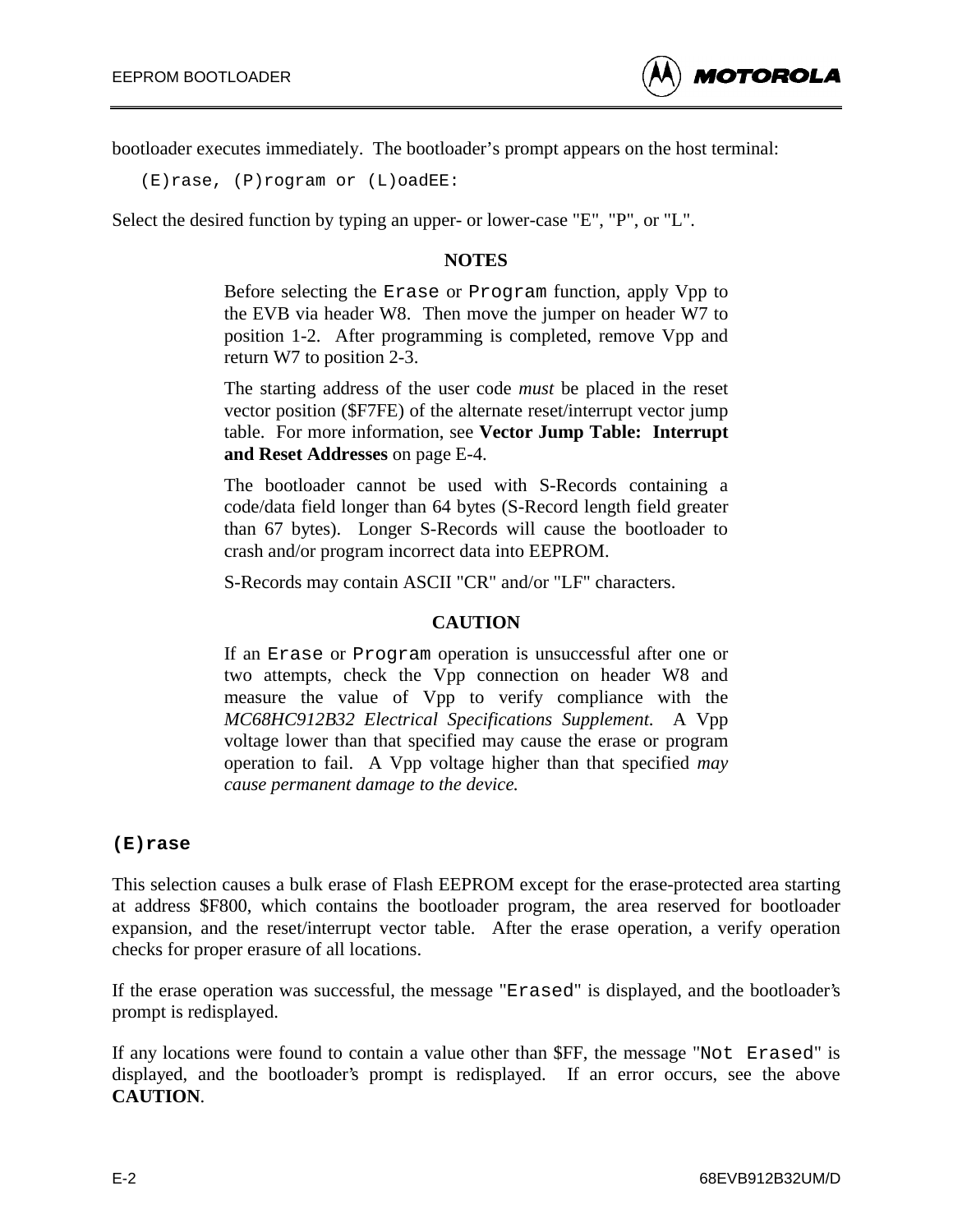bootloader executes immediately. The bootloader's prompt appears on the host terminal:

(E)rase, (P)rogram or (L)oadEE:

Select the desired function by typing an upper- or lower-case "E", "P", or "L".

## **NOTES**

Before selecting the Erase or Program function, apply Vpp to the EVB via header W8. Then move the jumper on header W7 to position 1-2. After programming is completed, remove Vpp and return W7 to position 2-3.

The starting address of the user code *must* be placed in the reset vector position (\$F7FE) of the alternate reset/interrupt vector jump table. For more information, see **Vector Jump Table: Interrupt and Reset Addresses** on page E-4.

The bootloader cannot be used with S-Records containing a code/data field longer than 64 bytes (S-Record length field greater than 67 bytes). Longer S-Records will cause the bootloader to crash and/or program incorrect data into EEPROM.

S-Records may contain ASCII "CR" and/or "LF" characters.

### **CAUTION**

If an Erase or Program operation is unsuccessful after one or two attempts, check the Vpp connection on header W8 and measure the value of Vpp to verify compliance with the *MC68HC912B32 Electrical Specifications Supplement*. A Vpp voltage lower than that specified may cause the erase or program operation to fail. A Vpp voltage higher than that specified *may cause permanent damage to the device*.

### **(E)rase**

This selection causes a bulk erase of Flash EEPROM except for the erase-protected area starting at address \$F800, which contains the bootloader program, the area reserved for bootloader expansion, and the reset/interrupt vector table. After the erase operation, a verify operation checks for proper erasure of all locations.

If the erase operation was successful, the message "Erased" is displayed, and the bootloader's prompt is redisplayed.

If any locations were found to contain a value other than \$FF, the message "Not Erased" is displayed, and the bootloader's prompt is redisplayed. If an error occurs, see the above **CAUTION**.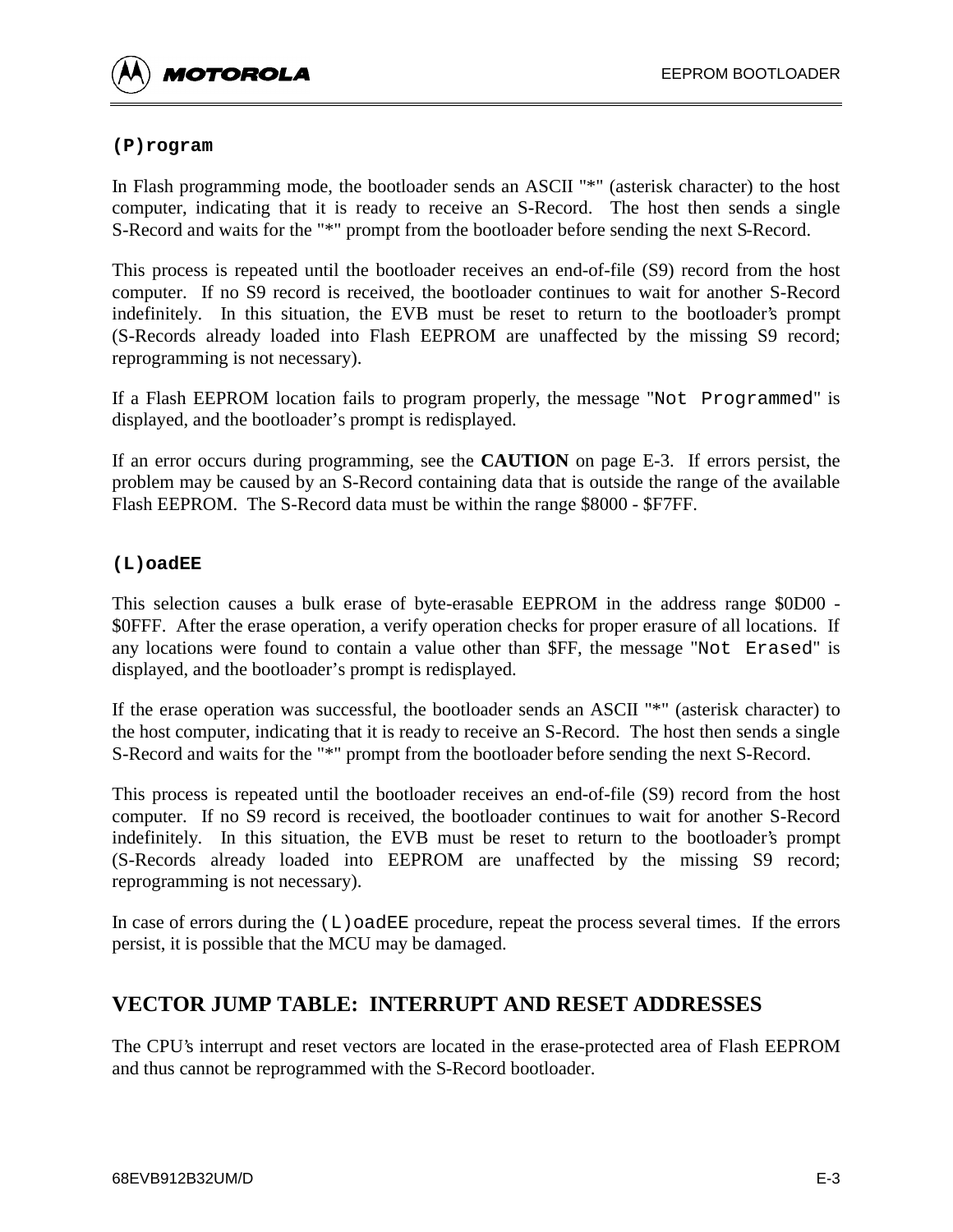

## **(P)rogram**

In Flash programming mode, the bootloader sends an ASCII "\*" (asterisk character) to the host computer, indicating that it is ready to receive an S-Record. The host then sends a single S-Record and waits for the "\*" prompt from the bootloader before sending the next S-Record.

This process is repeated until the bootloader receives an end-of-file (S9) record from the host computer. If no S9 record is received, the bootloader continues to wait for another S-Record indefinitely. In this situation, the EVB must be reset to return to the bootloader's prompt (S-Records already loaded into Flash EEPROM are unaffected by the missing S9 record; reprogramming is not necessary).

If a Flash EEPROM location fails to program properly, the message "Not Programmed" is displayed, and the bootloader's prompt is redisplayed.

If an error occurs during programming, see the **CAUTION** on page E-3. If errors persist, the problem may be caused by an S-Record containing data that is outside the range of the available Flash EEPROM. The S-Record data must be within the range \$8000 - \$F7FF.

## **(L)oadEE**

This selection causes a bulk erase of byte-erasable EEPROM in the address range \$0D00 - \$0FFF. After the erase operation, a verify operation checks for proper erasure of all locations. If any locations were found to contain a value other than \$FF, the message "Not Erased" is displayed, and the bootloader's prompt is redisplayed.

If the erase operation was successful, the bootloader sends an ASCII "\*" (asterisk character) to the host computer, indicating that it is ready to receive an S-Record. The host then sends a single S-Record and waits for the "\*" prompt from the bootloader before sending the next S-Record.

This process is repeated until the bootloader receives an end-of-file (S9) record from the host computer. If no S9 record is received, the bootloader continues to wait for another S-Record indefinitely. In this situation, the EVB must be reset to return to the bootloader's prompt (S-Records already loaded into EEPROM are unaffected by the missing S9 record; reprogramming is not necessary).

In case of errors during the  $(L)$  oad EE procedure, repeat the process several times. If the errors persist, it is possible that the MCU may be damaged.

## **VECTOR JUMP TABLE: INTERRUPT AND RESET ADDRESSES**

The CPU's interrupt and reset vectors are located in the erase-protected area of Flash EEPROM and thus cannot be reprogrammed with the S-Record bootloader.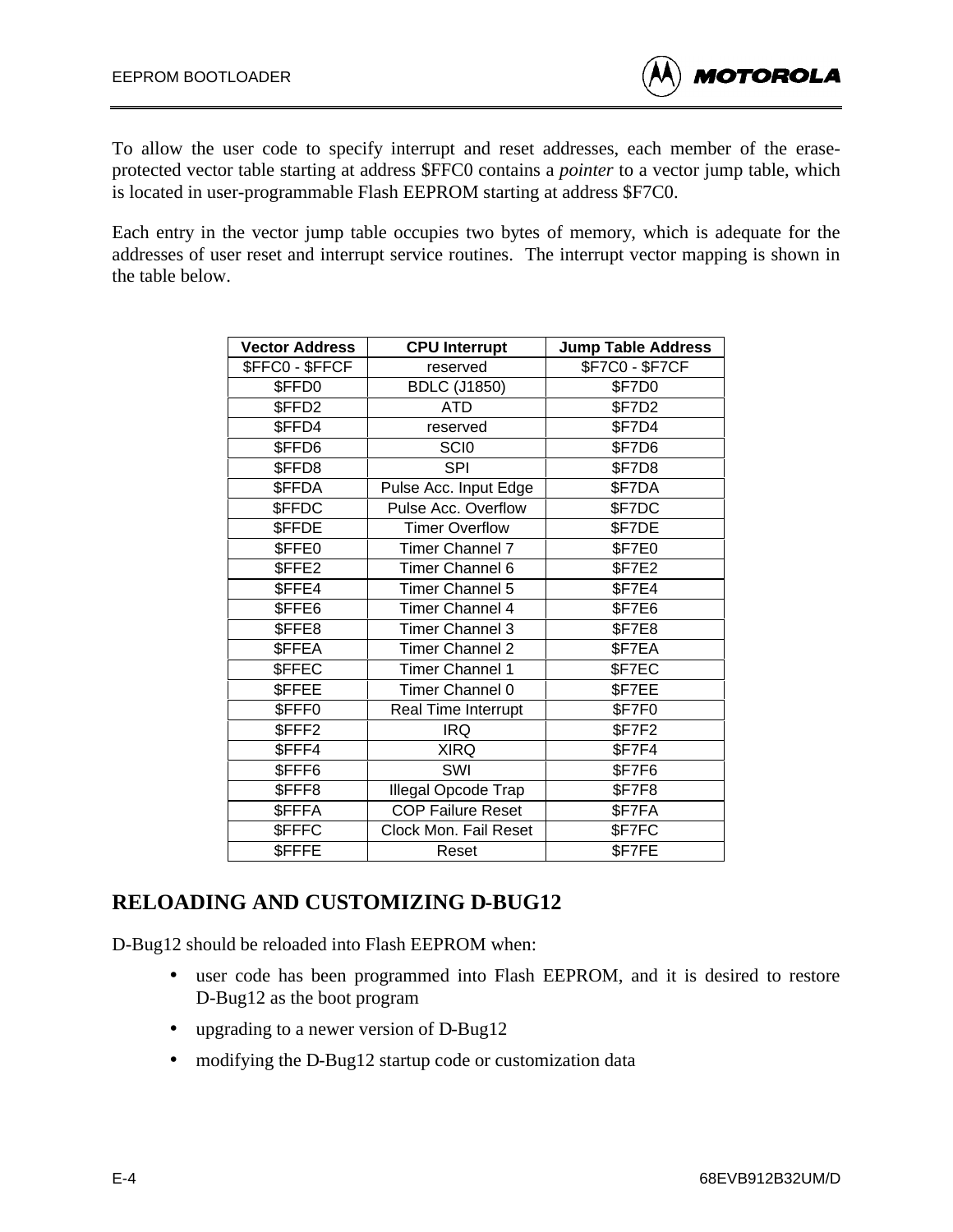To allow the user code to specify interrupt and reset addresses, each member of the eraseprotected vector table starting at address \$FFC0 contains a *pointer* to a vector jump table, which is located in user-programmable Flash EEPROM starting at address \$F7C0.

Each entry in the vector jump table occupies two bytes of memory, which is adequate for the addresses of user reset and interrupt service routines. The interrupt vector mapping is shown in the table below.

| <b>Vector Address</b>  | <b>CPU Interrupt</b>       | <b>Jump Table Address</b> |
|------------------------|----------------------------|---------------------------|
| <b>\$FFC0 - \$FFCF</b> | reserved                   | <b>\$F7C0 - \$F7CF</b>    |
| \$FFD0                 | <b>BDLC (J1850)</b>        | \$F7D0                    |
| \$FFD2                 | <b>ATD</b>                 | <b>\$F7D2</b>             |
| \$FFD4                 | reserved                   | <b>\$F7D4</b>             |
| \$FFD6                 | <b>SCIO</b>                | <b>\$F7D6</b>             |
| \$FFD8                 | <b>SPI</b>                 | <b>\$F7D8</b>             |
| <b>SFFDA</b>           | Pulse Acc. Input Edge      | \$F7DA                    |
| \$FFDC                 | Pulse Acc. Overflow        | \$F7DC                    |
| \$FFDE                 | <b>Timer Overflow</b>      | \$F7DE                    |
| \$FFE0                 | <b>Timer Channel 7</b>     | <b>\$F7E0</b>             |
| \$FFE2                 | Timer Channel 6            | <b>\$F7E2</b>             |
| \$FFE4                 | Timer Channel 5            | $\overline{\$F7E4}$       |
| \$FFE6                 | <b>Timer Channel 4</b>     | <b>\$F7E6</b>             |
| \$FFE8                 | <b>Timer Channel 3</b>     | <b>\$F7E8</b>             |
| \$FFEA                 | <b>Timer Channel 2</b>     | \$F7EA                    |
| \$FFEC                 | <b>Timer Channel 1</b>     | \$F7EC                    |
| \$FFEE                 | Timer Channel 0            | \$F7EE                    |
| \$FFF0                 | <b>Real Time Interrupt</b> | <b>\$F7F0</b>             |
| \$FFF2                 | <b>IRQ</b>                 | <b>\$F7F2</b>             |
| \$FFF4                 | <b>XIRQ</b>                | <b>\$F7F4</b>             |
| \$FFF6                 | SWI                        | <b>\$F7F6</b>             |
| \$FFF8                 | Illegal Opcode Trap        | <b>\$F7F8</b>             |
| \$FFFA                 | <b>COP Failure Reset</b>   | \$F7FA                    |
| \$FFFC                 | Clock Mon. Fail Reset      | \$F7FC                    |
| \$FFFE                 | Reset                      | \$F7FE                    |

## **RELOADING AND CUSTOMIZING D-BUG12**

D-Bug12 should be reloaded into Flash EEPROM when:

- user code has been programmed into Flash EEPROM, and it is desired to restore D-Bug12 as the boot program
- upgrading to a newer version of D-Bug12
- modifying the D-Bug12 startup code or customization data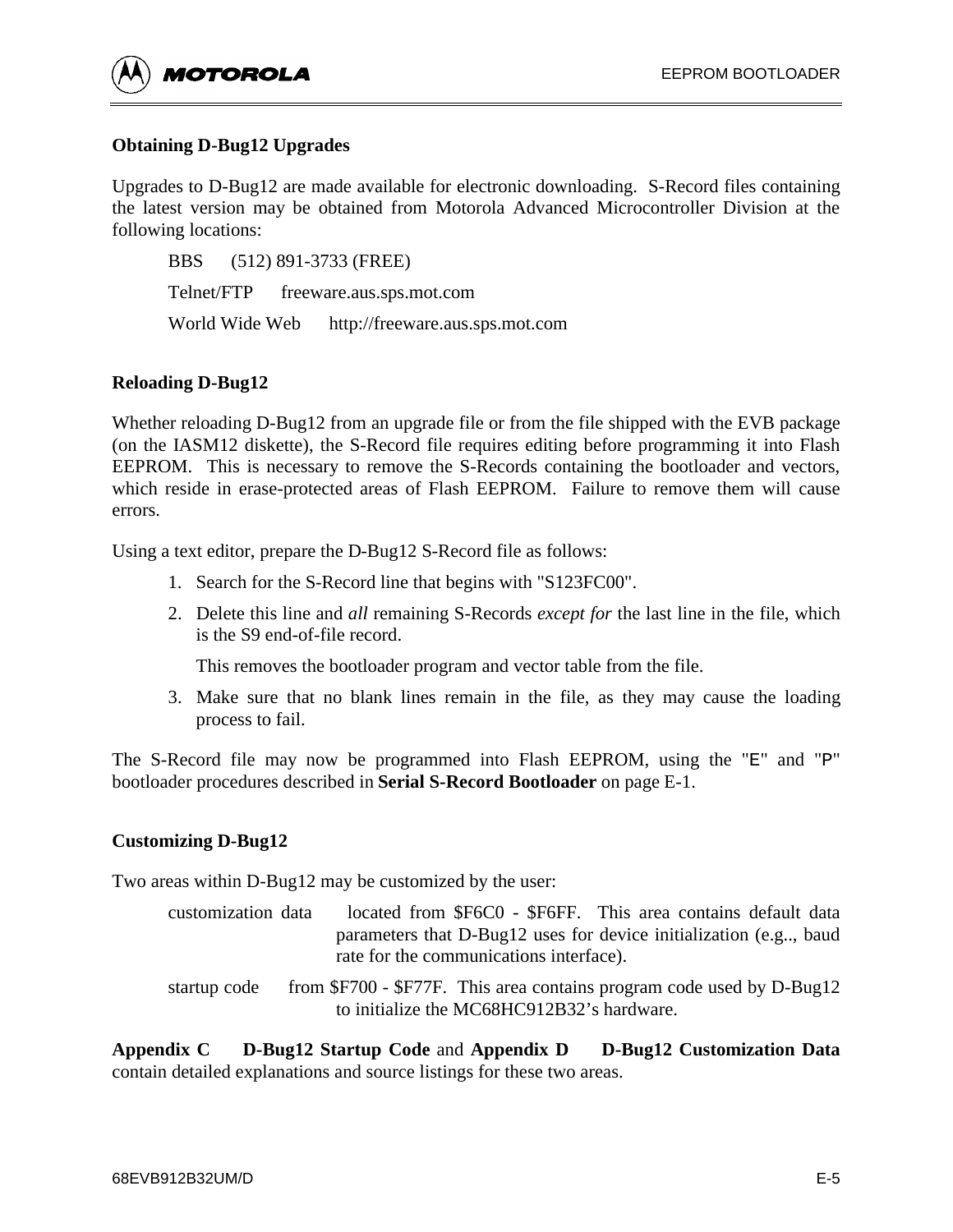

### **Obtaining D-Bug12 Upgrades**

Upgrades to D-Bug12 are made available for electronic downloading. S-Record files containing the latest version may be obtained from Motorola Advanced Microcontroller Division at the following locations:

BBS (512) 891-3733 (FREE) Telnet/FTP — freeware.aus.sps.mot.com World Wide Web - http://freeware.aus.sps.mot.com

## **Reloading D-Bug12**

Whether reloading D-Bug12 from an upgrade file or from the file shipped with the EVB package (on the IASM12 diskette), the S-Record file requires editing before programming it into Flash EEPROM. This is necessary to remove the S-Records containing the bootloader and vectors, which reside in erase-protected areas of Flash EEPROM. Failure to remove them will cause errors.

Using a text editor, prepare the D-Bug12 S-Record file as follows:

- 1. Search for the S-Record line that begins with "S123FC00".
- 2. Delete this line and *all* remaining S-Records *except for* the last line in the file, which is the S9 end-of-file record.

This removes the bootloader program and vector table from the file.

3. Make sure that no blank lines remain in the file, as they may cause the loading process to fail.

The S-Record file may now be programmed into Flash EEPROM, using the "E" and "P" bootloader procedures described in **Serial S-Record Bootloader** on page E-1.

### **Customizing D-Bug12**

Two areas within D-Bug12 may be customized by the user:

- customization data located from \$F6C0 \$F6FF. This area contains default data parameters that D-Bug12 uses for device initialization (e.g.., baud rate for the communications interface).
- startup code from  $F700 F77F$ . This area contains program code used by D-Bug12 to initialize the MC68HC912B32's hardware.

**Appendix C D-Bug12 Startup Code** and **Appendix D D-Bug12 Customization Data** contain detailed explanations and source listings for these two areas.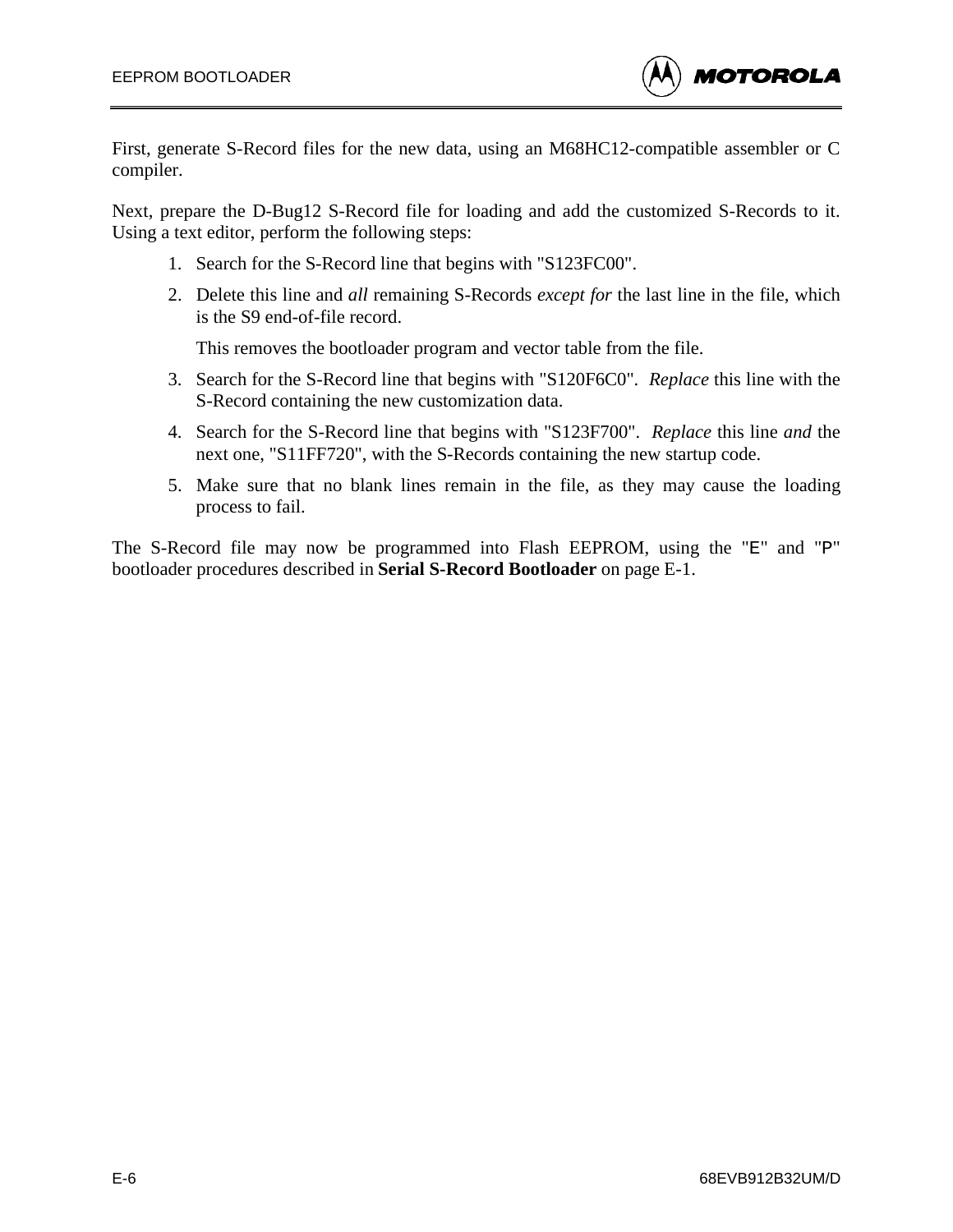First, generate S-Record files for the new data, using an M68HC12-compatible assembler or C compiler.

Next, prepare the D-Bug12 S-Record file for loading and add the customized S-Records to it. Using a text editor, perform the following steps:

- 1. Search for the S-Record line that begins with "S123FC00".
- 2. Delete this line and *all* remaining S-Records *except for* the last line in the file, which is the S9 end-of-file record.

This removes the bootloader program and vector table from the file.

- 3. Search for the S-Record line that begins with "S120F6C0". *Replace* this line with the S-Record containing the new customization data.
- 4. Search for the S-Record line that begins with "S123F700". *Replace* this line *and* the next one, "S11FF720", with the S-Records containing the new startup code.
- 5. Make sure that no blank lines remain in the file, as they may cause the loading process to fail.

The S-Record file may now be programmed into Flash EEPROM, using the "E" and "P" bootloader procedures described in **Serial S-Record Bootloader** on page E-1.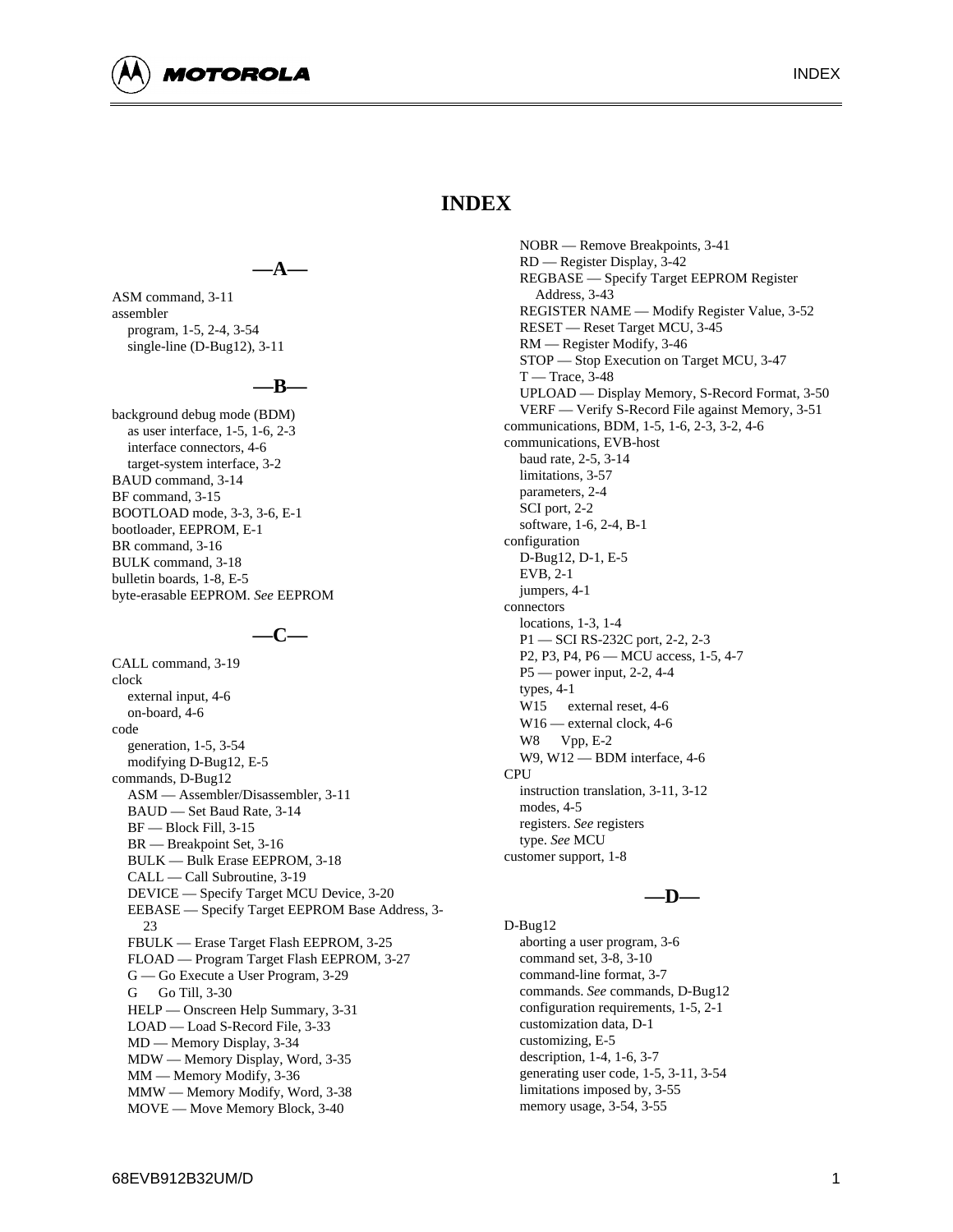

## **INDEX**

### **—A—**

ASM command, 3-11 assembler program, 1-5, 2-4, 3-54 single-line (D-Bug12), 3-11

### **—B—**

background debug mode (BDM) as user interface, 1-5, 1-6, 2-3 interface connectors, 4-6 target-system interface, 3-2 BAUD command, 3-14 BF command, 3-15 BOOTLOAD mode, 3-3, 3-6, E-1 bootloader, EEPROM, E-1 BR command, 3-16 BULK command, 3-18 bulletin boards, 1-8, E-5 byte-erasable EEPROM. *See* EEPROM

### **—C—**

CALL command, 3-19 clock external input, 4-6 on-board, 4-6 code generation, 1-5, 3-54 modifying D-Bug12, E-5 commands, D-Bug12 ASM — Assembler/Disassembler, 3-11 BAUD — Set Baud Rate, 3-14 BF — Block Fill, 3-15 BR — Breakpoint Set, 3-16 BULK — Bulk Erase EEPROM, 3-18 CALL — Call Subroutine, 3-19 DEVICE — Specify Target MCU Device, 3-20 EEBASE — Specify Target EEPROM Base Address, 3- 23 FBULK — Erase Target Flash EEPROM, 3-25 FLOAD — Program Target Flash EEPROM, 3-27 G — Go Execute a User Program, 3-29  $G$  - Go Till, 3-30 HELP — Onscreen Help Summary, 3-31 LOAD — Load S-Record File, 3-33 MD — Memory Display, 3-34 MDW — Memory Display, Word, 3-35 MM — Memory Modify, 3-36 MMW — Memory Modify, Word, 3-38 MOVE — Move Memory Block, 3-40

NOBR — Remove Breakpoints, 3-41 RD — Register Display, 3-42 REGBASE — Specify Target EEPROM Register Address, 3-43 REGISTER NAME — Modify Register Value, 3-52 RESET — Reset Target MCU, 3-45 RM — Register Modify, 3-46 STOP — Stop Execution on Target MCU, 3-47  $T - Trace$ , 3-48 UPLOAD — Display Memory, S-Record Format, 3-50 VERF — Verify S-Record File against Memory, 3-51 communications, BDM, 1-5, 1-6, 2-3, 3-2, 4-6 communications, EVB-host baud rate, 2-5, 3-14 limitations, 3-57 parameters, 2-4 SCI port, 2-2 software, 1-6, 2-4, B-1 configuration D-Bug12, D-1, E-5 EVB, 2-1 jumpers, 4-1 connectors locations, 1-3, 1-4 P1 — SCI RS-232C port, 2-2, 2-3 P2, P3, P4, P6 — MCU access, 1-5, 4-7 P5 — power input, 2-2, 4-4 types, 4-1  $W15$  — external reset, 4-6 W<sub>16</sub> — external clock, 4-6  $W8 - Vpp$ , E-2 W9, W12 — BDM interface, 4-6 **CPU** instruction translation, 3-11, 3-12 modes, 4-5 registers. *See* registers type. *See* MCU customer support, 1-8

### **—D—**

D-Bug12 aborting a user program, 3-6 command set, 3-8, 3-10 command-line format, 3-7 commands. *See* commands, D-Bug12 configuration requirements, 1-5, 2-1 customization data, D-1 customizing, E-5 description, 1-4, 1-6, 3-7 generating user code, 1-5, 3-11, 3-54 limitations imposed by, 3-55 memory usage, 3-54, 3-55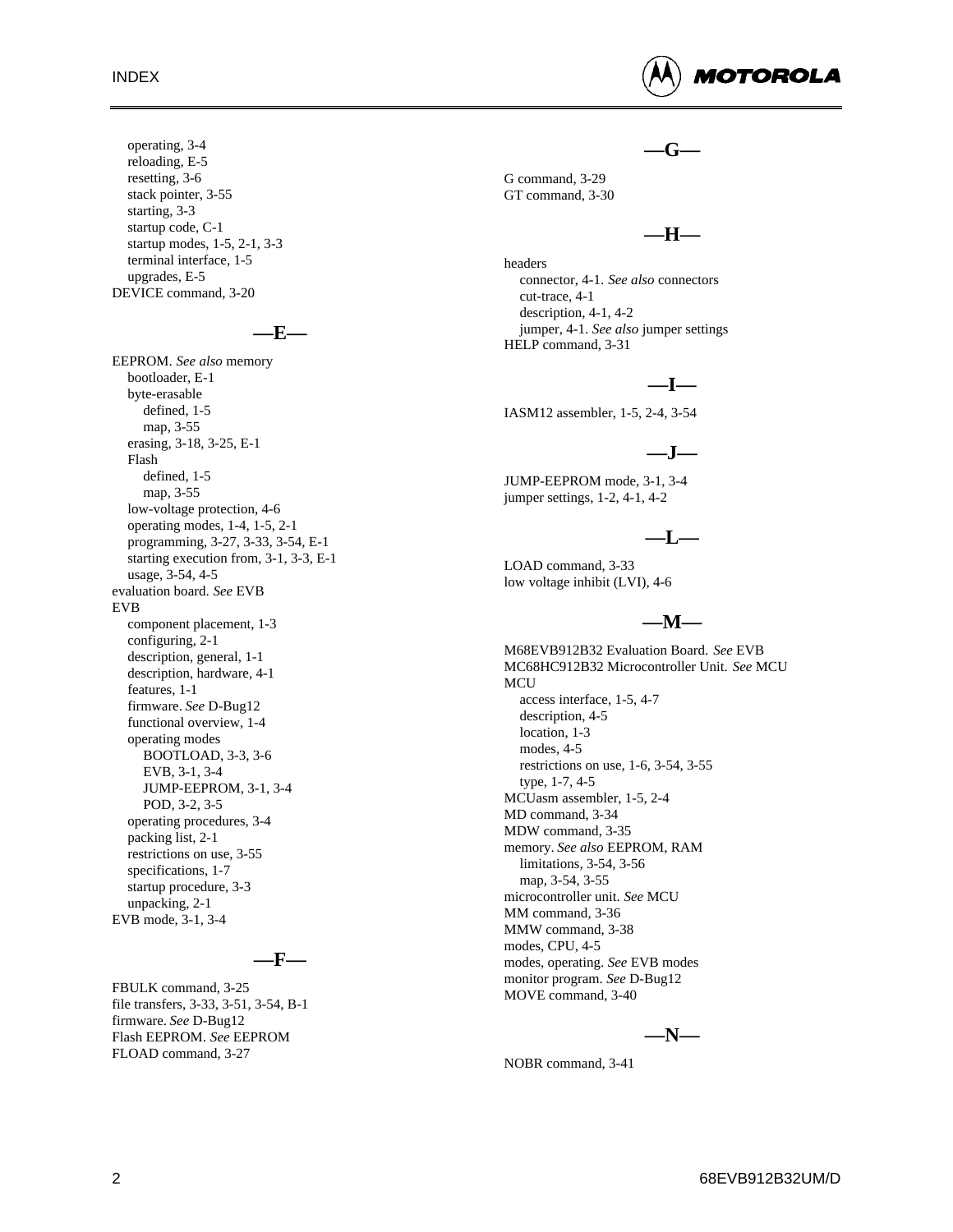operating, 3-4 reloading, E-5 resetting, 3-6 stack pointer, 3-55 starting, 3-3 startup code, C-1 startup modes, 1-5, 2-1, 3-3 terminal interface, 1-5 upgrades, E-5 DEVICE command, 3-20

#### **—E—**

EEPROM. *See also* memory bootloader, E-1 byte-erasable defined, 1-5 map, 3-55 erasing, 3-18, 3-25, E-1 Flash defined, 1-5 map, 3-55 low-voltage protection, 4-6 operating modes, 1-4, 1-5, 2-1 programming, 3-27, 3-33, 3-54, E-1 starting execution from, 3-1, 3-3, E-1 usage, 3-54, 4-5 evaluation board. *See* EVB EVB component placement, 1-3 configuring, 2-1 description, general, 1-1 description, hardware, 4-1 features, 1-1 firmware. *See* D-Bug12 functional overview, 1-4 operating modes BOOTLOAD, 3-3, 3-6 EVB, 3-1, 3-4 JUMP-EEPROM, 3-1, 3-4 POD, 3-2, 3-5 operating procedures, 3-4 packing list, 2-1 restrictions on use, 3-55 specifications, 1-7 startup procedure, 3-3 unpacking, 2-1 EVB mode, 3-1, 3-4

### **—F—**

FBULK command, 3-25 file transfers, 3-33, 3-51, 3-54, B-1 firmware. *See* D-Bug12 Flash EEPROM. *See* EEPROM FLOAD command, 3-27

**—G—**

MOTOROLA

G command, 3-29 GT command, 3-30

### **—H—**

headers connector, 4-1. *See also* connectors cut-trace, 4-1 description, 4-1, 4-2 jumper, 4-1. *See also* jumper settings HELP command, 3-31

### **—I—**

IASM12 assembler, 1-5, 2-4, 3-54

### **—J—**

JUMP-EEPROM mode, 3-1, 3-4 jumper settings, 1-2, 4-1, 4-2

## **—L—**

LOAD command, 3-33 low voltage inhibit (LVI), 4-6

### **—M—**

M68EVB912B32 Evaluation Board. *See* EVB MC68HC912B32 Microcontroller Unit. *See* MCU **MCU** access interface, 1-5, 4-7 description, 4-5 location, 1-3 modes, 4-5 restrictions on use, 1-6, 3-54, 3-55 type, 1-7, 4-5 MCUasm assembler, 1-5, 2-4 MD command, 3-34 MDW command, 3-35 memory. *See also* EEPROM, RAM limitations, 3-54, 3-56 map, 3-54, 3-55 microcontroller unit. *See* MCU MM command, 3-36 MMW command, 3-38 modes, CPU, 4-5 modes, operating. *See* EVB modes monitor program. *See* D-Bug12 MOVE command, 3-40

### **—N—**

NOBR command, 3-41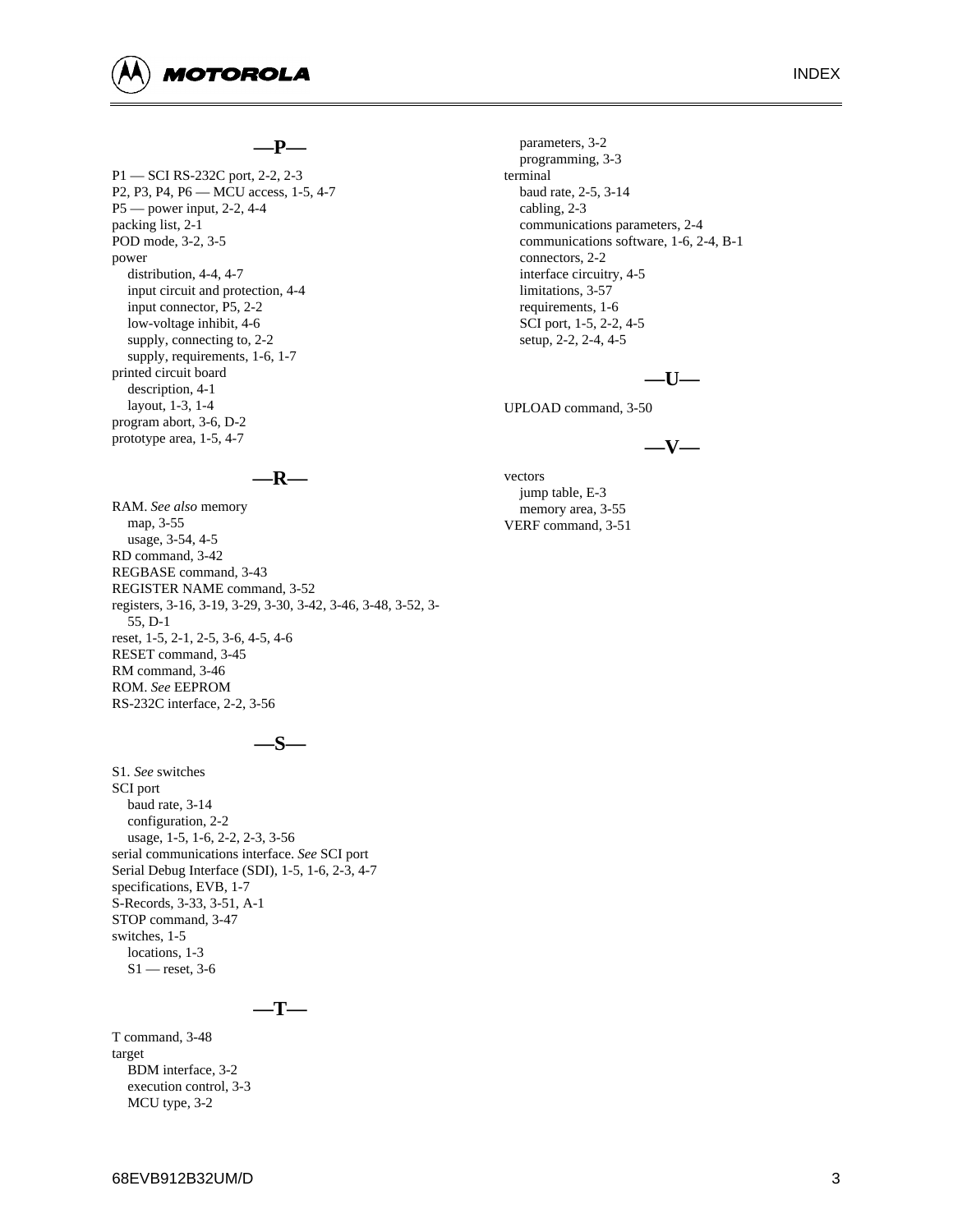

## **—P—**

P1 — SCI RS-232C port, 2-2, 2-3 P2, P3, P4, P6 — MCU access, 1-5, 4-7 P5 — power input, 2-2, 4-4 packing list, 2-1 POD mode, 3-2, 3-5 power distribution, 4-4, 4-7 input circuit and protection, 4-4 input connector, P5, 2-2 low-voltage inhibit, 4-6 supply, connecting to, 2-2 supply, requirements, 1-6, 1-7 printed circuit board description, 4-1 layout, 1-3, 1-4 program abort, 3-6, D-2 prototype area, 1-5, 4-7

parameters, 3-2 programming, 3-3 terminal baud rate, 2-5, 3-14 cabling, 2-3 communications parameters, 2-4 communications software, 1-6, 2-4, B-1 connectors, 2-2 interface circuitry, 4-5 limitations, 3-57 requirements, 1-6 SCI port, 1-5, 2-2, 4-5 setup, 2-2, 2-4, 4-5

### **—U—**

UPLOAD command, 3-50

#### **—V—**

vectors jump table, E-3 memory area, 3-55 VERF command, 3-51

#### **—R—**

RAM. *See also* memory map, 3-55 usage, 3-54, 4-5 RD command, 3-42 REGBASE command, 3-43 REGISTER NAME command, 3-52 registers, 3-16, 3-19, 3-29, 3-30, 3-42, 3-46, 3-48, 3-52, 3- 55, D-1 reset, 1-5, 2-1, 2-5, 3-6, 4-5, 4-6 RESET command, 3-45 RM command, 3-46 ROM. *See* EEPROM RS-232C interface, 2-2, 3-56

### **—S—**

S1. *See* switches SCI port baud rate, 3-14 configuration, 2-2 usage, 1-5, 1-6, 2-2, 2-3, 3-56 serial communications interface. *See* SCI port Serial Debug Interface (SDI), 1-5, 1-6, 2-3, 4-7 specifications, EVB, 1-7 S-Records, 3-33, 3-51, A-1 STOP command, 3-47 switches, 1-5 locations, 1-3  $S1$  — reset, 3-6

#### **—T—**

T command, 3-48 target BDM interface, 3-2 execution control, 3-3 MCU type, 3-2